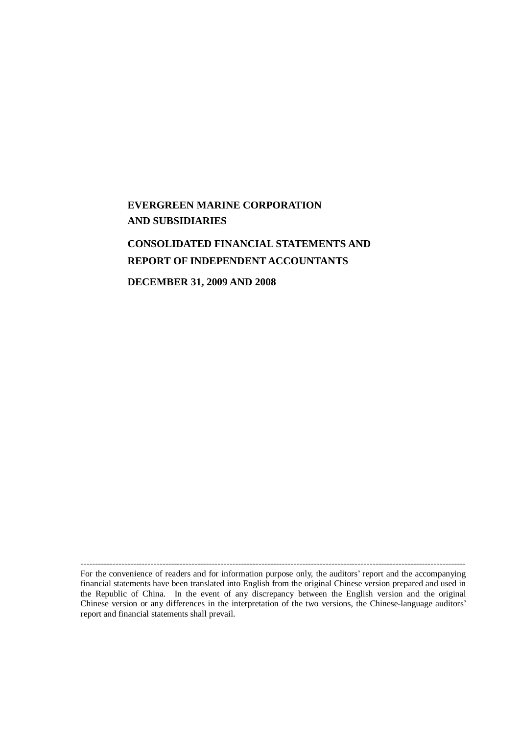# **EVERGREEN MARINE CORPORATION AND SUBSIDIARIES**

# **CONSOLIDATED FINANCIAL STATEMENTS AND REPORT OF INDEPENDENT ACCOUNTANTS**

**DECEMBER 31, 2009 AND 2008**

------------------------------------------------------------------------------------------------------------------------------------ For the convenience of readers and for information purpose only, the auditors' report and the accompanying financial statements have been translated into English from the original Chinese version prepared and used in the Republic of China. In the event of any discrepancy between the English version and the original Chinese version or any differences in the interpretation of the two versions, the Chinese-language auditors' report and financial statements shall prevail.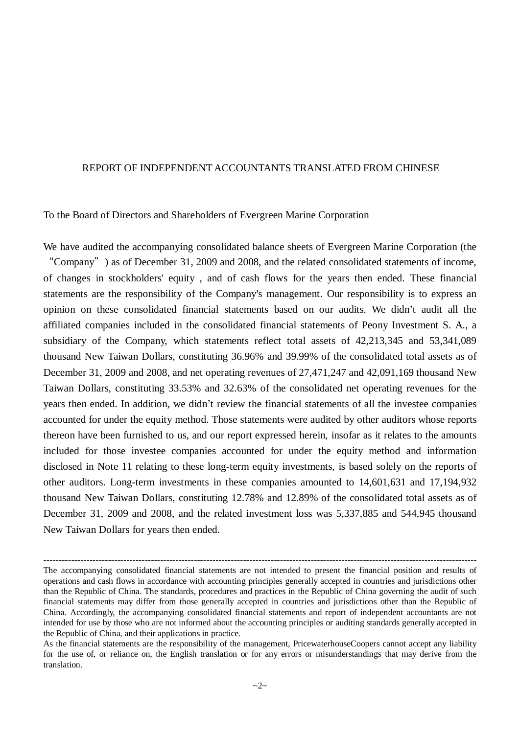#### REPORT OF INDEPENDENT ACCOUNTANTS TRANSLATED FROM CHINESE

To the Board of Directors and Shareholders of Evergreen Marine Corporation

We have audited the accompanying consolidated balance sheets of Evergreen Marine Corporation (the "Company") as of December 31, 2009 and 2008, and the related consolidated statements of income, of changes in stockholders' equity , and of cash flows for the years then ended. These financial statements are the responsibility of the Company's management. Our responsibility is to express an opinion on these consolidated financial statements based on our audits. We didn't audit all the affiliated companies included in the consolidated financial statements of Peony Investment S. A., a subsidiary of the Company, which statements reflect total assets of 42,213,345 and 53,341,089 thousand New Taiwan Dollars, constituting 36.96% and 39.99% of the consolidated total assets as of December 31, 2009 and 2008, and net operating revenues of 27,471,247 and 42,091,169 thousand New Taiwan Dollars, constituting 33.53% and 32.63% of the consolidated net operating revenues for the years then ended. In addition, we didn't review the financial statements of all the investee companies accounted for under the equity method. Those statements were audited by other auditors whose reports thereon have been furnished to us, and our report expressed herein, insofar as it relates to the amounts included for those investee companies accounted for under the equity method and information disclosed in Note 11 relating to these long-term equity investments, is based solely on the reports of other auditors. Long-term investments in these companies amounted to 14,601,631 and 17,194,932 thousand New Taiwan Dollars, constituting 12.78% and 12.89% of the consolidated total assets as of December 31, 2009 and 2008, and the related investment loss was 5,337,885 and 544,945 thousand New Taiwan Dollars for years then ended.

<sup>---------------------------------------------------------------------------------------------------------------------------------------------</sup> The accompanying consolidated financial statements are not intended to present the financial position and results of operations and cash flows in accordance with accounting principles generally accepted in countries and jurisdictions other than the Republic of China. The standards, procedures and practices in the Republic of China governing the audit of such financial statements may differ from those generally accepted in countries and jurisdictions other than the Republic of China. Accordingly, the accompanying consolidated financial statements and report of independent accountants are not intended for use by those who are not informed about the accounting principles or auditing standards generally accepted in the Republic of China, and their applications in practice.

As the financial statements are the responsibility of the management, PricewaterhouseCoopers cannot accept any liability for the use of, or reliance on, the English translation or for any errors or misunderstandings that may derive from the translation.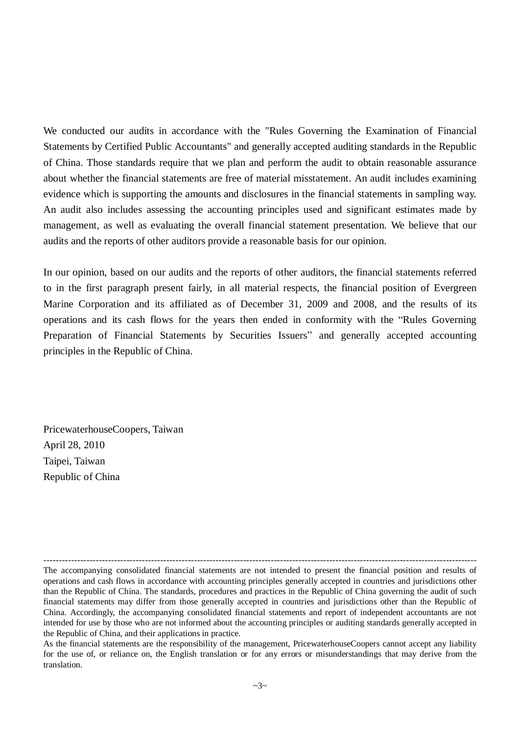We conducted our audits in accordance with the "Rules Governing the Examination of Financial Statements by Certified Public Accountants" and generally accepted auditing standards in the Republic of China. Those standards require that we plan and perform the audit to obtain reasonable assurance about whether the financial statements are free of material misstatement. An audit includes examining evidence which is supporting the amounts and disclosures in the financial statements in sampling way. An audit also includes assessing the accounting principles used and significant estimates made by management, as well as evaluating the overall financial statement presentation. We believe that our audits and the reports of other auditors provide a reasonable basis for our opinion.

In our opinion, based on our audits and the reports of other auditors, the financial statements referred to in the first paragraph present fairly, in all material respects, the financial position of Evergreen Marine Corporation and its affiliated as of December 31, 2009 and 2008, and the results of its operations and its cash flows for the years then ended in conformity with the "Rules Governing Preparation of Financial Statements by Securities Issuers" and generally accepted accounting principles in the Republic of China.

PricewaterhouseCoopers, Taiwan April 28, 2010 Taipei, Taiwan Republic of China

<sup>---------------------------------------------------------------------------------------------------------------------------------------------</sup> The accompanying consolidated financial statements are not intended to present the financial position and results of operations and cash flows in accordance with accounting principles generally accepted in countries and jurisdictions other than the Republic of China. The standards, procedures and practices in the Republic of China governing the audit of such financial statements may differ from those generally accepted in countries and jurisdictions other than the Republic of China. Accordingly, the accompanying consolidated financial statements and report of independent accountants are not intended for use by those who are not informed about the accounting principles or auditing standards generally accepted in the Republic of China, and their applications in practice.

As the financial statements are the responsibility of the management, PricewaterhouseCoopers cannot accept any liability for the use of, or reliance on, the English translation or for any errors or misunderstandings that may derive from the translation.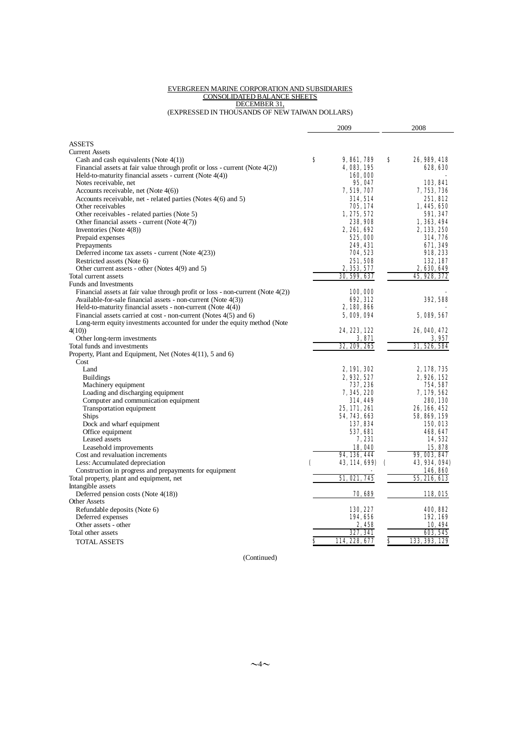#### EVERGREEN MARINE CORPORATION AND SUBSIDIARIES CONSOLIDATED BALANCE SHEETS DECEMBER 31,

(EXPRESSED IN THOUSANDS OF NEW TAIWAN DOLLARS)

|                                                                                    |   | 2009                |    | 2008                      |
|------------------------------------------------------------------------------------|---|---------------------|----|---------------------------|
|                                                                                    |   |                     |    |                           |
| <b>ASSETS</b>                                                                      |   |                     |    |                           |
| <b>Current Assets</b>                                                              |   |                     |    |                           |
| Cash and cash equivalents (Note $4(1)$ )                                           | s | 9, 861, 789         | s  | 26, 989, 418              |
| Financial assets at fair value through profit or loss - current (Note $4(2)$ )     |   | 4, 083, 195         |    | <b>628, 630</b>           |
| Held-to-maturity financial assets - current (Note $4(4)$ )                         |   | 160,000             |    |                           |
| Notes receivable, net                                                              |   | 95, 047             |    | 103,841                   |
| Accounts receivable, net (Note $4(6)$ )                                            |   | 7, 519, 707         |    | 7, 753, 736               |
| Accounts receivable, net - related parties (Notes 4(6) and 5)                      |   | 314.514             |    | 251.812                   |
| Other receivables                                                                  |   | 705, 174            |    | 1, 445, 650               |
| Other receivables - related parties (Note 5)                                       |   | 1, 275, 572         |    | 591, 347                  |
| Other financial assets - current (Note $4(7)$ )                                    |   | 238, 908            |    | 1, 363, 494               |
| Inventories (Note $4(8)$ )                                                         |   | 2, 261, 692         |    | 2, 133, 250               |
| Prepaid expenses                                                                   |   | 525,000             |    | 314, 776                  |
| Prepayments                                                                        |   | 249, 431            |    | 671, 349                  |
| Deferred income tax assets - current (Note 4(23))                                  |   | 704, 523            |    | 918, 233                  |
| Restricted assets (Note 6)                                                         |   | 251,508             |    | 132.187                   |
| Other current assets - other (Notes 4(9) and 5)                                    |   | 2, 353, 577         |    | 2,630,649                 |
| Total current assets                                                               |   | 30, 599, 637        |    | 45, 928, 372              |
| <b>Funds and Investments</b>                                                       |   |                     |    |                           |
| Financial assets at fair value through profit or loss - non-current (Note $4(2)$ ) |   | 100,000             |    |                           |
| Available-for-sale financial assets - non-current (Note 4(3))                      |   | <b>G92, 312</b>     |    | 392.588                   |
| Held-to-maturity financial assets - non-current (Note $4(4)$ )                     |   | 2, 180, 866         |    |                           |
| Financial assets carried at cost - non-current (Notes 4(5) and 6)                  |   | 5,009,094           |    | 5, 089, 567               |
| Long-term equity investments accounted for under the equity method (Note           |   |                     |    |                           |
| 4(10)                                                                              |   | 24, 223, 122        |    | 26, 040, 472              |
| Other long-term investments                                                        |   | 3, 871              |    | 3.957                     |
| Total funds and investments                                                        |   | 32, 209, 265        |    | 31, 526, 584              |
| Property, Plant and Equipment, Net (Notes 4(11), 5 and 6)                          |   |                     |    |                           |
| Cost                                                                               |   |                     |    |                           |
| Land                                                                               |   | 2, 191, 302         |    | 2, 178, 735               |
| <b>Buildings</b>                                                                   |   | 2, 932, 527         |    | 2,926,152                 |
| Machinery equipment                                                                |   | 737, 236            |    | 754, 587                  |
| Loading and discharging equipment                                                  |   | 7, 345, 220         |    | 7, 179, 562               |
| Computer and communication equipment                                               |   | <b>314, 449</b>     |    | 280, 130                  |
| Transportation equipment                                                           |   | 25, 171, 261        |    | 26, 166, 452              |
| <b>Ships</b>                                                                       |   | 54, 743, 663        |    | 58, 869, 159              |
| Dock and wharf equipment                                                           |   | 137, 834            |    | 150,013                   |
| Office equipment                                                                   |   | <b>537, 681</b>     |    | 468, 647                  |
| Leased assets                                                                      |   | <b>7, 231</b>       |    | 14,532                    |
| Leasehold improvements                                                             |   | 18,040              |    | 15,878                    |
| Cost and revaluation increments                                                    |   | 94, 136, 444        |    | 99, 003, 847              |
| Less: Accumulated depreciation                                                     |   | 43, 114, 699)       | C  | 43, 934, 094)             |
| Construction in progress and prepayments for equipment                             |   |                     |    | 146,860                   |
| Total property, plant and equipment, net                                           |   | <b>51, 021, 745</b> |    | <b>55, 216, 613</b>       |
| Intangible assets                                                                  |   |                     |    |                           |
| Deferred pension costs (Note $4(18)$ )                                             |   | 70, 689             |    | 118,015                   |
| <b>Other Assets</b>                                                                |   |                     |    |                           |
| Refundable deposits (Note 6)                                                       |   | 130, 227            |    | 400, 882                  |
| Deferred expenses                                                                  |   | 194,656             |    | 192,169                   |
| Other assets - other                                                               |   | 2.458               |    | 10, 494                   |
| Total other assets                                                                 |   | 327, 341            |    |                           |
|                                                                                    |   | 114, 228, 677       | \$ | 603, 545<br>133, 393, 129 |
| <b>TOTAL ASSETS</b>                                                                | s |                     |    |                           |

(Continued)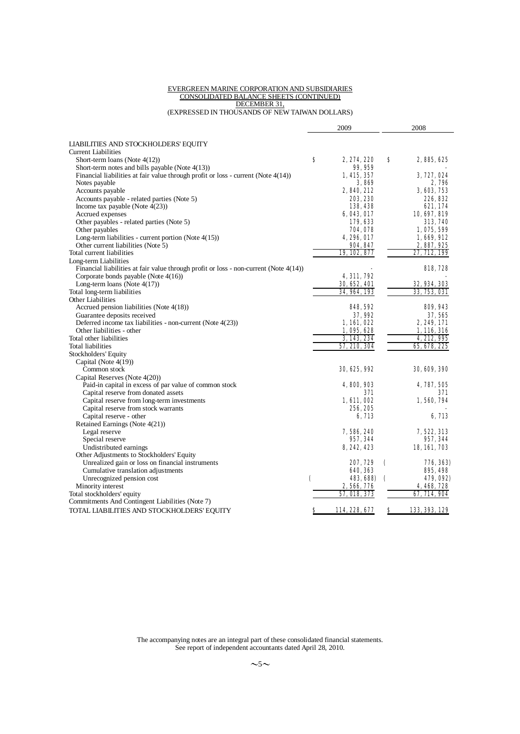#### EVERGREEN MARINE CORPORATION AND SUBSIDIARIES CONSOLIDATED BALANCE SHEETS (CONTINUED) DECEMBER 31,

(EXPRESSED IN THOUSANDS OF NEW TAIWAN DOLLARS)

|                                                                                          |   | 2009                |   | 2008                |
|------------------------------------------------------------------------------------------|---|---------------------|---|---------------------|
|                                                                                          |   |                     |   |                     |
| LIABILITIES AND STOCKHOLDERS' EQUITY                                                     |   |                     |   |                     |
| <b>Current Liabilities</b>                                                               |   |                     |   |                     |
| Short-term loans (Note $4(12)$ )                                                         | s | 2, 274, 220         | s | 2,885,625           |
| Short-term notes and bills payable (Note $4(13)$ )                                       |   | 99, 959             |   |                     |
| Financial liabilities at fair value through profit or loss - current (Note 4(14))        |   | 1, 415, 357         |   | 3, 727, 024         |
| Notes payable                                                                            |   | 3.809               |   | 2,796               |
| Accounts payable                                                                         |   | 2,840,212           |   | 3, 603, 753         |
| Accounts payable - related parties (Note 5)                                              |   | 203, 230            |   | 226.832             |
| Income tax payable (Note $4(23)$ )                                                       |   | 138,438             |   | 621, 174            |
| Accrued expenses                                                                         |   | 6,043,017           |   | 10, 697, 819        |
| Other payables - related parties (Note 5)                                                |   | 179,633             |   | 313, 740            |
| Other payables                                                                           |   | 704,078             |   | 1,075,599           |
| Long-term liabilities - current portion (Note $4(15)$ )                                  |   | <b>4, 296, 017</b>  |   | 1,669,912           |
| Other current liabilities (Note 5)                                                       |   | 904, 847            |   | 2, 887, 925         |
| Total current liabilities                                                                |   | 19, 102, 877        |   | 27, 712, 199        |
| Long-term Liabilities                                                                    |   |                     |   |                     |
| Financial liabilities at fair value through profit or loss - non-current (Note $4(14)$ ) |   |                     |   | <b>818, 728</b>     |
| Corporate bonds payable (Note 4(16))                                                     |   | 4, 311, 792         |   |                     |
| Long-term loans (Note $4(17)$ )                                                          |   | 30, 652, 401        |   | <b>32, 934, 303</b> |
| Total long-term liabilities                                                              |   | 34, 964, 193        |   | 33, 753, 031        |
| Other Liabilities                                                                        |   |                     |   |                     |
| Accrued pension liabilities (Note 4(18))                                                 |   | 848, 592            |   | 809, 943            |
| Guarantee deposits received                                                              |   | 37,992              |   | 37, 565             |
| Deferred income tax liabilities - non-current (Note $4(23)$ )                            |   | 1,161,022           |   | 2, 249, 171         |
| Other liabilities - other                                                                |   | 1,095,628           |   | 1,116,316           |
| Total other liabilities                                                                  |   | 3, 143, 234         |   | 4, 212, 995         |
| <b>Total liabilities</b>                                                                 |   | 57, 210, 304        |   | 65, 678, 225        |
| Stockholders' Equity                                                                     |   |                     |   |                     |
| Capital (Note 4(19))                                                                     |   |                     |   |                     |
| Common stock                                                                             |   | <b>30, 625, 992</b> |   | 30, 609, 390        |
| Capital Reserves (Note 4(20))                                                            |   |                     |   |                     |
| Paid-in capital in excess of par value of common stock                                   |   | 4, 800, 903         |   | 4, 787, 505         |
| Capital reserve from donated assets                                                      |   | 371                 |   | 371                 |
| Capital reserve from long-term investments                                               |   | 1, 611, 002         |   | 1,560,794           |
| Capital reserve from stock warrants                                                      |   | 256, 205            |   |                     |
| Capital reserve - other                                                                  |   | 6, 713              |   | 6, 713              |
| Retained Earnings (Note 4(21))                                                           |   |                     |   |                     |
| Legal reserve                                                                            |   | 7,586,240           |   | 7, 522, 313         |
| Special reserve                                                                          |   | 957, 344            |   | 957, 344            |
| Undistributed earnings                                                                   |   | 8, 242, 423         |   | 18, 161, 703        |
| Other Adjustments to Stockholders' Equity                                                |   |                     |   |                     |
| Unrealized gain or loss on financial instruments                                         |   | 207, 729            | € | 776, 363)           |
| Cumulative translation adjustments                                                       |   | 640, 363            |   | 895, 498            |
| Unrecognized pension cost                                                                | € | 483, 688)           | C | 479,092)            |
| Minority interest                                                                        |   | 2,566,776           |   | 4,468,728           |
| Total stockholders' equity                                                               |   | <b>57, 018, 373</b> |   | 67, 714, 904        |
| Commitments And Contingent Liabilities (Note 7)                                          |   |                     |   |                     |
| TOTAL LIABILITIES AND STOCKHOLDERS' EQUITY                                               | s | 114, 228, 677       | s | 133, 393, 129       |
|                                                                                          |   |                     |   |                     |

The accompanying notes are an integral part of these consolidated financial statements. See report of independent accountants dated April 28, 2010.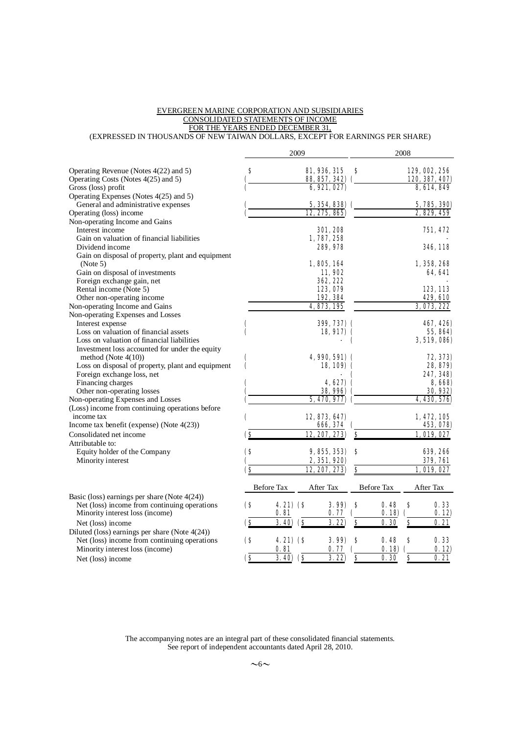#### EVERGREEN MARINE CORPORATION AND SUBSIDIARIES CONSOLIDATED STATEMENTS OF INCOME FOR THE YEARS ENDED DECEMBER 31,

(EXPRESSED IN THOUSANDS OF NEW TAIWAN DOLLARS, EXCEPT FOR EARNINGS PER SHARE)

|                                                   |                         |                 | 2009 |                       |    |            | 2008     |                      |
|---------------------------------------------------|-------------------------|-----------------|------|-----------------------|----|------------|----------|----------------------|
| Operating Revenue (Notes 4(22) and 5)             | S                       |                 |      | <b>81, 936, 315</b>   | s  |            |          | <b>129, OO2, 256</b> |
| Operating Costs (Notes 4(25) and 5)               |                         |                 |      | 88, 857, 342) (       |    |            |          | 120, 387, 407)       |
| Gross (loss) profit                               |                         |                 |      | 6, 921, 027           |    |            |          | 8, 614, 849          |
| Operating Expenses (Notes 4(25) and 5)            |                         |                 |      |                       |    |            |          |                      |
| General and administrative expenses               |                         |                 |      | 5, 354, 838)          |    |            |          | 5, 785, 390)         |
| Operating (loss) income                           |                         |                 |      | 12, 275, 865)         |    |            |          | 2, 829, 459          |
| Non-operating Income and Gains                    |                         |                 |      |                       |    |            |          |                      |
| Interest income                                   |                         |                 |      | <b>301, 208</b>       |    |            |          |                      |
|                                                   |                         |                 |      |                       |    |            |          | 751, 472             |
| Gain on valuation of financial liabilities        |                         |                 |      | 1,787,258             |    |            |          |                      |
| Dividend income                                   |                         |                 |      | 289, 978              |    |            |          | <b>346, 118</b>      |
| Gain on disposal of property, plant and equipment |                         |                 |      |                       |    |            |          |                      |
| (Note 5)                                          |                         |                 |      | 1,805,164             |    |            |          | 1, 358, 268          |
| Gain on disposal of investments                   |                         |                 |      | 11.902                |    |            |          | 64. 641              |
| Foreign exchange gain, net                        |                         |                 |      | 362, 222              |    |            |          |                      |
| Rental income (Note 5)                            |                         |                 |      | 123,079               |    |            |          | 123, 113             |
| Other non-operating income                        |                         |                 |      | 192, 384              |    |            |          | 429, 610             |
| Non-operating Income and Gains                    |                         |                 |      | 4, 873, 195           |    |            |          | 3, 073, 222          |
| Non-operating Expenses and Losses                 |                         |                 |      |                       |    |            |          |                      |
| Interest expense                                  |                         |                 |      | 399, 737) (           |    |            |          | 467.426)             |
| Loss on valuation of financial assets             |                         |                 |      | 18,917) (             |    |            |          | 55, 864)             |
| Loss on valuation of financial liabilities        |                         |                 |      |                       | C  |            |          | 3, 519, 086)         |
| Investment loss accounted for under the equity    |                         |                 |      |                       |    |            |          |                      |
| method (Note $4(10)$ )                            |                         |                 |      | <b>4, 990, 591) (</b> |    |            |          | 72, 373)             |
| Loss on disposal of property, plant and equipment | C                       |                 |      | 18.109) (             |    |            |          | 28, 879)             |
| Foreign exchange loss, net                        |                         |                 |      |                       |    |            |          | 247, 348)            |
| Financing charges                                 |                         |                 |      | 4.627)                |    |            |          | 8,668                |
| Other non-operating losses                        |                         |                 |      | 38, 996)              |    |            |          | 30, 932)             |
| Non-operating Expenses and Losses                 |                         |                 |      | 5, 470, 977)          |    |            |          | 4, 430, 576)         |
| (Loss) income from continuing operations before   |                         |                 |      |                       |    |            |          |                      |
| income tax                                        |                         |                 |      | 12, 873, 647)         |    |            |          | 1, 472, 105          |
| Income tax benefit (expense) (Note 4(23))         | C                       |                 |      | 666, 374              |    |            |          | 453, 078)            |
|                                                   |                         |                 |      |                       |    |            |          |                      |
| Consolidated net income                           | <u>(s</u>               |                 |      | 12, 207, 273)         | \$ |            |          | 1,019,027            |
| Attributable to:                                  |                         |                 |      |                       |    |            |          |                      |
| Equity holder of the Company                      | <b>(S</b>               |                 |      | 9, 855, 353)          | S  |            |          | 639, 266             |
| Minority interest                                 |                         |                 |      | 2, 351, 920)          |    |            |          | <b>379, 761</b>      |
|                                                   | $\bf(8)$                |                 |      | 12, 207, 273)         | \$ |            |          | 1,019,027            |
|                                                   |                         | Before Tax      |      | After Tax             |    | Before Tax |          |                      |
| Basic (loss) earnings per share (Note $4(24)$ )   |                         |                 |      |                       |    |            |          | After Tax            |
| Net (loss) income from continuing operations      | $\bf(8)$                | $4.21)$ $($     |      | 3.99 <sub>0</sub>     | S  | 0.48       | S        | 0.33                 |
| Minority interest loss (income)                   |                         | 0. SL           |      | 0.77                  |    | 0.18       |          | 0.12)                |
| Net (loss) income                                 | $\bf{G}$                | $3.40)$ (\$     |      | 3.22                  | \$ | 0.30       | $\bf{s}$ | 0. 21                |
|                                                   |                         |                 |      |                       |    |            |          |                      |
| Diluted (loss) earnings per share (Note $4(24)$ ) |                         |                 |      |                       |    |            |          |                      |
| Net (loss) income from continuing operations      | <b>(S</b>               | <b>4.21) (S</b> |      | 3.99                  | S  | 0.48       | S        | 0.33                 |
| Minority interest loss (income)                   |                         | 0.81            |      | 0.77                  |    | 0.18       |          | 0.12)                |
| Net (loss) income                                 | $\overline{\mathbf{S}}$ | $3.40)$ (\$     |      | 3.22                  | \$ | 0.30       | $\bf{s}$ | 0.21                 |

The accompanying notes are an integral part of these consolidated financial statements. See report of independent accountants dated April 28, 2010.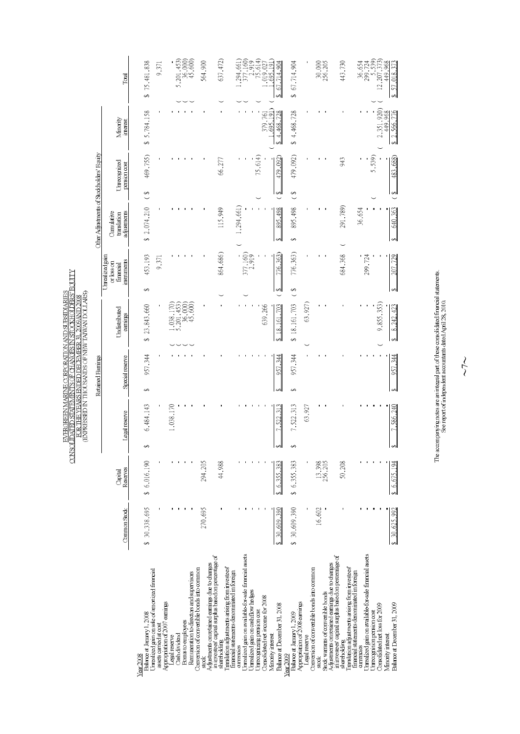| odHi,<br>M9AND?<br>Ξ<br>Ę<br>WWLYLIWEN TAIW<br>Î<br>$\frac{1}{2}$<br>医全球 计开环 医肝动脉 医美国法国 医阿尔氏反应性肝炎<br><b>TYOTT</b><br>i DHCI.<br><b>WADDODY</b><br>てはていたく<br>ASI IOHI LA<br>CHAIN AND LEE<br>T STATEME.<br>-<br>J<br>:<br>F |
|----------------------------------------------------------------------------------------------------------------------------------------------------------------------------------------------------------------------------|
|----------------------------------------------------------------------------------------------------------------------------------------------------------------------------------------------------------------------------|

|                                                                                                                  |               |                     |                                 | Retained Famings |                                                            |    |                                                           |                                          |               | Other Adjustments of Stockholders' Equity |                      |                                                              |
|------------------------------------------------------------------------------------------------------------------|---------------|---------------------|---------------------------------|------------------|------------------------------------------------------------|----|-----------------------------------------------------------|------------------------------------------|---------------|-------------------------------------------|----------------------|--------------------------------------------------------------|
|                                                                                                                  | Common Stock  | Reserves<br>Capital | Legal reserve                   | Special reserve  | Undistributed<br>earnings                                  |    | Unrealized gain<br>instruments<br>or loss on<br>financial | Cumulative<br>adjustments<br>translation |               | Unrecepized<br>persion cost               | Minority<br>interest | Total                                                        |
|                                                                                                                  |               |                     |                                 |                  |                                                            |    |                                                           |                                          |               |                                           |                      |                                                              |
| Balance at January 1, 2008<br>$Year$ $2008$                                                                      | \$ 30,338,695 | \$ 6,016,190        | 6,484,143                       | 957,344<br>↮     | 23,843,660<br>Ø                                            | s, | 453,193                                                   | \$ 2,074,210                             | $\frac{8}{3}$ | 469,755)                                  | \$5,784,158          | 75,481,838<br>S                                              |
| Unrealized gain on sale of amortized financial                                                                   |               |                     |                                 |                  |                                                            |    |                                                           |                                          |               |                                           |                      |                                                              |
| assets carried at cost                                                                                           |               |                     |                                 |                  |                                                            |    | 9,371                                                     |                                          |               |                                           |                      | 9,371                                                        |
| Appropriation of 2007 earnings<br>Legal reserve                                                                  |               |                     | 1,038,170                       |                  | 170)<br>0.038,                                             |    |                                                           |                                          |               |                                           |                      |                                                              |
| Cash dividend                                                                                                    |               |                     |                                 |                  | $\begin{array}{c} 5,201,453 \ 36,000 \ 45,600 \end{array}$ |    |                                                           |                                          |               |                                           |                      | 5,201,453)<br>36,000)<br>45,600)                             |
| Bonus to employees                                                                                               |               |                     |                                 |                  |                                                            |    |                                                           |                                          |               |                                           |                      |                                                              |
| Conversion of convertible bonds into common<br>Remuneration to directors and supervisors                         |               |                     |                                 |                  |                                                            |    |                                                           |                                          |               |                                           |                      |                                                              |
| in investees' capital surplus based on percentage of<br>Adjustments on retained earnings due to changes<br>siozk | 270,695       | 294,205             |                                 |                  |                                                            |    |                                                           |                                          |               |                                           |                      | 564,900                                                      |
| Translation adjustments ansing from investees<br>shareholding                                                    |               | 44,988              |                                 |                  |                                                            |    | 864,686)                                                  | 115,949                                  |               | 66,277                                    |                      | 637, 472)                                                    |
| financial statements denominated in foreign<br>currencies                                                        |               |                     |                                 |                  |                                                            |    |                                                           | 1,294,661)                               |               |                                           |                      | , 294, 661                                                   |
| Unrealized gain on available-for-sale financial assets                                                           |               |                     |                                 |                  |                                                            |    |                                                           |                                          |               |                                           |                      | 377,160)                                                     |
| Unrealized gain on cash flow hedges                                                                              |               |                     |                                 |                  |                                                            |    | 377,160)<br>2,919                                         |                                          |               |                                           |                      | $\begin{array}{c} 2,919 \\ 75,614) \\ 1,019,027 \end{array}$ |
| <b>Jnecenizing pension cost</b>                                                                                  |               |                     |                                 |                  |                                                            |    |                                                           |                                          |               | 75,614)                                   |                      |                                                              |
| Consolidated net income for 2008                                                                                 |               |                     |                                 |                  | 639,266                                                    |    |                                                           |                                          |               |                                           | 379,761              |                                                              |
| Minority interest                                                                                                |               |                     |                                 |                  |                                                            |    |                                                           |                                          |               |                                           | .695.191             | 695 191                                                      |
| Balance at December 31, 2008<br>Year 2009                                                                        | 30,609,390    | 6.355.38            | $\overline{\mathbf{3}}$<br>522. | 957,344          | 18,161,703                                                 |    | 726,363)                                                  | 895,498                                  | ↔             | 479,092)                                  | 4,468,728            | 714.904<br>67.                                               |
| Balance at January 1, 2009                                                                                       | \$ 30,609,390 | 6,355,383<br>s,     | 7,522,313                       | 957,344<br>↔     | 18,161,703<br>s,                                           | S  | 776,363)                                                  | 895,498<br>S                             | ↔             | 479,092)                                  | \$4,468,728          | 67,714,904<br>Ø                                              |
| Appropriation of 2008 earnings<br>Legal reserve                                                                  |               |                     | 63,927                          |                  | 63,927                                                     |    |                                                           |                                          |               |                                           |                      |                                                              |
| Conversion of convertible bonds into common<br>stock                                                             | 16,602        | 13,398              |                                 |                  |                                                            |    |                                                           |                                          |               |                                           |                      |                                                              |
| Stock warrants of convertible bonds                                                                              |               | 256,205             |                                 |                  |                                                            |    |                                                           |                                          |               |                                           |                      | 30,000<br>256,205                                            |
| in investees' capital surplus based on percentage of<br>Adjustments on retained earnings due to changes          |               |                     |                                 |                  |                                                            |    |                                                           |                                          |               |                                           |                      |                                                              |
| shareholding                                                                                                     |               | 50,208              |                                 |                  |                                                            |    | 684,368                                                   | 291,789)                                 |               | 943                                       |                      | 443,730                                                      |
| Translation adjustments arising from investees<br>financial statements denominated in foreign                    |               |                     |                                 |                  |                                                            |    |                                                           |                                          |               |                                           |                      |                                                              |
| currencies                                                                                                       |               |                     |                                 |                  |                                                            |    |                                                           | 36,654                                   |               |                                           |                      | 36,654<br>299,724                                            |
| Urrealized gain on available-for-sale financial assets<br>Unreception persion cost                               |               |                     |                                 |                  |                                                            |    | 299,724                                                   |                                          |               | 5,539)                                    |                      | 59)                                                          |
| Consolidated net loss for 2009                                                                                   |               |                     |                                 |                  | 9,855,353)                                                 |    |                                                           |                                          |               |                                           | 2,351,920)           | 12,207,373<br>$\ddot{\cdot}$                                 |
| Minority interest                                                                                                |               |                     |                                 |                  |                                                            |    |                                                           |                                          |               |                                           | 449.968              | 449.968                                                      |
| Balance at December 31, 2009                                                                                     | 30,625,992    | \$ 6,675,194        | 7,586,240                       | 957,344          | 8,242,423<br>Ø                                             |    | 207,729                                                   | 640,363                                  | $\Theta$      | 483,688)                                  | \$ 2,566,776         | \$ 57,018,373                                                |

The accompanying notes are an integral part of these consolidated financial statements.<br>See report of independent accountants dated April 28, 2010.

 $\frac{1}{\sqrt{2}}$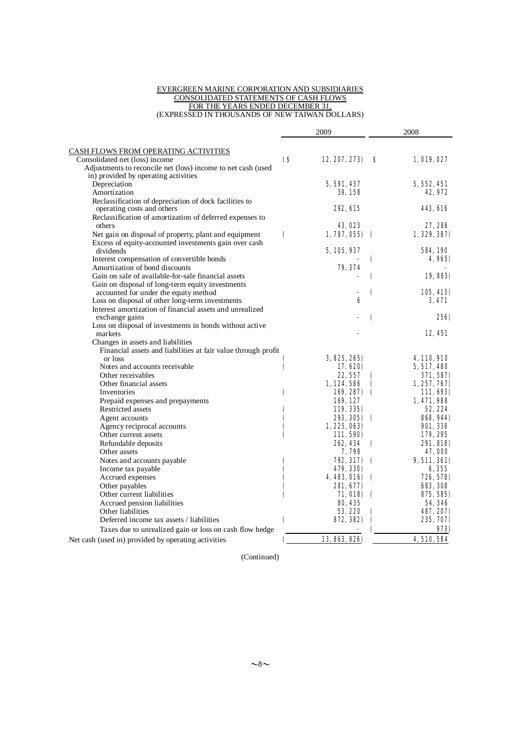#### EVERGREEN MARINE CORPORATION AND SUBSIDIARIES CONSOLIDATED STATEMENTS OF CASH FLOWS FOR THE YEARS ENDED DECEMBER 31, (EXPRESSED IN THOUSANDS OF NEW TAIWAN DOLLARS)

|                                                                                           | 2009                   |                  |                    | 2008            |  |
|-------------------------------------------------------------------------------------------|------------------------|------------------|--------------------|-----------------|--|
| <b>CASH FLOWS FROM OPERATING ACTIVITIES</b>                                               |                        |                  |                    |                 |  |
| Consolidated net (loss) income                                                            | $\mathbf{\mathsf{(S}}$ | 12, 207, 273)    | S                  | 1,019,027       |  |
| Adjustments to reconcile net (loss) income to net cash (used                              |                        |                  |                    |                 |  |
| in) provided by operating activities                                                      |                        |                  |                    |                 |  |
| Depreciation                                                                              |                        | 5, 591, 437      |                    | 5, 552, 451     |  |
| Amortization                                                                              |                        | <b>39, 158</b>   |                    | 42, 972         |  |
| Reclassification of depreciation of dock facilities to                                    |                        |                  |                    |                 |  |
| operating costs and others                                                                |                        | <b>292, 615</b>  |                    | 443, 616        |  |
| Reclassification of amortization of deferred expenses to                                  |                        |                  |                    |                 |  |
| others                                                                                    |                        | <b>43.023</b>    |                    | 27, 286         |  |
| Net gain on disposal of property, plant and equipment                                     | $\mathbf \epsilon$     | $1,787,055$ (    |                    | 1, 329, 387)    |  |
| Excess of equity-accounted investments gain over cash                                     |                        |                  |                    |                 |  |
| dividends                                                                                 |                        | 5, 105, 937      |                    | <b>584, 190</b> |  |
| Interest compensation of convertible bonds<br>Amortization of bond discounts              |                        |                  | €                  | 4,965)          |  |
| Gain on sale of available-for-sale financial assets                                       |                        | 79, 374          |                    |                 |  |
|                                                                                           |                        |                  | (                  | 19,883)         |  |
| Gain on disposal of long-term equity investments<br>accounted for under the equity method |                        |                  | €                  | 105, 413)       |  |
| Loss on disposal of other long-term investments                                           |                        | 6                |                    | 3, 471          |  |
| Interest amortization of financial assets and unrealized                                  |                        |                  |                    |                 |  |
| exchange gains                                                                            |                        |                  | (                  | <b>256)</b>     |  |
| Loss on disposal of investments in bonds without active                                   |                        |                  |                    |                 |  |
| markets                                                                                   |                        |                  |                    | 12, 451         |  |
| Changes in assets and liabilities                                                         |                        |                  |                    |                 |  |
| Financial assets and liabilities at fair value through profit                             |                        |                  |                    |                 |  |
| or loss                                                                                   |                        | 3, 825, 265)     |                    | 4, 110, 910     |  |
| Notes and accounts receivable                                                             | €                      | 17, 620)         |                    | 5, 517, 480     |  |
| Other receivables                                                                         |                        | 22, 557          | €                  | 371, 587)       |  |
| Other financial assets                                                                    |                        | 1, 124, 586      | €                  | 1, 257, 767)    |  |
| Inventories                                                                               | €                      | 169, 287)        | $\epsilon$         | 111, 693)       |  |
| Prepaid expenses and prepayments                                                          |                        | 169, 127         |                    | 1,471,988       |  |
| Restricted assets                                                                         | C                      | 119, 335)        |                    | 52, 224         |  |
| Agent accounts                                                                            | €                      | 293, 305)        | $\epsilon$         | 868, 944)       |  |
| Agency reciprocal accounts                                                                |                        | 1, 225, 063)     |                    | <b>901, 338</b> |  |
| Other current assets                                                                      |                        | 111, 590)        |                    | 179, 295        |  |
| Refundable deposits                                                                       |                        | 262, 434         | $\epsilon$         | 291, 818)       |  |
| Other assets                                                                              |                        | 7,798            |                    | 47, 000         |  |
| Notes and accounts payable                                                                |                        | <b>792, 317)</b> | $\mathbf \epsilon$ | 9,511,361)      |  |
| Income tax payable                                                                        |                        | 479, 330)        |                    | 6,355           |  |
| Accrued expenses                                                                          |                        | 4, 483, 016)     | $\mathbf \Gamma$   | 726, 578)       |  |
| Other payables                                                                            |                        | 281, 677)        |                    | 683, 308        |  |
| Other current liabilities                                                                 |                        | 71,018)          | $\mathbf \epsilon$ | 875, 585)       |  |
| Accrued pension liabilities                                                               |                        | <b>80, 435</b>   |                    | 54, 346         |  |
| Other liabilities                                                                         |                        | 53, 220          | C                  | 487, 207)       |  |
| Deferred income tax assets / liabilities                                                  | €                      | 872, 382)        | €                  | 235, 707)       |  |
| Taxes due to unrealized gain or loss on cash flow hedge                                   |                        |                  |                    | 973)            |  |
| Net cash (used in) provided by operating activities                                       |                        | 13, 863, 826)    |                    | 4, 510, 584     |  |

(Continued)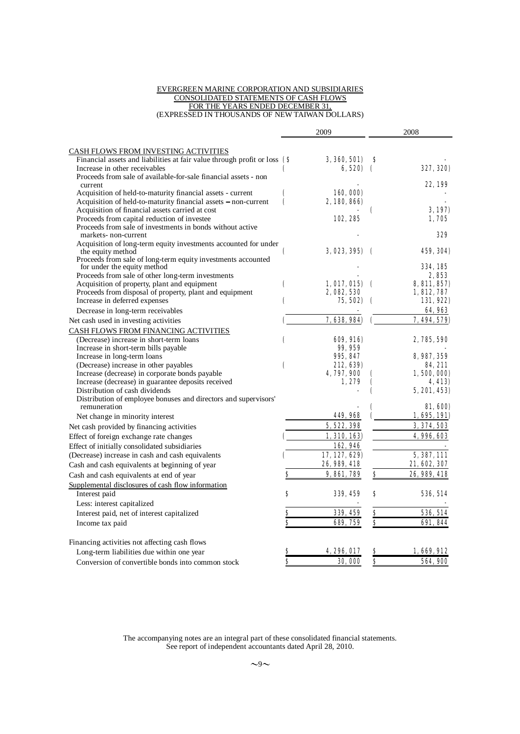#### EVERGREEN MARINE CORPORATION AND SUBSIDIARIES CONSOLIDATED STATEMENTS OF CASH FLOWS FOR THE YEARS ENDED DECEMBER 31, (EXPRESSED IN THOUSANDS OF NEW TAIWAN DOLLARS)

|                                                                                                                          |           | 2009                     |            | 2008                        |
|--------------------------------------------------------------------------------------------------------------------------|-----------|--------------------------|------------|-----------------------------|
|                                                                                                                          |           |                          |            |                             |
| <b>CASH FLOWS FROM INVESTING ACTIVITIES</b><br>Financial assets and liabilities at fair value through profit or loss (\$ |           | 3, 360, 501)             | s          |                             |
| Increase in other receivables                                                                                            |           | 6, 520)                  |            | <b>327, 320)</b>            |
| Proceeds from sale of available-for-sale financial assets - non                                                          |           |                          |            |                             |
| current                                                                                                                  |           |                          |            | 22.199                      |
| Acquisition of held-to-maturity financial assets - current                                                               | (         | 160, 000)                |            |                             |
| Acquisition of held-to-maturity financial assets – non-current                                                           | $\mathbf$ | 2, 180, 866)             |            |                             |
| Acquisition of financial assets carried at cost                                                                          |           |                          | c          | 3,197)                      |
| Proceeds from capital reduction of investee<br>Proceeds from sale of investments in bonds without active                 |           | 102, 285                 |            | 1,705                       |
| markets-non-current                                                                                                      |           |                          |            | 329                         |
| Acquisition of long-term equity investments accounted for under                                                          |           |                          |            |                             |
| the equity method                                                                                                        | €         | 3, 023, 395)             | $\epsilon$ | 459, 304)                   |
| Proceeds from sale of long-term equity investments accounted                                                             |           |                          |            |                             |
| for under the equity method                                                                                              |           |                          |            | 334, 185                    |
| Proceeds from sale of other long-term investments                                                                        |           |                          |            | 2.853                       |
| Acquisition of property, plant and equipment<br>Proceeds from disposal of property, plant and equipment                  | C         | 1,017,015<br>2, 082, 530 | $\epsilon$ | 8, 811, 857)<br>1, 812, 787 |
| Increase in deferred expenses                                                                                            | €         | 75, 502)                 |            | 131,922)                    |
| Decrease in long-term receivables                                                                                        |           |                          |            | 64, 963                     |
| Net cash used in investing activities                                                                                    |           | 7,638,984)               |            | 7.494.579)                  |
| CASH FLOWS FROM FINANCING ACTIVITIES                                                                                     |           |                          |            |                             |
| (Decrease) increase in short-term loans                                                                                  | €         | 609, 916)                |            | 2, 785, 590                 |
| Increase in short-term bills payable                                                                                     |           | 99, 959                  |            |                             |
| Increase in long-term loans                                                                                              |           | 995, 847                 |            | 8, 987, 359                 |
| (Decrease) increase in other payables                                                                                    | (         | 212, 639)                |            | 84, 211                     |
| Increase (decrease) in corporate bonds payable                                                                           |           | 4, 797, 900              |            | 1,500,000)                  |
| Increase (decrease) in guarantee deposits received                                                                       |           | 1, 279                   |            | 4,413)                      |
| Distribution of cash dividends                                                                                           |           |                          |            | <b>5, 201, 453)</b>         |
| Distribution of employee bonuses and directors and supervisors'                                                          |           |                          |            |                             |
| remuneration                                                                                                             |           | 449, 968                 |            | <b>SI, 600)</b>             |
| Net change in minority interest                                                                                          |           |                          |            | 1,695,191)                  |
| Net cash provided by financing activities                                                                                |           | 5, 522, 398              |            | 3, 374, 503                 |
| Effect of foreign exchange rate changes                                                                                  |           | 1, 310, 163)             |            | 4, 996, 603                 |
| Effect of initially consolidated subsidiaries                                                                            |           | 162,946                  |            |                             |
| (Decrease) increase in cash and cash equivalents                                                                         |           | 17, 127, 629)            |            | 5, 387, 111                 |
| Cash and cash equivalents at beginning of year                                                                           |           | 26, 989, 418             |            | 21, 602, 307                |
| Cash and cash equivalents at end of year                                                                                 | \$        | <b>9, 861, 789</b>       | \$         | 26, 989, 418                |
| Supplemental disclosures of cash flow information                                                                        |           |                          |            |                             |
| Interest paid                                                                                                            | S         | <b>339, 459</b>          | s          | <b>536, 514</b>             |
| Less: interest capitalized                                                                                               |           |                          |            |                             |
| Interest paid, net of interest capitalized                                                                               | Ş         | 339, 459                 | $\bf{s}$   | 536, 514                    |
| Income tax paid                                                                                                          | Ŝ         | 689, 759                 | \$         | <b>691, 844</b>             |
| Financing activities not affecting cash flows                                                                            |           |                          |            |                             |
| Long-term liabilities due within one year                                                                                |           | <b>256 UL7</b>           |            | 1,669,912                   |
| Conversion of convertible bonds into common stock                                                                        | S         | <b>30, 000</b>           | \$         | 564, 900                    |

The accompanying notes are an integral part of these consolidated financial statements. See report of independent accountants dated April 28, 2010.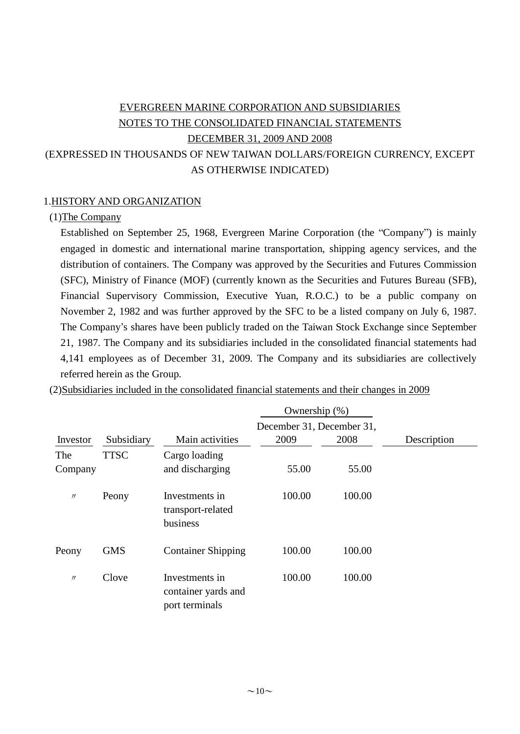# EVERGREEN MARINE CORPORATION AND SUBSIDIARIES NOTES TO THE CONSOLIDATED FINANCIAL STATEMENTS DECEMBER 31, 2009 AND 2008 (EXPRESSED IN THOUSANDS OF NEW TAIWAN DOLLARS/FOREIGN CURRENCY, EXCEPT AS OTHERWISE INDICATED)

# 1.HISTORY AND ORGANIZATION

# (1)The Company

Established on September 25, 1968, Evergreen Marine Corporation (the "Company") is mainly engaged in domestic and international marine transportation, shipping agency services, and the distribution of containers. The Company was approved by the Securities and Futures Commission (SFC), Ministry of Finance (MOF) (currently known as the Securities and Futures Bureau (SFB), Financial Supervisory Commission, Executive Yuan, R.O.C.) to be a public company on November 2, 1982 and was further approved by the SFC to be a listed company on July 6, 1987. The Company's shares have been publicly traded on the Taiwan Stock Exchange since September 21, 1987. The Company and its subsidiaries included in the consolidated financial statements had 4,141 employees as of December 31, 2009. The Company and its subsidiaries are collectively referred herein as the Group.

|                   |             |                                                         | Ownership $(\%)$          |        |             |
|-------------------|-------------|---------------------------------------------------------|---------------------------|--------|-------------|
|                   |             |                                                         | December 31, December 31, |        |             |
| Investor          | Subsidiary  | Main activities                                         | 2009                      | 2008   | Description |
| The               | <b>TTSC</b> | Cargo loading                                           |                           |        |             |
| Company           |             | and discharging                                         | 55.00                     | 55.00  |             |
| $\prime\prime$    | Peony       | Investments in<br>transport-related<br>business         | 100.00                    | 100.00 |             |
| Peony             | <b>GMS</b>  | <b>Container Shipping</b>                               | 100.00                    | 100.00 |             |
| $^{\prime\prime}$ | Clove       | Investments in<br>container yards and<br>port terminals | 100.00                    | 100.00 |             |

(2)Subsidiaries included in the consolidated financial statements and their changes in 2009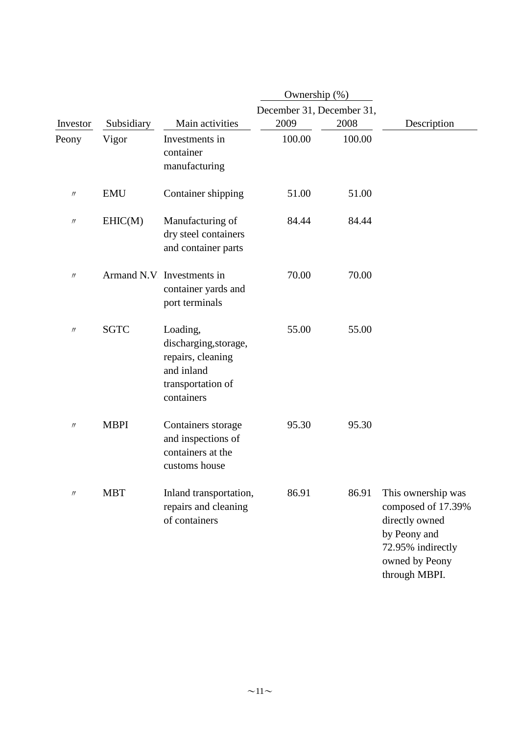|                   |             |                                                                                                         | Ownership (%)             |        |                                                                                                                                    |
|-------------------|-------------|---------------------------------------------------------------------------------------------------------|---------------------------|--------|------------------------------------------------------------------------------------------------------------------------------------|
|                   |             |                                                                                                         | December 31, December 31, |        |                                                                                                                                    |
| Investor          | Subsidiary  | Main activities                                                                                         | 2009                      | 2008   | Description                                                                                                                        |
| Peony             | Vigor       | Investments in<br>container<br>manufacturing                                                            | 100.00                    | 100.00 |                                                                                                                                    |
| $\prime\prime$    | <b>EMU</b>  | Container shipping                                                                                      | 51.00                     | 51.00  |                                                                                                                                    |
| $\prime\prime$    | EHIC(M)     | Manufacturing of<br>dry steel containers<br>and container parts                                         | 84.44                     | 84.44  |                                                                                                                                    |
| $^{\prime\prime}$ |             | Armand N.V. Investments in<br>container yards and<br>port terminals                                     | 70.00                     | 70.00  |                                                                                                                                    |
| $\prime$          | <b>SGTC</b> | Loading,<br>discharging, storage,<br>repairs, cleaning<br>and inland<br>transportation of<br>containers | 55.00                     | 55.00  |                                                                                                                                    |
| $\prime\prime$    | <b>MBPI</b> | Containers storage<br>and inspections of<br>containers at the<br>customs house                          | 95.30                     | 95.30  |                                                                                                                                    |
| $\prime\prime$    | <b>MBT</b>  | Inland transportation,<br>repairs and cleaning<br>of containers                                         | 86.91                     | 86.91  | This ownership was<br>composed of 17.39%<br>directly owned<br>by Peony and<br>72.95% indirectly<br>owned by Peony<br>through MBPI. |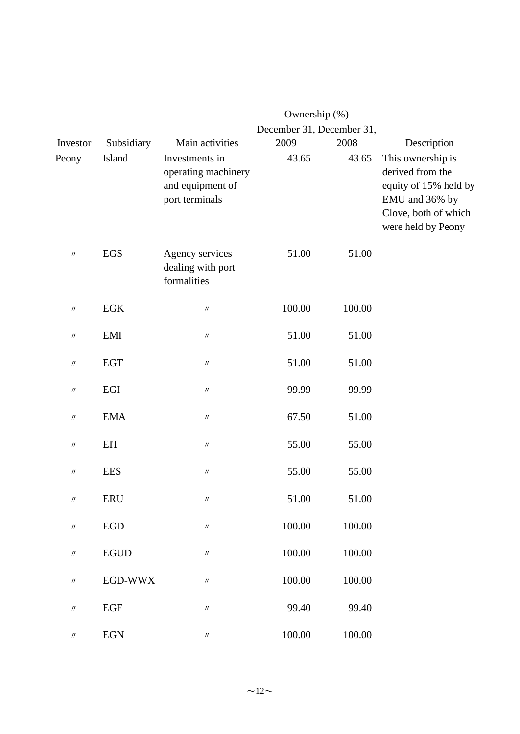|                               |                             |                                                                             | Ownership (%)             |        |                                                                                                                                |
|-------------------------------|-----------------------------|-----------------------------------------------------------------------------|---------------------------|--------|--------------------------------------------------------------------------------------------------------------------------------|
|                               |                             |                                                                             | December 31, December 31, |        |                                                                                                                                |
| Investor                      | Subsidiary                  | Main activities                                                             | 2009                      | 2008   | Description                                                                                                                    |
| Peony                         | Island                      | Investments in<br>operating machinery<br>and equipment of<br>port terminals | 43.65                     | 43.65  | This ownership is<br>derived from the<br>equity of 15% held by<br>EMU and 36% by<br>Clove, both of which<br>were held by Peony |
| $\prime\prime$                | <b>EGS</b>                  | Agency services<br>dealing with port<br>formalities                         | 51.00                     | 51.00  |                                                                                                                                |
| $\prime\prime$                | <b>EGK</b>                  | $\prime\prime$                                                              | 100.00                    | 100.00 |                                                                                                                                |
| $\prime\prime$                | <b>EMI</b>                  | $\prime\prime$                                                              | 51.00                     | 51.00  |                                                                                                                                |
| $\prime\prime$                | <b>EGT</b>                  | $\prime\prime$                                                              | 51.00                     | 51.00  |                                                                                                                                |
| $^{\prime\prime}$             | EGI                         | $\prime\prime$                                                              | 99.99                     | 99.99  |                                                                                                                                |
| $^{\prime\prime}$             | <b>EMA</b>                  | $\ensuremath{\mathnormal{H}}$                                               | 67.50                     | 51.00  |                                                                                                                                |
| $\prime\prime$                | EIT                         | $\prime\prime$                                                              | 55.00                     | 55.00  |                                                                                                                                |
| $\prime\prime$                | <b>EES</b>                  | $\prime\prime$                                                              | 55.00                     | 55.00  |                                                                                                                                |
| $^{\prime\prime}$             | ERU                         | $^{\prime\prime}$                                                           | 51.00                     | 51.00  |                                                                                                                                |
| $\ensuremath{\mathnormal{H}}$ | ${\rm EGD}$                 | $\prime\prime$                                                              | 100.00                    | 100.00 |                                                                                                                                |
| $\prime\prime$                | <b>EGUD</b>                 | $\prime\prime$                                                              | 100.00                    | 100.00 |                                                                                                                                |
| $\prime\prime$                | EGD-WWX                     | $\ensuremath{\mathnormal{H}}$                                               | 100.00                    | 100.00 |                                                                                                                                |
| $\prime\prime$                | <b>EGF</b>                  | $\prime\prime$                                                              | 99.40                     | 99.40  |                                                                                                                                |
| $\prime\prime$                | $\ensuremath{\mathrm{EGN}}$ | $\prime\prime$                                                              | 100.00                    | 100.00 |                                                                                                                                |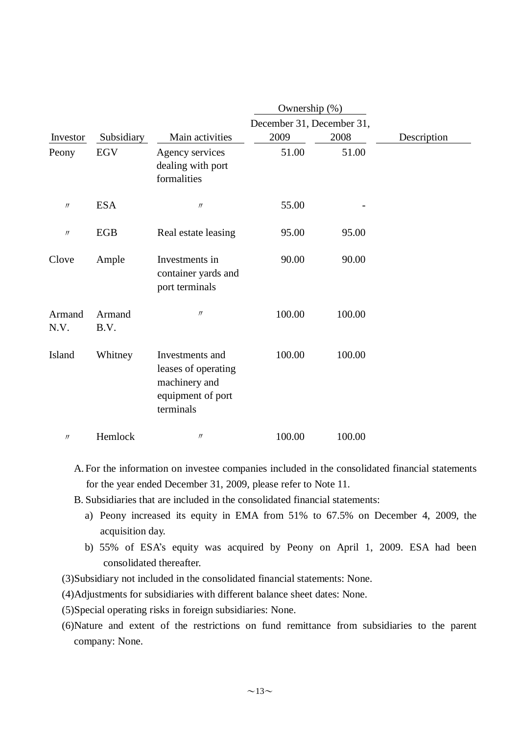|                               |                |                                                                                           | Ownership (%)                     |        |             |  |
|-------------------------------|----------------|-------------------------------------------------------------------------------------------|-----------------------------------|--------|-------------|--|
| Investor                      | Subsidiary     | Main activities                                                                           | December 31, December 31,<br>2009 | 2008   | Description |  |
| Peony                         | <b>EGV</b>     | Agency services<br>dealing with port<br>formalities                                       | 51.00                             | 51.00  |             |  |
| $\ensuremath{\mathnormal{H}}$ | <b>ESA</b>     | $\prime\prime$                                                                            | 55.00                             |        |             |  |
| $\prime\prime$                | EGB            | Real estate leasing                                                                       | 95.00                             | 95.00  |             |  |
| Clove                         | Ample          | Investments in<br>container yards and<br>port terminals                                   | 90.00                             | 90.00  |             |  |
| Armand<br>N.V.                | Armand<br>B.V. | $\prime$                                                                                  | 100.00                            | 100.00 |             |  |
| Island                        | Whitney        | Investments and<br>leases of operating<br>machinery and<br>equipment of port<br>terminals | 100.00                            | 100.00 |             |  |
| $\prime\prime$                | Hemlock        | $\prime\prime$                                                                            | 100.00                            | 100.00 |             |  |

- A. For the information on investee companies included in the consolidated financial statements for the year ended December 31, 2009, please refer to Note 11.
- B. Subsidiaries that are included in the consolidated financial statements:
	- a) Peony increased its equity in EMA from 51% to 67.5% on December 4, 2009, the acquisition day.
	- b) 55% of ESA's equity was acquired by Peony on April 1, 2009. ESA had been consolidated thereafter.
- (3)Subsidiary not included in the consolidated financial statements: None.
- (4)Adjustments for subsidiaries with different balance sheet dates: None.
- (5)Special operating risks in foreign subsidiaries: None.
- (6)Nature and extent of the restrictions on fund remittance from subsidiaries to the parent company: None.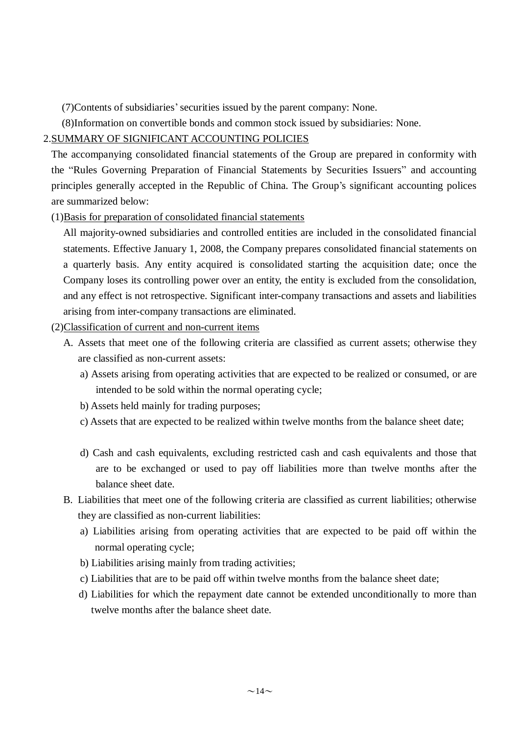(7)Contents of subsidiaries'securities issued by the parent company: None.

(8)Information on convertible bonds and common stock issued by subsidiaries: None.

# 2.SUMMARY OF SIGNIFICANT ACCOUNTING POLICIES

The accompanying consolidated financial statements of the Group are prepared in conformity with the "Rules Governing Preparation of Financial Statements by Securities Issuers" and accounting principles generally accepted in the Republic of China. The Group's significant accounting polices are summarized below:

(1)Basis for preparation of consolidated financial statements

All majority-owned subsidiaries and controlled entities are included in the consolidated financial statements. Effective January 1, 2008, the Company prepares consolidated financial statements on a quarterly basis. Any entity acquired is consolidated starting the acquisition date; once the Company loses its controlling power over an entity, the entity is excluded from the consolidation, and any effect is not retrospective. Significant inter-company transactions and assets and liabilities arising from inter-company transactions are eliminated.

(2)Classification of current and non-current items

- A. Assets that meet one of the following criteria are classified as current assets; otherwise they are classified as non-current assets:
	- a) Assets arising from operating activities that are expected to be realized or consumed, or are intended to be sold within the normal operating cycle;
	- b) Assets held mainly for trading purposes;
	- c) Assets that are expected to be realized within twelve months from the balance sheet date;
	- d) Cash and cash equivalents, excluding restricted cash and cash equivalents and those that are to be exchanged or used to pay off liabilities more than twelve months after the balance sheet date.
- B. Liabilities that meet one of the following criteria are classified as current liabilities; otherwise they are classified as non-current liabilities:
	- a) Liabilities arising from operating activities that are expected to be paid off within the normal operating cycle;
	- b) Liabilities arising mainly from trading activities;
	- c) Liabilities that are to be paid off within twelve months from the balance sheet date;
	- d) Liabilities for which the repayment date cannot be extended unconditionally to more than twelve months after the balance sheet date.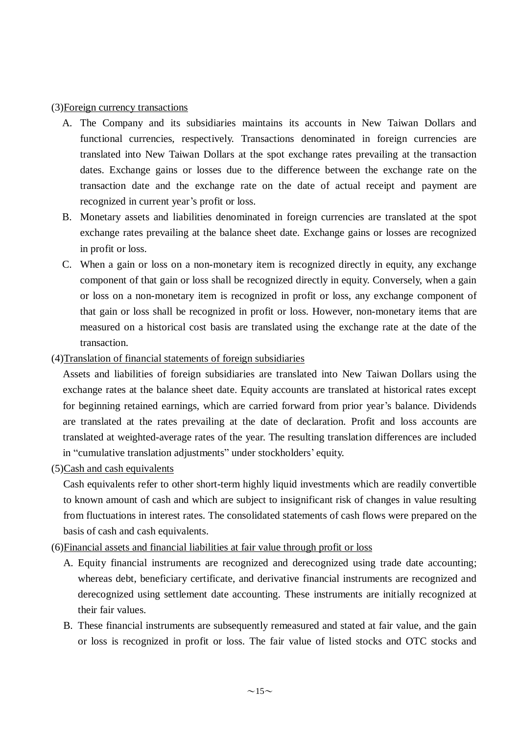### (3)Foreign currency transactions

- A. The Company and its subsidiaries maintains its accounts in New Taiwan Dollars and functional currencies, respectively. Transactions denominated in foreign currencies are translated into New Taiwan Dollars at the spot exchange rates prevailing at the transaction dates. Exchange gains or losses due to the difference between the exchange rate on the transaction date and the exchange rate on the date of actual receipt and payment are recognized in current year's profit or loss.
- B. Monetary assets and liabilities denominated in foreign currencies are translated at the spot exchange rates prevailing at the balance sheet date. Exchange gains or losses are recognized in profit or loss.
- C. When a gain or loss on a non-monetary item is recognized directly in equity, any exchange component of that gain or loss shall be recognized directly in equity. Conversely, when a gain or loss on a non-monetary item is recognized in profit or loss, any exchange component of that gain or loss shall be recognized in profit or loss. However, non-monetary items that are measured on a historical cost basis are translated using the exchange rate at the date of the transaction.
- (4)Translation of financial statements of foreign subsidiaries

Assets and liabilities of foreign subsidiaries are translated into New Taiwan Dollars using the exchange rates at the balance sheet date. Equity accounts are translated at historical rates except for beginning retained earnings, which are carried forward from prior year's balance. Dividends are translated at the rates prevailing at the date of declaration. Profit and loss accounts are translated at weighted-average rates of the year. The resulting translation differences are included in "cumulative translation adjustments" under stockholders' equity.

(5)Cash and cash equivalents

Cash equivalents refer to other short-term highly liquid investments which are readily convertible to known amount of cash and which are subject to insignificant risk of changes in value resulting from fluctuations in interest rates. The consolidated statements of cash flows were prepared on the basis of cash and cash equivalents.

(6)Financial assets and financial liabilities at fair value through profit or loss

- A. Equity financial instruments are recognized and derecognized using trade date accounting; whereas debt, beneficiary certificate, and derivative financial instruments are recognized and derecognized using settlement date accounting. These instruments are initially recognized at their fair values.
- B. These financial instruments are subsequently remeasured and stated at fair value, and the gain or loss is recognized in profit or loss. The fair value of listed stocks and OTC stocks and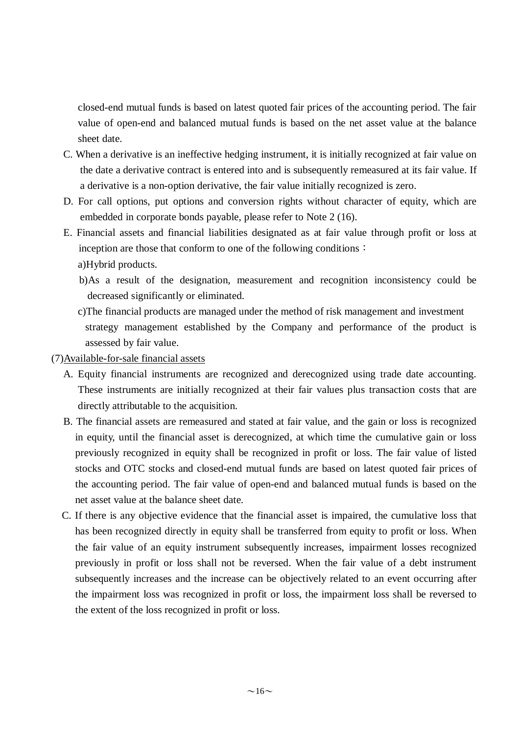closed-end mutual funds is based on latest quoted fair prices of the accounting period. The fair value of open-end and balanced mutual funds is based on the net asset value at the balance sheet date.

- C. When a derivative is an ineffective hedging instrument, it is initially recognized at fair value on the date a derivative contract is entered into and is subsequently remeasured at its fair value. If a derivative is a non-option derivative, the fair value initially recognized is zero.
- D. For call options, put options and conversion rights without character of equity, which are embedded in corporate bonds payable, please refer to Note 2 (16).
- E. Financial assets and financial liabilities designated as at fair value through profit or loss at inception are those that conform to one of the following conditions: a)Hybrid products.
	- b)As a result of the designation, measurement and recognition inconsistency could be decreased significantly or eliminated.
	- c)The financial products are managed under the method of risk management and investment strategy management established by the Company and performance of the product is assessed by fair value.

(7)Available-for-sale financial assets

- A. Equity financial instruments are recognized and derecognized using trade date accounting. These instruments are initially recognized at their fair values plus transaction costs that are directly attributable to the acquisition.
- B. The financial assets are remeasured and stated at fair value, and the gain or loss is recognized in equity, until the financial asset is derecognized, at which time the cumulative gain or loss previously recognized in equity shall be recognized in profit or loss. The fair value of listed stocks and OTC stocks and closed-end mutual funds are based on latest quoted fair prices of the accounting period. The fair value of open-end and balanced mutual funds is based on the net asset value at the balance sheet date.
- C. If there is any objective evidence that the financial asset is impaired, the cumulative loss that has been recognized directly in equity shall be transferred from equity to profit or loss. When the fair value of an equity instrument subsequently increases, impairment losses recognized previously in profit or loss shall not be reversed. When the fair value of a debt instrument subsequently increases and the increase can be objectively related to an event occurring after the impairment loss was recognized in profit or loss, the impairment loss shall be reversed to the extent of the loss recognized in profit or loss.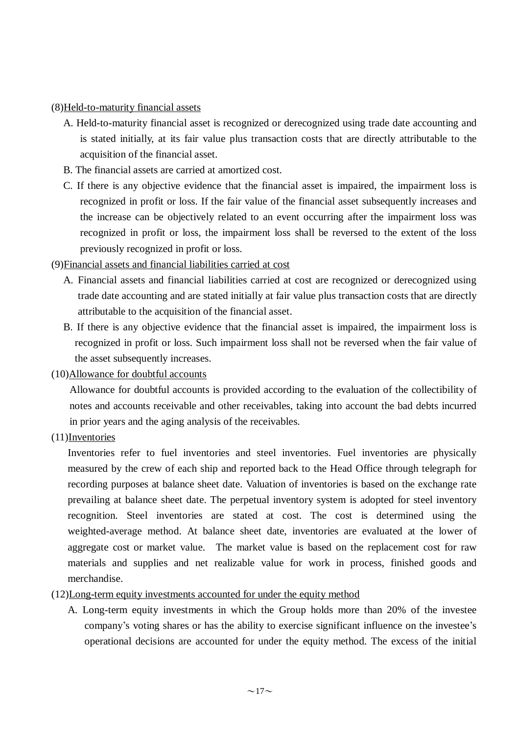# (8)Held-to-maturity financial assets

- A. Held-to-maturity financial asset is recognized or derecognized using trade date accounting and is stated initially, at its fair value plus transaction costs that are directly attributable to the acquisition of the financial asset.
- B. The financial assets are carried at amortized cost.
- C. If there is any objective evidence that the financial asset is impaired, the impairment loss is recognized in profit or loss. If the fair value of the financial asset subsequently increases and the increase can be objectively related to an event occurring after the impairment loss was recognized in profit or loss, the impairment loss shall be reversed to the extent of the loss previously recognized in profit or loss.

# (9)Financial assets and financial liabilities carried at cost

- A. Financial assets and financial liabilities carried at cost are recognized or derecognized using trade date accounting and are stated initially at fair value plus transaction costs that are directly attributable to the acquisition of the financial asset.
- B. If there is any objective evidence that the financial asset is impaired, the impairment loss is recognized in profit or loss. Such impairment loss shall not be reversed when the fair value of the asset subsequently increases.

# (10)Allowance for doubtful accounts

Allowance for doubtful accounts is provided according to the evaluation of the collectibility of notes and accounts receivable and other receivables, taking into account the bad debts incurred in prior years and the aging analysis of the receivables.

(11)Inventories

Inventories refer to fuel inventories and steel inventories. Fuel inventories are physically measured by the crew of each ship and reported back to the Head Office through telegraph for recording purposes at balance sheet date. Valuation of inventories is based on the exchange rate prevailing at balance sheet date. The perpetual inventory system is adopted for steel inventory recognition. Steel inventories are stated at cost. The cost is determined using the weighted-average method. At balance sheet date, inventories are evaluated at the lower of aggregate cost or market value. The market value is based on the replacement cost for raw materials and supplies and net realizable value for work in process, finished goods and merchandise.

# (12)Long-term equity investments accounted for under the equity method

A. Long-term equity investments in which the Group holds more than 20% of the investee company's voting shares or has the ability to exercise significant influence on the investee's operational decisions are accounted for under the equity method. The excess of the initial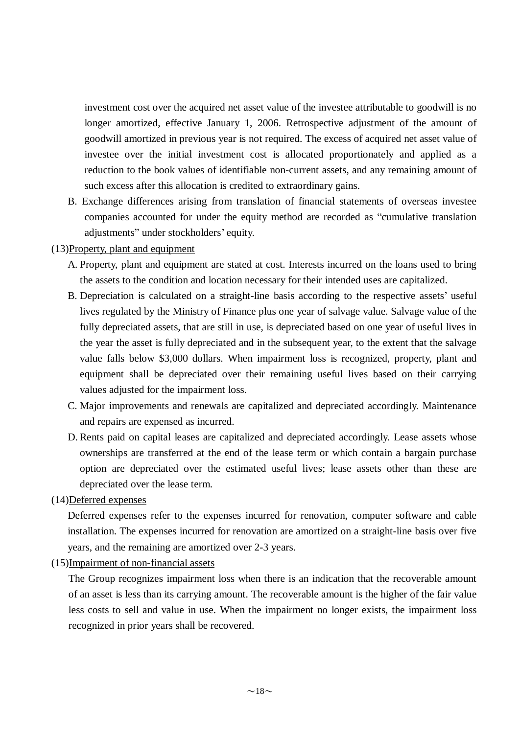investment cost over the acquired net asset value of the investee attributable to goodwill is no longer amortized, effective January 1, 2006. Retrospective adjustment of the amount of goodwill amortized in previous year is not required. The excess of acquired net asset value of investee over the initial investment cost is allocated proportionately and applied as a reduction to the book values of identifiable non-current assets, and any remaining amount of such excess after this allocation is credited to extraordinary gains.

B. Exchange differences arising from translation of financial statements of overseas investee companies accounted for under the equity method are recorded as "cumulative translation adjustments" under stockholders' equity.

# (13)Property, plant and equipment

- A. Property, plant and equipment are stated at cost. Interests incurred on the loans used to bring the assets to the condition and location necessary for their intended uses are capitalized.
- B. Depreciation is calculated on a straight-line basis according to the respective assets' useful lives regulated by the Ministry of Finance plus one year of salvage value. Salvage value of the fully depreciated assets, that are still in use, is depreciated based on one year of useful lives in the year the asset is fully depreciated and in the subsequent year, to the extent that the salvage value falls below \$3,000 dollars. When impairment loss is recognized, property, plant and equipment shall be depreciated over their remaining useful lives based on their carrying values adjusted for the impairment loss.
- C. Major improvements and renewals are capitalized and depreciated accordingly. Maintenance and repairs are expensed as incurred.
- D. Rents paid on capital leases are capitalized and depreciated accordingly. Lease assets whose ownerships are transferred at the end of the lease term or which contain a bargain purchase option are depreciated over the estimated useful lives; lease assets other than these are depreciated over the lease term.
- (14)Deferred expenses

Deferred expenses refer to the expenses incurred for renovation, computer software and cable installation. The expenses incurred for renovation are amortized on a straight-line basis over five years, and the remaining are amortized over 2-3 years.

(15)Impairment of non-financial assets

The Group recognizes impairment loss when there is an indication that the recoverable amount of an asset is less than its carrying amount. The recoverable amount is the higher of the fair value less costs to sell and value in use. When the impairment no longer exists, the impairment loss recognized in prior years shall be recovered.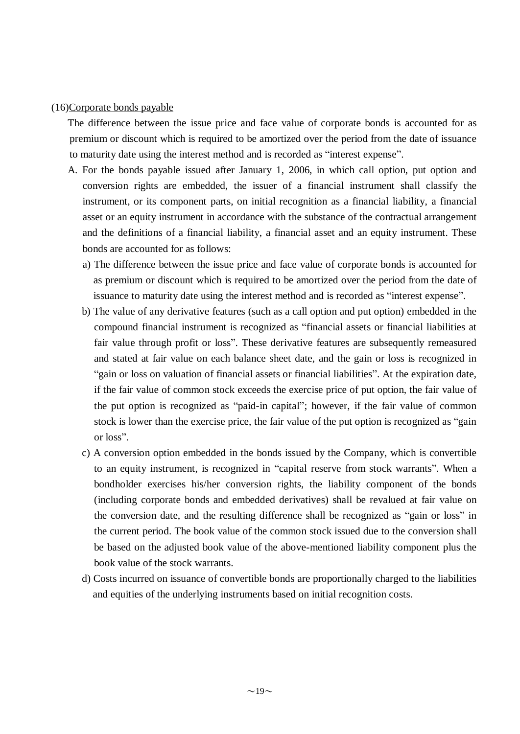### (16)Corporate bonds payable

The difference between the issue price and face value of corporate bonds is accounted for as premium or discount which is required to be amortized over the period from the date of issuance to maturity date using the interest method and is recorded as "interest expense".

- A. For the bonds payable issued after January 1, 2006, in which call option, put option and conversion rights are embedded, the issuer of a financial instrument shall classify the instrument, or its component parts, on initial recognition as a financial liability, a financial asset or an equity instrument in accordance with the substance of the contractual arrangement and the definitions of a financial liability, a financial asset and an equity instrument. These bonds are accounted for as follows:
	- a) The difference between the issue price and face value of corporate bonds is accounted for as premium or discount which is required to be amortized over the period from the date of issuance to maturity date using the interest method and is recorded as "interest expense".
	- b) The value of any derivative features (such as a call option and put option) embedded in the compound financial instrument is recognized as "financial assets or financial liabilities at fair value through profit or loss". These derivative features are subsequently remeasured and stated at fair value on each balance sheet date, and the gain or loss is recognized in "gain or loss on valuation of financial assets or financial liabilities". At the expiration date, if the fair value of common stock exceeds the exercise price of put option, the fair value of the put option is recognized as "paid-in capital"; however, if the fair value of common stock is lower than the exercise price, the fair value of the put option is recognized as "gain or loss".
	- c) A conversion option embedded in the bonds issued by the Company, which is convertible to an equity instrument, is recognized in "capital reserve from stock warrants". When a bondholder exercises his/her conversion rights, the liability component of the bonds (including corporate bonds and embedded derivatives) shall be revalued at fair value on the conversion date, and the resulting difference shall be recognized as "gain or loss" in the current period. The book value of the common stock issued due to the conversion shall be based on the adjusted book value of the above-mentioned liability component plus the book value of the stock warrants.
	- d) Costs incurred on issuance of convertible bonds are proportionally charged to the liabilities and equities of the underlying instruments based on initial recognition costs.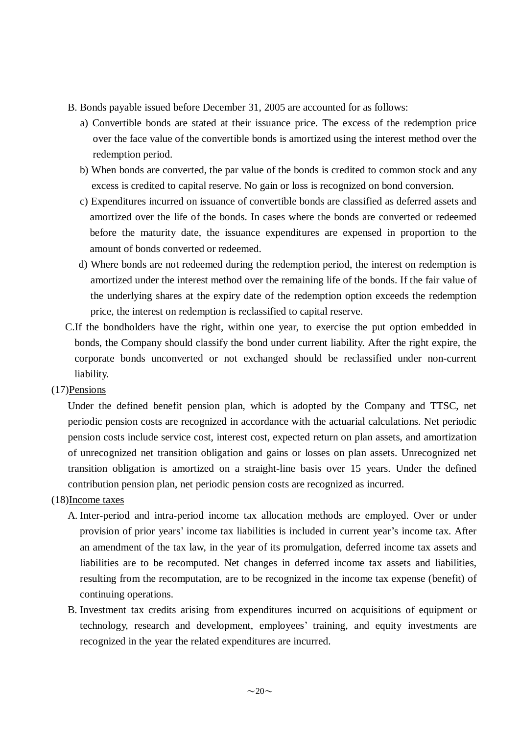- B. Bonds payable issued before December 31, 2005 are accounted for as follows:
	- a) Convertible bonds are stated at their issuance price. The excess of the redemption price over the face value of the convertible bonds is amortized using the interest method over the redemption period.
	- b) When bonds are converted, the par value of the bonds is credited to common stock and any excess is credited to capital reserve. No gain or loss is recognized on bond conversion.
	- c) Expenditures incurred on issuance of convertible bonds are classified as deferred assets and amortized over the life of the bonds. In cases where the bonds are converted or redeemed before the maturity date, the issuance expenditures are expensed in proportion to the amount of bonds converted or redeemed.
	- d) Where bonds are not redeemed during the redemption period, the interest on redemption is amortized under the interest method over the remaining life of the bonds. If the fair value of the underlying shares at the expiry date of the redemption option exceeds the redemption price, the interest on redemption is reclassified to capital reserve.
- C.If the bondholders have the right, within one year, to exercise the put option embedded in bonds, the Company should classify the bond under current liability. After the right expire, the corporate bonds unconverted or not exchanged should be reclassified under non-current liability.
- (17)Pensions

Under the defined benefit pension plan, which is adopted by the Company and TTSC, net periodic pension costs are recognized in accordance with the actuarial calculations. Net periodic pension costs include service cost, interest cost, expected return on plan assets, and amortization of unrecognized net transition obligation and gains or losses on plan assets. Unrecognized net transition obligation is amortized on a straight-line basis over 15 years. Under the defined contribution pension plan, net periodic pension costs are recognized as incurred.

# (18)Income taxes

- A. Inter-period and intra-period income tax allocation methods are employed. Over or under provision of prior years' income tax liabilities is included in current year's income tax. After an amendment of the tax law, in the year of its promulgation, deferred income tax assets and liabilities are to be recomputed. Net changes in deferred income tax assets and liabilities, resulting from the recomputation, are to be recognized in the income tax expense (benefit) of continuing operations.
- B. Investment tax credits arising from expenditures incurred on acquisitions of equipment or technology, research and development, employees' training, and equity investments are recognized in the year the related expenditures are incurred.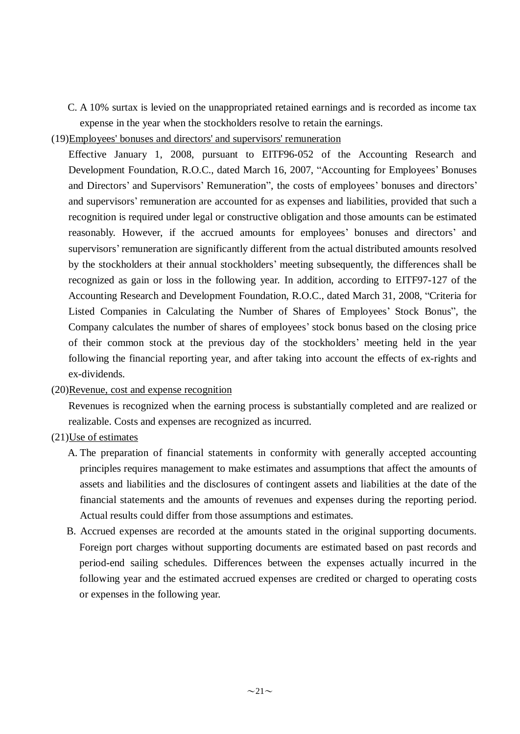C. A 10% surtax is levied on the unappropriated retained earnings and is recorded as income tax expense in the year when the stockholders resolve to retain the earnings.

(19)Employees' bonuses and directors' and supervisors' remuneration

Effective January 1, 2008, pursuant to EITF96-052 of the Accounting Research and Development Foundation, R.O.C., dated March 16, 2007, "Accounting for Employees' Bonuses and Directors' and Supervisors' Remuneration", the costs of employees' bonuses and directors' and supervisors' remuneration are accounted for as expenses and liabilities, provided that such a recognition is required under legal or constructive obligation and those amounts can be estimated reasonably. However, if the accrued amounts for employees' bonuses and directors' and supervisors' remuneration are significantly different from the actual distributed amounts resolved by the stockholders at their annual stockholders' meeting subsequently, the differences shall be recognized as gain or loss in the following year. In addition, according to EITF97-127 of the Accounting Research and Development Foundation, R.O.C., dated March 31, 2008, "Criteria for Listed Companies in Calculating the Number of Shares of Employees' Stock Bonus", the Company calculates the number of shares of employees' stock bonus based on the closing price of their common stock at the previous day of the stockholders' meeting held in the year following the financial reporting year, and after taking into account the effects of ex-rights and ex-dividends.

### (20)Revenue, cost and expense recognition

Revenues is recognized when the earning process is substantially completed and are realized or realizable. Costs and expenses are recognized as incurred.

- (21)Use of estimates
	- A. The preparation of financial statements in conformity with generally accepted accounting principles requires management to make estimates and assumptions that affect the amounts of assets and liabilities and the disclosures of contingent assets and liabilities at the date of the financial statements and the amounts of revenues and expenses during the reporting period. Actual results could differ from those assumptions and estimates.
	- B. Accrued expenses are recorded at the amounts stated in the original supporting documents. Foreign port charges without supporting documents are estimated based on past records and period-end sailing schedules. Differences between the expenses actually incurred in the following year and the estimated accrued expenses are credited or charged to operating costs or expenses in the following year.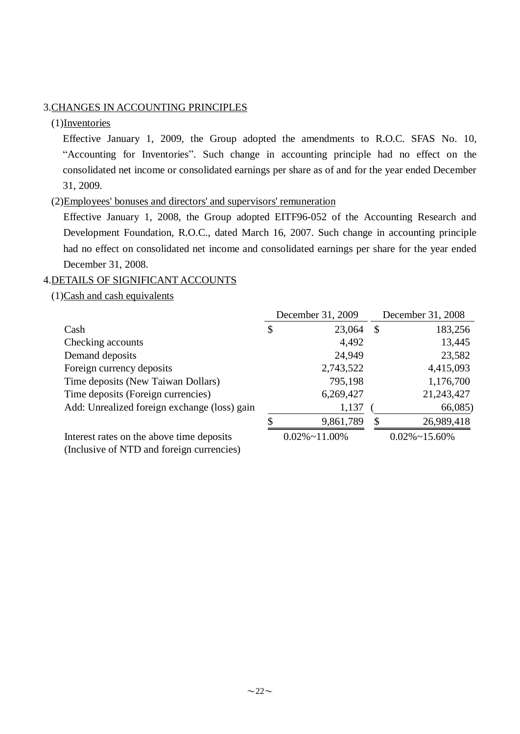# 3.CHANGES IN ACCOUNTING PRINCIPLES

# (1)Inventories

Effective January 1, 2009, the Group adopted the amendments to R.O.C. SFAS No. 10, "Accounting for Inventories". Such change in accounting principle had no effect on the consolidated net income or consolidated earnings per share as of and for the year ended December 31, 2009.

### (2)Employees' bonuses and directors' and supervisors' remuneration

Effective January 1, 2008, the Group adopted EITF96-052 of the Accounting Research and Development Foundation, R.O.C., dated March 16, 2007. Such change in accounting principle had no effect on consolidated net income and consolidated earnings per share for the year ended December 31, 2008.

# 4.DETAILS OF SIGNIFICANT ACCOUNTS

(1)Cash and cash equivalents

|                                              | December 31, 2009     | December 31, 2008     |
|----------------------------------------------|-----------------------|-----------------------|
| Cash                                         | \$<br>23,064          | \$<br>183,256         |
| Checking accounts                            | 4,492                 | 13,445                |
| Demand deposits                              | 24,949                | 23,582                |
| Foreign currency deposits                    | 2,743,522             | 4,415,093             |
| Time deposits (New Taiwan Dollars)           | 795,198               | 1,176,700             |
| Time deposits (Foreign currencies)           | 6,269,427             | 21,243,427            |
| Add: Unrealized foreign exchange (loss) gain | 1,137                 | 66,085)               |
|                                              | 9,861,789             | 26,989,418            |
| Interest rates on the above time deposits    | $0.02\% \sim 11.00\%$ | $0.02\% \sim 15.60\%$ |

(Inclusive of NTD and foreign currencies)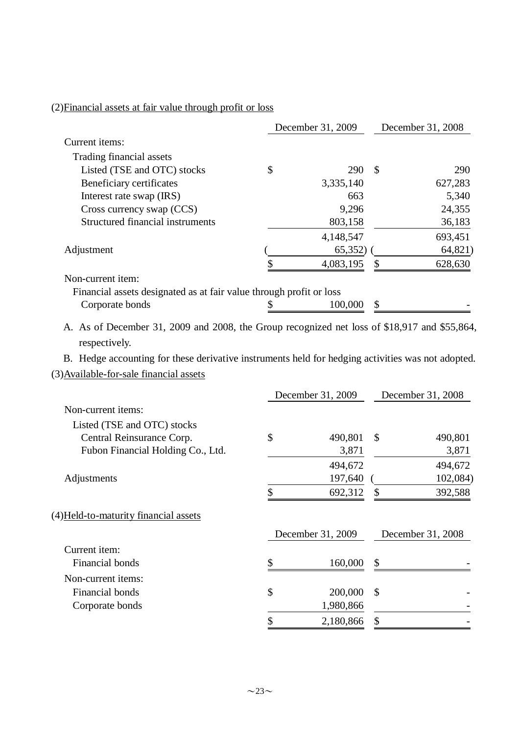# (2)Financial assets at fair value through profit or loss

|                                                                     | December 31, 2009 | December 31, 2008 |         |
|---------------------------------------------------------------------|-------------------|-------------------|---------|
| Current items:                                                      |                   |                   |         |
| Trading financial assets                                            |                   |                   |         |
| Listed (TSE and OTC) stocks                                         | 290               | - \$              | 290     |
| Beneficiary certificates                                            | 3,335,140         |                   | 627,283 |
| Interest rate swap (IRS)                                            | 663               |                   | 5,340   |
| Cross currency swap (CCS)                                           | 9,296             |                   | 24,355  |
| <b>Structured financial instruments</b>                             | 803,158           |                   | 36,183  |
|                                                                     | 4,148,547         |                   | 693,451 |
| Adjustment                                                          | 65,352)           |                   | 64,821) |
|                                                                     | 4,083,195         | \$.               | 628,630 |
| Non-current item:                                                   |                   |                   |         |
| Financial assets designated as at fair value through profit or loss |                   |                   |         |
| Corporate bonds                                                     | 100,000           |                   |         |

A. As of December 31, 2009 and 2008, the Group recognized net loss of \$18,917 and \$55,864, respectively.

B. Hedge accounting for these derivative instruments held for hedging activities was not adopted. (3)Available-for-sale financial assets

|                                       | December 31, 2009 |                   | December 31, 2008 |                   |
|---------------------------------------|-------------------|-------------------|-------------------|-------------------|
| Non-current items:                    |                   |                   |                   |                   |
| Listed (TSE and OTC) stocks           |                   |                   |                   |                   |
| Central Reinsurance Corp.             | \$                | 490,801           | $\mathcal{S}$     | 490,801           |
| Fubon Financial Holding Co., Ltd.     |                   | 3,871             |                   | 3,871             |
|                                       |                   | 494,672           |                   | 494,672           |
| Adjustments                           |                   | 197,640           |                   | 102,084)          |
|                                       | \$                | 692,312           | \$                | 392,588           |
| (4) Held-to-maturity financial assets |                   |                   |                   |                   |
|                                       |                   | December 31, 2009 |                   | December 31, 2008 |
| Current item:                         |                   |                   |                   |                   |
| Financial bonds                       | \$                | 160,000           | \$                |                   |
| Non-current items:                    |                   |                   |                   |                   |
| Financial bonds                       | \$                | 200,000           | $\mathbb{S}$      |                   |
| Corporate bonds                       |                   | 1,980,866         |                   |                   |
|                                       | \$                | 2,180,866         | \$                |                   |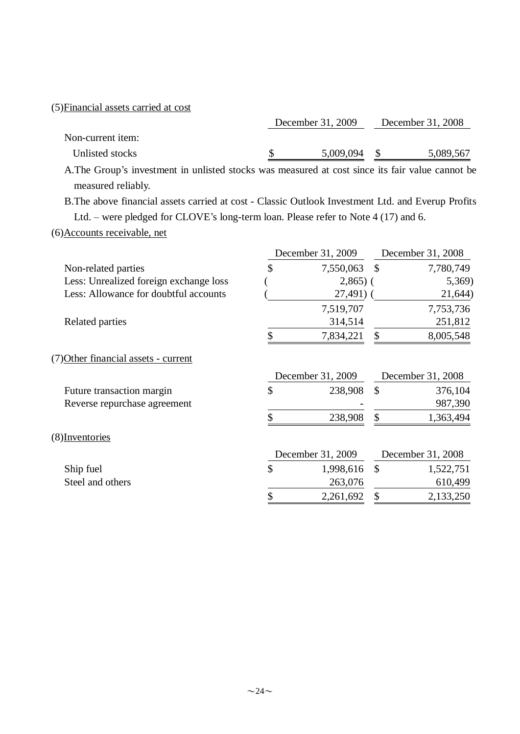| December 31, 2009 |           | December 31, 2008 |                                                                                                  |  |
|-------------------|-----------|-------------------|--------------------------------------------------------------------------------------------------|--|
|                   |           |                   |                                                                                                  |  |
|                   | 5,009,094 | - \$              | 5,089,567                                                                                        |  |
|                   |           |                   |                                                                                                  |  |
|                   |           |                   |                                                                                                  |  |
|                   |           |                   | A. The Group's investment in unlisted stocks was measured at cost since its fair value cannot be |  |

B.The above financial assets carried at cost - Classic Outlook Investment Ltd. and Everup Profits Ltd. – were pledged for CLOVE's long-term loan. Please refer to Note 4 (17) and 6.

(6)Accounts receivable, net

|                                        | December 31, 2009  | December 31, 2008 |                   |  |
|----------------------------------------|--------------------|-------------------|-------------------|--|
| Non-related parties                    | \$<br>7,550,063 \$ |                   | 7,780,749         |  |
| Less: Unrealized foreign exchange loss | $2,865$ ) (        |                   | 5,369)            |  |
| Less: Allowance for doubtful accounts  | $27,491)$ (        |                   | 21,644)           |  |
|                                        | 7,519,707          |                   | 7,753,736         |  |
| Related parties                        | 314,514            |                   | 251,812           |  |
|                                        | 7,834,221          | \$                | 8,005,548         |  |
| (7) Other financial assets - current   |                    |                   |                   |  |
|                                        | December 31, 2009  |                   | December 31, 2008 |  |
| Future transaction margin              | \$<br>238,908      | \$                | 376,104           |  |
| Reverse repurchase agreement           |                    |                   | 987,390           |  |
|                                        | \$<br>238,908      | \$                | 1,363,494         |  |
| (8) Inventories                        |                    |                   |                   |  |
|                                        | December 31, 2009  |                   | December 31, 2008 |  |
| Ship fuel                              | \$<br>1,998,616    | $\mathcal{S}$     | 1,522,751         |  |
| Steel and others                       | 263,076            |                   | 610,499           |  |
|                                        | \$<br>2,261,692    | \$                | 2,133,250         |  |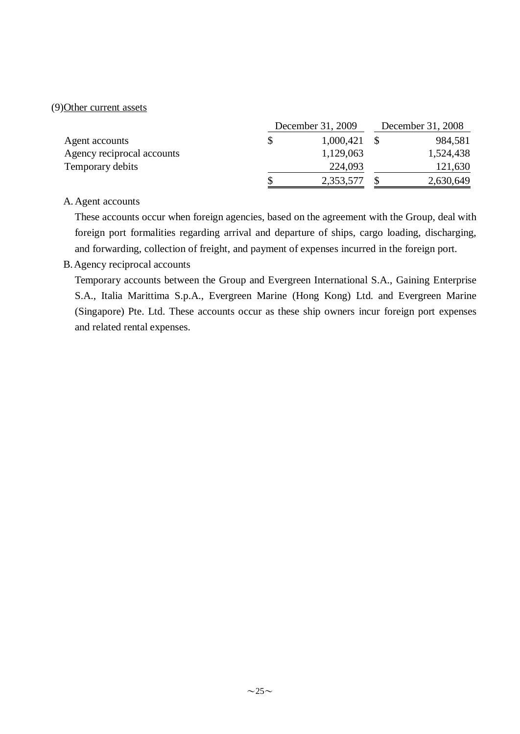# (9)Other current assets

|                            | December 31, 2009 | December 31, 2008 |           |  |
|----------------------------|-------------------|-------------------|-----------|--|
| Agent accounts             | 1,000,421         |                   | 984,581   |  |
| Agency reciprocal accounts | 1,129,063         |                   | 1,524,438 |  |
| Temporary debits           | 224,093           |                   | 121,630   |  |
|                            | 2,353,577         |                   | 2,630,649 |  |

# A. Agent accounts

These accounts occur when foreign agencies, based on the agreement with the Group, deal with foreign port formalities regarding arrival and departure of ships, cargo loading, discharging, and forwarding, collection of freight, and payment of expenses incurred in the foreign port.

# B.Agency reciprocal accounts

Temporary accounts between the Group and Evergreen International S.A., Gaining Enterprise S.A., Italia Marittima S.p.A., Evergreen Marine (Hong Kong) Ltd. and Evergreen Marine (Singapore) Pte. Ltd. These accounts occur as these ship owners incur foreign port expenses and related rental expenses.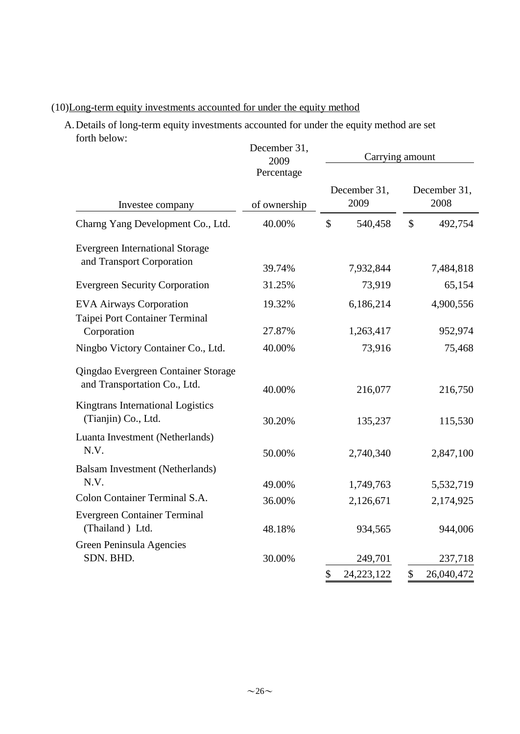# (10)Long-term equity investments accounted for under the equity method

A.Details of long-term equity investments accounted for under the equity method are set forth below:

|                                                                     | December 31,<br>2009       |                          | Carrying amount          |
|---------------------------------------------------------------------|----------------------------|--------------------------|--------------------------|
| Investee company                                                    | Percentage<br>of ownership | December 31,<br>2009     | December 31,<br>2008     |
| Charng Yang Development Co., Ltd.                                   | 40.00%                     | $\mathcal{S}$<br>540,458 | $\mathcal{S}$<br>492,754 |
| <b>Evergreen International Storage</b><br>and Transport Corporation |                            |                          |                          |
|                                                                     | 39.74%                     | 7,932,844                | 7,484,818                |
| <b>Evergreen Security Corporation</b>                               | 31.25%                     | 73,919                   | 65,154                   |
| <b>EVA Airways Corporation</b>                                      | 19.32%                     | 6,186,214                | 4,900,556                |
| Taipei Port Container Terminal<br>Corporation                       | 27.87%                     | 1,263,417                | 952,974                  |
| Ningbo Victory Container Co., Ltd.                                  | 40.00%                     | 73,916                   | 75,468                   |
| Qingdao Evergreen Container Storage<br>and Transportation Co., Ltd. | 40.00%                     | 216,077                  | 216,750                  |
| Kingtrans International Logistics<br>(Tianjin) Co., Ltd.            | 30.20%                     | 135,237                  | 115,530                  |
| Luanta Investment (Netherlands)<br>N.V.                             | 50.00%                     | 2,740,340                | 2,847,100                |
| Balsam Investment (Netherlands)<br>N.V.                             |                            |                          |                          |
| Colon Container Terminal S.A.                                       | 49.00%                     | 1,749,763                | 5,532,719                |
|                                                                     | 36.00%                     | 2,126,671                | 2,174,925                |
| <b>Evergreen Container Terminal</b><br>(Thailand) Ltd.              | 48.18%                     | 934,565                  | 944,006                  |
| Green Peninsula Agencies                                            |                            |                          |                          |
| SDN. BHD.                                                           | 30.00%                     | 249,701                  | 237,718                  |
|                                                                     |                            | \$<br>24, 223, 122       | \$<br>26,040,472         |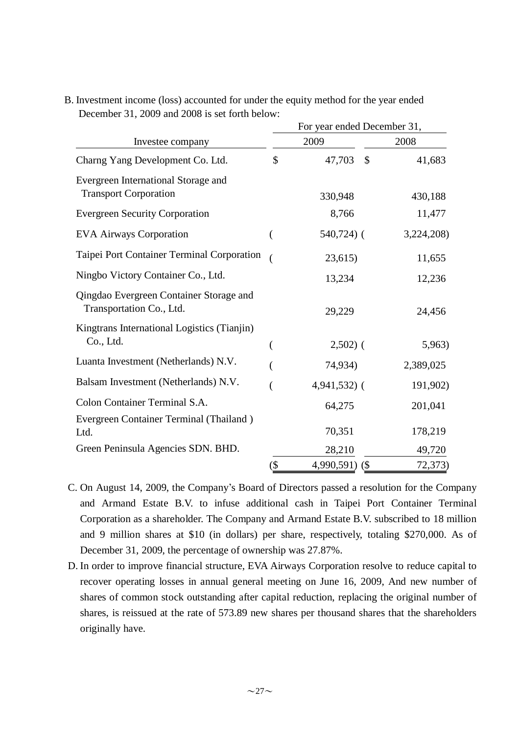|                                                                     | For year ended December 31, |                |            |  |  |  |  |
|---------------------------------------------------------------------|-----------------------------|----------------|------------|--|--|--|--|
| Investee company                                                    |                             | 2009           | 2008       |  |  |  |  |
| Charng Yang Development Co. Ltd.                                    | \$                          | 47,703<br>\$   | 41,683     |  |  |  |  |
| Evergreen International Storage and<br><b>Transport Corporation</b> |                             | 330,948        | 430,188    |  |  |  |  |
| <b>Evergreen Security Corporation</b>                               |                             | 8,766          | 11,477     |  |  |  |  |
| <b>EVA Airways Corporation</b>                                      | (                           | $540,724$ ) (  | 3,224,208) |  |  |  |  |
| Taipei Port Container Terminal Corporation                          |                             | 23,615         | 11,655     |  |  |  |  |
| Ningbo Victory Container Co., Ltd.                                  |                             | 13,234         | 12,236     |  |  |  |  |
| Qingdao Evergreen Container Storage and<br>Transportation Co., Ltd. |                             | 29,229         | 24,456     |  |  |  |  |
| Kingtrans International Logistics (Tianjin)<br>Co., Ltd.            | (                           | $2,502)$ (     | 5,963)     |  |  |  |  |
| Luanta Investment (Netherlands) N.V.                                |                             | 74,934)        | 2,389,025  |  |  |  |  |
| Balsam Investment (Netherlands) N.V.                                |                             | $4,941,532$ (  | 191,902)   |  |  |  |  |
| Colon Container Terminal S.A.                                       |                             | 64,275         | 201,041    |  |  |  |  |
| Evergreen Container Terminal (Thailand)<br>Ltd.                     |                             | 70,351         | 178,219    |  |  |  |  |
| Green Peninsula Agencies SDN. BHD.                                  |                             | 28,210         | 49,720     |  |  |  |  |
|                                                                     | $(\$\)$                     | 4,990,591) (\$ | 72,373)    |  |  |  |  |

B. Investment income (loss) accounted for under the equity method for the year ended December 31, 2009 and 2008 is set forth below:

- C. On August 14, 2009, the Company's Board of Directors passed a resolution for the Company and Armand Estate B.V. to infuse additional cash in Taipei Port Container Terminal Corporation as a shareholder. The Company and Armand Estate B.V. subscribed to 18 million and 9 million shares at \$10 (in dollars) per share, respectively, totaling \$270,000. As of December 31, 2009, the percentage of ownership was 27.87%.
- D. In order to improve financial structure, EVA Airways Corporation resolve to reduce capital to recover operating losses in annual general meeting on June 16, 2009, And new number of shares of common stock outstanding after capital reduction, replacing the original number of shares, is reissued at the rate of 573.89 new shares per thousand shares that the shareholders originally have.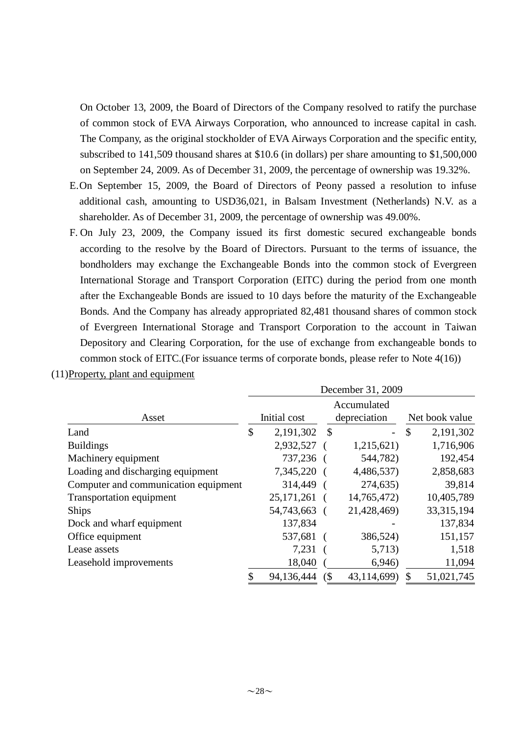On October 13, 2009, the Board of Directors of the Company resolved to ratify the purchase of common stock of EVA Airways Corporation, who announced to increase capital in cash. The Company, as the original stockholder of EVA Airways Corporation and the specific entity, subscribed to 141,509 thousand shares at \$10.6 (in dollars) per share amounting to \$1,500,000 on September 24, 2009. As of December 31, 2009, the percentage of ownership was 19.32%.

- E.On September 15, 2009, the Board of Directors of Peony passed a resolution to infuse additional cash, amounting to USD36,021, in Balsam Investment (Netherlands) N.V. as a shareholder. As of December 31, 2009, the percentage of ownership was 49.00%.
- F. On July 23, 2009, the Company issued its first domestic secured exchangeable bonds according to the resolve by the Board of Directors. Pursuant to the terms of issuance, the bondholders may exchange the Exchangeable Bonds into the common stock of Evergreen International Storage and Transport Corporation (EITC) during the period from one month after the Exchangeable Bonds are issued to 10 days before the maturity of the Exchangeable Bonds. And the Company has already appropriated 82,481 thousand shares of common stock of Evergreen International Storage and Transport Corporation to the account in Taiwan Depository and Clearing Corporation, for the use of exchange from exchangeable bonds to common stock of EITC.(For issuance terms of corporate bonds, please refer to Note 4(16))

|                                      | December 31, 2009 |              |              |                          |    |                |  |
|--------------------------------------|-------------------|--------------|--------------|--------------------------|----|----------------|--|
|                                      | Accumulated       |              |              |                          |    |                |  |
| Asset                                |                   | Initial cost |              | depreciation             |    | Net book value |  |
| Land                                 | \$                | 2,191,302    | $\mathbb{S}$ | $\overline{\phantom{0}}$ | \$ | 2,191,302      |  |
| <b>Buildings</b>                     |                   | 2,932,527    |              | 1,215,621)               |    | 1,716,906      |  |
| Machinery equipment                  |                   | 737,236      |              | 544,782)                 |    | 192,454        |  |
| Loading and discharging equipment    |                   | 7,345,220    |              | 4,486,537)               |    | 2,858,683      |  |
| Computer and communication equipment |                   | 314,449      |              | 274,635)                 |    | 39,814         |  |
| <b>Transportation equipment</b>      |                   | 25, 171, 261 |              | 14,765,472)              |    | 10,405,789     |  |
| <b>Ships</b>                         |                   | 54,743,663   |              | 21,428,469)              |    | 33, 315, 194   |  |
| Dock and wharf equipment             |                   | 137,834      |              |                          |    | 137,834        |  |
| Office equipment                     |                   | 537,681      |              | 386,524)                 |    | 151,157        |  |
| Lease assets                         |                   | 7,231        |              | 5,713)                   |    | 1,518          |  |
| Leasehold improvements               |                   | 18,040       |              | 6,946                    |    | 11,094         |  |
|                                      | \$                | 94,136,444   | (            | 43,114,699)              | \$ | 51,021,745     |  |

(11)Property, plant and equipment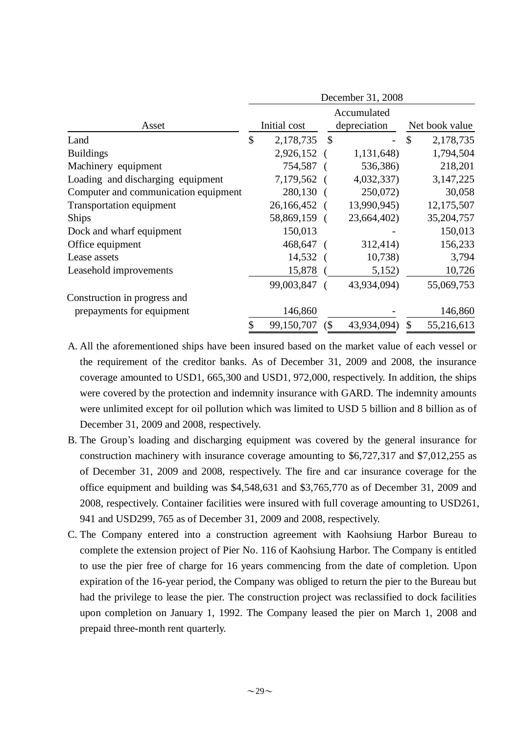|                                      | December 31, 2008 |              |        |              |    |                |  |  |
|--------------------------------------|-------------------|--------------|--------|--------------|----|----------------|--|--|
|                                      | Accumulated       |              |        |              |    |                |  |  |
| Asset                                |                   | Initial cost |        | depreciation |    | Net book value |  |  |
| Land                                 | \$                | 2,178,735    | \$     |              | \$ | 2,178,735      |  |  |
| <b>Buildings</b>                     |                   | 2,926,152    |        | 1,131,648)   |    | 1,794,504      |  |  |
| Machinery equipment                  |                   | 754,587      |        | 536,386)     |    | 218,201        |  |  |
| Loading and discharging equipment    |                   | 7,179,562    |        | 4,032,337)   |    | 3,147,225      |  |  |
| Computer and communication equipment |                   | 280,130      |        | 250,072)     |    | 30,058         |  |  |
| <b>Transportation equipment</b>      |                   | 26,166,452   |        | 13,990,945)  |    | 12,175,507     |  |  |
| Ships                                |                   | 58,869,159   |        | 23,664,402)  |    | 35,204,757     |  |  |
| Dock and wharf equipment             |                   | 150,013      |        |              |    | 150,013        |  |  |
| Office equipment                     |                   | 468,647      |        | 312,414)     |    | 156,233        |  |  |
| Lease assets                         |                   | 14,532       |        | 10,738       |    | 3,794          |  |  |
| Leasehold improvements               |                   | 15,878       |        | 5,152)       |    | 10,726         |  |  |
|                                      |                   | 99,003,847   |        | 43,934,094)  |    | 55,069,753     |  |  |
| Construction in progress and         |                   |              |        |              |    |                |  |  |
| prepayments for equipment            |                   | 146,860      |        |              |    | 146,860        |  |  |
|                                      | \$                | 99,150,707   | $($ \$ | 43,934,094)  | \$ | 55,216,613     |  |  |

- A. All the aforementioned ships have been insured based on the market value of each vessel or the requirement of the creditor banks. As of December 31, 2009 and 2008, the insurance coverage amounted to USD1, 665,300 and USD1, 972,000, respectively. In addition, the ships were covered by the protection and indemnity insurance with GARD. The indemnity amounts were unlimited except for oil pollution which was limited to USD 5 billion and 8 billion as of December 31, 2009 and 2008, respectively.
- B. The Group's loading and discharging equipment was covered by the general insurance for construction machinery with insurance coverage amounting to \$6,727,317 and \$7,012,255 as of December 31, 2009 and 2008, respectively. The fire and car insurance coverage for the office equipment and building was \$4,548,631 and \$3,765,770 as of December 31, 2009 and 2008, respectively. Container facilities were insured with full coverage amounting to USD261, 941 and USD299, 765 as of December 31, 2009 and 2008, respectively.
- C. The Company entered into a construction agreement with Kaohsiung Harbor Bureau to complete the extension project of Pier No. 116 of Kaohsiung Harbor. The Company is entitled to use the pier free of charge for 16 years commencing from the date of completion. Upon expiration of the 16-year period, the Company was obliged to return the pier to the Bureau but had the privilege to lease the pier. The construction project was reclassified to dock facilities upon completion on January 1, 1992. The Company leased the pier on March 1, 2008 and prepaid three-month rent quarterly.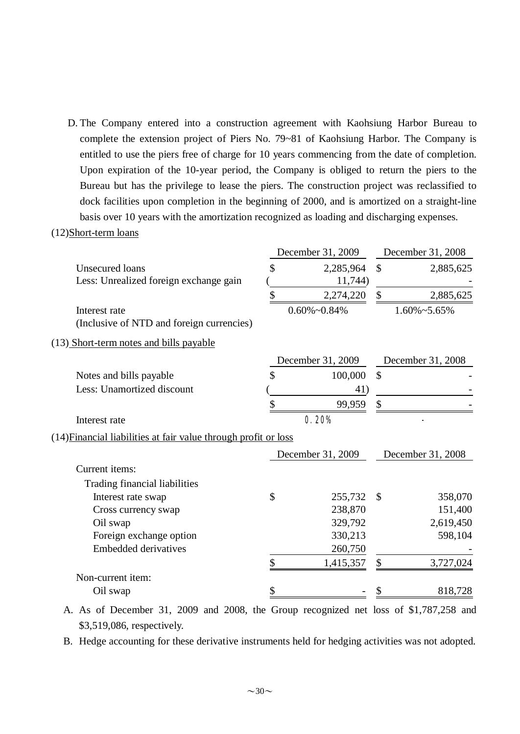D. The Company entered into a construction agreement with Kaohsiung Harbor Bureau to complete the extension project of Piers No. 79~81 of Kaohsiung Harbor. The Company is entitled to use the piers free of charge for 10 years commencing from the date of completion. Upon expiration of the 10-year period, the Company is obliged to return the piers to the Bureau but has the privilege to lease the piers. The construction project was reclassified to dock facilities upon completion in the beginning of 2000, and is amortized on a straight-line basis over 10 years with the amortization recognized as loading and discharging expenses.

#### (12)Short-term loans

|                                                                 | December 31, 2009    |               | December 31, 2008    |
|-----------------------------------------------------------------|----------------------|---------------|----------------------|
| <b>Unsecured</b> loans                                          | \$<br>2,285,964      | $\mathcal{S}$ | 2,885,625            |
| Less: Unrealized foreign exchange gain                          | 11,744)              |               |                      |
|                                                                 | \$<br>2,274,220      | \$            | 2,885,625            |
| Interest rate                                                   | $0.60\% \sim 0.84\%$ |               | $1.60\% \sim 5.65\%$ |
| (Inclusive of NTD and foreign currencies)                       |                      |               |                      |
| (13) Short-term notes and bills payable                         |                      |               |                      |
|                                                                 | December 31, 2009    |               | December 31, 2008    |
| Notes and bills payable                                         | \$<br>100,000        | $\mathcal{S}$ |                      |
| Less: Unamortized discount                                      | 41)                  |               |                      |
|                                                                 | \$<br>99,959         | \$            |                      |
| Interest rate                                                   | 0.20%                |               |                      |
| (14) Financial liabilities at fair value through profit or loss |                      |               |                      |
|                                                                 | December 31, 2009    |               | December 31, 2008    |
| Current items:                                                  |                      |               |                      |
| Trading financial liabilities                                   |                      |               |                      |
| Interest rate swap                                              | \$<br>255,732        | $\mathcal{S}$ | 358,070              |
| Cross currency swap                                             | 238,870              |               | 151,400              |
| Oil swap                                                        | 329,792              |               | 2,619,450            |
| Foreign exchange option                                         | 330,213              |               | 598,104              |
| <b>Embedded derivatives</b>                                     | 260,750              |               |                      |
|                                                                 | \$<br>1,415,357      | \$            | 3,727,024            |
| Non-current item:                                               |                      |               |                      |
| Oil swap                                                        | \$                   | \$            | 818,728              |
|                                                                 |                      |               |                      |

A. As of December 31, 2009 and 2008, the Group recognized net loss of \$1,787,258 and \$3,519,086, respectively.

B. Hedge accounting for these derivative instruments held for hedging activities was not adopted.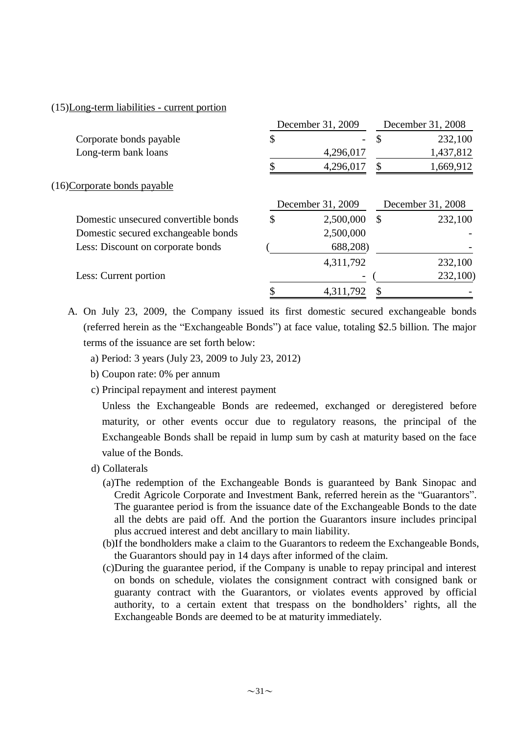### (15)Long-term liabilities - current portion

|                                      |    | December 31, 2009 |               | December 31, 2008 |
|--------------------------------------|----|-------------------|---------------|-------------------|
| Corporate bonds payable              | \$ |                   | $\mathcal{S}$ | 232,100           |
| Long-term bank loans                 |    | 4,296,017         |               | 1,437,812         |
|                                      | \$ | 4,296,017         | \$            | 1,669,912         |
| (16)Corporate bonds payable          |    |                   |               |                   |
|                                      |    | December 31, 2009 |               | December 31, 2008 |
| Domestic unsecured convertible bonds | S  | 2,500,000         | <sup>\$</sup> | 232,100           |
| Domestic secured exchangeable bonds  |    | 2,500,000         |               |                   |
| Less: Discount on corporate bonds    |    | 688,208)          |               |                   |
|                                      |    | 4,311,792         |               | 232,100           |
| Less: Current portion                |    |                   |               | 232,100)          |
|                                      |    | 4,311,792         |               |                   |
|                                      |    |                   |               |                   |

A. On July 23, 2009, the Company issued its first domestic secured exchangeable bonds (referred herein as the "Exchangeable Bonds") at face value, totaling \$2.5 billion. The major terms of the issuance are set forth below:

- a) Period: 3 years (July 23, 2009 to July 23, 2012)
- b) Coupon rate: 0% per annum
- c) Principal repayment and interest payment

Unless the Exchangeable Bonds are redeemed, exchanged or deregistered before maturity, or other events occur due to regulatory reasons, the principal of the Exchangeable Bonds shall be repaid in lump sum by cash at maturity based on the face value of the Bonds.

- d) Collaterals
	- (a)The redemption of the Exchangeable Bonds is guaranteed by Bank Sinopac and Credit Agricole Corporate and Investment Bank, referred herein as the "Guarantors". The guarantee period is from the issuance date of the Exchangeable Bonds to the date all the debts are paid off. And the portion the Guarantors insure includes principal plus accrued interest and debt ancillary to main liability.
	- (b)If the bondholders make a claim to the Guarantors to redeem the Exchangeable Bonds, the Guarantors should pay in 14 days after informed of the claim.
	- (c)During the guarantee period, if the Company is unable to repay principal and interest on bonds on schedule, violates the consignment contract with consigned bank or guaranty contract with the Guarantors, or violates events approved by official authority, to a certain extent that trespass on the bondholders' rights, all the Exchangeable Bonds are deemed to be at maturity immediately.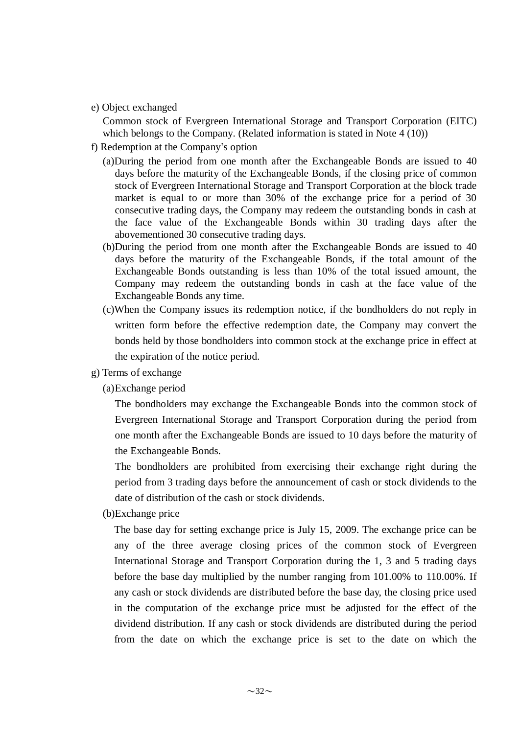e) Object exchanged

Common stock of Evergreen International Storage and Transport Corporation (EITC) which belongs to the Company. (Related information is stated in Note 4 (10))

- f) Redemption at the Company's option
	- (a)During the period from one month after the Exchangeable Bonds are issued to 40 days before the maturity of the Exchangeable Bonds, if the closing price of common stock of Evergreen International Storage and Transport Corporation at the block trade market is equal to or more than 30% of the exchange price for a period of 30 consecutive trading days, the Company may redeem the outstanding bonds in cash at the face value of the Exchangeable Bonds within 30 trading days after the abovementioned 30 consecutive trading days.
	- (b)During the period from one month after the Exchangeable Bonds are issued to 40 days before the maturity of the Exchangeable Bonds, if the total amount of the Exchangeable Bonds outstanding is less than 10% of the total issued amount, the Company may redeem the outstanding bonds in cash at the face value of the Exchangeable Bonds any time.
	- (c)When the Company issues its redemption notice, if the bondholders do not reply in written form before the effective redemption date, the Company may convert the bonds held by those bondholders into common stock at the exchange price in effect at the expiration of the notice period.
- g) Terms of exchange
	- (a)Exchange period

The bondholders may exchange the Exchangeable Bonds into the common stock of Evergreen International Storage and Transport Corporation during the period from one month after the Exchangeable Bonds are issued to 10 days before the maturity of the Exchangeable Bonds.

The bondholders are prohibited from exercising their exchange right during the period from 3 trading days before the announcement of cash or stock dividends to the date of distribution of the cash or stock dividends.

(b)Exchange price

The base day for setting exchange price is July 15, 2009. The exchange price can be any of the three average closing prices of the common stock of Evergreen International Storage and Transport Corporation during the 1, 3 and 5 trading days before the base day multiplied by the number ranging from 101.00% to 110.00%. If any cash or stock dividends are distributed before the base day, the closing price used in the computation of the exchange price must be adjusted for the effect of the dividend distribution. If any cash or stock dividends are distributed during the period from the date on which the exchange price is set to the date on which the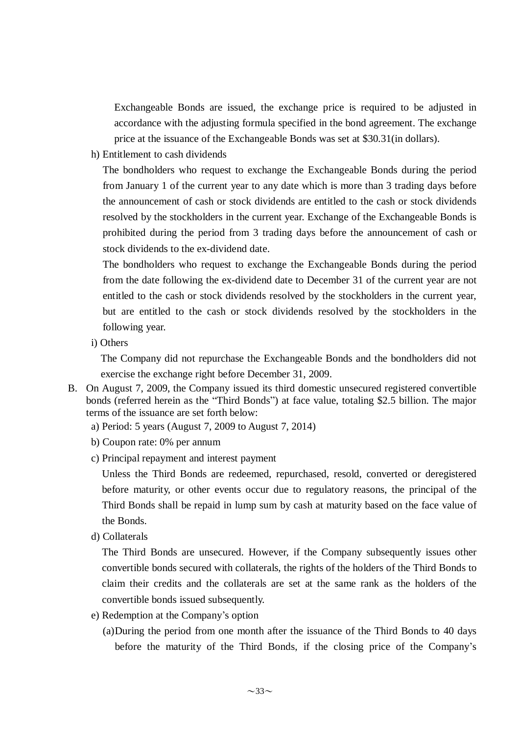Exchangeable Bonds are issued, the exchange price is required to be adjusted in accordance with the adjusting formula specified in the bond agreement. The exchange price at the issuance of the Exchangeable Bonds was set at \$30.31(in dollars).

h) Entitlement to cash dividends

The bondholders who request to exchange the Exchangeable Bonds during the period from January 1 of the current year to any date which is more than 3 trading days before the announcement of cash or stock dividends are entitled to the cash or stock dividends resolved by the stockholders in the current year. Exchange of the Exchangeable Bonds is prohibited during the period from 3 trading days before the announcement of cash or stock dividends to the ex-dividend date.

The bondholders who request to exchange the Exchangeable Bonds during the period from the date following the ex-dividend date to December 31 of the current year are not entitled to the cash or stock dividends resolved by the stockholders in the current year, but are entitled to the cash or stock dividends resolved by the stockholders in the following year.

i) Others

The Company did not repurchase the Exchangeable Bonds and the bondholders did not exercise the exchange right before December 31, 2009.

- B. On August 7, 2009, the Company issued its third domestic unsecured registered convertible bonds (referred herein as the "Third Bonds") at face value, totaling \$2.5 billion. The major terms of the issuance are set forth below:
	- a) Period: 5 years (August 7, 2009 to August 7, 2014)
	- b) Coupon rate: 0% per annum
	- c) Principal repayment and interest payment

Unless the Third Bonds are redeemed, repurchased, resold, converted or deregistered before maturity, or other events occur due to regulatory reasons, the principal of the Third Bonds shall be repaid in lump sum by cash at maturity based on the face value of the Bonds.

d) Collaterals

The Third Bonds are unsecured. However, if the Company subsequently issues other convertible bonds secured with collaterals, the rights of the holders of the Third Bonds to claim their credits and the collaterals are set at the same rank as the holders of the convertible bonds issued subsequently.

- e) Redemption at the Company's option
	- (a)During the period from one month after the issuance of the Third Bonds to 40 days before the maturity of the Third Bonds, if the closing price of the Company's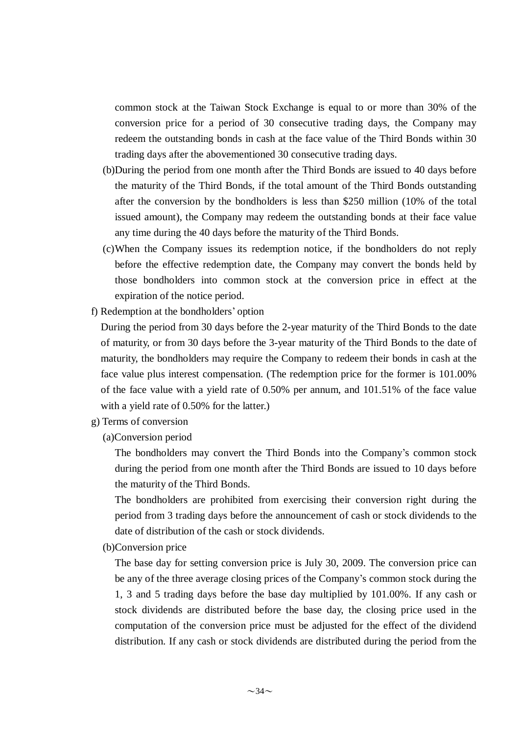common stock at the Taiwan Stock Exchange is equal to or more than 30% of the conversion price for a period of 30 consecutive trading days, the Company may redeem the outstanding bonds in cash at the face value of the Third Bonds within 30 trading days after the abovementioned 30 consecutive trading days.

- (b)During the period from one month after the Third Bonds are issued to 40 days before the maturity of the Third Bonds, if the total amount of the Third Bonds outstanding after the conversion by the bondholders is less than \$250 million (10% of the total issued amount), the Company may redeem the outstanding bonds at their face value any time during the 40 days before the maturity of the Third Bonds.
- (c)When the Company issues its redemption notice, if the bondholders do not reply before the effective redemption date, the Company may convert the bonds held by those bondholders into common stock at the conversion price in effect at the expiration of the notice period.
- f) Redemption at the bondholders' option

During the period from 30 days before the 2-year maturity of the Third Bonds to the date of maturity, or from 30 days before the 3-year maturity of the Third Bonds to the date of maturity, the bondholders may require the Company to redeem their bonds in cash at the face value plus interest compensation. (The redemption price for the former is 101.00% of the face value with a yield rate of 0.50% per annum, and 101.51% of the face value with a yield rate of 0.50% for the latter.)

g) Terms of conversion

(a)Conversion period

The bondholders may convert the Third Bonds into the Company's common stock during the period from one month after the Third Bonds are issued to 10 days before the maturity of the Third Bonds.

The bondholders are prohibited from exercising their conversion right during the period from 3 trading days before the announcement of cash or stock dividends to the date of distribution of the cash or stock dividends.

(b)Conversion price

The base day for setting conversion price is July 30, 2009. The conversion price can be any of the three average closing prices of the Company's common stock during the 1, 3 and 5 trading days before the base day multiplied by 101.00%. If any cash or stock dividends are distributed before the base day, the closing price used in the computation of the conversion price must be adjusted for the effect of the dividend distribution. If any cash or stock dividends are distributed during the period from the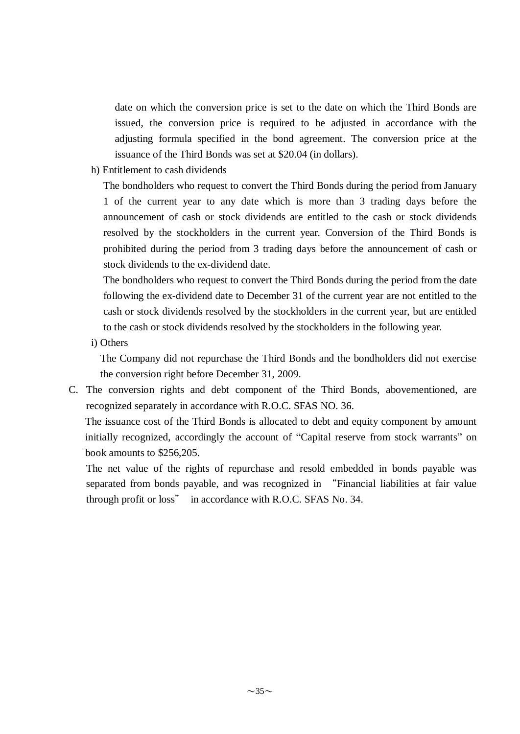date on which the conversion price is set to the date on which the Third Bonds are issued, the conversion price is required to be adjusted in accordance with the adjusting formula specified in the bond agreement. The conversion price at the issuance of the Third Bonds was set at \$20.04 (in dollars).

h) Entitlement to cash dividends

The bondholders who request to convert the Third Bonds during the period from January 1 of the current year to any date which is more than 3 trading days before the announcement of cash or stock dividends are entitled to the cash or stock dividends resolved by the stockholders in the current year. Conversion of the Third Bonds is prohibited during the period from 3 trading days before the announcement of cash or stock dividends to the ex-dividend date.

The bondholders who request to convert the Third Bonds during the period from the date following the ex-dividend date to December 31 of the current year are not entitled to the cash or stock dividends resolved by the stockholders in the current year, but are entitled to the cash or stock dividends resolved by the stockholders in the following year.

i) Others

The Company did not repurchase the Third Bonds and the bondholders did not exercise the conversion right before December 31, 2009.

C. The conversion rights and debt component of the Third Bonds, abovementioned, are recognized separately in accordance with R.O.C. SFAS NO. 36.

The issuance cost of the Third Bonds is allocated to debt and equity component by amount initially recognized, accordingly the account of "Capital reserve from stock warrants" on book amounts to \$256,205.

The net value of the rights of repurchase and resold embedded in bonds payable was separated from bonds payable, and was recognized in "Financial liabilities at fair value through profit or loss" in accordance with R.O.C. SFAS No. 34.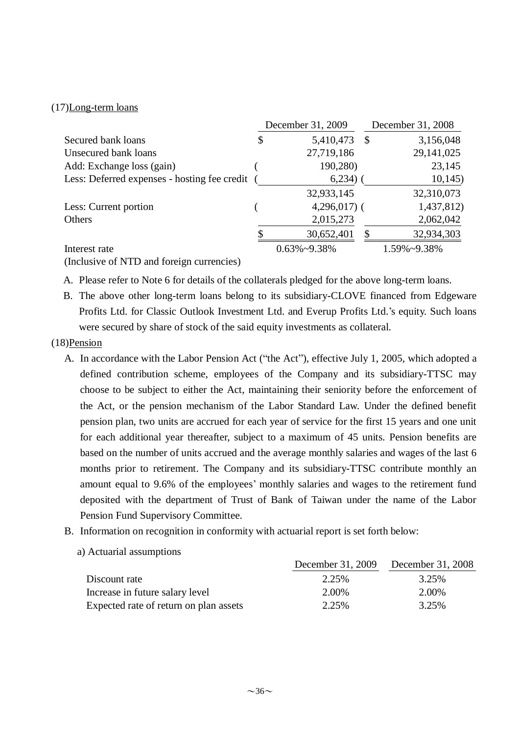# (17)Long-term loans

|                                              | December 31, 2009    |               | December 31, 2008 |
|----------------------------------------------|----------------------|---------------|-------------------|
| Secured bank loans                           | \$<br>5,410,473      | $\mathcal{S}$ | 3,156,048         |
| Unsecured bank loans                         | 27,719,186           |               | 29, 141, 025      |
| Add: Exchange loss (gain)                    | 190,280)             |               | 23,145            |
| Less: Deferred expenses - hosting fee credit | 6,234)               |               | 10,145            |
|                                              | 32,933,145           |               | 32,310,073        |
| Less: Current portion                        | $4,296,017$ (        |               | 1,437,812)        |
| Others                                       | 2,015,273            |               | 2,062,042         |
|                                              | 30,652,401           |               | 32,934,303        |
| Interest rate                                | $0.63\% \sim 9.38\%$ |               | 1.59%~9.38%       |

(Inclusive of NTD and foreign currencies)

A. Please refer to Note 6 for details of the collaterals pledged for the above long-term loans.

B. The above other long-term loans belong to its subsidiary-CLOVE financed from Edgeware Profits Ltd. for Classic Outlook Investment Ltd. and Everup Profits Ltd.'s equity. Such loans were secured by share of stock of the said equity investments as collateral.

### (18)Pension

- A. In accordance with the Labor Pension Act ("the Act"), effective July 1, 2005, which adopted a defined contribution scheme, employees of the Company and its subsidiary-TTSC may choose to be subject to either the Act, maintaining their seniority before the enforcement of the Act, or the pension mechanism of the Labor Standard Law. Under the defined benefit pension plan, two units are accrued for each year of service for the first 15 years and one unit for each additional year thereafter, subject to a maximum of 45 units. Pension benefits are based on the number of units accrued and the average monthly salaries and wages of the last 6 months prior to retirement. The Company and its subsidiary-TTSC contribute monthly an amount equal to 9.6% of the employees' monthly salaries and wages to the retirement fund deposited with the department of Trust of Bank of Taiwan under the name of the Labor Pension Fund Supervisory Committee.
- B. Information on recognition in conformity with actuarial report is set forth below:

|  |  | a) Actuarial assumptions |
|--|--|--------------------------|
|--|--|--------------------------|

|                                        |       | December 31, 2009 December 31, 2008 |
|----------------------------------------|-------|-------------------------------------|
| Discount rate                          | 2.25% | 3.25%                               |
| Increase in future salary level        | 2.00% | 2.00%                               |
| Expected rate of return on plan assets | 2.25% | 3.25%                               |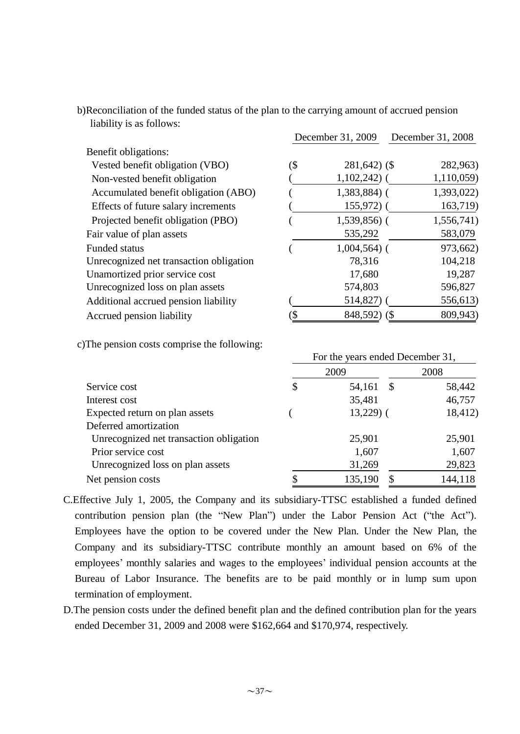b)Reconciliation of the funded status of the plan to the carrying amount of accrued pension liability is as follows:

|                                         |     | December 31, 2009 | December 31, 2008 |  |  |
|-----------------------------------------|-----|-------------------|-------------------|--|--|
| Benefit obligations:                    |     |                   |                   |  |  |
| Vested benefit obligation (VBO)         | (\$ | $281,642$ (\$)    | 282,963)          |  |  |
| Non-vested benefit obligation           |     | $1,102,242)$ (    | 1,110,059)        |  |  |
| Accumulated benefit obligation (ABO)    |     | $1,383,884$ (     | 1,393,022)        |  |  |
| Effects of future salary increments     |     | $155,972$ (       | 163,719)          |  |  |
| Projected benefit obligation (PBO)      |     | $1,539,856$ (     | 1,556,741)        |  |  |
| Fair value of plan assets               |     | 535,292           | 583,079           |  |  |
| <b>Funded status</b>                    |     | $1,004,564$ (     | 973,662)          |  |  |
| Unrecognized net transaction obligation |     | 78,316            | 104,218           |  |  |
| Unamortized prior service cost          |     | 17,680            | 19,287            |  |  |
| Unrecognized loss on plan assets        |     | 574,803           | 596,827           |  |  |
| Additional accrued pension liability    |     | 514,827)          | 556,613)          |  |  |
| Accrued pension liability               |     | 848,592) (\$      | 809,943)          |  |  |

c)The pension costs comprise the following:

|                                         | Tof the years ended December 31, |            |      |         |  |  |
|-----------------------------------------|----------------------------------|------------|------|---------|--|--|
|                                         |                                  | 2009       |      | 2008    |  |  |
| Service cost                            | \$                               | 54,161     | - \$ | 58,442  |  |  |
| Interest cost                           |                                  | 35,481     |      | 46,757  |  |  |
| Expected return on plan assets          |                                  | $13,229$ ( |      | 18,412) |  |  |
| Deferred amortization                   |                                  |            |      |         |  |  |
| Unrecognized net transaction obligation |                                  | 25,901     |      | 25,901  |  |  |
| Prior service cost                      |                                  | 1,607      |      | 1,607   |  |  |
| Unrecognized loss on plan assets        |                                  | 31,269     |      | 29,823  |  |  |
| Net pension costs                       |                                  | 135,190    | \$   | 144,118 |  |  |

For the years ended December 31,

- C.Effective July 1, 2005, the Company and its subsidiary-TTSC established a funded defined contribution pension plan (the "New Plan") under the Labor Pension Act ("the Act"). Employees have the option to be covered under the New Plan. Under the New Plan, the Company and its subsidiary-TTSC contribute monthly an amount based on 6% of the employees' monthly salaries and wages to the employees' individual pension accounts at the Bureau of Labor Insurance. The benefits are to be paid monthly or in lump sum upon termination of employment.
- D.The pension costs under the defined benefit plan and the defined contribution plan for the years ended December 31, 2009 and 2008 were \$162,664 and \$170,974, respectively.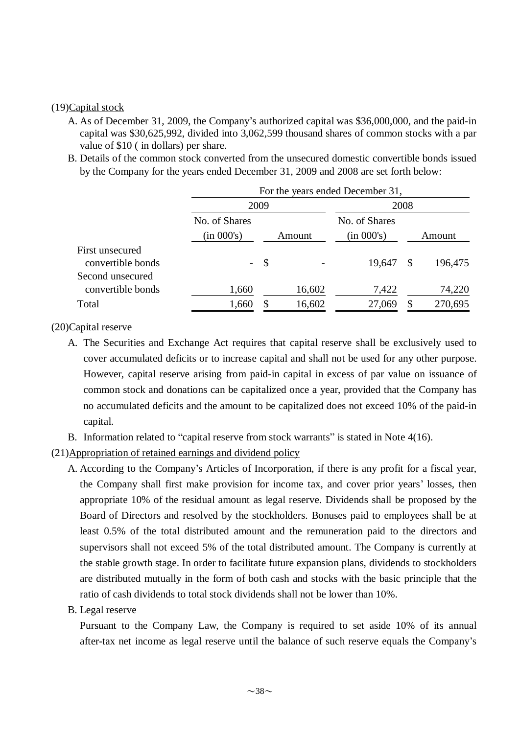#### (19)Capital stock

- A. As of December 31, 2009, the Company's authorized capital was \$36,000,000, and the paid-in capital was \$30,625,992, divided into 3,062,599 thousand shares of common stocks with a par value of \$10 ( in dollars) per share.
- B. Details of the common stock converted from the unsecured domestic convertible bonds issued by the Company for the years ended December 31, 2009 and 2008 are set forth below:

|                                       | For the years ended December 31, |               |               |            |          |         |  |  |
|---------------------------------------|----------------------------------|---------------|---------------|------------|----------|---------|--|--|
|                                       |                                  | 2009          |               |            | 2008     |         |  |  |
|                                       | No. of Shares                    |               | No. of Shares |            |          |         |  |  |
|                                       | (in 000's)                       | Amount        |               | (in 000's) |          | Amount  |  |  |
| First unsecured<br>convertible bonds  | $\overline{\phantom{0}}$         | $\mathcal{S}$ |               | 19,647     | <b>S</b> | 196,475 |  |  |
| Second unsecured<br>convertible bonds | 1,660                            |               | 16,602        | 7,422      |          | 74,220  |  |  |
| Total                                 | 1,660                            | S             | 16,602        | 27,069     |          | 270,695 |  |  |

### (20)Capital reserve

- A. The Securities and Exchange Act requires that capital reserve shall be exclusively used to cover accumulated deficits or to increase capital and shall not be used for any other purpose. However, capital reserve arising from paid-in capital in excess of par value on issuance of common stock and donations can be capitalized once a year, provided that the Company has no accumulated deficits and the amount to be capitalized does not exceed 10% of the paid-in capital.
- B. Information related to "capital reserve from stock warrants" is stated in Note 4(16).
- (21)Appropriation of retained earnings and dividend policy
	- A. According to the Company's Articles of Incorporation, if there is any profit for a fiscal year, the Company shall first make provision for income tax, and cover prior years' losses, then appropriate 10% of the residual amount as legal reserve. Dividends shall be proposed by the Board of Directors and resolved by the stockholders. Bonuses paid to employees shall be at least 0.5% of the total distributed amount and the remuneration paid to the directors and supervisors shall not exceed 5% of the total distributed amount. The Company is currently at the stable growth stage. In order to facilitate future expansion plans, dividends to stockholders are distributed mutually in the form of both cash and stocks with the basic principle that the ratio of cash dividends to total stock dividends shall not be lower than 10%.
	- B. Legal reserve

Pursuant to the Company Law, the Company is required to set aside 10% of its annual after-tax net income as legal reserve until the balance of such reserve equals the Company's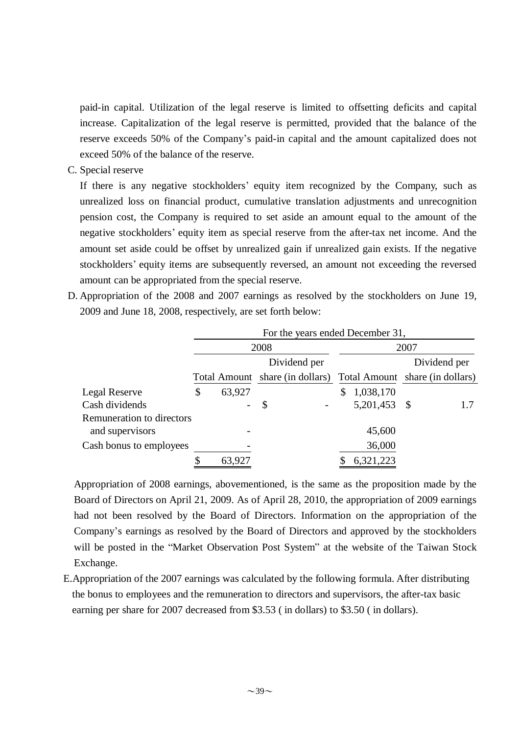paid-in capital. Utilization of the legal reserve is limited to offsetting deficits and capital increase. Capitalization of the legal reserve is permitted, provided that the balance of the reserve exceeds 50% of the Company's paid-in capital and the amount capitalized does not exceed 50% of the balance of the reserve.

C. Special reserve

If there is any negative stockholders' equity item recognized by the Company, such as unrealized loss on financial product, cumulative translation adjustments and unrecognition pension cost, the Company is required to set aside an amount equal to the amount of the negative stockholders' equity item as special reserve from the after-tax net income. And the amount set aside could be offset by unrealized gain if unrealized gain exists. If the negative stockholders' equity items are subsequently reversed, an amount not exceeding the reversed amount can be appropriated from the special reserve.

D. Appropriation of the 2008 and 2007 earnings as resolved by the stockholders on June 19, 2009 and June 18, 2008, respectively, are set forth below:

|                           | For the years ended December 31, |        |              |  |   |              |                                                                                 |     |  |
|---------------------------|----------------------------------|--------|--------------|--|---|--------------|---------------------------------------------------------------------------------|-----|--|
|                           |                                  |        | 2008         |  |   |              | 2007                                                                            |     |  |
|                           |                                  |        | Dividend per |  |   |              | Dividend per<br>Total Amount share (in dollars) Total Amount share (in dollars) |     |  |
|                           |                                  |        |              |  |   |              |                                                                                 |     |  |
| Legal Reserve             | \$                               | 63,927 |              |  | S | 1,038,170    |                                                                                 |     |  |
| Cash dividends            |                                  |        | \$           |  |   | 5,201,453 \$ |                                                                                 | 1.7 |  |
| Remuneration to directors |                                  |        |              |  |   |              |                                                                                 |     |  |
| and supervisors           |                                  |        |              |  |   | 45,600       |                                                                                 |     |  |
| Cash bonus to employees   |                                  |        |              |  |   | 36,000       |                                                                                 |     |  |
|                           | \$                               | 63,927 |              |  |   | 6,321,223    |                                                                                 |     |  |

Appropriation of 2008 earnings, abovementioned, is the same as the proposition made by the Board of Directors on April 21, 2009. As of April 28, 2010, the appropriation of 2009 earnings had not been resolved by the Board of Directors. Information on the appropriation of the Company's earnings as resolved by the Board of Directors and approved by the stockholders will be posted in the "Market Observation Post System" at the website of the Taiwan Stock Exchange.

E.Appropriation of the 2007 earnings was calculated by the following formula. After distributing the bonus to employees and the remuneration to directors and supervisors, the after-tax basic earning per share for 2007 decreased from \$3.53 ( in dollars) to \$3.50 ( in dollars).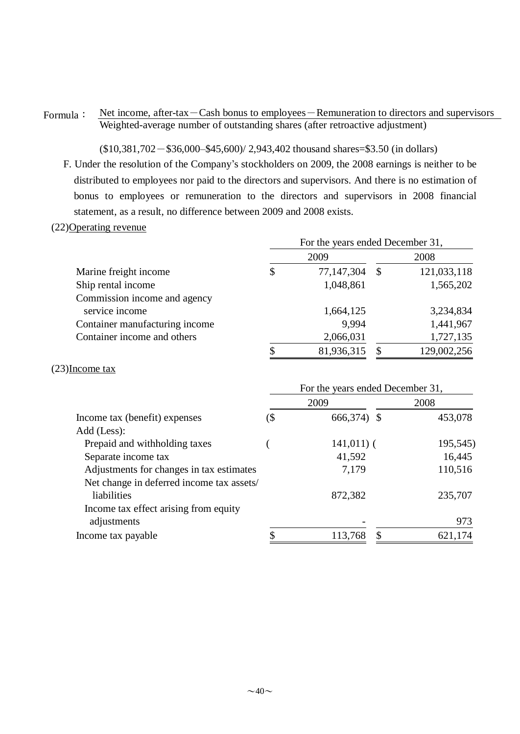### Formula: Net income, after-tax-Cash bonus to employees-Remuneration to directors and supervisors Weighted-average number of outstanding shares (after retroactive adjustment)

 $($10,381,702 - $36,000 - $45,600$   $/$  2,943,402 thousand shares=\$3.50 (in dollars)

F. Under the resolution of the Company's stockholders on 2009, the 2008 earnings is neither to be distributed to employees nor paid to the directors and supervisors. And there is no estimation of bonus to employees or remuneration to the directors and supervisors in 2008 financial statement, as a result, no difference between 2009 and 2008 exists.

#### (22)Operating revenue

|                                | For the years ended December 31, |            |                           |             |  |  |  |
|--------------------------------|----------------------------------|------------|---------------------------|-------------|--|--|--|
|                                |                                  | 2009       |                           | 2008        |  |  |  |
| Marine freight income          | \$                               | 77,147,304 | $\boldsymbol{\mathsf{S}}$ | 121,033,118 |  |  |  |
| Ship rental income             |                                  | 1,048,861  |                           | 1,565,202   |  |  |  |
| Commission income and agency   |                                  |            |                           |             |  |  |  |
| service income                 |                                  | 1,664,125  |                           | 3,234,834   |  |  |  |
| Container manufacturing income |                                  | 9,994      |                           | 1,441,967   |  |  |  |
| Container income and others    |                                  | 2,066,031  |                           | 1,727,135   |  |  |  |
|                                |                                  | 81,936,315 |                           | 129,002,256 |  |  |  |

#### (23)Income tax

|                                           | For the years ended December 31, |               |  |          |  |  |
|-------------------------------------------|----------------------------------|---------------|--|----------|--|--|
|                                           |                                  | 2009          |  | 2008     |  |  |
| Income tax (benefit) expenses             | (\$                              | 666,374) \$   |  | 453,078  |  |  |
| Add (Less):                               |                                  |               |  |          |  |  |
| Prepaid and withholding taxes             |                                  | $141,011$ ) ( |  | 195,545) |  |  |
| Separate income tax                       |                                  | 41,592        |  | 16,445   |  |  |
| Adjustments for changes in tax estimates  |                                  | 7,179         |  | 110,516  |  |  |
| Net change in deferred income tax assets/ |                                  |               |  |          |  |  |
| liabilities                               |                                  | 872,382       |  | 235,707  |  |  |
| Income tax effect arising from equity     |                                  |               |  |          |  |  |
| adjustments                               |                                  |               |  | 973      |  |  |
| Income tax payable                        |                                  | 113,768       |  | 621,174  |  |  |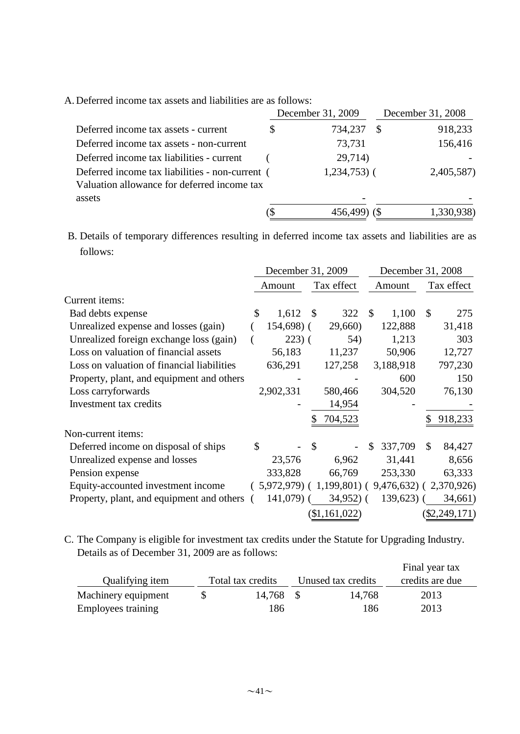A. Deferred income tax assets and liabilities are as follows:

|                                                                                                | December 31, 2009 |               | December 31, 2008 |            |  |
|------------------------------------------------------------------------------------------------|-------------------|---------------|-------------------|------------|--|
| Deferred income tax assets - current                                                           |                   | 734,237       |                   | 918,233    |  |
| Deferred income tax assets - non-current                                                       |                   | 73,731        |                   | 156,416    |  |
| Deferred income tax liabilities - current                                                      |                   | 29,714)       |                   |            |  |
| Deferred income tax liabilities - non-current (<br>Valuation allowance for deferred income tax |                   | $1,234,753$ ( |                   | 2,405,587) |  |
| assets                                                                                         |                   |               |                   |            |  |
|                                                                                                |                   | 456,499       |                   | 1,330,938) |  |

B. Details of temporary differences resulting in deferred income tax assets and liabilities are as follows:

|                                            | December 31, 2009                                 |               |               |              | December 31, 2008 |    |                 |
|--------------------------------------------|---------------------------------------------------|---------------|---------------|--------------|-------------------|----|-----------------|
|                                            | Amount                                            |               | Tax effect    |              | Amount            |    | Tax effect      |
| Current items:                             |                                                   |               |               |              |                   |    |                 |
| Bad debts expense                          | \$<br>1,612                                       | $\mathcal{S}$ | 322           | $\mathbb{S}$ | 1,100             | \$ | 275             |
| Unrealized expense and losses (gain)       | $154,698$ ) (                                     |               | 29,660)       |              | 122,888           |    | 31,418          |
| Unrealized foreign exchange loss (gain)    | $223)$ (                                          |               | 54)           |              | 1,213             |    | 303             |
| Loss on valuation of financial assets      | 56,183                                            |               | 11,237        |              | 50,906            |    | 12,727          |
| Loss on valuation of financial liabilities | 636,291                                           |               | 127,258       |              | 3,188,918         |    | 797,230         |
| Property, plant, and equipment and others  |                                                   |               |               |              | 600               |    | 150             |
| Loss carryforwards                         | 2,902,331                                         |               | 580,466       |              | 304,520           |    | 76,130          |
| Investment tax credits                     |                                                   |               | 14,954        |              |                   |    |                 |
|                                            |                                                   |               | 704,523       |              |                   |    | 918,233         |
| Non-current items:                         |                                                   |               |               |              |                   |    |                 |
| Deferred income on disposal of ships       | \$                                                | \$            |               | S            | 337,709           | \$ | 84,427          |
| Unrealized expense and losses              | 23,576                                            |               | 6,962         |              | 31,441            |    | 8,656           |
| Pension expense                            | 333,828                                           |               | 66,769        |              | 253,330           |    | 63,333          |
| Equity-accounted investment income         | $(5,972,979) (1,199,801) (9,476,632) (2,370,926)$ |               |               |              |                   |    |                 |
| Property, plant, and equipment and others  | $141,079$ (                                       |               | $34,952$ ) (  |              | $139,623$ (       |    | 34,661)         |
|                                            |                                                   |               | (\$1,161,022) |              |                   |    | $(\$2,249,171)$ |

C. The Company is eligible for investment tax credits under the Statute for Upgrading Industry. Details as of December 31, 2009 are as follows:

|                     |                   |                    | Final year tax  |  |
|---------------------|-------------------|--------------------|-----------------|--|
| Qualifying item     | Total tax credits | Unused tax credits | credits are due |  |
| Machinery equipment | 14,768            | 14,768             | 2013            |  |
| Employees training  | 186               | 186                | 2013            |  |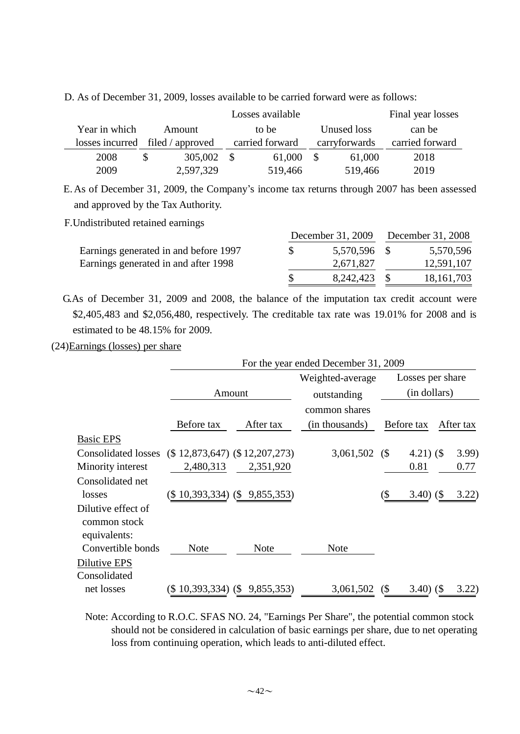|                 |                  | Final year losses |               |                 |
|-----------------|------------------|-------------------|---------------|-----------------|
| Year in which   | Amount           | to be             | Unused loss   | can be          |
| losses incurred | filed / approved | carried forward   | carryforwards | carried forward |
| 2008            | 305,002          | 61,000<br>-S      | 61,000        | 2018            |
| 2009            | 2,597,329        | 519,466           | 519,466       | 2019            |

E.As of December 31, 2009, the Company's income tax returns through 2007 has been assessed and approved by the Tax Authority.

F.Undistributed retained earnings

|                                       | December 31, 2009 | December 31, 2008 |              |  |
|---------------------------------------|-------------------|-------------------|--------------|--|
| Earnings generated in and before 1997 | 5,570,596 \$      |                   | 5,570,596    |  |
| Earnings generated in and after 1998  | 2,671,827         |                   | 12,591,107   |  |
|                                       | 8,242,423 \$      |                   | 18, 161, 703 |  |

G.As of December 31, 2009 and 2008, the balance of the imputation tax credit account were \$2,405,483 and \$2,056,480, respectively. The creditable tax rate was 19.01% for 2008 and is estimated to be 48.15% for 2009.

(24)Earnings (losses) per share

|                                                    |                                     | For the year ended December 31, 2009 |                  |                            |                  |  |           |  |  |
|----------------------------------------------------|-------------------------------------|--------------------------------------|------------------|----------------------------|------------------|--|-----------|--|--|
|                                                    |                                     |                                      | Weighted-average |                            | Losses per share |  |           |  |  |
|                                                    | Amount                              |                                      | outstanding      |                            | (in dollars)     |  |           |  |  |
|                                                    |                                     |                                      | common shares    |                            |                  |  |           |  |  |
|                                                    | Before tax                          | After tax                            | (in thousands)   |                            | Before tax       |  | After tax |  |  |
| <b>Basic EPS</b>                                   |                                     |                                      |                  |                            |                  |  |           |  |  |
| <b>Consolidated losses</b>                         | $(\$ 12,873,647)$ $(\$ 12,207,273)$ |                                      | $3,061,502$ (\$) |                            | 4.21 $)$ (\$     |  | 3.99)     |  |  |
| Minority interest                                  | 2,480,313                           | 2,351,920                            |                  |                            | 0.81             |  | 0.77      |  |  |
| Consolidated net                                   |                                     |                                      |                  |                            |                  |  |           |  |  |
| losses                                             | $(\$10,393,334)$ $(\$9,855,353)$    |                                      |                  | (\$                        | $3.40)$ (\$)     |  | 3.22)     |  |  |
| Dilutive effect of<br>common stock<br>equivalents: |                                     |                                      |                  |                            |                  |  |           |  |  |
| Convertible bonds                                  | <b>Note</b>                         | <b>Note</b>                          | <b>Note</b>      |                            |                  |  |           |  |  |
| Dilutive EPS                                       |                                     |                                      |                  |                            |                  |  |           |  |  |
| Consolidated                                       |                                     |                                      |                  |                            |                  |  |           |  |  |
| net losses                                         | $(\$10,393,334)$ $(\$9,855,353)$    |                                      | 3,061,502        | $\left( \mathbb{S}\right)$ | $3.40)$ (\$      |  | 3.22)     |  |  |

Note: According to R.O.C. SFAS NO. 24, "Earnings Per Share", the potential common stock should not be considered in calculation of basic earnings per share, due to net operating loss from continuing operation, which leads to anti-diluted effect.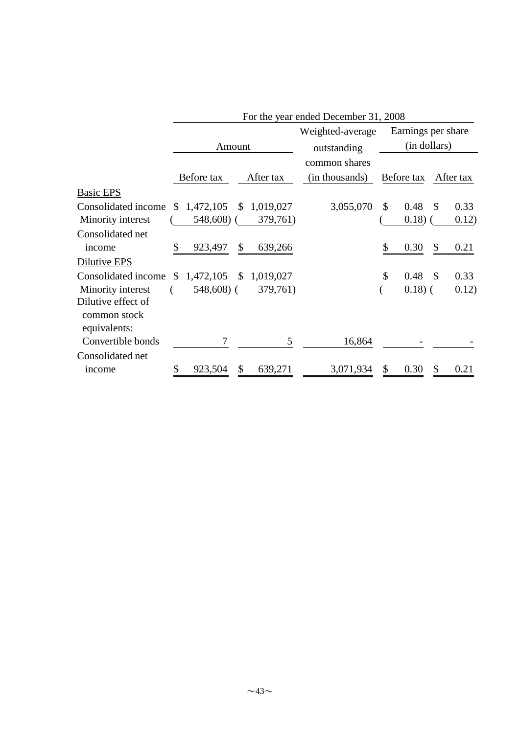|                                                    | For the year ended December 31, 2008 |               |              |           |                  |    |                    |               |           |  |
|----------------------------------------------------|--------------------------------------|---------------|--------------|-----------|------------------|----|--------------------|---------------|-----------|--|
|                                                    |                                      |               |              |           | Weighted-average |    | Earnings per share |               |           |  |
|                                                    |                                      | Amount        |              |           | outstanding      |    | (in dollars)       |               |           |  |
|                                                    |                                      |               |              |           | common shares    |    |                    |               |           |  |
|                                                    |                                      | Before tax    |              | After tax | (in thousands)   |    | Before tax         |               | After tax |  |
| <b>Basic EPS</b>                                   |                                      |               |              |           |                  |    |                    |               |           |  |
| Consolidated income                                | \$.                                  | 1,472,105     | \$           | 1,019,027 | 3,055,070        | \$ | 0.48               | \$            | 0.33      |  |
| Minority interest                                  |                                      | 548,608)      |              | 379,761)  |                  |    | 0.18)              |               | 0.12)     |  |
| Consolidated net                                   |                                      |               |              |           |                  |    |                    |               |           |  |
| income                                             | \$                                   | 923,497       | \$           | 639,266   |                  | \$ | 0.30               | \$            | 0.21      |  |
| Dilutive EPS                                       |                                      |               |              |           |                  |    |                    |               |           |  |
| Consolidated income                                | S                                    | 1,472,105     | $\mathbb{S}$ | 1,019,027 |                  | \$ | 0.48               | <sup>\$</sup> | 0.33      |  |
| Minority interest                                  |                                      | $548,608$ ) ( |              | 379,761)  |                  |    | $0.18)$ (          |               | 0.12)     |  |
| Dilutive effect of<br>common stock<br>equivalents: |                                      |               |              |           |                  |    |                    |               |           |  |
| Convertible bonds                                  |                                      | 7             |              | 5         | 16,864           |    |                    |               |           |  |
| Consolidated net                                   |                                      |               |              |           |                  |    |                    |               |           |  |
| income                                             | \$                                   | 923,504       | \$           | 639,271   | 3,071,934        | \$ | 0.30               |               | 0.21      |  |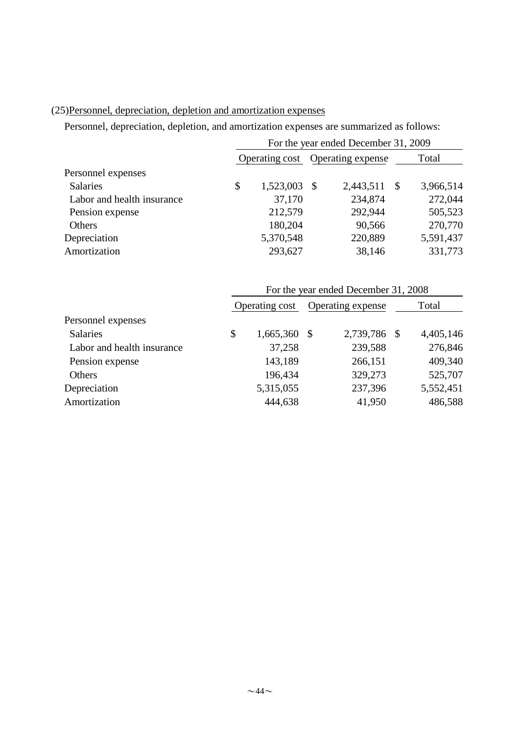# (25)Personnel, depreciation, depletion and amortization expenses

Personnel, depreciation, depletion, and amortization expenses are summarized as follows:

|                            |                                  |           |       | For the year ended December 31, 2009 |                 |  |  |
|----------------------------|----------------------------------|-----------|-------|--------------------------------------|-----------------|--|--|
|                            | Operating cost Operating expense |           | Total |                                      |                 |  |  |
| Personnel expenses         |                                  |           |       |                                      |                 |  |  |
| <b>Salaries</b>            | \$                               | 1,523,003 | -S    | 2,443,511                            | \$<br>3,966,514 |  |  |
| Labor and health insurance |                                  | 37,170    |       | 234,874                              | 272,044         |  |  |
| Pension expense            |                                  | 212,579   |       | 292,944                              | 505,523         |  |  |
| Others                     |                                  | 180,204   |       | 90,566                               | 270,770         |  |  |
| Depreciation               |                                  | 5,370,548 |       | 220,889                              | 5,591,437       |  |  |
| Amortization               |                                  | 293,627   |       | 38,146                               | 331,773         |  |  |

|                            |                      | For the year ended December 31, 2008 |  |           |
|----------------------------|----------------------|--------------------------------------|--|-----------|
|                            | Operating cost       | Operating expense                    |  | Total     |
| Personnel expenses         |                      |                                      |  |           |
| <b>Salaries</b>            | \$<br>$1,665,360$ \$ | 2,739,786 \$                         |  | 4,405,146 |
| Labor and health insurance | 37,258               | 239,588                              |  | 276,846   |
| Pension expense            | 143,189              | 266,151                              |  | 409,340   |
| Others                     | 196,434              | 329,273                              |  | 525,707   |
| Depreciation               | 5,315,055            | 237,396                              |  | 5,552,451 |
| Amortization               | 444,638              | 41,950                               |  | 486,588   |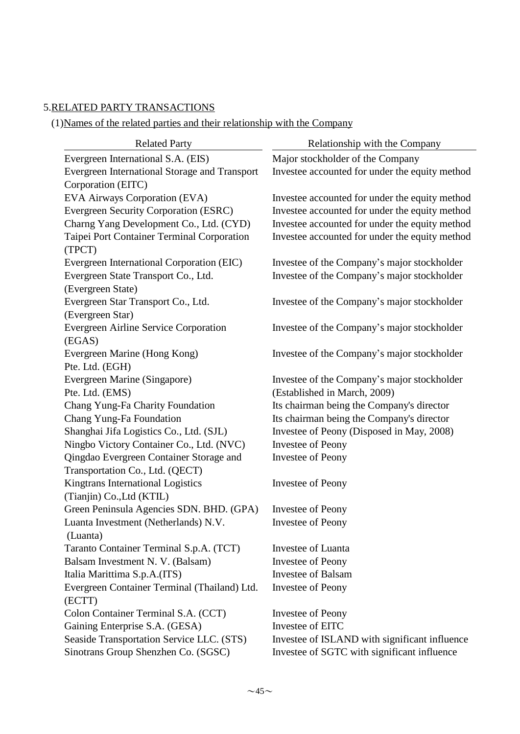# 5.RELATED PARTY TRANSACTIONS

(1)Names of the related parties and their relationship with the Company

| <b>Related Party</b>                          | Relationship with the Company                  |
|-----------------------------------------------|------------------------------------------------|
| Evergreen International S.A. (EIS)            | Major stockholder of the Company               |
| Evergreen International Storage and Transport | Investee accounted for under the equity method |
| Corporation (EITC)                            |                                                |
| EVA Airways Corporation (EVA)                 | Investee accounted for under the equity method |
| Evergreen Security Corporation (ESRC)         | Investee accounted for under the equity method |
| Charng Yang Development Co., Ltd. (CYD)       | Investee accounted for under the equity method |
| Taipei Port Container Terminal Corporation    | Investee accounted for under the equity method |
| (TPCT)                                        |                                                |
| Evergreen International Corporation (EIC)     | Investee of the Company's major stockholder    |
| Evergreen State Transport Co., Ltd.           | Investee of the Company's major stockholder    |
| (Evergreen State)                             |                                                |
| Evergreen Star Transport Co., Ltd.            | Investee of the Company's major stockholder    |
| (Evergreen Star)                              |                                                |
| Evergreen Airline Service Corporation         | Investee of the Company's major stockholder    |
| (EGAS)                                        |                                                |
| Evergreen Marine (Hong Kong)                  | Investee of the Company's major stockholder    |
| Pte. Ltd. (EGH)                               |                                                |
| Evergreen Marine (Singapore)                  | Investee of the Company's major stockholder    |
| Pte. Ltd. (EMS)                               | (Established in March, 2009)                   |
| Chang Yung-Fa Charity Foundation              | Its chairman being the Company's director      |
| Chang Yung-Fa Foundation                      | Its chairman being the Company's director      |
| Shanghai Jifa Logistics Co., Ltd. (SJL)       | Investee of Peony (Disposed in May, 2008)      |
| Ningbo Victory Container Co., Ltd. (NVC)      | <b>Investee of Peony</b>                       |
| Qingdao Evergreen Container Storage and       | <b>Investee of Peony</b>                       |
| Transportation Co., Ltd. (QECT)               |                                                |
| Kingtrans International Logistics             | <b>Investee of Peony</b>                       |
| (Tianjin) Co., Ltd (KTIL)                     |                                                |
| Green Peninsula Agencies SDN. BHD. (GPA)      | <b>Investee of Peony</b>                       |
| Luanta Investment (Netherlands) N.V.          | <b>Investee of Peony</b>                       |
| (Luanta)                                      |                                                |
| Taranto Container Terminal S.p.A. (TCT)       | <b>Investee of Luanta</b>                      |
| Balsam Investment N. V. (Balsam)              | <b>Investee of Peony</b>                       |
| Italia Marittima S.p.A.(ITS)                  | <b>Investee of Balsam</b>                      |
| Evergreen Container Terminal (Thailand) Ltd.  | <b>Investee of Peony</b>                       |
| (ECTT)                                        |                                                |
| Colon Container Terminal S.A. (CCT)           | <b>Investee of Peony</b>                       |
| Gaining Enterprise S.A. (GESA)                | Investee of EITC                               |
| Seaside Transportation Service LLC. (STS)     | Investee of ISLAND with significant influence  |
| Sinotrans Group Shenzhen Co. (SGSC)           | Investee of SGTC with significant influence    |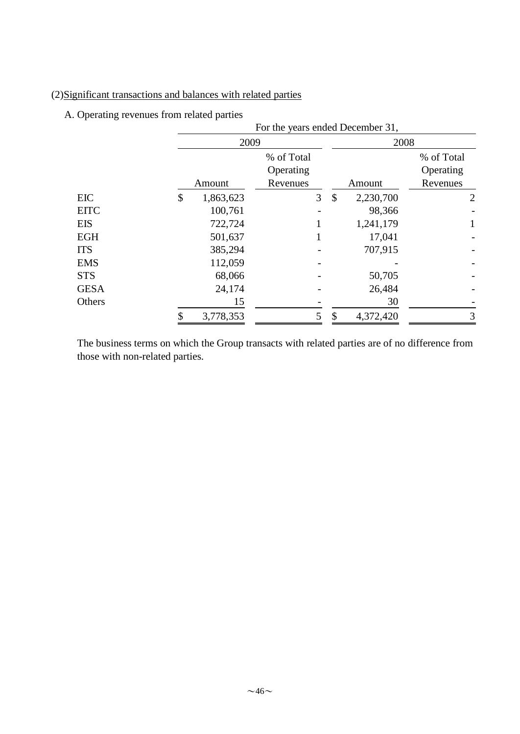# (2)Significant transactions and balances with related parties

# A. Operating revenues from related parties

|             | For the years ended December 31, |            |    |           |                |  |  |  |  |  |
|-------------|----------------------------------|------------|----|-----------|----------------|--|--|--|--|--|
|             | 2009                             |            |    | 2008      |                |  |  |  |  |  |
|             |                                  | % of Total |    |           | % of Total     |  |  |  |  |  |
|             |                                  | Operating  |    |           | Operating      |  |  |  |  |  |
|             | Amount                           | Revenues   |    | Amount    | Revenues       |  |  |  |  |  |
| EIC         | \$<br>1,863,623                  | 3          | \$ | 2,230,700 | $\overline{2}$ |  |  |  |  |  |
| <b>EITC</b> | 100,761                          |            |    | 98,366    |                |  |  |  |  |  |
| <b>EIS</b>  | 722,724                          |            |    | 1,241,179 | $\mathbf{1}$   |  |  |  |  |  |
| <b>EGH</b>  | 501,637                          |            |    | 17,041    |                |  |  |  |  |  |
| <b>ITS</b>  | 385,294                          |            |    | 707,915   |                |  |  |  |  |  |
| <b>EMS</b>  | 112,059                          |            |    |           |                |  |  |  |  |  |
| <b>STS</b>  | 68,066                           |            |    | 50,705    |                |  |  |  |  |  |
| <b>GESA</b> | 24,174                           |            |    | 26,484    |                |  |  |  |  |  |
| Others      | 15                               |            |    | 30        |                |  |  |  |  |  |
|             | 3,778,353                        |            | \$ | 4,372,420 | 3              |  |  |  |  |  |

The business terms on which the Group transacts with related parties are of no difference from those with non-related parties.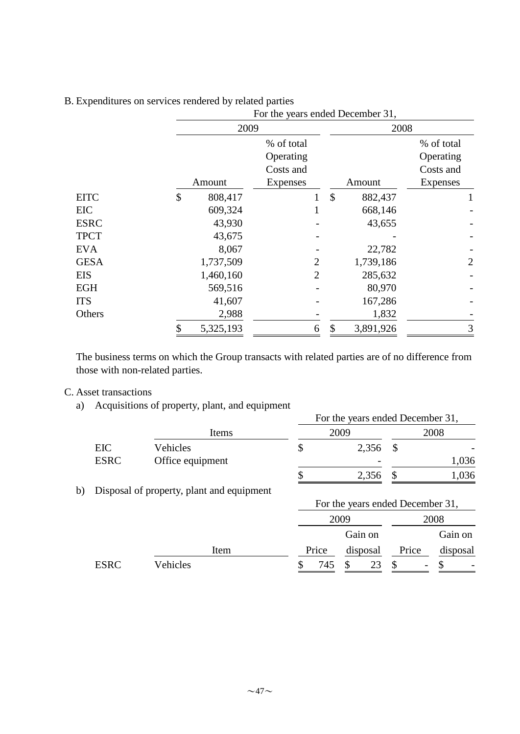|             | For the years ended December 31, |                |    |           |                |  |  |  |  |
|-------------|----------------------------------|----------------|----|-----------|----------------|--|--|--|--|
|             | 2009                             |                |    | 2008      |                |  |  |  |  |
|             |                                  | % of total     |    |           | % of total     |  |  |  |  |
|             |                                  | Operating      |    |           | Operating      |  |  |  |  |
|             |                                  | Costs and      |    |           | Costs and      |  |  |  |  |
|             | Amount                           | Expenses       |    | Amount    | Expenses       |  |  |  |  |
| <b>EITC</b> | \$<br>808,417                    |                | \$ | 882,437   | 1              |  |  |  |  |
| <b>EIC</b>  | 609,324                          | 1              |    | 668,146   |                |  |  |  |  |
| <b>ESRC</b> | 43,930                           |                |    | 43,655    |                |  |  |  |  |
| <b>TPCT</b> | 43,675                           |                |    |           |                |  |  |  |  |
| <b>EVA</b>  | 8,067                            |                |    | 22,782    |                |  |  |  |  |
| <b>GESA</b> | 1,737,509                        | $\overline{2}$ |    | 1,739,186 | $\overline{2}$ |  |  |  |  |
| <b>EIS</b>  | 1,460,160                        | $\overline{2}$ |    | 285,632   |                |  |  |  |  |
| <b>EGH</b>  | 569,516                          |                |    | 80,970    |                |  |  |  |  |
| <b>ITS</b>  | 41,607                           |                |    | 167,286   |                |  |  |  |  |
| Others      | 2,988                            |                |    | 1,832     |                |  |  |  |  |
|             | 5,325,193                        | 6              | \$ | 3,891,926 | 3              |  |  |  |  |

### B. Expenditures on services rendered by related parties

The business terms on which the Group transacts with related parties are of no difference from those with non-related parties.

#### C. Asset transactions

a) Acquisitions of property, plant, and equipment

|    |             |                                           |       | For the years ended December 31, |              |          |  |
|----|-------------|-------------------------------------------|-------|----------------------------------|--------------|----------|--|
|    |             | Items                                     |       | 2009                             | 2008         |          |  |
|    | EIC         | Vehicles                                  | \$    | 2,356                            | $\mathbb{S}$ |          |  |
|    | <b>ESRC</b> | Office equipment                          |       |                                  |              | 1,036    |  |
|    |             |                                           |       | 2,356                            | \$           | 1,036    |  |
| b) |             | Disposal of property, plant and equipment |       |                                  |              |          |  |
|    |             |                                           |       | For the years ended December 31, |              |          |  |
|    |             |                                           |       | 2009                             |              | 2008     |  |
|    |             |                                           |       | Gain on                          |              | Gain on  |  |
|    |             | Item                                      | Price | disposal                         | Price        | disposal |  |

 $\overline{\text{Vehicles}}$   $\overline{\text{S}$  745  $\overline{\text{S}}$  23  $\overline{\text{S}}$  5  $\overline{\text{S}}$ 

 $\sim$ 47 $\sim$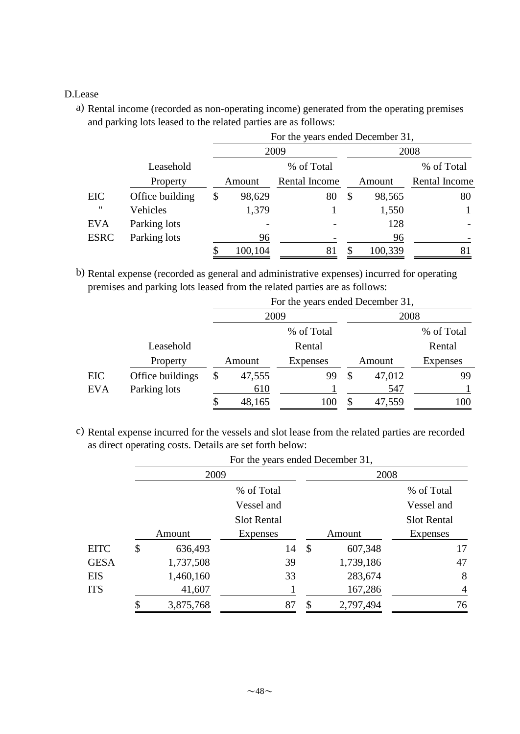### D.Lease

a) Rental income (recorded as non-operating income) generated from the operating premises and parking lots leased to the related parties are as follows:

|                   |                 |              | For the years ended December 31, |              |               |  |
|-------------------|-----------------|--------------|----------------------------------|--------------|---------------|--|
|                   |                 |              | 2009                             |              | 2008          |  |
|                   | Leasehold       |              | % of Total                       |              | % of Total    |  |
|                   | Property        | Amount       | Rental Income                    | Amount       | Rental Income |  |
| EIC               | Office building | \$<br>98,629 | 80                               | \$<br>98,565 | 80            |  |
| $^{\prime\prime}$ | Vehicles        | 1,379        |                                  | 1,550        |               |  |
| <b>EVA</b>        | Parking lots    |              |                                  | 128          |               |  |
| <b>ESRC</b>       | Parking lots    | 96           |                                  | 96           |               |  |
|                   |                 | 100,104      | 81                               | 100,339      | 81            |  |

b) Rental expense (recorded as general and administrative expenses) incurred for operating premises and parking lots leased from the related parties are as follows:

|            |                  |    |                    | For the years ended December 31, |    |        |                 |
|------------|------------------|----|--------------------|----------------------------------|----|--------|-----------------|
|            |                  |    | 2009               |                                  |    | 2008   |                 |
|            |                  |    |                    | % of Total                       |    |        | % of Total      |
|            | Leasehold        |    | Rental             |                                  |    |        | Rental          |
|            | Property         |    | Amount<br>Expenses |                                  |    | Amount | <b>Expenses</b> |
| <b>EIC</b> | Office buildings | \$ | 47,555             | 99                               | \$ | 47,012 | 99              |
| <b>EVA</b> | Parking lots     |    | 610                |                                  |    | 547    |                 |
|            |                  |    | 48,165             | 100                              |    | 47,559 | 100             |

c) Rental expense incurred for the vessels and slot lease from the related parties are recorded as direct operating costs. Details are set forth below:

|             |    |           | For the years ended December 31, |                           |           |                |  |  |  |
|-------------|----|-----------|----------------------------------|---------------------------|-----------|----------------|--|--|--|
|             |    | 2009      |                                  |                           | 2008      |                |  |  |  |
|             |    |           | % of Total                       |                           |           | % of Total     |  |  |  |
|             |    |           | Vessel and                       |                           |           | Vessel and     |  |  |  |
|             |    |           | <b>Slot Rental</b>               |                           |           | Slot Rental    |  |  |  |
|             |    | Amount    | Expenses                         |                           | Amount    | Expenses       |  |  |  |
| <b>EITC</b> | \$ | 636,493   | 14                               | $\boldsymbol{\mathsf{S}}$ | 607,348   | 17             |  |  |  |
| <b>GESA</b> |    | 1,737,508 | 39                               |                           | 1,739,186 | 47             |  |  |  |
| EIS         |    | 1,460,160 | 33                               |                           | 283,674   | 8              |  |  |  |
| <b>ITS</b>  |    | 41,607    |                                  |                           | 167,286   | $\overline{4}$ |  |  |  |
|             | ¢  | 3,875,768 | 87                               | \$                        | 2,797,494 | 76             |  |  |  |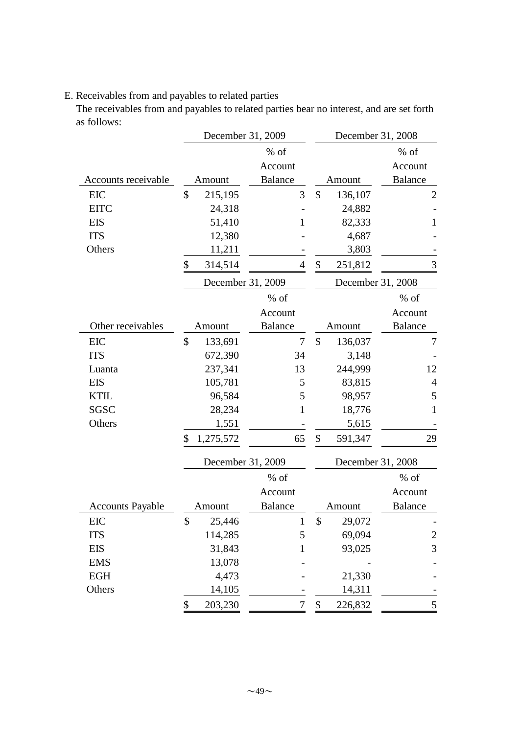# E. Receivables from and payables to related parties

The receivables from and payables to related parties bear no interest, and are set forth as follows:

|                         | December 31, 2009 |                   |                | December 31, 2008 |                   |                         |
|-------------------------|-------------------|-------------------|----------------|-------------------|-------------------|-------------------------|
|                         |                   |                   | $%$ of         |                   |                   | $%$ of                  |
|                         |                   |                   | Account        |                   |                   | Account                 |
| Accounts receivable     |                   | Amount            | <b>Balance</b> |                   | Amount            | <b>Balance</b>          |
| <b>EIC</b>              | \$                | 215,195           | 3              | $\mathcal{S}$     | 136,107           | $\mathbf{2}$            |
| <b>EITC</b>             |                   | 24,318            |                |                   | 24,882            |                         |
| <b>EIS</b>              |                   | 51,410            | 1              |                   | 82,333            | 1                       |
| <b>ITS</b>              |                   | 12,380            |                |                   | 4,687             |                         |
| Others                  |                   | 11,211            |                |                   | 3,803             |                         |
|                         | \$                | 314,514           | $\overline{4}$ | \$                | 251,812           | 3                       |
|                         |                   | December 31, 2009 |                |                   | December 31, 2008 |                         |
|                         |                   |                   | % of           |                   |                   | $%$ of                  |
|                         |                   |                   | Account        |                   |                   | Account                 |
| Other receivables       |                   | Amount            | <b>Balance</b> |                   | Amount            | <b>Balance</b>          |
| <b>EIC</b>              | \$                | 133,691           | 7              | $\mathcal{S}$     | 136,037           | 7                       |
| <b>ITS</b>              |                   | 672,390           | 34             |                   | 3,148             |                         |
| Luanta                  |                   | 237,341           | 13             |                   | 244,999           | 12                      |
| <b>EIS</b>              |                   | 105,781           | 5              |                   | 83,815            | $\overline{4}$          |
| <b>KTIL</b>             |                   | 96,584            | 5              |                   | 98,957            | 5                       |
| <b>SGSC</b>             |                   | 28,234            | 1              |                   | 18,776            | 1                       |
| Others                  |                   | 1,551             |                |                   | 5,615             |                         |
|                         | \$                | 1,275,572         | 65             | \$                | 591,347           | 29                      |
|                         |                   | December 31, 2009 |                |                   | December 31, 2008 |                         |
|                         |                   |                   | % of           |                   |                   | $%$ of                  |
|                         |                   |                   | Account        |                   |                   | Account                 |
| <b>Accounts Payable</b> |                   | Amount            | <b>Balance</b> |                   | Amount            | <b>Balance</b>          |
| EIC                     | \$                | 25,446            |                | \$                | 29,072            |                         |
| <b>ITS</b>              |                   | 114,285           | 5              |                   | 69,094            | $\overline{c}$          |
| <b>EIS</b>              |                   | 31,843            | 1              |                   | 93,025            | 3                       |
| <b>EMS</b>              |                   | 13,078            |                |                   |                   |                         |
| EGH                     |                   | 4,473             |                |                   | 21,330            |                         |
| Others                  |                   | 14,105            |                |                   | 14,311            |                         |
|                         | \$                | 203,230           | 7              | $\$$              | 226,832           | $\overline{\mathbf{5}}$ |
|                         |                   |                   |                |                   |                   |                         |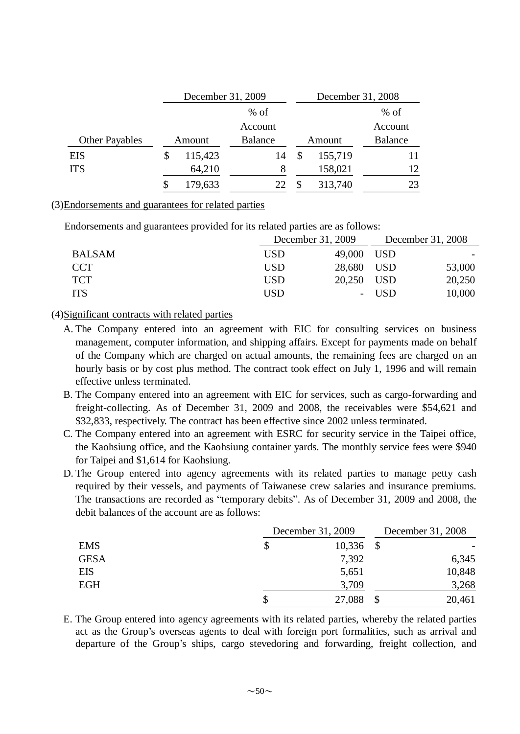|                       | December 31, 2009 |                |  | December 31, 2008 |                |  |
|-----------------------|-------------------|----------------|--|-------------------|----------------|--|
|                       | $%$ of            |                |  |                   | $%$ of         |  |
|                       |                   | Account        |  |                   | Account        |  |
| <b>Other Payables</b> | Amount            | <b>Balance</b> |  | Amount            | <b>Balance</b> |  |
| <b>EIS</b>            | 115,423           | 14             |  | 155,719           |                |  |
| <b>ITS</b>            | 64,210            | 8              |  | 158,021           | 12.            |  |
|                       | 179,633           |                |  | 313,740           | 23             |  |

#### (3)Endorsements and guarantees for related parties

Endorsements and guarantees provided for its related parties are as follows:

|               | December 31, 2009 |            | December 31, 2008 |        |
|---------------|-------------------|------------|-------------------|--------|
| <b>BALSAM</b> | USD.              | 49,000 USD |                   |        |
| <b>CCT</b>    | USD               | 28,680 USD |                   | 53,000 |
| <b>TCT</b>    | <b>USD</b>        | 20,250 USD |                   | 20,250 |
| <b>ITS</b>    | USD               | -          | <b>USD</b>        | 10,000 |

#### (4)Significant contracts with related parties

- A. The Company entered into an agreement with EIC for consulting services on business management, computer information, and shipping affairs. Except for payments made on behalf of the Company which are charged on actual amounts, the remaining fees are charged on an hourly basis or by cost plus method. The contract took effect on July 1, 1996 and will remain effective unless terminated.
- B. The Company entered into an agreement with EIC for services, such as cargo-forwarding and freight-collecting. As of December 31, 2009 and 2008, the receivables were \$54,621 and \$32,833, respectively. The contract has been effective since 2002 unless terminated.
- C. The Company entered into an agreement with ESRC for security service in the Taipei office, the Kaohsiung office, and the Kaohsiung container yards. The monthly service fees were \$940 for Taipei and \$1,614 for Kaohsiung.
- D. The Group entered into agency agreements with its related parties to manage petty cash required by their vessels, and payments of Taiwanese crew salaries and insurance premiums. The transactions are recorded as "temporary debits". As of December 31, 2009 and 2008, the debit balances of the account are as follows:

|             | December 31, 2009 |               | December 31, 2008 |  |
|-------------|-------------------|---------------|-------------------|--|
| <b>EMS</b>  | 10,336            | $\mathcal{S}$ |                   |  |
| <b>GESA</b> | 7,392             |               | 6,345             |  |
| <b>EIS</b>  | 5,651             |               | 10,848            |  |
| <b>EGH</b>  | 3,709             |               | 3,268             |  |
|             | 27,088            | \$            | 20,461            |  |

E. The Group entered into agency agreements with its related parties, whereby the related parties act as the Group's overseas agents to deal with foreign port formalities, such as arrival and departure of the Group's ships, cargo stevedoring and forwarding, freight collection, and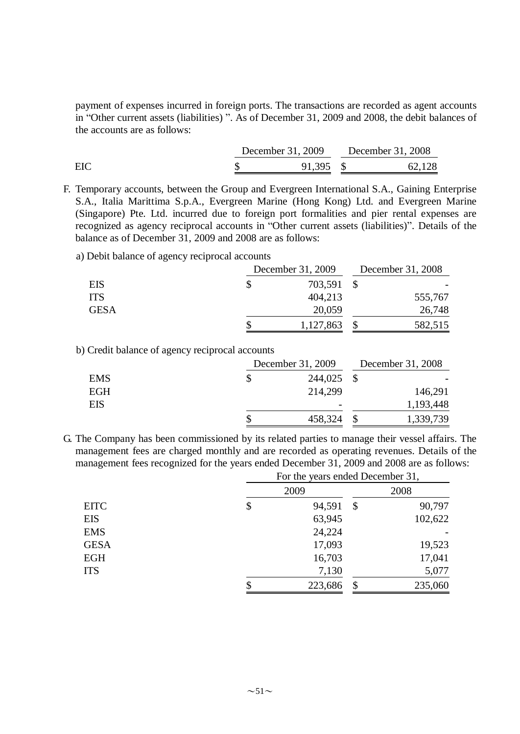payment of expenses incurred in foreign ports. The transactions are recorded as agent accounts in "Other current assets (liabilities) ". As of December 31, 2009 and 2008, the debit balances of the accounts are as follows:

|     | December 31, 2009 | December 31, 2008 |
|-----|-------------------|-------------------|
| EIC | 91,395 $\mu$      | 62,128            |

F. Temporary accounts, between the Group and Evergreen International S.A., Gaining Enterprise S.A., Italia Marittima S.p.A., Evergreen Marine (Hong Kong) Ltd. and Evergreen Marine (Singapore) Pte. Ltd. incurred due to foreign port formalities and pier rental expenses are recognized as agency reciprocal accounts in "Other current assets (liabilities)". Details of the balance as of December 31, 2009 and 2008 are as follows:

a) Debit balance of agency reciprocal accounts

|             | December 31, 2009 |  | December 31, 2008 |  |
|-------------|-------------------|--|-------------------|--|
| <b>EIS</b>  | 703,591           |  |                   |  |
| <b>ITS</b>  | 404,213           |  | 555,767           |  |
| <b>GESA</b> | 20,059            |  | 26,748            |  |
|             | 1,127,863         |  | 582,515           |  |

b) Credit balance of agency reciprocal accounts

|            | December 31, 2009 |  | December 31, 2008 |  |
|------------|-------------------|--|-------------------|--|
| <b>EMS</b> | 244,025 \$        |  |                   |  |
| <b>EGH</b> | 214.299           |  | 146,291           |  |
| <b>EIS</b> |                   |  | 1,193,448         |  |
|            | 458,324           |  | 1,339,739         |  |

G. The Company has been commissioned by its related parties to manage their vessel affairs. The management fees are charged monthly and are recorded as operating revenues. Details of the management fees recognized for the years ended December 31, 2009 and 2008 are as follows:

|             | For the years ended December 31, |         |    |         |
|-------------|----------------------------------|---------|----|---------|
|             |                                  | 2009    |    | 2008    |
| <b>EITC</b> | \$                               | 94,591  | \$ | 90,797  |
| <b>EIS</b>  |                                  | 63,945  |    | 102,622 |
| <b>EMS</b>  |                                  | 24,224  |    |         |
| <b>GESA</b> |                                  | 17,093  |    | 19,523  |
| <b>EGH</b>  |                                  | 16,703  |    | 17,041  |
| <b>ITS</b>  |                                  | 7,130   |    | 5,077   |
|             |                                  | 223,686 | \$ | 235,060 |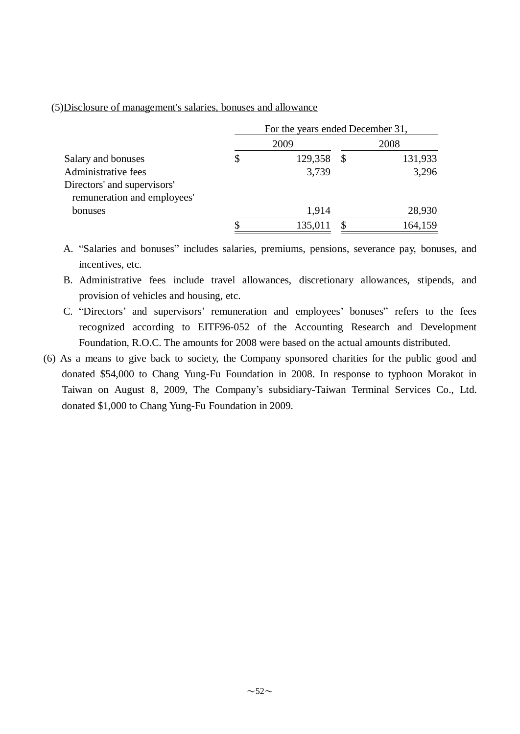### (5)Disclosure of management's salaries, bonuses and allowance

|                                                            | For the years ended December 31, |         |    |         |  |
|------------------------------------------------------------|----------------------------------|---------|----|---------|--|
|                                                            |                                  | 2009    |    | 2008    |  |
| Salary and bonuses                                         | \$                               | 129,358 | \$ | 131,933 |  |
| Administrative fees                                        |                                  | 3,739   |    | 3,296   |  |
| Directors' and supervisors'<br>remuneration and employees' |                                  |         |    |         |  |
| bonuses                                                    |                                  | 1,914   |    | 28,930  |  |
|                                                            |                                  | 135,011 |    | 164,159 |  |

A. "Salaries and bonuses" includes salaries, premiums, pensions, severance pay, bonuses, and incentives, etc.

- B. Administrative fees include travel allowances, discretionary allowances, stipends, and provision of vehicles and housing, etc.
- C. "Directors' and supervisors' remuneration and employees' bonuses" refers to the fees recognized according to EITF96-052 of the Accounting Research and Development Foundation, R.O.C. The amounts for 2008 were based on the actual amounts distributed.
- (6) As a means to give back to society, the Company sponsored charities for the public good and donated \$54,000 to Chang Yung-Fu Foundation in 2008. In response to typhoon Morakot in Taiwan on August 8, 2009, The Company's subsidiary-Taiwan Terminal Services Co., Ltd. donated \$1,000 to Chang Yung-Fu Foundation in 2009.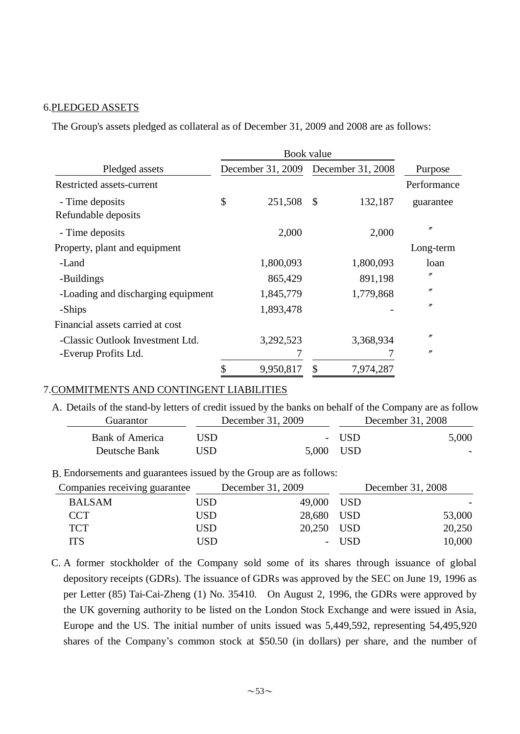#### 6.PLEDGED ASSETS

The Group's assets pledged as collateral as of December 31, 2009 and 2008 are as follows:

|                                        | Book value |                                     |    |           |                   |  |
|----------------------------------------|------------|-------------------------------------|----|-----------|-------------------|--|
| Pledged assets                         |            | December 31, 2009 December 31, 2008 |    |           | Purpose           |  |
| Restricted assets-current              |            |                                     |    |           | Performance       |  |
| - Time deposits<br>Refundable deposits | \$         | 251,508                             | \$ | 132,187   | guarantee         |  |
| - Time deposits                        |            | 2,000                               |    | 2,000     | $^{\prime\prime}$ |  |
| Property, plant and equipment          |            |                                     |    |           | Long-term         |  |
| -Land                                  |            | 1,800,093                           |    | 1,800,093 | loan              |  |
| -Buildings                             |            | 865,429                             |    | 891,198   | n                 |  |
| -Loading and discharging equipment     |            | 1,845,779                           |    | 1,779,868 | "                 |  |
| -Ships                                 |            | 1,893,478                           |    |           | $^{\prime\prime}$ |  |
| Financial assets carried at cost       |            |                                     |    |           |                   |  |
| -Classic Outlook Investment Ltd.       |            | 3,292,523                           |    | 3,368,934 | n                 |  |
| -Everup Profits Ltd.                   |            |                                     |    |           | $^{\prime\prime}$ |  |
|                                        |            | 9,950,817                           | \$ | 7,974,287 |                   |  |

#### 7.COMMITMENTS AND CONTINGENT LIABILITIES

A. Details of the stand-by letters of credit issued by the banks on behalf of the Company are as follow

| Guarantor       |      | December 31, 2009 | December 31, 2008 |       |
|-----------------|------|-------------------|-------------------|-------|
| Bank of America | USD. |                   | - USD             | 5,000 |
| Deutsche Bank   | USD  | 5,000 USD         |                   |       |

B. Endorsements and guarantees issued by the Group are as follows:

| Companies receiving guarantee |            | December 31, 2009 |       | December 31, 2008 |
|-------------------------------|------------|-------------------|-------|-------------------|
| <b>BALSAM</b>                 | USD        | 49,000 USD        |       |                   |
| <b>CCT</b>                    | <b>USD</b> | 28,680 USD        |       | 53,000            |
| <b>TCT</b>                    | <b>USD</b> | 20,250 USD        |       | 20,250            |
| <b>TTS</b>                    | USD        |                   | - USD | 10,000            |

C. A former stockholder of the Company sold some of its shares through issuance of global depository receipts (GDRs). The issuance of GDRs was approved by the SEC on June 19, 1996 as per Letter (85) Tai-Cai-Zheng (1) No. 35410. On August 2, 1996, the GDRs were approved by the UK governing authority to be listed on the London Stock Exchange and were issued in Asia, Europe and the US. The initial number of units issued was 5,449,592, representing 54,495,920 shares of the Company's common stock at \$50.50 (in dollars) per share, and the number of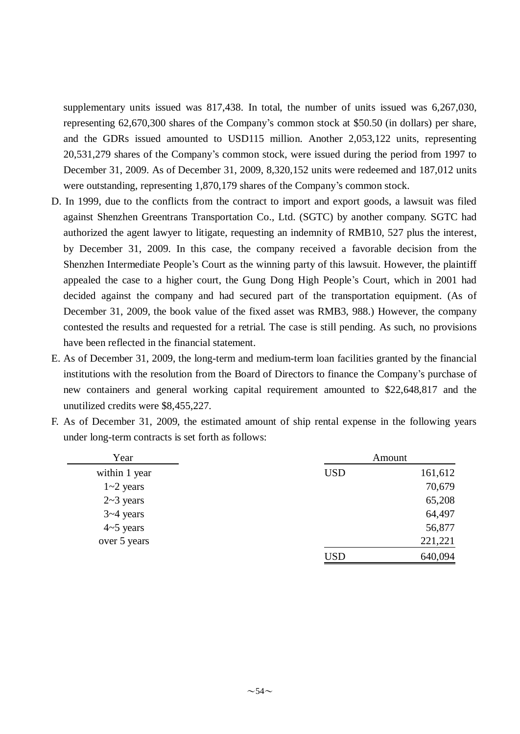supplementary units issued was 817,438. In total, the number of units issued was 6,267,030, representing 62,670,300 shares of the Company's common stock at \$50.50 (in dollars) per share, and the GDRs issued amounted to USD115 million. Another 2,053,122 units, representing 20,531,279 shares of the Company's common stock, were issued during the period from 1997 to December 31, 2009. As of December 31, 2009, 8,320,152 units were redeemed and 187,012 units were outstanding, representing 1,870,179 shares of the Company's common stock.

- D. In 1999, due to the conflicts from the contract to import and export goods, a lawsuit was filed against Shenzhen Greentrans Transportation Co., Ltd. (SGTC) by another company. SGTC had authorized the agent lawyer to litigate, requesting an indemnity of RMB10, 527 plus the interest, by December 31, 2009. In this case, the company received a favorable decision from the Shenzhen Intermediate People's Court as the winning party of this lawsuit. However, the plaintiff appealed the case to a higher court, the Gung Dong High People's Court, which in 2001 had decided against the company and had secured part of the transportation equipment. (As of December 31, 2009, the book value of the fixed asset was RMB3, 988.) However, the company contested the results and requested for a retrial. The case is still pending. As such, no provisions have been reflected in the financial statement.
- E. As of December 31, 2009, the long-term and medium-term loan facilities granted by the financial institutions with the resolution from the Board of Directors to finance the Company's purchase of new containers and general working capital requirement amounted to \$22,648,817 and the unutilized credits were \$8,455,227.
- F. As of December 31, 2009, the estimated amount of ship rental expense in the following years under long-term contracts is set forth as follows:

| Year          |            | Amount  |
|---------------|------------|---------|
| within 1 year | <b>USD</b> | 161,612 |
| $1 - 2$ years |            | 70,679  |
| $2~3$ years   |            | 65,208  |
| $3 - 4$ years |            | 64,497  |
| $4-5$ years   |            | 56,877  |
| over 5 years  |            | 221,221 |
|               | USD        | 640,094 |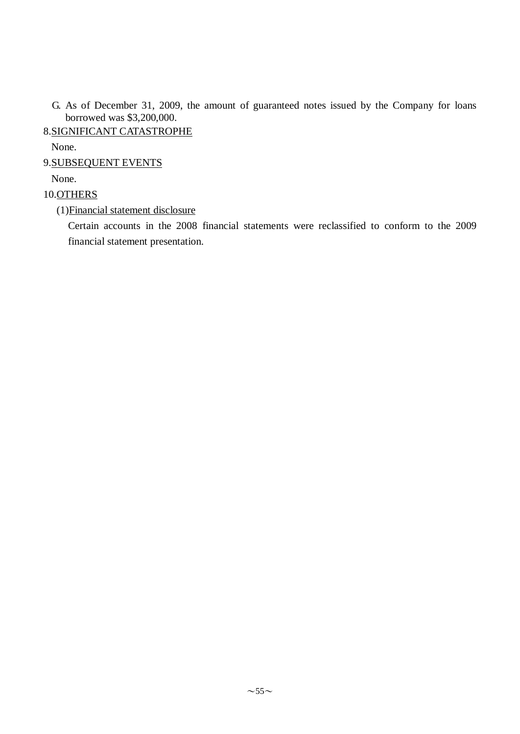- G. As of December 31, 2009, the amount of guaranteed notes issued by the Company for loans borrowed was \$3,200,000.
- 8.SIGNIFICANT CATASTROPHE

None.

9.SUBSEQUENT EVENTS

None.

### 10.OTHERS

(1)Financial statement disclosure

Certain accounts in the 2008 financial statements were reclassified to conform to the 2009 financial statement presentation.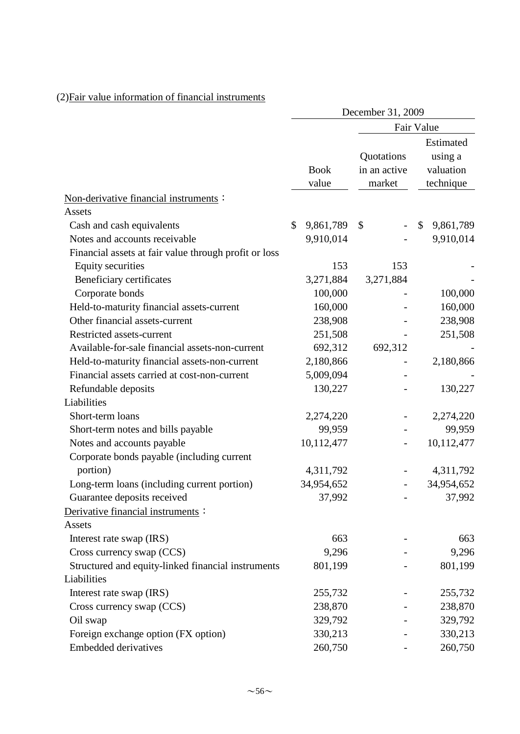|                                                       | December 31, 2009 |                      |    |                                      |                                                |            |  |  |  |  |
|-------------------------------------------------------|-------------------|----------------------|----|--------------------------------------|------------------------------------------------|------------|--|--|--|--|
|                                                       |                   |                      |    | Fair Value                           |                                                |            |  |  |  |  |
|                                                       |                   | <b>Book</b><br>value |    | Quotations<br>in an active<br>market | Estimated<br>using a<br>valuation<br>technique |            |  |  |  |  |
| Non-derivative financial instruments:                 |                   |                      |    |                                      |                                                |            |  |  |  |  |
| Assets                                                |                   |                      |    |                                      |                                                |            |  |  |  |  |
| Cash and cash equivalents                             | \$                | 9,861,789            | \$ |                                      | \$                                             | 9,861,789  |  |  |  |  |
| Notes and accounts receivable                         |                   | 9,910,014            |    |                                      |                                                | 9,910,014  |  |  |  |  |
| Financial assets at fair value through profit or loss |                   |                      |    |                                      |                                                |            |  |  |  |  |
| <b>Equity securities</b>                              |                   | 153                  |    | 153                                  |                                                |            |  |  |  |  |
| Beneficiary certificates                              |                   | 3,271,884            |    | 3,271,884                            |                                                |            |  |  |  |  |
| Corporate bonds                                       |                   | 100,000              |    |                                      |                                                | 100,000    |  |  |  |  |
| Held-to-maturity financial assets-current             |                   | 160,000              |    |                                      |                                                | 160,000    |  |  |  |  |
| Other financial assets-current                        |                   | 238,908              |    |                                      |                                                | 238,908    |  |  |  |  |
| Restricted assets-current                             |                   | 251,508              |    |                                      |                                                | 251,508    |  |  |  |  |
| Available-for-sale financial assets-non-current       |                   | 692,312              |    | 692,312                              |                                                |            |  |  |  |  |
| Held-to-maturity financial assets-non-current         |                   | 2,180,866            |    |                                      |                                                | 2,180,866  |  |  |  |  |
| Financial assets carried at cost-non-current          |                   | 5,009,094            |    |                                      |                                                |            |  |  |  |  |
| Refundable deposits                                   |                   | 130,227              |    |                                      |                                                | 130,227    |  |  |  |  |
| Liabilities                                           |                   |                      |    |                                      |                                                |            |  |  |  |  |
| Short-term loans                                      |                   | 2,274,220            |    |                                      |                                                | 2,274,220  |  |  |  |  |
| Short-term notes and bills payable                    |                   | 99,959               |    |                                      |                                                | 99,959     |  |  |  |  |
| Notes and accounts payable                            |                   | 10,112,477           |    |                                      |                                                | 10,112,477 |  |  |  |  |
| Corporate bonds payable (including current            |                   |                      |    |                                      |                                                |            |  |  |  |  |
| portion)                                              |                   | 4,311,792            |    |                                      |                                                | 4,311,792  |  |  |  |  |
| Long-term loans (including current portion)           |                   | 34,954,652           |    |                                      |                                                | 34,954,652 |  |  |  |  |
| Guarantee deposits received                           |                   | 37,992               |    |                                      |                                                | 37,992     |  |  |  |  |
| Derivative financial instruments:                     |                   |                      |    |                                      |                                                |            |  |  |  |  |
| Assets                                                |                   |                      |    |                                      |                                                |            |  |  |  |  |
| Interest rate swap (IRS)                              |                   | 663                  |    |                                      |                                                | 663        |  |  |  |  |
| Cross currency swap (CCS)                             |                   | 9,296                |    |                                      |                                                | 9,296      |  |  |  |  |
| Structured and equity-linked financial instruments    |                   | 801,199              |    |                                      |                                                | 801,199    |  |  |  |  |
| Liabilities                                           |                   |                      |    |                                      |                                                |            |  |  |  |  |
| Interest rate swap (IRS)                              |                   | 255,732              |    |                                      |                                                | 255,732    |  |  |  |  |
| Cross currency swap (CCS)                             |                   | 238,870              |    |                                      |                                                | 238,870    |  |  |  |  |
| Oil swap                                              |                   | 329,792              |    |                                      |                                                | 329,792    |  |  |  |  |
| Foreign exchange option (FX option)                   |                   | 330,213              |    |                                      |                                                | 330,213    |  |  |  |  |
| Embedded derivatives                                  |                   | 260,750              |    |                                      |                                                | 260,750    |  |  |  |  |

# (2)Fair value information of financial instruments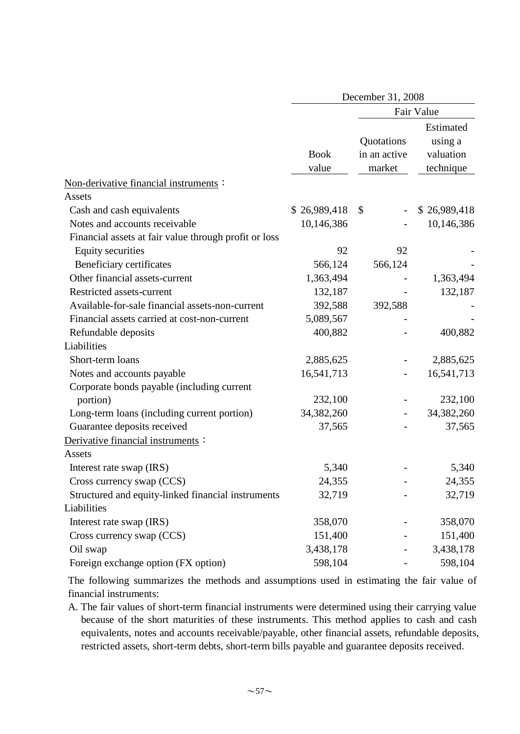|                                                       |                      | December 31, 2008                    |                                                |
|-------------------------------------------------------|----------------------|--------------------------------------|------------------------------------------------|
|                                                       |                      |                                      | Fair Value                                     |
|                                                       | <b>Book</b><br>value | Quotations<br>in an active<br>market | Estimated<br>using a<br>valuation<br>technique |
| Non-derivative financial instruments:                 |                      |                                      |                                                |
| Assets                                                |                      |                                      |                                                |
| Cash and cash equivalents                             | \$26,989,418         | \$                                   | \$26,989,418                                   |
| Notes and accounts receivable                         | 10,146,386           |                                      | 10,146,386                                     |
| Financial assets at fair value through profit or loss |                      |                                      |                                                |
| <b>Equity securities</b>                              | 92                   | 92                                   |                                                |
| Beneficiary certificates                              | 566,124              | 566,124                              |                                                |
| Other financial assets-current                        | 1,363,494            |                                      | 1,363,494                                      |
| Restricted assets-current                             | 132,187              |                                      | 132,187                                        |
| Available-for-sale financial assets-non-current       | 392,588              | 392,588                              |                                                |
| Financial assets carried at cost-non-current          | 5,089,567            |                                      |                                                |
| Refundable deposits                                   | 400,882              |                                      | 400,882                                        |
| Liabilities                                           |                      |                                      |                                                |
| Short-term loans                                      | 2,885,625            |                                      | 2,885,625                                      |
| Notes and accounts payable                            | 16,541,713           |                                      | 16,541,713                                     |
| Corporate bonds payable (including current            |                      |                                      |                                                |
| portion)                                              | 232,100              |                                      | 232,100                                        |
| Long-term loans (including current portion)           | 34,382,260           |                                      | 34,382,260                                     |
| Guarantee deposits received                           | 37,565               |                                      | 37,565                                         |
| Derivative financial instruments :                    |                      |                                      |                                                |
| Assets                                                |                      |                                      |                                                |
| Interest rate swap (IRS)                              | 5,340                |                                      | 5,340                                          |
| Cross currency swap (CCS)                             | 24,355               |                                      | 24,355                                         |
| Structured and equity-linked financial instruments    | 32,719               |                                      | 32,719                                         |
| Liabilities                                           |                      |                                      |                                                |
| Interest rate swap (IRS)                              | 358,070              |                                      | 358,070                                        |
| Cross currency swap (CCS)                             | 151,400              |                                      | 151,400                                        |
| Oil swap                                              | 3,438,178            |                                      | 3,438,178                                      |
| Foreign exchange option (FX option)                   | 598,104              |                                      | 598,104                                        |

The following summarizes the methods and assumptions used in estimating the fair value of financial instruments:

A. The fair values of short-term financial instruments were determined using their carrying value because of the short maturities of these instruments. This method applies to cash and cash equivalents, notes and accounts receivable/payable, other financial assets, refundable deposits, restricted assets, short-term debts, short-term bills payable and guarantee deposits received.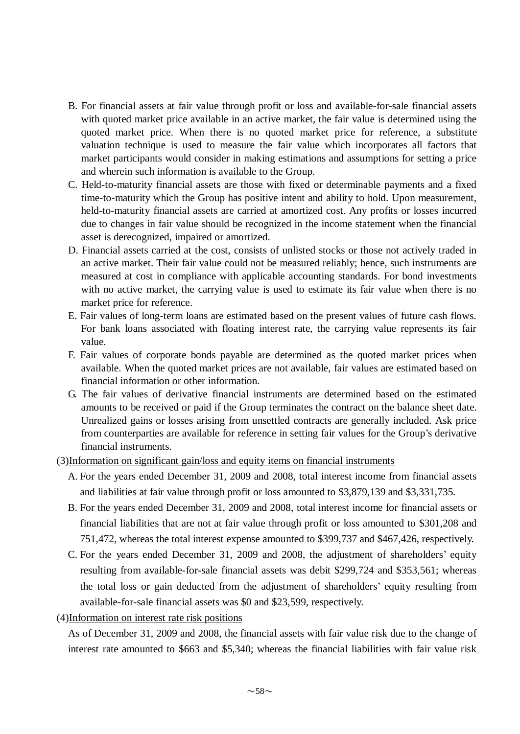- B. For financial assets at fair value through profit or loss and available-for-sale financial assets with quoted market price available in an active market, the fair value is determined using the quoted market price. When there is no quoted market price for reference, a substitute valuation technique is used to measure the fair value which incorporates all factors that market participants would consider in making estimations and assumptions for setting a price and wherein such information is available to the Group.
- C. Held-to-maturity financial assets are those with fixed or determinable payments and a fixed time-to-maturity which the Group has positive intent and ability to hold. Upon measurement, held-to-maturity financial assets are carried at amortized cost. Any profits or losses incurred due to changes in fair value should be recognized in the income statement when the financial asset is derecognized, impaired or amortized.
- D. Financial assets carried at the cost, consists of unlisted stocks or those not actively traded in an active market. Their fair value could not be measured reliably; hence, such instruments are measured at cost in compliance with applicable accounting standards. For bond investments with no active market, the carrying value is used to estimate its fair value when there is no market price for reference.
- E. Fair values of long-term loans are estimated based on the present values of future cash flows. For bank loans associated with floating interest rate, the carrying value represents its fair value.
- F. Fair values of corporate bonds payable are determined as the quoted market prices when available. When the quoted market prices are not available, fair values are estimated based on financial information or other information.
- G. The fair values of derivative financial instruments are determined based on the estimated amounts to be received or paid if the Group terminates the contract on the balance sheet date. Unrealized gains or losses arising from unsettled contracts are generally included. Ask price from counterparties are available for reference in setting fair values for the Group's derivative financial instruments.
- (3)Information on significant gain/loss and equity items on financial instruments
	- A. For the years ended December 31, 2009 and 2008, total interest income from financial assets and liabilities at fair value through profit or loss amounted to \$3,879,139 and \$3,331,735.
	- B. For the years ended December 31, 2009 and 2008, total interest income for financial assets or financial liabilities that are not at fair value through profit or loss amounted to \$301,208 and 751,472, whereas the total interest expense amounted to \$399,737 and \$467,426, respectively.
	- C. For the years ended December 31, 2009 and 2008, the adjustment of shareholders' equity resulting from available-for-sale financial assets was debit \$299,724 and \$353,561; whereas the total loss or gain deducted from the adjustment of shareholders' equity resulting from available-for-sale financial assets was \$0 and \$23,599, respectively.
- (4)Information on interest rate risk positions

As of December 31, 2009 and 2008, the financial assets with fair value risk due to the change of interest rate amounted to \$663 and \$5,340; whereas the financial liabilities with fair value risk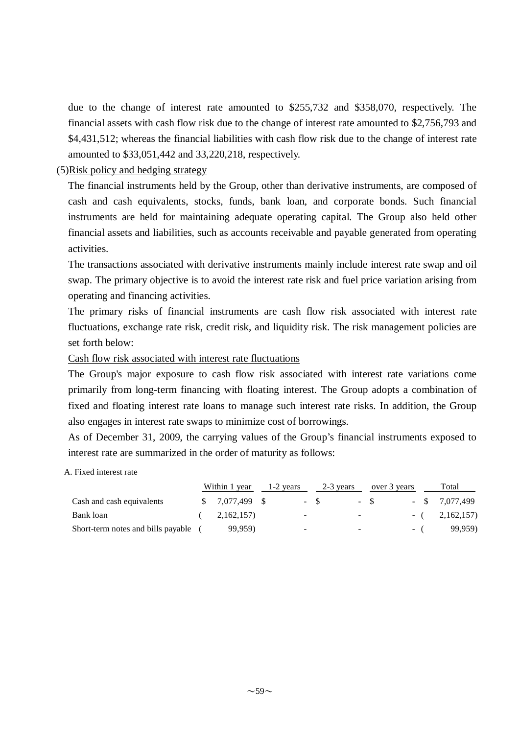due to the change of interest rate amounted to \$255,732 and \$358,070, respectively. The financial assets with cash flow risk due to the change of interest rate amounted to \$2,756,793 and \$4,431,512; whereas the financial liabilities with cash flow risk due to the change of interest rate amounted to \$33,051,442 and 33,220,218, respectively.

### (5)Risk policy and hedging strategy

The financial instruments held by the Group, other than derivative instruments, are composed of cash and cash equivalents, stocks, funds, bank loan, and corporate bonds. Such financial instruments are held for maintaining adequate operating capital. The Group also held other financial assets and liabilities, such as accounts receivable and payable generated from operating activities.

The transactions associated with derivative instruments mainly include interest rate swap and oil swap. The primary objective is to avoid the interest rate risk and fuel price variation arising from operating and financing activities.

The primary risks of financial instruments are cash flow risk associated with interest rate fluctuations, exchange rate risk, credit risk, and liquidity risk. The risk management policies are set forth below:

#### Cash flow risk associated with interest rate fluctuations

The Group's major exposure to cash flow risk associated with interest rate variations come primarily from long-term financing with floating interest. The Group adopts a combination of fixed and floating interest rate loans to manage such interest rate risks. In addition, the Group also engages in interest rate swaps to minimize cost of borrowings.

As of December 31, 2009, the carrying values of the Group's financial instruments exposed to interest rate are summarized in the order of maturity as follows:

#### A. Fixed interest rate

|                                    | Within 1 year |                 |  | 1-2 years | 2-3 years |                          | over 3 years |  | Total |                  |
|------------------------------------|---------------|-----------------|--|-----------|-----------|--------------------------|--------------|--|-------|------------------|
| Cash and cash equivalents          |               | $$7,077,499$ \; |  |           | $-$ S     |                          | $-$ S        |  |       | $-$ \$ 7.077.499 |
| Bank loan                          |               | 2,162,157)      |  | -         |           | $\overline{\phantom{a}}$ |              |  |       | $-(2,162,157)$   |
| Short-term notes and bills payable |               | 99,959)         |  | -         |           | -                        |              |  | $-$ ( | 99,959)          |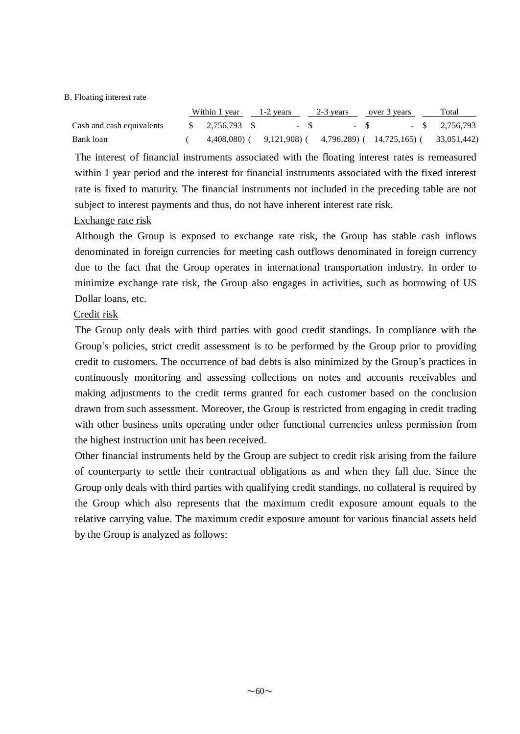#### B. Floating interest rate

|                           | Within 1 year $1-2$ years $2-3$ years over 3 years |  |  |  |                                                                         |  | Total |
|---------------------------|----------------------------------------------------|--|--|--|-------------------------------------------------------------------------|--|-------|
| Cash and cash equivalents | $\frac{1}{2}$ , 2,756,793 \$                       |  |  |  | $-$ \$ $-$ \$ $-$ \$ 2.756.793                                          |  |       |
| Bank loan                 |                                                    |  |  |  | $4,408,080$ ( $9,121,908$ ( $4,796,289$ ( $14,725,165$ ( $33,051,442$ ) |  |       |

The interest of financial instruments associated with the floating interest rates is remeasured within 1 year period and the interest for financial instruments associated with the fixed interest rate is fixed to maturity. The financial instruments not included in the preceding table are not subject to interest payments and thus, do not have inherent interest rate risk.

#### Exchange rate risk

Although the Group is exposed to exchange rate risk, the Group has stable cash inflows denominated in foreign currencies for meeting cash outflows denominated in foreign currency due to the fact that the Group operates in international transportation industry. In order to minimize exchange rate risk, the Group also engages in activities, such as borrowing of US Dollar loans, etc.

#### Credit risk

The Group only deals with third parties with good credit standings. In compliance with the Group's policies, strict credit assessment is to be performed by the Group prior to providing credit to customers. The occurrence of bad debts is also minimized by the Group's practices in continuously monitoring and assessing collections on notes and accounts receivables and making adjustments to the credit terms granted for each customer based on the conclusion drawn from such assessment. Moreover, the Group is restricted from engaging in credit trading with other business units operating under other functional currencies unless permission from the highest instruction unit has been received.

Other financial instruments held by the Group are subject to credit risk arising from the failure of counterparty to settle their contractual obligations as and when they fall due. Since the Group only deals with third parties with qualifying credit standings, no collateral is required by the Group which also represents that the maximum credit exposure amount equals to the relative carrying value. The maximum credit exposure amount for various financial assets held by the Group is analyzed as follows: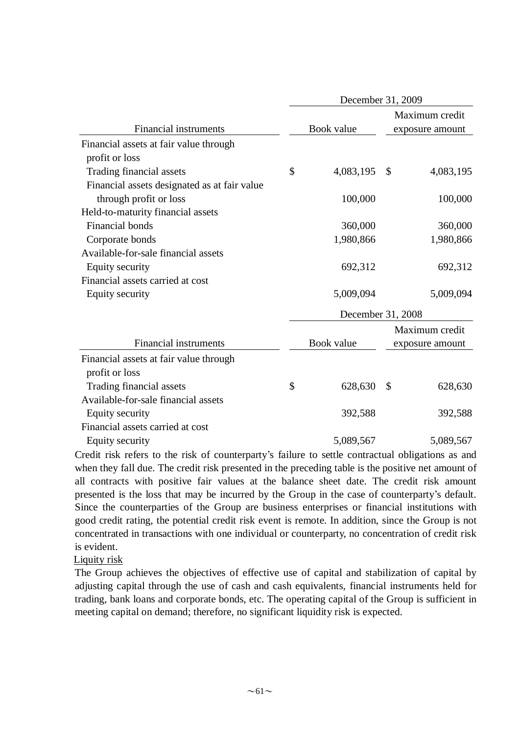|                                              | December 31, 2009 |                                   |                 |  |
|----------------------------------------------|-------------------|-----------------------------------|-----------------|--|
| <b>Financial instruments</b>                 | Book value        | Maximum credit<br>exposure amount |                 |  |
| Financial assets at fair value through       |                   |                                   |                 |  |
| profit or loss                               |                   |                                   |                 |  |
| Trading financial assets                     | \$<br>4,083,195   | \$                                | 4,083,195       |  |
| Financial assets designated as at fair value |                   |                                   |                 |  |
| through profit or loss                       | 100,000           |                                   | 100,000         |  |
| Held-to-maturity financial assets            |                   |                                   |                 |  |
| <b>Financial bonds</b>                       | 360,000           |                                   | 360,000         |  |
| Corporate bonds                              | 1,980,866         |                                   | 1,980,866       |  |
| Available-for-sale financial assets          |                   |                                   |                 |  |
| Equity security                              | 692,312           |                                   | 692,312         |  |
| Financial assets carried at cost             |                   |                                   |                 |  |
| Equity security                              | 5,009,094         |                                   | 5,009,094       |  |
|                                              | December 31, 2008 |                                   |                 |  |
|                                              |                   |                                   | Maximum credit  |  |
| <b>Financial instruments</b>                 | Book value        |                                   | exposure amount |  |
| Financial assets at fair value through       |                   |                                   |                 |  |
| profit or loss                               |                   |                                   |                 |  |
| Trading financial assets                     | \$<br>628,630     | \$                                | 628,630         |  |
| Available-for-sale financial assets          |                   |                                   |                 |  |
| Equity security                              | 392,588           |                                   | 392,588         |  |
| Financial assets carried at cost             |                   |                                   |                 |  |
| Equity security                              | 5,089,567         |                                   | 5,089,567       |  |

Credit risk refers to the risk of counterparty's failure to settle contractual obligations as and when they fall due. The credit risk presented in the preceding table is the positive net amount of all contracts with positive fair values at the balance sheet date. The credit risk amount presented is the loss that may be incurred by the Group in the case of counterparty's default. Since the counterparties of the Group are business enterprises or financial institutions with good credit rating, the potential credit risk event is remote. In addition, since the Group is not concentrated in transactions with one individual or counterparty, no concentration of credit risk is evident.

Liquity risk

The Group achieves the objectives of effective use of capital and stabilization of capital by adjusting capital through the use of cash and cash equivalents, financial instruments held for trading, bank loans and corporate bonds, etc. The operating capital of the Group is sufficient in meeting capital on demand; therefore, no significant liquidity risk is expected.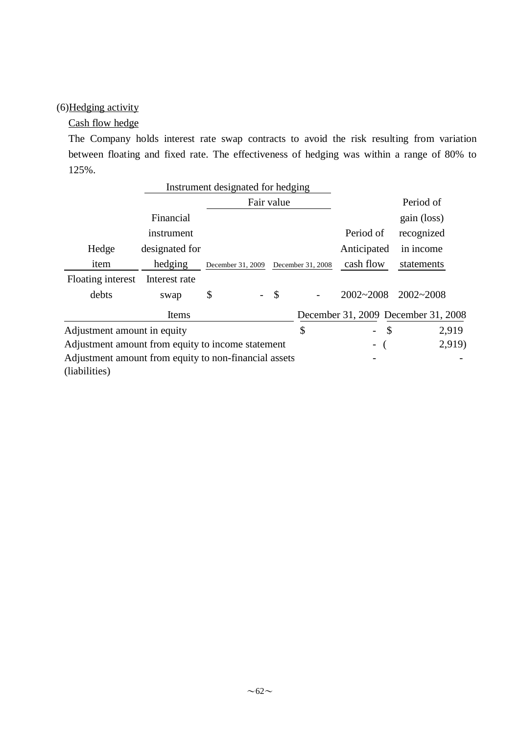# (6)Hedging activity

#### Cash flow hedge

The Company holds interest rate swap contracts to avoid the risk resulting from variation between floating and fixed rate. The effectiveness of hedging was within a range of 80% to 125%.

|                                                       | Instrument designated for hedging |                   |            |                   |                                           |                                     |
|-------------------------------------------------------|-----------------------------------|-------------------|------------|-------------------|-------------------------------------------|-------------------------------------|
|                                                       |                                   |                   | Fair value |                   |                                           | Period of                           |
|                                                       | Financial                         |                   |            |                   |                                           | gain (loss)                         |
|                                                       | instrument                        |                   |            |                   | Period of                                 | recognized                          |
| Hedge                                                 | designated for                    |                   |            |                   | Anticipated                               | in income                           |
| item                                                  | hedging                           | December 31, 2009 |            | December 31, 2008 | cash flow                                 | statements                          |
| Floating interest                                     | Interest rate                     |                   |            |                   |                                           |                                     |
| debts                                                 | swap                              | \$                |            | \$                | $2002 - 2008$                             | 2002~2008                           |
|                                                       | Items                             |                   |            |                   |                                           | December 31, 2009 December 31, 2008 |
| Adjustment amount in equity                           |                                   |                   |            | \$                | $\mathcal{S}$<br>$\overline{\phantom{a}}$ | 2,919                               |
| Adjustment amount from equity to income statement     |                                   |                   |            |                   | $\qquad \qquad \blacksquare$              | 2,919)                              |
| Adjustment amount from equity to non-financial assets |                                   |                   |            |                   |                                           |                                     |
| (liabilities)                                         |                                   |                   |            |                   |                                           |                                     |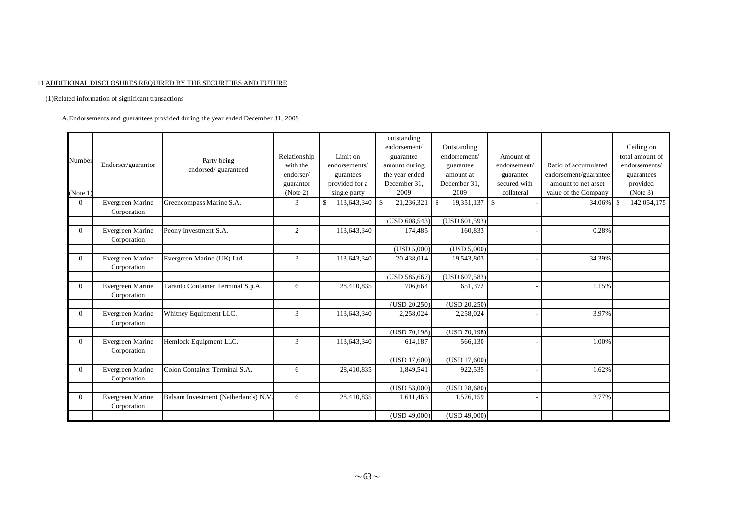#### 11.ADDITIONAL DISCLOSURES REQUIRED BY THE SECURITIES AND FUTURE

(1)Related information of significant transactions

A. Endorsements and guarantees provided during the year ended December 31, 2009

| Number       | Endorser/guarantor              | Party being<br>endorsed/guaranteed  | Relationship<br>with the<br>endorser/<br>guarantor | Limit on<br>endorsements/<br>gurantees<br>provided for a | outstanding<br>endorsement/<br>guarantee<br>amount during<br>the year ended<br>December 31, | Outstanding<br>endorsement/<br>guarantee<br>amount at<br>December 31. | Amount of<br>endorsement/<br>guarantee<br>secured with | Ratio of accumulated<br>endorsement/guarantee<br>amount to net asset | Ceiling on<br>total amount of<br>endorsements/<br>guarantees<br>provided |
|--------------|---------------------------------|-------------------------------------|----------------------------------------------------|----------------------------------------------------------|---------------------------------------------------------------------------------------------|-----------------------------------------------------------------------|--------------------------------------------------------|----------------------------------------------------------------------|--------------------------------------------------------------------------|
| (Note 1)     |                                 |                                     | (Note 2)                                           | single party                                             | 2009                                                                                        | 2009                                                                  | collateral                                             | value of the Company                                                 | (Note 3)                                                                 |
| $\mathbf{0}$ | Evergreen Marine<br>Corporation | Greencompass Marine S.A.            | 3                                                  | 113,643,340<br><sup>S</sup>                              | $\mathbb{S}$<br>21,236,321                                                                  | $19,351,137$ \$<br>S.                                                 |                                                        | 34.06%                                                               | -S<br>142,054,175                                                        |
|              |                                 |                                     |                                                    |                                                          | (USD 608, 543)                                                                              | (USD 601,593)                                                         |                                                        |                                                                      |                                                                          |
| $\Omega$     | Evergreen Marine<br>Corporation | Peony Investment S.A.               | 2                                                  | 113,643,340                                              | 174,485                                                                                     | 160,833                                                               |                                                        | 0.28%                                                                |                                                                          |
|              |                                 |                                     |                                                    |                                                          | (USD 5,000)                                                                                 | (USD 5,000)                                                           |                                                        |                                                                      |                                                                          |
| $\theta$     | Evergreen Marine<br>Corporation | Evergreen Marine (UK) Ltd.          | 3                                                  | 113,643,340                                              | 20,438,014                                                                                  | 19,543,803                                                            |                                                        | 34.39%                                                               |                                                                          |
|              |                                 |                                     |                                                    |                                                          | (USD 585, 667)                                                                              | (USD 607,583)                                                         |                                                        |                                                                      |                                                                          |
| $\Omega$     | Evergreen Marine<br>Corporation | Taranto Container Terminal S.p.A.   | 6                                                  | 28,410,835                                               | 706.664                                                                                     | 651,372                                                               |                                                        | 1.15%                                                                |                                                                          |
|              |                                 |                                     |                                                    |                                                          | (USD 20,250)                                                                                | (USD 20, 250)                                                         |                                                        |                                                                      |                                                                          |
| $\theta$     | Evergreen Marine<br>Corporation | Whitney Equipment LLC.              | 3                                                  | 113,643,340                                              | 2,258,024                                                                                   | 2,258,024                                                             |                                                        | 3.97%                                                                |                                                                          |
|              |                                 |                                     |                                                    |                                                          | (USD 70,198)                                                                                | (USD 70, 198)                                                         |                                                        |                                                                      |                                                                          |
| $\Omega$     | Evergreen Marine<br>Corporation | Hemlock Equipment LLC.              | 3                                                  | 113,643,340                                              | 614,187                                                                                     | 566,130                                                               |                                                        | 1.00%                                                                |                                                                          |
|              |                                 |                                     |                                                    |                                                          | (USD 17,600)                                                                                | (USD 17,600)                                                          |                                                        |                                                                      |                                                                          |
| $\Omega$     | Evergreen Marine<br>Corporation | Colon Container Terminal S.A.       | 6                                                  | 28,410,835                                               | 1,849,541                                                                                   | 922,535                                                               |                                                        | 1.62%                                                                |                                                                          |
|              |                                 |                                     |                                                    |                                                          | (USD 53,000)                                                                                | (USD 28,680)                                                          |                                                        |                                                                      |                                                                          |
| $\Omega$     | Evergreen Marine<br>Corporation | Balsam Investment (Netherlands) N.V | 6                                                  | 28,410,835                                               | 1,611,463                                                                                   | 1,576,159                                                             |                                                        | 2.77%                                                                |                                                                          |
|              |                                 |                                     |                                                    |                                                          | (USD 49,000)                                                                                | (USD 49,000)                                                          |                                                        |                                                                      |                                                                          |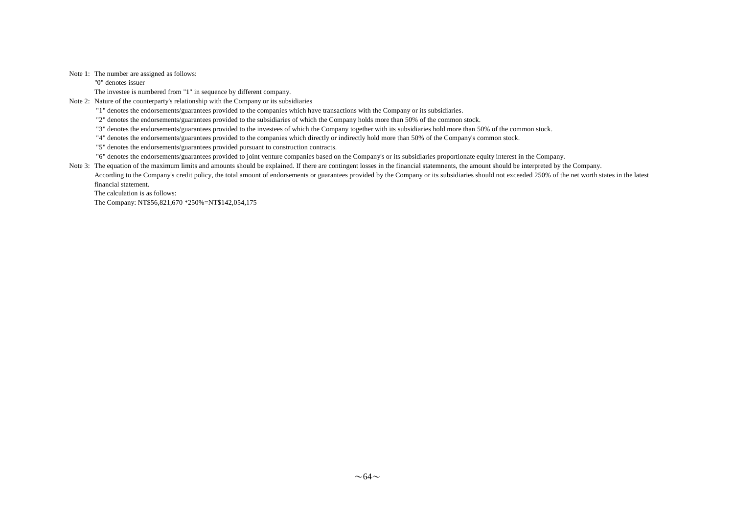#### Note 1: The number are assigned as follows:

"0" denotes issuer

The investee is numbered from "1" in sequence by different company.

Note 2: Nature of the counterparty's relationship with the Company or its subsidiaries

"1" denotes the endorsements/guarantees provided to the companies which have transactions with the Company or its subsidiaries.

"2" denotes the endorsements/guarantees provided to the subsidiaries of which the Company holds more than 50% of the common stock.

"3" denotes the endorsements/guarantees provided to the investees of which the Company together with its subsidiaries hold more than 50% of the common stock.

"4" denotes the endorsements/guarantees provided to the companies which directly or indirectly hold more than 50% of the Company's common stock.

"5" denotes the endorsements/guarantees provided pursuant to construction contracts.

"6" denotes the endorsements/guarantees provided to joint venture companies based on the Company's or its subsidiaries proportionate equity interest in the Company.

Note 3: The equation of the maximum limits and amounts should be explained. If there are contingent losses in the financial statemnents, the amount should be interpreted by the Company.

According to the Company's credit policy, the total amount of endorsements or guarantees provided by the Company or its subsidiaries should not exceeded 250% of the net worth states in the latest financial statement.

The calculation is as follows:

The Company: NT\$56,821,670 \*250%=NT\$142,054,175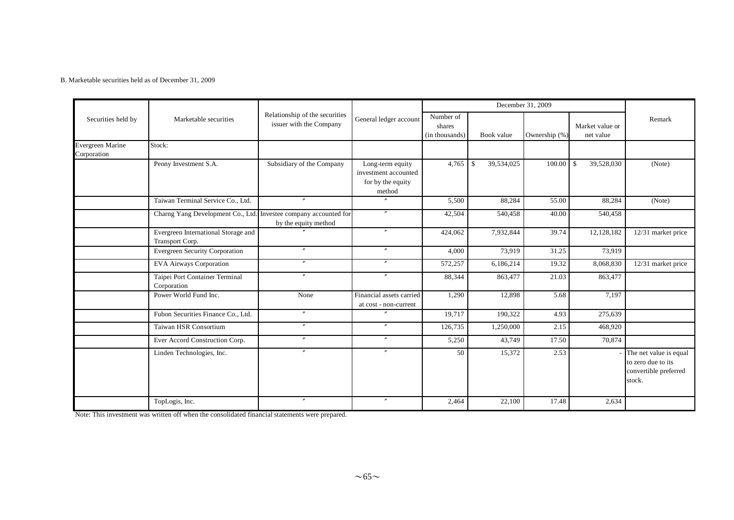#### B. Marketable securities held as of December 31, 2009

|                                        |                                                                  |                                                           |                                                                         |                                       |                            | December 31, 2009 |                              |                                                                                 |
|----------------------------------------|------------------------------------------------------------------|-----------------------------------------------------------|-------------------------------------------------------------------------|---------------------------------------|----------------------------|-------------------|------------------------------|---------------------------------------------------------------------------------|
| Securities held by                     | Marketable securities                                            | Relationship of the securities<br>issuer with the Company | General ledger account                                                  | Number of<br>shares<br>(in thousands) | Book value                 | Ownership (%)     | Market value or<br>net value | Remark                                                                          |
| <b>Evergreen Marine</b><br>Corporation | Stock:                                                           |                                                           |                                                                         |                                       |                            |                   |                              |                                                                                 |
|                                        | Peony Investment S.A.                                            | Subsidiary of the Company                                 | Long-term equity<br>investment accounted<br>for by the equity<br>method | 4,765                                 | 39,534,025<br>$\mathbb{S}$ | 100.00            | 39,528,030<br>$\mathcal{S}$  | (Note)                                                                          |
|                                        | Taiwan Terminal Service Co., Ltd.                                | $\overline{''}$                                           | $^{\prime\prime}$                                                       | 5,500                                 | 88,284                     | 55.00             | 88,284                       | (Note)                                                                          |
|                                        | Charng Yang Development Co., Ltd. Investee company accounted for | by the equity method                                      | $^{\prime\prime}$                                                       | 42,504                                | 540,458                    | 40.00             | 540,458                      |                                                                                 |
|                                        | Evergreen International Storage and<br>Transport Corp.           |                                                           | $^{\prime\prime}$                                                       | 424,062                               | 7,932,844                  | 39.74             | 12,128,182                   | 12/31 market price                                                              |
|                                        | <b>Evergreen Security Corporation</b>                            | $^{\prime\prime}$                                         | $^{\prime\prime}$                                                       | 4,000                                 | 73,919                     | 31.25             | 73,919                       |                                                                                 |
|                                        | <b>EVA Airways Corporation</b>                                   | $^{\prime\prime}$                                         | $\prime\prime$                                                          | 572,257                               | 6,186,214                  | 19.32             | 8,068,830                    | 12/31 market price                                                              |
|                                        | Taipei Port Container Terminal<br>Corporation                    | $\overline{''}$                                           | $^{\prime\prime}$                                                       | 88,344                                | 863,477                    | 21.03             | 863,477                      |                                                                                 |
|                                        | Power World Fund Inc.                                            | None                                                      | Financial assets carried<br>at cost - non-current                       | 1,290                                 | 12,898                     | 5.68              | 7,197                        |                                                                                 |
|                                        | Fubon Securities Finance Co., Ltd.                               | $\overline{''}$                                           | $\overline{''}$                                                         | 19,717                                | 190,322                    | 4.93              | 275,639                      |                                                                                 |
|                                        | Taiwan HSR Consortium                                            | $^{\prime\prime}$                                         | $^{\prime\prime}$                                                       | 126,735                               | 1,250,000                  | 2.15              | 468,920                      |                                                                                 |
|                                        | Ever Accord Construction Corp.                                   | $^{\prime\prime}$                                         | $\prime\prime$                                                          | 5,250                                 | 43,749                     | 17.50             | 70,874                       |                                                                                 |
|                                        | Linden Technologies, Inc.                                        | $\overline{''}$                                           | $\prime\prime$                                                          | 50                                    | 15,372                     | 2.53              |                              | The net value is equal<br>to zero due to its<br>convertible preferred<br>stock. |
|                                        | TopLogis, Inc.                                                   | $\prime\prime$                                            | $^{\prime\prime}$                                                       | 2,464                                 | 22,100                     | 17.48             | 2,634                        |                                                                                 |

Note: This investment was written off when the consolidated financial statements were prepared.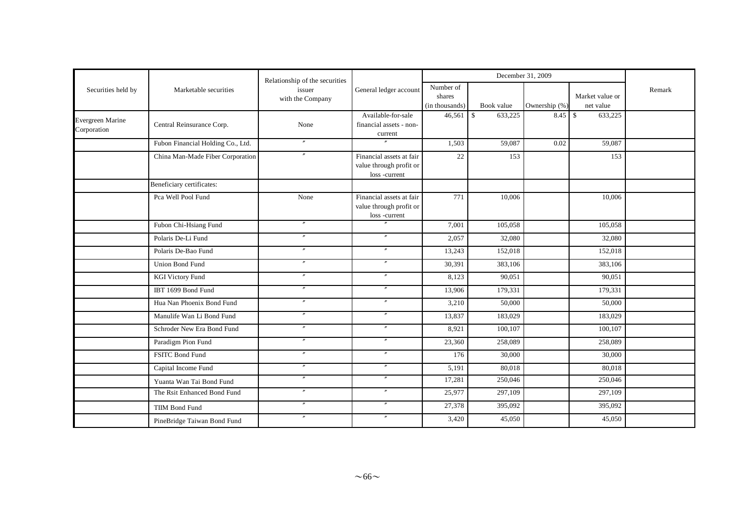|                                 |                                       | Relationship of the securities |                                                                     |                                       |                        | December 31, 2009 |                              |        |
|---------------------------------|---------------------------------------|--------------------------------|---------------------------------------------------------------------|---------------------------------------|------------------------|-------------------|------------------------------|--------|
| Securities held by              | Marketable securities                 | issuer<br>with the Company     | General ledger account                                              | Number of<br>shares<br>(in thousands) | Book value             | Ownership (%)     | Market value or<br>net value | Remark |
| Evergreen Marine<br>Corporation | Central Reinsurance Corp.             | None                           | Available-for-sale<br>financial assets - non-<br>current            | 46,561                                | $\mathbb S$<br>633,225 | 8.45              | $\mathbb{S}$<br>633,225      |        |
|                                 | Fubon Financial Holding Co., Ltd.     | $^{\prime\prime}$              |                                                                     | 1,503                                 | 59,087                 | 0.02              | 59,087                       |        |
|                                 | China Man-Made Fiber Corporation      | $\overline{''}$                | Financial assets at fair<br>value through profit or<br>loss-current | 22                                    | 153                    |                   | 153                          |        |
|                                 | Beneficiary certificates:             |                                |                                                                     |                                       |                        |                   |                              |        |
|                                 | Pca Well Pool Fund                    | None                           | Financial assets at fair<br>value through profit or<br>loss-current | 771                                   | 10,006                 |                   | 10,006                       |        |
|                                 | Fubon Chi-Hsiang Fund                 | $^{\prime\prime}$              | $\theta$                                                            | 7,001                                 | 105,058                |                   | 105,058                      |        |
|                                 | Polaris De-Li Fund                    |                                | $\prime\prime$                                                      | 2,057                                 | 32,080                 |                   | 32,080                       |        |
|                                 | Polaris De-Bao Fund                   | $\overline{''}$                | $\prime\prime$                                                      | 13,243                                | 152,018                |                   | 152,018                      |        |
|                                 | Union Bond Fund                       |                                | $^{\prime\prime}$                                                   | 30,391                                | 383,106                |                   | 383,106                      |        |
|                                 | <b>KGI Victory Fund</b>               | $^{\prime\prime}$              | $^{\prime\prime}$                                                   | 8,123                                 | 90,051                 |                   | 90.051                       |        |
|                                 | IBT 1699 Bond Fund                    | $^{\prime\prime}$              | $\prime\prime$                                                      | 13,906                                | 179,331                |                   | 179,331                      |        |
|                                 | Hua Nan Phoenix Bond Fund             |                                | $^{\prime\prime}$                                                   | 3,210                                 | 50,000                 |                   | 50,000                       |        |
|                                 | Manulife Wan Li Bond Fund             |                                | $^{\prime\prime}$                                                   | 13,837                                | 183,029                |                   | 183,029                      |        |
|                                 | Schroder New Era Bond Fund            |                                | $\prime\prime$                                                      | 8,921                                 | 100,107                |                   | 100,107                      |        |
|                                 | Paradigm Pion Fund                    | $\overline{''}$                | $\overline{''}$                                                     | 23,360                                | 258,089                |                   | 258,089                      |        |
|                                 | FSITC Bond Fund                       | $\prime$                       | $^{\prime\prime}$                                                   | 176                                   | 30,000                 |                   | 30,000                       |        |
|                                 | Capital Income Fund                   | $^{\prime\prime}$              | $\prime\prime$                                                      | 5,191                                 | 80,018                 |                   | 80,018                       |        |
|                                 | Yuanta Wan Tai Bond Fund              |                                | $\prime\prime$                                                      | 17,281                                | 250,046                |                   | 250,046                      |        |
|                                 | The Rsit Enhanced Bond Fund           | $\overline{''}$                | $^{\prime\prime}$                                                   | 25,977                                | 297,109                |                   | 297,109                      |        |
|                                 | $\mathbf{v}$<br><b>TIIM Bond Fund</b> |                                | $\prime\prime$                                                      | 27,378                                | 395,092                |                   | 395,092                      |        |
|                                 | PineBridge Taiwan Bond Fund           | $^{\prime\prime}$              | $^{\prime\prime}$                                                   | 3,420                                 | 45,050                 |                   | 45,050                       |        |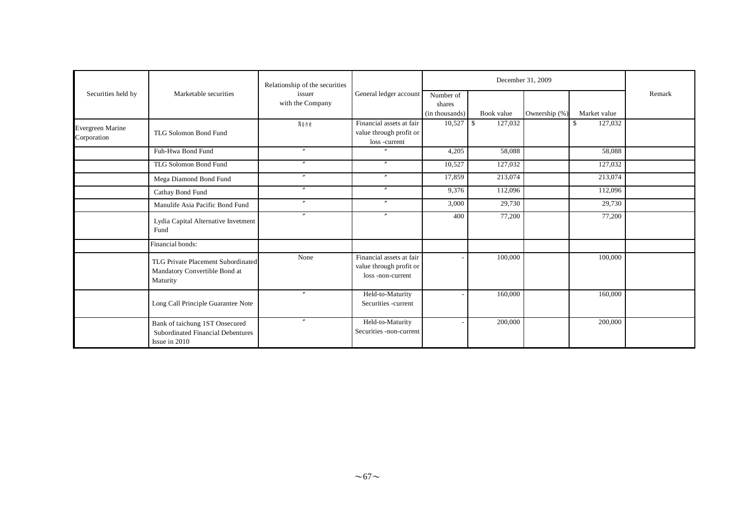|                                 |                                                                                             | Relationship of the securities |                                                                         |                                       |            | December 31, 2009 |                |        |
|---------------------------------|---------------------------------------------------------------------------------------------|--------------------------------|-------------------------------------------------------------------------|---------------------------------------|------------|-------------------|----------------|--------|
| Securities held by              | Marketable securities                                                                       | issuer<br>with the Company     | General ledger account                                                  | Number of<br>shares<br>(in thousands) | Book value | Ownership (%)     | Market value   | Remark |
| Evergreen Marine<br>Corporation | TLG Solomon Bond Fund                                                                       | <b>None</b>                    | Financial assets at fair<br>value through profit or<br>loss -current    |                                       | 127,032    |                   | 127,032<br>\$. |        |
|                                 | Fuh-Hwa Bond Fund                                                                           | $\prime$                       | $\overline{''}$                                                         | 4,205                                 | 58,088     |                   | 58,088         |        |
|                                 | TLG Solomon Bond Fund                                                                       | $\boldsymbol{r}$               | $^{\prime\prime}$                                                       | 10,527                                | 127,032    |                   | 127,032        |        |
|                                 | Mega Diamond Bond Fund                                                                      | $\boldsymbol{''}$              | $^{\prime\prime}$                                                       | 17,859                                | 213,074    |                   | 213,074        |        |
|                                 | Cathay Bond Fund                                                                            | $\overline{''}$                | $^{\prime\prime}$                                                       | 9,376                                 | 112,096    |                   | 112,096        |        |
|                                 | Manulife Asia Pacific Bond Fund                                                             | $^{\prime\prime}$              | $^{\prime\prime}$                                                       | 3,000                                 | 29,730     |                   | 29,730         |        |
|                                 | Lydia Capital Alternative Invetment<br>Fund                                                 | $\prime\prime$                 | $\prime\prime$                                                          | 400                                   | 77,200     |                   | 77,200         |        |
|                                 | Financial bonds:                                                                            |                                |                                                                         |                                       |            |                   |                |        |
|                                 | TLG Private Placement Subordinated<br>Mandatory Convertible Bond at<br>Maturity             | None                           | Financial assets at fair<br>value through profit or<br>loss-non-current |                                       | 100,000    |                   | 100,000        |        |
|                                 | Long Call Principle Guarantee Note                                                          | $^{\prime\prime}$              | Held-to-Maturity<br>Securities -current                                 |                                       | 160,000    |                   | 160,000        |        |
|                                 | Bank of taichung 1ST Onsecured<br><b>Subordinated Financial Debentures</b><br>Issue in 2010 | $^{\prime\prime}$              | Held-to-Maturity<br>Securities -non-current                             |                                       | 200,000    |                   | 200,000        |        |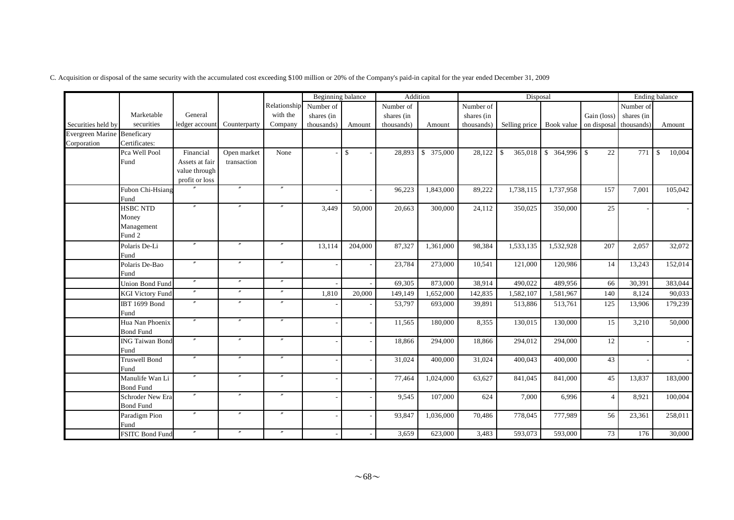|                             |                         |                   |                   |                   | <b>Beginning</b> balance |              |            | Addition   |            | Disposal                 |           |                        |            | Ending balance |
|-----------------------------|-------------------------|-------------------|-------------------|-------------------|--------------------------|--------------|------------|------------|------------|--------------------------|-----------|------------------------|------------|----------------|
|                             |                         |                   |                   | Relationship      | Number of                |              | Number of  |            | Number of  |                          |           |                        | Number of  |                |
|                             | Marketable              | General           |                   | with the          | shares (in               |              | shares (in |            | shares (in |                          |           | Gain (loss)            | shares (in |                |
| Securities held by          | securities              | ledger account    | Counterparty      | Company           | thousands)               | Amount       | thousands) | Amount     | thousands) | Selling price Book value |           | on disposal thousands) |            | Amount         |
| Evergreen Marine Beneficary |                         |                   |                   |                   |                          |              |            |            |            |                          |           |                        |            |                |
| Corporation                 | Certificates:           |                   |                   |                   |                          |              |            |            |            |                          |           |                        |            |                |
|                             | Pca Well Pool           | Financial         | Open market       | None              |                          | $\mathbb{S}$ | 28,893     | \$ 375,000 | 28,122     | 365,018<br>$\mathbb{S}$  |           | 22                     | 771        | 10,004<br>- \$ |
|                             | Fund                    | Assets at fair    | transaction       |                   |                          |              |            |            |            |                          |           |                        |            |                |
|                             |                         | value through     |                   |                   |                          |              |            |            |            |                          |           |                        |            |                |
|                             |                         | profit or loss    | $^{\prime\prime}$ | $\overline{''}$   |                          |              |            |            |            |                          |           |                        |            |                |
|                             | Fubon Chi-Hsiang        |                   |                   |                   |                          |              | 96,223     | 1,843,000  | 89,222     | 1,738,115                | 1,737,958 | 157                    | 7,001      | 105,042        |
|                             | Fund<br><b>HSBC NTD</b> | $^{\prime\prime}$ |                   |                   |                          | 50,000       |            | 300,000    | 24,112     |                          | 350,000   | 25                     |            |                |
|                             | Money                   |                   |                   |                   | 3,449                    |              | 20,663     |            |            | 350,025                  |           |                        |            |                |
|                             | Management              |                   |                   |                   |                          |              |            |            |            |                          |           |                        |            |                |
|                             | Fund 2                  |                   |                   |                   |                          |              |            |            |            |                          |           |                        |            |                |
|                             | Polaris De-Li           | $^{\prime\prime}$ | $^{\prime\prime}$ | $^{\prime\prime}$ | 13,114                   | 204,000      | 87,327     | 1,361,000  | 98,384     | 1,533,135                | 1,532,928 | 207                    | 2,057      | 32,072         |
|                             | Fund                    |                   |                   |                   |                          |              |            |            |            |                          |           |                        |            |                |
|                             | Polaris De-Bao          | $^{\prime\prime}$ | $\overline{''}$   | $\mathbf{v}$      |                          |              | 23,784     | 273,000    | 10,541     | 121,000                  | 120,986   | 14                     | 13,243     | 152,014        |
|                             | Fund                    |                   |                   |                   |                          |              |            |            |            |                          |           |                        |            |                |
|                             | <b>Union Bond Fund</b>  | $\prime\prime$    | $^{\prime\prime}$ | $^{\prime\prime}$ |                          |              | 69,305     | 873,000    | 38,914     | 490,022                  | 489,956   | 66                     | 30,391     | 383,044        |
|                             | <b>KGI Victory Fund</b> | $\prime\prime$    | $^{\prime\prime}$ | $\prime\prime$    | 1,810                    | 20,000       | 149,149    | 1,652,000  | 142,835    | 1,582,107                | 1,581,967 | 140                    | 8,124      | 90,033         |
|                             | <b>IBT 1699 Bond</b>    | $^{\prime\prime}$ | $^{\prime\prime}$ | $^{\prime\prime}$ |                          |              | 53,797     | 693,000    | 39,891     | 513,886                  | 513,761   | 125                    | 13,906     | 179,239        |
|                             | Fund                    |                   |                   |                   |                          |              |            |            |            |                          |           |                        |            |                |
|                             | Hua Nan Phoenix         | $^{\prime\prime}$ | $^{\prime\prime}$ | $\prime\prime$    |                          |              | 11,565     | 180,000    | 8,355      | 130,015                  | 130,000   | 15                     | 3,210      | 50,000         |
|                             | <b>Bond Fund</b>        |                   |                   |                   |                          |              |            |            |            |                          |           |                        |            |                |
|                             | <b>ING Taiwan Bond</b>  | $\prime\prime$    | $^{\prime\prime}$ | $^{\prime\prime}$ |                          |              | 18,866     | 294,000    | 18,866     | 294,012                  | 294,000   | 12                     |            |                |
|                             | Fund                    |                   |                   |                   |                          |              |            |            |            |                          |           |                        |            |                |
|                             | <b>Truswell Bond</b>    | $^{\prime\prime}$ | $^{\prime\prime}$ | $\prime\prime$    |                          |              | 31,024     | 400,000    | 31,024     | 400,043                  | 400,000   | 43                     |            |                |
|                             | Fund                    |                   |                   |                   |                          |              |            |            |            |                          |           |                        |            |                |
|                             | Manulife Wan Li         | $\prime\prime$    | $^{\prime\prime}$ | $^{\prime\prime}$ |                          |              | 77,464     | 1,024,000  | 63,627     | 841,045                  | 841,000   | 45                     | 13,837     | 183,000        |
|                             | <b>Bond Fund</b>        | $^{\prime\prime}$ | $^{\prime\prime}$ | $^{\prime\prime}$ |                          |              |            |            |            |                          |           |                        |            |                |
|                             | <b>Schroder New Era</b> |                   |                   |                   |                          |              | 9,545      | 107,000    | 624        | 7,000                    | 6,996     | $\overline{4}$         | 8,921      | 100,004        |
|                             | <b>Bond Fund</b>        | $^{\prime\prime}$ | $^{\prime\prime}$ | $^{\prime\prime}$ |                          |              |            |            |            |                          |           |                        |            |                |
|                             | Paradigm Pion           |                   |                   |                   |                          |              | 93,847     | 1,036,000  | 70,486     | 778,045                  | 777,989   | 56                     | 23,361     | 258,011        |
|                             | Fund                    | $^{\prime\prime}$ | $^{\prime\prime}$ | $^{\prime\prime}$ |                          |              |            |            |            |                          |           |                        |            |                |
|                             | <b>FSITC Bond Fund</b>  |                   |                   |                   |                          |              | 3,659      | 623,000    | 3,483      | 593,073                  | 593,000   | 73                     | 176        | 30,000         |

C. Acquisition or disposal of the same security with the accumulated cost exceeding \$100 million or 20% of the Company's paid-in capital for the year ended December 31, 2009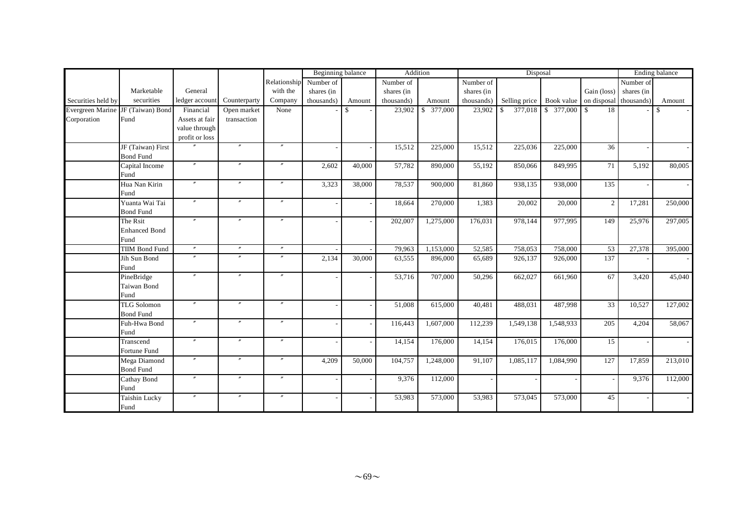|                                   |                       |                   |                   |                   | Beginning balance |                          |            | Addition   |            | Disposal      | <b>Ending balance</b> |                    |            |               |
|-----------------------------------|-----------------------|-------------------|-------------------|-------------------|-------------------|--------------------------|------------|------------|------------|---------------|-----------------------|--------------------|------------|---------------|
|                                   |                       |                   |                   | Relationship      | Number of         |                          | Number of  |            | Number of  |               |                       |                    | Number of  |               |
|                                   | Marketable            | General           |                   | with the          | shares (in        |                          | shares (in |            | shares (in |               |                       | Gain (loss)        | shares (in |               |
| Securities held by                | securities            | ledger account    | Counterparty      | Company           | thousands)        | Amount                   | thousands) | Amount     | thousands) | Selling price | Book value            | on disposal        | thousands) | Amount        |
| Evergreen Marine JF (Taiwan) Bond |                       | Financial         | Open market       | None              |                   | $\mathbb{S}$             | 23,902     | \$ 377,000 | 23,902     | 377,018<br>\$ | \$ 377,000            | $\mathbb{S}$<br>18 |            | $\mathcal{S}$ |
| Corporation                       | Fund                  | Assets at fair    | transaction       |                   |                   |                          |            |            |            |               |                       |                    |            |               |
|                                   |                       | value through     |                   |                   |                   |                          |            |            |            |               |                       |                    |            |               |
|                                   |                       | profit or loss    |                   |                   |                   |                          |            |            |            |               |                       |                    |            |               |
|                                   | JF (Taiwan) First     |                   |                   | $^{\prime\prime}$ |                   |                          | 15,512     | 225,000    | 15,512     | 225,036       | 225,000               | $\overline{36}$    |            |               |
|                                   | <b>Bond Fund</b>      |                   |                   |                   |                   |                          |            |            |            |               |                       |                    |            |               |
|                                   | Capital Income        | $^{\prime\prime}$ | $\prime\prime$    | $^{\prime\prime}$ | 2,602             | 40,000                   | 57,782     | 890,000    | 55,192     | 850,066       | 849,995               | 71                 | 5,192      | 80,005        |
|                                   | Fund                  |                   |                   |                   |                   |                          |            |            |            |               |                       |                    |            |               |
|                                   | Hua Nan Kirin         | $^{\prime\prime}$ | $\mathbf{v}$      | $^{\prime\prime}$ | 3,323             | 38,000                   | 78,537     | 900,000    | 81,860     | 938,135       | 938,000               | 135                |            |               |
|                                   | Fund                  |                   |                   |                   |                   |                          |            |            |            |               |                       |                    |            |               |
|                                   | Yuanta Wai Tai        | $^{\prime\prime}$ | $\prime\prime$    | $^{\prime\prime}$ |                   |                          | 18,664     | 270,000    | 1,383      | 20,002        | 20,000                | 2                  | 17,281     | 250,000       |
|                                   | <b>Bond Fund</b>      |                   |                   |                   |                   |                          |            |            |            |               |                       |                    |            |               |
|                                   | The Rsit              |                   | $\overline{''}$   | $^{\prime\prime}$ |                   |                          | 202,007    | 1,275,000  | 176,031    | 978,144       | 977,995               | 149                | 25,976     | 297,005       |
|                                   | <b>Enhanced Bond</b>  |                   |                   |                   |                   |                          |            |            |            |               |                       |                    |            |               |
|                                   | Fund                  |                   |                   |                   |                   |                          |            |            |            |               |                       |                    |            |               |
|                                   | <b>TIIM Bond Fund</b> | $^{\prime\prime}$ | $\prime\prime$    | $^{\prime\prime}$ |                   |                          | 79,963     | 1,153,000  | 52,585     | 758,053       | 758,000               | 53                 | 27,378     | 395,000       |
|                                   | Jih Sun Bond          |                   | $\overline{''}$   | $\overline{''}$   | 2,134             | 30,000                   | 63,555     | 896,000    | 65,689     | 926,137       | 926,000               | 137                |            |               |
|                                   | Fund                  |                   |                   |                   |                   |                          |            |            |            |               |                       |                    |            |               |
|                                   | PineBridge            | $^{\prime\prime}$ | $\overline{''}$   | $^{\prime\prime}$ |                   |                          | 53,716     | 707,000    | 50,296     | 662,027       | 661,960               | 67                 | 3,420      | 45,040        |
|                                   | Taiwan Bond           |                   |                   |                   |                   |                          |            |            |            |               |                       |                    |            |               |
|                                   | Fund                  |                   |                   |                   |                   |                          |            |            |            |               |                       |                    |            |               |
|                                   | <b>TLG Solomon</b>    | $^{\prime\prime}$ | $^{\prime\prime}$ | $^{\prime\prime}$ |                   |                          | 51,008     | 615,000    | 40,481     | 488,031       | 487,998               | 33                 | 10,527     | 127,002       |
|                                   | <b>Bond Fund</b>      | $\theta$          | $^{\prime\prime}$ | $^{\prime\prime}$ |                   |                          |            |            |            |               |                       |                    |            |               |
|                                   | Fuh-Hwa Bond          |                   |                   |                   |                   | $\overline{\phantom{a}}$ | 116,443    | 1,607,000  | 112,239    | 1,549,138     | 1,548,933             | 205                | 4,204      | 58,067        |
|                                   | Fund                  | $^{\prime\prime}$ | $^{\prime\prime}$ | $\prime\prime$    |                   |                          |            |            |            |               |                       |                    |            |               |
|                                   | Transcend             |                   |                   |                   |                   | $\overline{\phantom{a}}$ | 14,154     | 176,000    | 14,154     | 176,015       | 176,000               | 15                 |            |               |
|                                   | Fortune Fund          | $^{\prime\prime}$ | $^{\prime\prime}$ | $^{\prime\prime}$ |                   |                          |            |            |            |               |                       |                    |            |               |
|                                   | Mega Diamond          |                   |                   |                   | 4,209             | 50,000                   | 104,757    | 1,248,000  | 91,107     | 1,085,117     | 1,084,990             | 127                | 17,859     | 213,010       |
|                                   | <b>Bond Fund</b>      |                   | $^{\prime\prime}$ | $^{\prime\prime}$ |                   |                          |            |            |            |               |                       |                    |            |               |
|                                   | Cathay Bond<br>Fund   |                   |                   |                   |                   |                          | 9,376      | 112,000    |            |               |                       |                    | 9,376      | 112,000       |
|                                   | Taishin Lucky<br>Fund | $^{\prime\prime}$ | $^{\prime\prime}$ | $^{\prime\prime}$ |                   |                          | 53,983     | 573,000    | 53,983     | 573,045       | 573,000               | 45                 |            |               |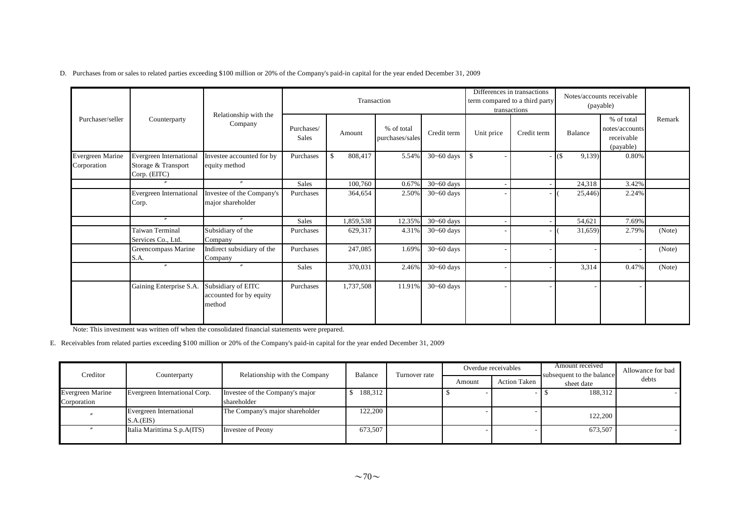|  | D. Purchases from or sales to related parties exceeding \$100 million or 20% of the Company's paid-in capital for the year ended December 31, 2009 |
|--|----------------------------------------------------------------------------------------------------------------------------------------------------|
|--|----------------------------------------------------------------------------------------------------------------------------------------------------|

|                                 |                                                                       |                                                         |                     | Transaction                                                          |        |                |                          | Differences in transactions<br>term compared to a third party<br>transactions | Notes/accounts receivable<br>(payable) |       |        |
|---------------------------------|-----------------------------------------------------------------------|---------------------------------------------------------|---------------------|----------------------------------------------------------------------|--------|----------------|--------------------------|-------------------------------------------------------------------------------|----------------------------------------|-------|--------|
| Purchaser/seller                | Counterparty                                                          | Relationship with the<br>Company                        | Purchases/<br>Sales | % of total<br>Credit term<br>Unit price<br>Amount<br>purchases/sales |        | Credit term    | Balance                  | % of total<br>notes/accounts<br>receivable<br>(payable)                       | Remark                                 |       |        |
| Evergreen Marine<br>Corporation | <b>Evergreen International</b><br>Storage & Transport<br>Corp. (EITC) | Investee accounted for by<br>equity method              | Purchases           | $\mathcal{S}$<br>808,417                                             | 5.54%  | $30 - 60$ days | -\$<br>۰                 |                                                                               | $ ($<br>9,139)                         | 0.80% |        |
|                                 | $^{\prime\prime}$                                                     | $\prime\prime$                                          | Sales               | 100,760                                                              | 0.67%  | $30 - 60$ days | ٠                        |                                                                               | 24,318                                 | 3.42% |        |
|                                 | Evergreen International<br>Corp.                                      | Investee of the Company's<br>major shareholder          | Purchases           | 364,654                                                              | 2.50%  | $30 - 60$ days |                          |                                                                               | 25,446                                 | 2.24% |        |
|                                 | $^{\prime\prime}$                                                     | $\prime$                                                | Sales               | 1,859,538                                                            | 12.35% | $30 - 60$ days | $\overline{\phantom{a}}$ |                                                                               | 54,621                                 | 7.69% |        |
|                                 | Taiwan Terminal<br>Services Co., Ltd.                                 | Subsidiary of the<br>Company                            | Purchases           | 629,317                                                              | 4.31%  | $30 - 60$ days |                          |                                                                               | 31,659)                                | 2.79% | (Note) |
|                                 | Greencompass Marine<br>S.A.                                           | Indirect subsidiary of the<br>Company                   | Purchases           | 247,085                                                              | 1.69%  | $30 - 60$ days | $\qquad \qquad$          |                                                                               |                                        |       | (Note) |
|                                 | $^{\prime\prime}$                                                     | $^{\prime\prime}$                                       | Sales               | 370,031                                                              | 2.46%  | $30 - 60$ days | ۰                        |                                                                               | 3,314                                  | 0.47% | (Note) |
|                                 | Gaining Enterprise S.A.                                               | Subsidiary of EITC<br>accounted for by equity<br>method | Purchases           | 1,737,508                                                            | 11.91% | $30 - 60$ days | ۰                        |                                                                               |                                        |       |        |

Note: This investment was written off when the consolidated financial statements were prepared.

E. Receivables from related parties exceeding \$100 million or 20% of the Company's paid-in capital for the year ended December 31, 2009

| Creditor                | Counterparty                         | Relationship with the Company   | Balance | Turnover rate |        | Overdue receivables | Amount received<br>subsequent to the balance | Allowance for bad |  |
|-------------------------|--------------------------------------|---------------------------------|---------|---------------|--------|---------------------|----------------------------------------------|-------------------|--|
|                         |                                      |                                 |         |               | Amount | <b>Action Taken</b> | sheet date                                   | debts             |  |
| <b>Evergreen Marine</b> | Evergreen International Corp.        | Investee of the Company's major | 188,312 |               |        |                     | 188,312                                      |                   |  |
| Corporation             |                                      | shareholder                     |         |               |        |                     |                                              |                   |  |
|                         | Evergreen International<br>S.A.(EIS) | The Company's major shareholder | 122,200 |               |        |                     | 122,200                                      |                   |  |
|                         | Italia Marittima S.p.A(ITS)          | Investee of Peony               | 673.507 |               |        |                     | 673,507                                      |                   |  |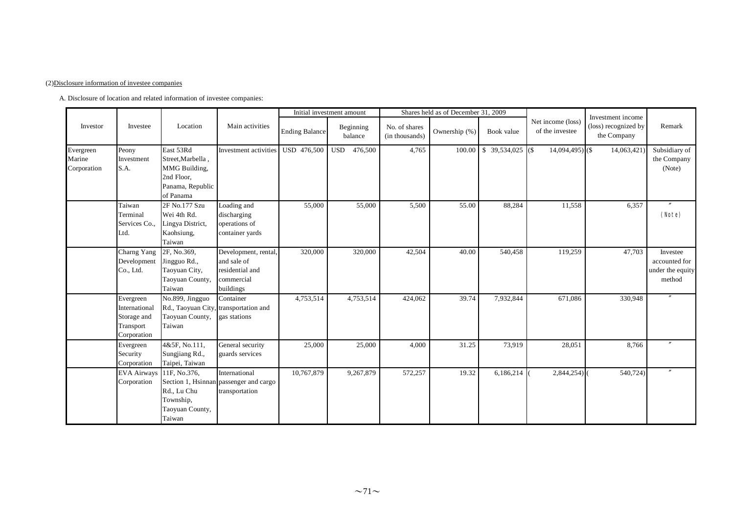#### (2)Disclosure information of investee companies

A. Disclosure of location and related information of investee companies:

|                                    |                                                                       | Location                                                                                       | Main activities                                                                   |                | Initial investment amount |                                 | Shares held as of December 31, 2009 |                                 |                                      |                                                          |                                                         |
|------------------------------------|-----------------------------------------------------------------------|------------------------------------------------------------------------------------------------|-----------------------------------------------------------------------------------|----------------|---------------------------|---------------------------------|-------------------------------------|---------------------------------|--------------------------------------|----------------------------------------------------------|---------------------------------------------------------|
| Investor                           | Investee                                                              |                                                                                                |                                                                                   | Ending Balance | Beginning<br>balance      | No. of shares<br>(in thousands) | Ownership (%)                       | Book value                      | Net income (loss)<br>of the investee | Investment income<br>(loss) recognized by<br>the Company | Remark                                                  |
| Evergreen<br>Marine<br>Corporation | Peony<br>Investment<br>S.A.                                           | East 53Rd<br>Street, Marbella,<br>MMG Building,<br>2nd Floor,<br>Panama, Republic<br>of Panama | Investment activities                                                             | USD 476,500    | <b>USD</b><br>476,500     | 4,765                           | 100.00                              | $\overline{\$}$ 39,534,025 (\$) | $14,094,495$ (\$)                    | 14,063,421)                                              | Subsidiary of<br>the Company<br>(Note)                  |
|                                    | Taiwan<br>Terminal<br>Services Co.,<br>Ltd.                           | 2F No.177 Szu<br>Wei 4th Rd.<br>Lingya District,<br>Kaohsiung,<br>Taiwan                       | Loading and<br>discharging<br>operations of<br>container yards                    | 55,000         | 55,000                    | 5,500                           | 55.00                               | 88,284                          | 11,558                               | 6,357                                                    | (Note)                                                  |
|                                    | Charng Yang<br>Development<br>Co., Ltd.                               | 2F, No.369,<br>Jingguo Rd.,<br>Taoyuan City,<br>Taoyuan County,<br>Taiwan                      | Development, rental,<br>and sale of<br>residential and<br>commercial<br>buildings | 320,000        | 320,000                   | 42,504                          | 40.00                               | 540,458                         | 119,259                              | 47,703                                                   | Investee<br>accounted for<br>under the equity<br>method |
|                                    | Evergreen<br>International<br>Storage and<br>Transport<br>Corporation | No.899, Jingguo<br>Rd., Taoyuan City, transportation and<br>Taoyuan County,<br>Taiwan          | Container<br>gas stations                                                         | 4,753,514      | 4,753,514                 | 424,062                         | 39.74                               | 7,932,844                       | 671,086                              | 330,948                                                  |                                                         |
|                                    | Evergreen<br>Security<br>Corporation                                  | 4&5F, No.111,<br>Sungjiang Rd.,<br>Taipei, Taiwan                                              | General security<br>guards services                                               | 25,000         | 25,000                    | 4,000                           | 31.25                               | 73,919                          | 28,051                               | 8,766                                                    |                                                         |
|                                    | <b>EVA Airways</b><br>Corporation                                     | 11F. No.376.<br>Rd., Lu Chu<br>Township,<br>Taoyuan County,<br>Taiwan                          | International<br>Section 1, Hsinnan passenger and cargo<br>transportation         | 10,767,879     | 9,267,879                 | 572,257                         | 19.32                               | 6,186,214                       | $2,844,254$ )                        | 540,724)                                                 | $\overline{''}$                                         |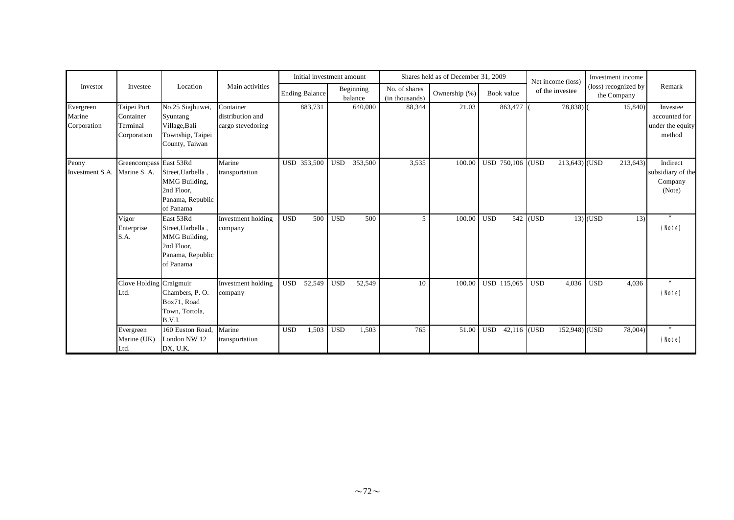|                                    |                                                     | Location                                                                                       | Main activities                                    | Initial investment amount |            |                      |                                 | Shares held as of December 31, 2009 |                      | Net income (loss)       | Investment income                   |                                                         |
|------------------------------------|-----------------------------------------------------|------------------------------------------------------------------------------------------------|----------------------------------------------------|---------------------------|------------|----------------------|---------------------------------|-------------------------------------|----------------------|-------------------------|-------------------------------------|---------------------------------------------------------|
| Investor                           | Investee                                            |                                                                                                |                                                    | <b>Ending Balance</b>     |            | Beginning<br>balance | No. of shares<br>(in thousands) | Ownership (%)                       | Book value           | of the investee         | (loss) recognized by<br>the Company | Remark                                                  |
| Evergreen<br>Marine<br>Corporation | Taipei Port<br>Container<br>Terminal<br>Corporation | No.25 Siajhuwei,<br>Syuntang<br>Village, Bali<br>Township, Taipei<br>County, Taiwan            | Container<br>distribution and<br>cargo stevedoring | 883,731                   |            | 640,000              | 88,344                          | 21.03                               | 863,477 (            | 78,838)                 | 15,840)                             | Investee<br>accounted for<br>under the equity<br>method |
| Peony<br>Investment S.A.           | Greencompass East 53Rd<br>Marine S. A.              | Street, Uarbella,<br>MMG Building,<br>2nd Floor,<br>Panama, Republic<br>of Panama              | Marine<br>transportation                           | USD 353,500               | <b>USD</b> | 353,500              | 3,535                           | 100.00                              | USD 750,106          | $213,643$ (USD<br>(USD) | 213,643)                            | Indirect<br>subsidiary of the<br>Company<br>(Note)      |
|                                    | Vigor<br>Enterprise<br>S.A.                         | East 53Rd<br>Street, Uarbella.<br>MMG Building,<br>2nd Floor.<br>Panama, Republic<br>of Panama | Investment holding<br>company                      | <b>USD</b><br>500         | <b>USD</b> | 500                  | 5                               | 100.00                              | <b>USD</b>           | 542 (USD)               | $13$ $\sqrt{\text{USD}}$<br>13)     | (Note)                                                  |
|                                    | Clove Holding Craigmuir<br>Ltd.                     | Chambers, P.O.<br>Box71, Road<br>Town, Tortola,<br>B.V.I.                                      | Investment holding<br>company                      | 52,549<br><b>USD</b>      | <b>USD</b> | 52,549               | 10                              | 100.00                              | USD 115,065          | <b>USD</b><br>4,036     | <b>USD</b><br>4,036                 | $^{\prime\prime}$<br>(Note)                             |
|                                    | Evergreen<br>Marine (UK)<br>Ltd.                    | 160 Euston Road,<br>London NW 12<br>DX, U.K.                                                   | Marine<br>transportation                           | <b>USD</b><br>1,503       | <b>USD</b> | 1,503                | 765                             | 51.00                               | 42,116<br><b>USD</b> | 152,948) (USD<br>(USD   | 78,004)                             | $\prime\prime$<br>(Note)                                |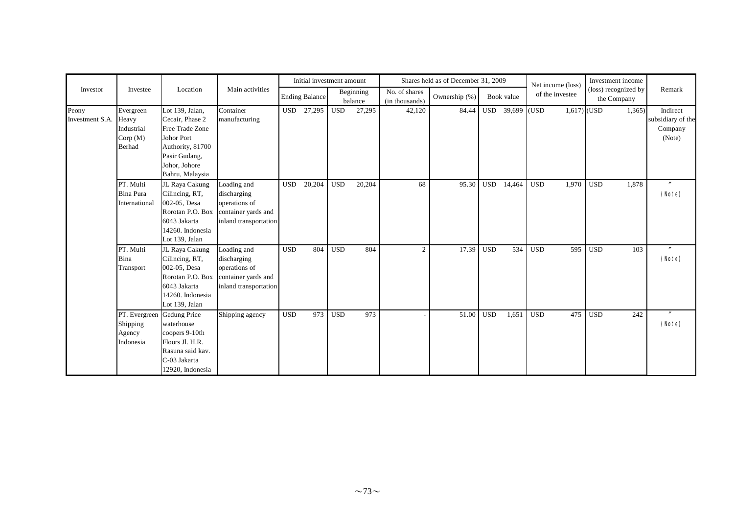|                          |                                                               |                                                                                                                                                            |                                                                                                              |            | Initial investment amount |            |                      |                                 | Shares held as of December 31, 2009 |            |                   |            | Net income (loss) | Investment income                   |       |                                                    |
|--------------------------|---------------------------------------------------------------|------------------------------------------------------------------------------------------------------------------------------------------------------------|--------------------------------------------------------------------------------------------------------------|------------|---------------------------|------------|----------------------|---------------------------------|-------------------------------------|------------|-------------------|------------|-------------------|-------------------------------------|-------|----------------------------------------------------|
| Investor                 | Investee                                                      | Location                                                                                                                                                   | Main activities                                                                                              |            | <b>Ending Balance</b>     |            | Beginning<br>balance | No. of shares<br>(in thousands) | Ownership (%)                       |            | Book value        |            | of the investee   | (loss) recognized by<br>the Company |       | Remark                                             |
| Peony<br>Investment S.A. | Evergreen<br>Heavy<br>Industrial<br>Corp(M)<br>Berhad         | Lot 139, Jalan,<br>Cecair, Phase 2<br><b>Free Trade Zone</b><br><b>Johor Port</b><br>Authority, 81700<br>Pasir Gudang,<br>Johor, Johore<br>Bahru, Malaysia | Container<br>manufacturing                                                                                   |            | USD 27,295                | <b>USD</b> | 27,295               | 42,120                          | 84.44                               |            | USD $39,699$ (USD |            |                   | $1,617$ (USD                        | 1,365 | Indirect<br>subsidiary of the<br>Company<br>(Note) |
|                          | PT. Multi<br>Bina Pura<br>International                       | JL Raya Cakung<br>Cilincing, RT,<br>002-05, Desa<br>6043 Jakarta<br>14260. Indonesia<br>Lot 139, Jalan                                                     | Loading and<br>discharging<br>operations of<br>Rorotan P.O. Box container yards and<br>inland transportation | <b>USD</b> | 20,204                    | <b>USD</b> | 20,204               | 68                              | 95.30                               | <b>USD</b> | 14,464            | <b>USD</b> | 1,970             | <b>USD</b>                          | 1,878 | $\prime$<br>(Note)                                 |
|                          | PT. Multi<br>Bina<br>Transport                                | JL Raya Cakung<br>Cilincing, RT,<br>002-05, Desa<br>6043 Jakarta<br>14260. Indonesia<br>Lot 139, Jalan                                                     | Loading and<br>discharging<br>operations of<br>Rorotan P.O. Box container yards and<br>inland transportation | <b>USD</b> | 804                       | <b>USD</b> | 804                  | 2                               | 17.39                               | <b>USD</b> | 534               | <b>USD</b> | 595               | <b>USD</b>                          | 103   | $^{\prime\prime}$<br>(Note)                        |
|                          | PT. Evergreen Gedung Price<br>Shipping<br>Agency<br>Indonesia | waterhouse<br>coopers 9-10th<br>Floors Jl. H.R.<br>Rasuna said kav.<br>C-03 Jakarta<br>12920, Indonesia                                                    | Shipping agency                                                                                              | <b>USD</b> | 973                       | <b>USD</b> | 973                  |                                 | 51.00                               | <b>USD</b> | 1,651             | <b>USD</b> | 475               | <b>USD</b>                          | 242   | $^{\prime\prime}$<br>(Note)                        |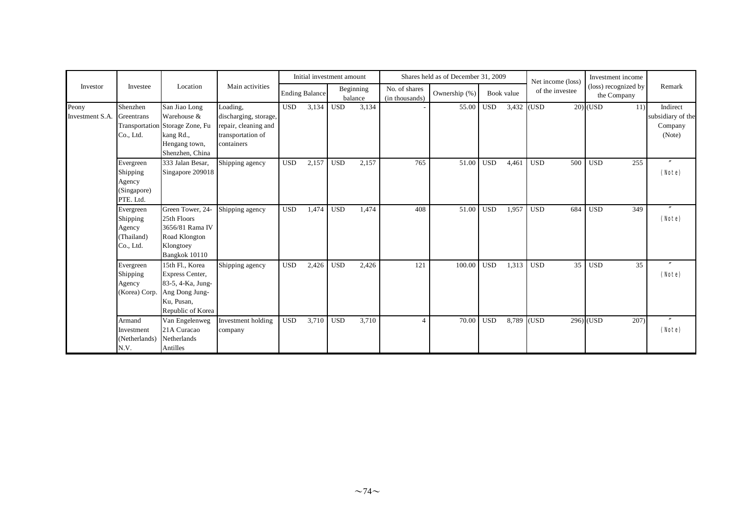|                          |                                                             |                                                                                                                  |                                                                                              |            | Initial investment amount |            |                      |                                 | Shares held as of December 31, 2009 |            |            | Net income (loss) | Investment income                   |                                                    |
|--------------------------|-------------------------------------------------------------|------------------------------------------------------------------------------------------------------------------|----------------------------------------------------------------------------------------------|------------|---------------------------|------------|----------------------|---------------------------------|-------------------------------------|------------|------------|-------------------|-------------------------------------|----------------------------------------------------|
| Investor                 | Investee                                                    | Location                                                                                                         | Main activities                                                                              |            | <b>Ending Balance</b>     |            | Beginning<br>balance | No. of shares<br>(in thousands) | Ownership (%)                       |            | Book value | of the investee   | (loss) recognized by<br>the Company | Remark                                             |
| Peony<br>Investment S.A. | Shenzhen<br>Greentrans<br>Co., Ltd.                         | San Jiao Long<br>Warehouse &<br>Transportation Storage Zone, Fu<br>kang Rd.,<br>Hengang town,<br>Shenzhen, China | Loading,<br>discharging, storage,<br>repair, cleaning and<br>transportation of<br>containers | <b>USD</b> | 3,134                     | <b>USD</b> | 3,134                |                                 | 55.00                               | <b>USD</b> | 3,432 (USD |                   | $20)$ (USD<br>11)                   | Indirect<br>subsidiary of the<br>Company<br>(Note) |
|                          | Evergreen<br>Shipping<br>Agency<br>(Singapore)<br>PTE. Ltd. | 333 Jalan Besar,<br>Singapore 209018                                                                             | Shipping agency                                                                              | <b>USD</b> | 2,157                     | <b>USD</b> | 2,157                | 765                             | 51.00                               | <b>USD</b> | 4,461      | <b>USD</b><br>500 | <b>USD</b><br>255                   | $\prime\prime$<br>(Note)                           |
|                          | Evergreen<br>Shipping<br>Agency<br>(Thailand)<br>Co., Ltd.  | Green Tower, 24-<br>25th Floors<br>3656/81 Rama IV<br>Road Klongton<br>Klongtoey<br>Bangkok 10110                | Shipping agency                                                                              | <b>USD</b> | 1,474                     | <b>USD</b> | 1,474                | 408                             | 51.00                               | <b>USD</b> | 1,957      | <b>USD</b><br>684 | <b>USD</b><br>349                   | $\prime\prime$<br>(Note)                           |
|                          | Evergreen<br>Shipping<br>Agency<br>(Korea) Corp.            | 15th Fl., Korea<br>Express Center,<br>83-5, 4-Ka, Jung-<br>Ang Dong Jung-<br>Ku, Pusan,<br>Republic of Korea     | Shipping agency                                                                              | <b>USD</b> | 2,426                     | <b>USD</b> | 2,426                | 121                             | 100.00                              | <b>USD</b> | 1,313      | 35<br><b>USD</b>  | <b>USD</b><br>35                    | $\mathbf{v}$<br>(Note)                             |
|                          | Armand<br>Investment<br>(Netherlands)<br>N.V.               | Van Engelenweg<br>21A Curacao<br>Netherlands<br>Antilles                                                         | Investment holding<br>company                                                                | <b>USD</b> | 3,710                     | <b>USD</b> | 3,710                | $\overline{4}$                  | 70.00                               | <b>USD</b> | 8,789      | (USD              | $296)$ (USD<br>207)                 | $^{\prime\prime}$<br>(Note)                        |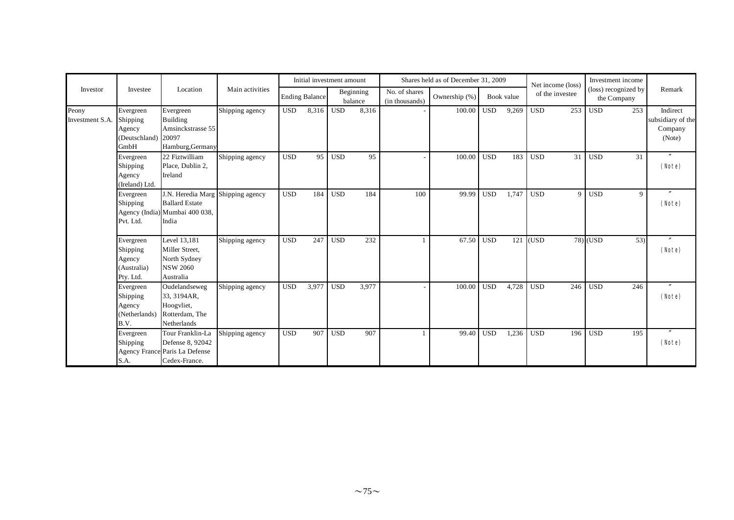|                          |                                                                |                                                                                                       |                 |            | Initial investment amount |            |                      |                                 | Shares held as of December 31, 2009 |              |            |            | Net income (loss) | Investment income                   |     |                                                    |
|--------------------------|----------------------------------------------------------------|-------------------------------------------------------------------------------------------------------|-----------------|------------|---------------------------|------------|----------------------|---------------------------------|-------------------------------------|--------------|------------|------------|-------------------|-------------------------------------|-----|----------------------------------------------------|
| Investor                 | Investee                                                       | Location                                                                                              | Main activities |            | <b>Ending Balance</b>     |            | Beginning<br>balance | No. of shares<br>(in thousands) | Ownership (%)                       |              | Book value |            | of the investee   | (loss) recognized by<br>the Company |     | Remark                                             |
| Peony<br>Investment S.A. | Evergreen<br>Shipping<br>Agency<br>(Deutschland) 20097<br>GmbH | Evergreen<br>Building<br>Amsinckstrasse 55<br>Hamburg, Germany                                        | Shipping agency | <b>USD</b> | 8,316                     | <b>USD</b> | 8,316                |                                 | 100.00                              | $_{\rm USD}$ | 9,269      | <b>USD</b> | 253               | <b>USD</b>                          | 253 | Indirect<br>subsidiary of the<br>Company<br>(Note) |
|                          | Evergreen<br>Shipping<br>Agency<br>(Ireland) Ltd.              | 22 Fiztwilliam<br>Place, Dublin 2,<br>Ireland                                                         | Shipping agency | <b>USD</b> | 95                        | <b>USD</b> | 95                   |                                 | 100.00                              | <b>USD</b>   | 183        | <b>USD</b> | 31                | <b>USD</b>                          | 31  | $^{\prime\prime}$<br>(Note)                        |
|                          | Evergreen<br>Shipping<br>Pvt. Ltd.                             | J.N. Heredia Marg Shipping agency<br><b>Ballard Estate</b><br>Agency (India) Mumbai 400 038,<br>India |                 | <b>USD</b> | 184                       | <b>USD</b> | 184                  | 100                             | 99.99                               | <b>USD</b>   | 1,747      | <b>USD</b> | $\mathbf Q$       | <b>USD</b>                          | 9   | $^{\prime\prime}$<br>(Note)                        |
|                          | Evergreen<br>Shipping<br>Agency<br>Australia)<br>Pty. Ltd.     | Level 13,181<br>Miller Street,<br>North Sydney<br><b>NSW 2060</b><br>Australia                        | Shipping agency | <b>USD</b> | 247                       | <b>USD</b> | 232                  |                                 | 67.50                               | <b>USD</b>   | 121        | (USD)      |                   | $78)$ (USD                          | 53) | $\prime\prime$<br>(Note)                           |
|                          | Evergreen<br>Shipping<br>Agency<br>(Netherlands)<br>B.V.       | Oudelandseweg<br>33, 3194AR,<br>Hoogyliet,<br>Rotterdam, The<br>Netherlands                           | Shipping agency | <b>USD</b> | 3,977                     | <b>USD</b> | 3,977                |                                 | 100.00                              | <b>USD</b>   | 4,728      | <b>USD</b> | 246               | <b>USD</b>                          | 246 | $^{\prime\prime}$<br>(Note)                        |
|                          | Evergreen<br>Shipping<br>S.A.                                  | Tour Franklin-La<br>Defense 8, 92042<br>Agency France Paris La Defense<br>Cedex-France.               | Shipping agency | <b>USD</b> | 907                       | <b>USD</b> | 907                  |                                 | 99.40                               | <b>USD</b>   | 1,236      | <b>USD</b> | 196               | <b>USD</b>                          | 195 | (Note)                                             |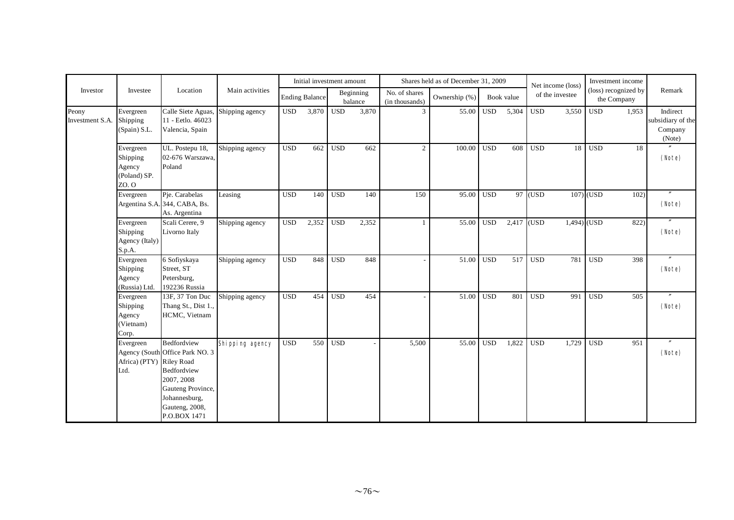|                          |                                                          |                                                                                                                                                     |                 |            | Initial investment amount |            |                      |                                 | Shares held as of December 31, 2009 |            |            |            | Net income (loss) |              | Investment income                   |                                                    |
|--------------------------|----------------------------------------------------------|-----------------------------------------------------------------------------------------------------------------------------------------------------|-----------------|------------|---------------------------|------------|----------------------|---------------------------------|-------------------------------------|------------|------------|------------|-------------------|--------------|-------------------------------------|----------------------------------------------------|
| Investor                 | Investee                                                 | Location                                                                                                                                            | Main activities |            | <b>Ending Balance</b>     |            | Beginning<br>balance | No. of shares<br>(in thousands) | Ownership (%)                       |            | Book value |            | of the investee   |              | (loss) recognized by<br>the Company | Remark                                             |
| Peony<br>Investment S.A. | Evergreen<br>Shipping<br>(Spain) S.L.                    | Calle Siete Aguas,<br>11 - Eetlo. 46023<br>Valencia, Spain                                                                                          | Shipping agency | <b>USD</b> | 3,870                     | <b>USD</b> | 3,870                | 3                               | 55.00                               | <b>USD</b> | 5,304      | <b>USD</b> | 3,550             | <b>USD</b>   | 1.953                               | Indirect<br>subsidiary of the<br>Company<br>(Note) |
|                          | Evergreen<br>Shipping<br>Agency<br>(Poland) SP.<br>ZO. O | UL. Postepu 18,<br>02-676 Warszawa,<br>Poland                                                                                                       | Shipping agency | <b>USD</b> | 662                       | <b>USD</b> | 662                  | $\overline{2}$                  | 100.00                              | <b>USD</b> | 608        | <b>USD</b> | 18                | <b>USD</b>   | 18                                  | (Note)                                             |
|                          | Evergreen                                                | Pje. Carabelas<br>Argentina S.A. 344, CABA, Bs.<br>As. Argentina                                                                                    | Leasing         | <b>USD</b> | 140                       | <b>USD</b> | 140                  | 150                             | 95.00                               | <b>USD</b> | 97         | (USD)      |                   | $107)$ (USD  | 102)                                | (Note)                                             |
|                          | Evergreen<br>Shipping<br>Agency (Italy)<br>S.p.A.        | Scali Cerere, 9<br>Livorno Italy                                                                                                                    | Shipping agency | <b>USD</b> | 2,352                     | <b>USD</b> | 2,352                | $\mathbf{1}$                    | 55.00                               | <b>USD</b> | 2,417      | (USD)      |                   | $1,494$ (USD | 822)                                | (Note)                                             |
|                          | Evergreen<br>Shipping<br>Agency<br>(Russia) Ltd.         | 6 Sofiyskaya<br>Street, ST<br>Petersburg,<br>192236 Russia                                                                                          | Shipping agency | <b>USD</b> | 848                       | <b>USD</b> | 848                  |                                 | 51.00                               | <b>USD</b> | 517        | <b>USD</b> | 781               | <b>USD</b>   | 398                                 | (Note)                                             |
|                          | Evergreen<br>Shipping<br>Agency<br>(Vietnam)<br>Corp.    | 13F, 37 Ton Duc<br>Thang St., Dist 1.,<br>HCMC, Vietnam                                                                                             | Shipping agency | <b>USD</b> | 454                       | <b>USD</b> | 454                  | $\overline{\phantom{a}}$        | 51.00                               | <b>USD</b> | 801        | <b>USD</b> | 991               | <b>USD</b>   | 505                                 | (Note)                                             |
|                          | Evergreen<br>Africa) (PTY) Riley Road<br>Ltd.            | Bedfordview<br>Agency (South Office Park NO. 3<br>Bedfordview<br>2007, 2008<br>Gauteng Province,<br>Johannesburg,<br>Gauteng, 2008,<br>P.O.BOX 1471 | Shipping agency | <b>USD</b> | 550                       | <b>USD</b> |                      | 5,500                           | 55.00                               | <b>USD</b> | 1,822      | <b>USD</b> | 1,729             | <b>USD</b>   | 951                                 | (Note)                                             |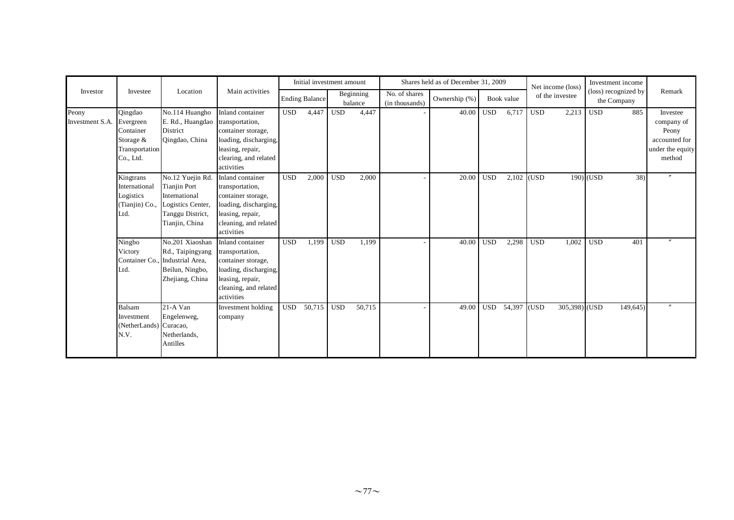|                          |                                                                                 |                                                                                                                     |                                                                                                                                               |            | Initial investment amount |            |                      |                                 | Shares held as of December 31, 2009 |            |            |            | Net income (loss) |             | Investment income                   |                                                                                |
|--------------------------|---------------------------------------------------------------------------------|---------------------------------------------------------------------------------------------------------------------|-----------------------------------------------------------------------------------------------------------------------------------------------|------------|---------------------------|------------|----------------------|---------------------------------|-------------------------------------|------------|------------|------------|-------------------|-------------|-------------------------------------|--------------------------------------------------------------------------------|
| Investor                 | Investee                                                                        | Location                                                                                                            | Main activities                                                                                                                               |            | <b>Ending Balance</b>     |            | Beginning<br>balance | No. of shares<br>(in thousands) | Ownership (%)                       |            | Book value |            | of the investee   |             | (loss) recognized by<br>the Company | Remark                                                                         |
| Peony<br>Investment S.A. | Qingdao<br>Evergreen<br>Container<br>Storage $&$<br>Transportation<br>Co., Ltd. | No.114 Huangho<br>E. Rd., Huangdao transportation,<br>District<br>Qingdao, China                                    | Inland container<br>container storage,<br>loading, discharging,<br>leasing, repair,<br>clearing, and related<br>activities                    | <b>USD</b> | 4,447                     | <b>USD</b> | 4,447                |                                 | $40.00$ USD                         |            | 6,717      | <b>USD</b> | 2,213             | <b>USD</b>  | 885                                 | Investee<br>company of<br>Peony<br>accounted for<br>under the equity<br>method |
|                          | Kingtrans<br>International<br>Logistics<br>(Tianjin) Co.,<br>Ltd.               | No.12 Yuejin Rd.<br><b>Tianjin Port</b><br>International<br>Logistics Center,<br>Tanggu District,<br>Tianjin, China | Inland container<br>transportation,<br>container storage,<br>loading, discharging,<br>leasing, repair,<br>cleaning, and related<br>activities | <b>USD</b> | 2,000                     | <b>USD</b> | 2,000                |                                 | $20.00$ USD                         |            | 2,102      | (USD)      |                   | $190)$ (USD | 38)                                 | $\boldsymbol{''}$                                                              |
|                          | Ningbo<br>Victory<br>Container Co.,<br>Ltd.                                     | No.201 Xiaoshan<br>Rd., Taipingyang<br>Industrial Area,<br>Beilun, Ningbo,<br>Zhejiang, China                       | Inland container<br>transportation,<br>container storage,<br>loading, discharging,<br>leasing, repair,<br>cleaning, and related<br>activities | <b>USD</b> | 1,199                     | <b>USD</b> | 1,199                | ٠.                              | 40.00                               | <b>USD</b> | 2,298      | <b>USD</b> | 1,002             | <b>USD</b>  | 401                                 |                                                                                |
|                          | <b>Balsam</b><br>Investment<br>(NetherLands) Curacao,<br>N.V.                   | 21-A Van<br>Engelenweg,<br>Netherlands,<br>Antilles                                                                 | Investment holding<br>company                                                                                                                 | <b>USD</b> | 50,715                    | <b>USD</b> | 50,715               |                                 | 49.00                               | <b>USD</b> | 54,397     | (USD)      | $305,398$ (USD    |             | 149,645)                            |                                                                                |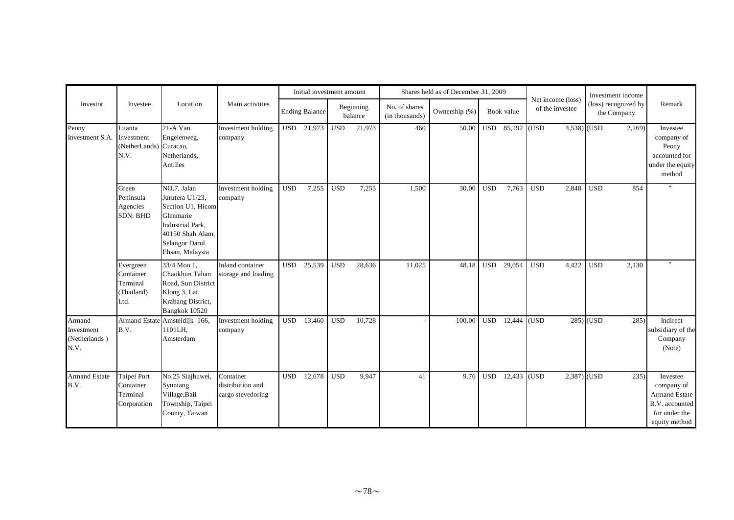|                                               |                                                          |                                                                                                                                                      |                                                    |            | Initial investment amount |            |                      |                                 | Shares held as of December 31, 2009 |            |            |                                      | Investment income                   |                                                                                                    |
|-----------------------------------------------|----------------------------------------------------------|------------------------------------------------------------------------------------------------------------------------------------------------------|----------------------------------------------------|------------|---------------------------|------------|----------------------|---------------------------------|-------------------------------------|------------|------------|--------------------------------------|-------------------------------------|----------------------------------------------------------------------------------------------------|
| Investor                                      | Investee                                                 | Location                                                                                                                                             | Main activities                                    |            | <b>Ending Balance</b>     |            | Beginning<br>balance | No. of shares<br>(in thousands) | Ownership (%)                       |            | Book value | Net income (loss)<br>of the investee | (loss) recognized by<br>the Company | Remark                                                                                             |
| Peony<br>Investment S.A.                      | Luanta<br>Investment<br>(NetherLands)<br>N.V.            | 21-A Van<br>Engelenweg,<br>Curacao,<br>Netherlands,<br>Antilles                                                                                      | Investment holding<br>company                      |            | USD 21,973                | <b>USD</b> | 21,973               | 460                             | 50.00                               | <b>USD</b> | 85,192     | (USD)                                | $4,538$ (USD<br>2,269               | Investee<br>company of<br>Peony<br>accounted for<br>under the equity<br>method                     |
|                                               | Green<br>Peninsula<br>Agencies<br>SDN. BHD               | NO.7, Jalan<br>Jurutera U1/23,<br>Section U1, Hicom<br>Glenmarie<br><b>Industrial Park.</b><br>40150 Shah Alam,<br>Selangor Darul<br>Ehsan, Malaysia | Investment holding<br>company                      | <b>USD</b> | 7,255                     | <b>USD</b> | 7,255                | 1,500                           | 30.00                               | <b>USD</b> | 7,763      | <b>USD</b><br>2,848                  | <b>USD</b><br>854                   | $\theta$                                                                                           |
|                                               | Evergreen<br>Container<br>Terminal<br>(Thailand)<br>Ltd. | 33/4 Moo 1.<br>Chaokhun Tahan<br>Road, Sun District<br>Klong 3, Lat<br>Krabang District,<br>Bangkok 10520                                            | Inland container<br>storage and loading            | <b>USD</b> | 25,539                    | <b>USD</b> | 28,636               | 11,025                          | 48.18                               | <b>USD</b> | 29,054     | <b>USD</b><br>4,422                  | <b>USD</b><br>2,130                 |                                                                                                    |
| Armand<br>Investment<br>(Netherlands)<br>N.V. | B.V.                                                     | Armand Estate Amsteldijk 166,<br>1101LH,<br>Amsterdam                                                                                                | Investment holding<br>company                      | <b>USD</b> | 13,460                    | <b>USD</b> | 10,728               |                                 | 100.00                              | <b>USD</b> | 12,444     | (USD)                                | $285)$ (USD<br>285                  | Indirect<br>subsidiary of the<br>Company<br>(Note)                                                 |
| <b>Armand Estate</b><br>B.V.                  | Taipei Port<br>Container<br>Terminal<br>Corporation      | No.25 Siajhuwei,<br>Syuntang<br>Village, Bali<br>Township, Taipei<br>County, Taiwan                                                                  | Container<br>distribution and<br>cargo stevedoring | <b>USD</b> | 12,678                    | <b>USD</b> | 9,947                | 41                              | 9.76                                | <b>USD</b> | 12,433     | (USD                                 | $2,387)$ (USD<br>235)               | Investee<br>company of<br><b>Armand Estate</b><br>B.V. accounted<br>for under the<br>equity method |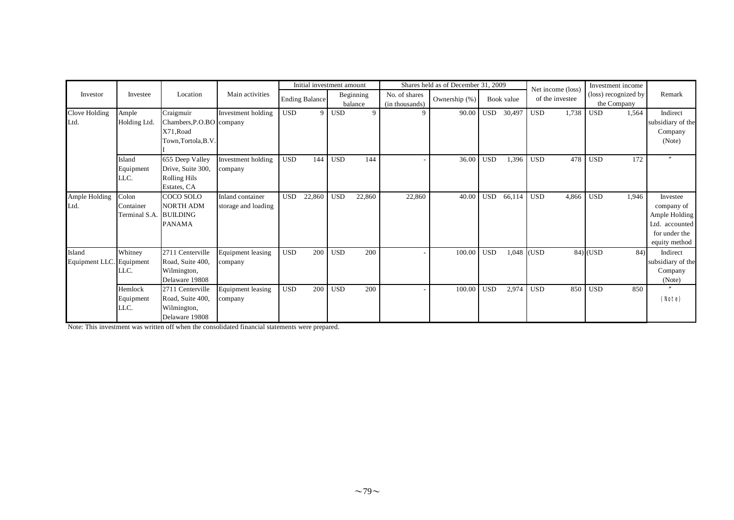|                          |                                     |                                                                            |                                         |            | Initial investment amount |            |                      |                                 | Shares held as of December 31, 2009 |            |            |              |                                      | Investment income                   |       |                                                                                             |
|--------------------------|-------------------------------------|----------------------------------------------------------------------------|-----------------------------------------|------------|---------------------------|------------|----------------------|---------------------------------|-------------------------------------|------------|------------|--------------|--------------------------------------|-------------------------------------|-------|---------------------------------------------------------------------------------------------|
| Investor                 | Investee                            | Location                                                                   | Main activities                         |            | <b>Ending Balance</b>     |            | Beginning<br>balance | No. of shares<br>(in thousands) | Ownership (%)                       |            | Book value |              | Net income (loss)<br>of the investee | (loss) recognized by<br>the Company |       | Remark                                                                                      |
| Clove Holding<br>Ltd.    | Ample<br>Holding Ltd.               | Craigmuir<br>Chambers, P.O.BO company<br>X71.Road<br>Town, Tortola, B.V.   | Investment holding                      | <b>USD</b> | 9                         | <b>USD</b> | 9                    | 9                               | 90.00                               | <b>USD</b> | 30,497     | <b>USD</b>   | 1,738                                | <b>USD</b>                          | 1,564 | Indirect<br>subsidiary of the<br>Company<br>(Note)                                          |
|                          | Island<br>Equipment<br>LLC.         | 655 Deep Valley<br>Drive, Suite 300,<br><b>Rolling Hils</b><br>Estates, CA | Investment holding<br>company           | <b>USD</b> | 144                       | <b>USD</b> | 144                  | $\overline{\phantom{a}}$        | 36.00                               | <b>USD</b> | 1,396      | <b>USD</b>   | 478                                  | <b>USD</b>                          | 172   | $\overline{''}$                                                                             |
| Ample Holding<br>Ltd.    | Colon<br>Container<br>Terminal S.A. | COCO SOLO<br><b>NORTH ADM</b><br><b>BUILDING</b><br><b>PANAMA</b>          | Inland container<br>storage and loading | <b>USD</b> | 22,860                    | <b>USD</b> | 22,860               | 22,860                          | 40.00                               | <b>USD</b> | 66,114     | <b>USD</b>   | 4,866                                | <b>USD</b>                          | 1,946 | Investee<br>company of<br>Ample Holding<br>Ltd. accounted<br>for under the<br>equity method |
| Island<br>Equipment LLC. | Whitney<br>Equipment<br>LLC.        | 2711 Centerville<br>Road, Suite 400,<br>Wilmington,<br>Delaware 19808      | <b>Equipment leasing</b><br>company     | <b>USD</b> | 200                       | <b>USD</b> | 200                  |                                 | 100.00                              | <b>USD</b> |            | $1,048$ (USD |                                      | 84) (USD                            | 84)   | Indirect<br>subsidiary of the<br>Company<br>(Note)                                          |
|                          | Hemlock<br>Equipment<br>LLC.        | 2711 Centerville<br>Road, Suite 400,<br>Wilmington,<br>Delaware 19808      | Equipment leasing<br>company            | <b>USD</b> | 200                       | <b>USD</b> | 200                  | $\overline{\phantom{0}}$        | 100.00                              | <b>USD</b> | 2,974      | <b>USD</b>   | 850                                  | <b>USD</b>                          | 850   | (Note)                                                                                      |

Note: This investment was written off when the consolidated financial statements were prepared.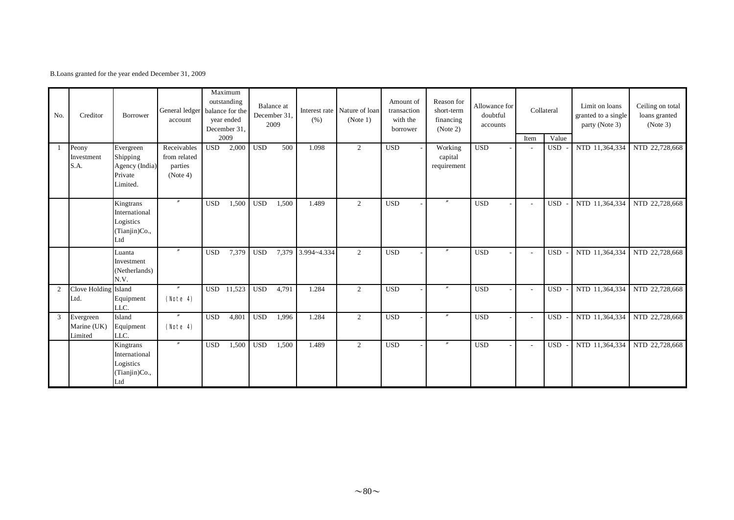B.Loans granted for the year ended December 31, 2009

| No. | Creditor                            | Borrower                                                        | General ledger balance for the<br>account          |            | Maximum<br>outstanding<br>year ended<br>December 31,<br>2009 |            | <b>Balance</b> at<br>December 31,<br>2009 | (% )              | Interest rate Nature of loan<br>(Note 1) | Amount of<br>transaction<br>with the<br>borrower | Reason for<br>short-term<br>financing<br>(Note 2) | Allowance for<br>doubtful<br>accounts | Item | Collateral<br>Value | Limit on loans<br>granted to a single<br>party (Note 3) | Ceiling on total<br>loans granted<br>(Note 3) |
|-----|-------------------------------------|-----------------------------------------------------------------|----------------------------------------------------|------------|--------------------------------------------------------------|------------|-------------------------------------------|-------------------|------------------------------------------|--------------------------------------------------|---------------------------------------------------|---------------------------------------|------|---------------------|---------------------------------------------------------|-----------------------------------------------|
|     | Peony<br>Investment<br>S.A.         | Evergreen<br>Shipping<br>Agency (India)<br>Private<br>Limited.  | Receivables<br>from related<br>parties<br>(Note 4) | <b>USD</b> | 2,000                                                        | <b>USD</b> | 500                                       | 1.098             | 2                                        | <b>USD</b>                                       | Working<br>capital<br>requirement                 | <b>USD</b>                            |      | <b>USD</b>          | NTD 11,364,334                                          | NTD 22,728,668                                |
|     |                                     | Kingtrans<br>International<br>Logistics<br>(Tianjin)Co.,<br>Ltd | $^{\prime\prime}$                                  | <b>USD</b> | 1,500                                                        | <b>USD</b> | 1,500                                     | 1.489             | 2                                        | <b>USD</b>                                       | $^{\prime\prime}$                                 | <b>USD</b>                            |      | USD                 | NTD 11,364,334                                          | NTD 22,728,668                                |
|     |                                     | Luanta<br>Investment<br>(Netherlands)<br>N.V.                   | $^{\prime\prime}$                                  | <b>USD</b> | 7,379                                                        | <b>USD</b> |                                           | 7,379 3.994~4.334 | 2                                        | <b>USD</b>                                       | $^{\prime\prime}$                                 | <b>USD</b>                            |      | <b>USD</b>          | NTD 11,364,334                                          | NTD 22,728,668                                |
| 2   | Clove Holding Island<br>Ltd.        | Equipment<br>LLC.                                               | $^{\prime\prime}$<br>(Note 4)                      | <b>USD</b> | 11,523                                                       | <b>USD</b> | 4,791                                     | 1.284             | 2                                        | <b>USD</b>                                       | $^{\prime\prime}$                                 | <b>USD</b>                            |      | <b>USD</b>          | NTD 11,364,334                                          | NTD 22,728,668                                |
| 3   | Evergreen<br>Marine (UK)<br>Limited | Island<br>Equipment<br>LLC.                                     | $^{\prime\prime}$<br>(Note 4)                      | <b>USD</b> | 4,801                                                        | <b>USD</b> | 1,996                                     | 1.284             | 2                                        | <b>USD</b>                                       | $^{\prime\prime}$                                 | <b>USD</b>                            |      | <b>USD</b>          | NTD 11,364,334                                          | NTD 22,728,668                                |
|     |                                     | Kingtrans<br>International<br>Logistics<br>(Tianjin)Co.,<br>Ltd | $\overline{''}$                                    | <b>USD</b> | 1,500                                                        | <b>USD</b> | 1,500                                     | 1.489             | 2                                        | <b>USD</b>                                       | $^{\prime\prime}$                                 | <b>USD</b>                            |      | <b>USD</b>          | NTD 11,364,334                                          | NTD 22,728,668                                |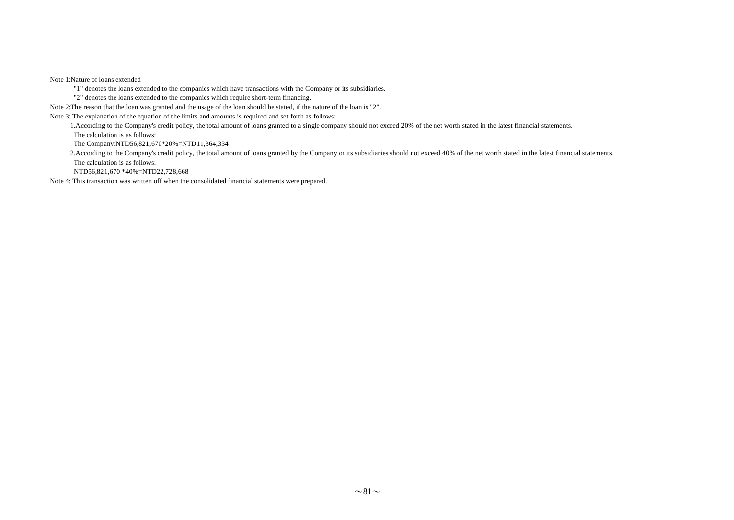Note 1:Nature of loans extended

"1" denotes the loans extended to the companies which have transactions with the Company or its subsidiaries.

"2" denotes the loans extended to the companies which require short-term financing.

Note 2:The reason that the loan was granted and the usage of the loan should be stated, if the nature of the loan is "2".

Note 3: The explanation of the equation of the limits and amounts is required and set forth as follows:

1.According to the Company's credit policy, the total amount of loans granted to a single company should not exceed 20% of the net worth stated in the latest financial statements.

The calculation is as follows:

The Company:NTD56,821,670\*20%=NTD11,364,334

2.According to the Company's credit policy, the total amount of loans granted by the Company or its subsidiaries should not exceed 40% of the net worth stated in the latest financial statements. The calculation is as follows:

NTD56,821,670 \*40%=NTD22,728,668

Note 4: This transaction was written off when the consolidated financial statements were prepared.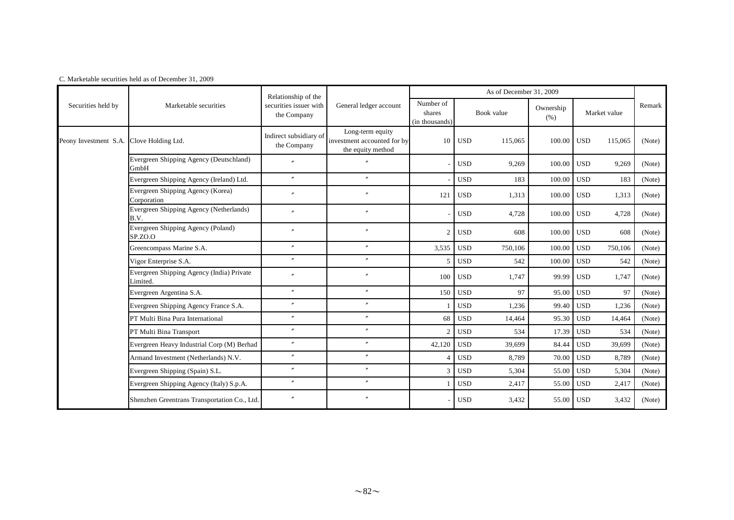|                       |                                                       | Relationship of the                   |                                                                      |                                       |            | As of December 31, 2009 |                   |            |              |        |
|-----------------------|-------------------------------------------------------|---------------------------------------|----------------------------------------------------------------------|---------------------------------------|------------|-------------------------|-------------------|------------|--------------|--------|
| Securities held by    | Marketable securities                                 | securities issuer with<br>the Company | General ledger account                                               | Number of<br>shares<br>(in thousands) |            | Book value              | Ownership<br>(% ) |            | Market value | Remark |
| Peony Investment S.A. | Clove Holding Ltd.                                    | Indirect subsidiary of<br>the Company | Long-term equity<br>investment accounted for by<br>the equity method | 10                                    | <b>USD</b> | 115,065                 | 100.00            | <b>USD</b> | 115,065      | (Note) |
|                       | Evergreen Shipping Agency (Deutschland)<br>GmbH       | $\theta$                              |                                                                      |                                       | <b>USD</b> | 9,269                   | 100.00            | <b>USD</b> | 9,269        | (Note) |
|                       | Evergreen Shipping Agency (Ireland) Ltd.              | $\prime$                              | $^{\prime\prime}$                                                    |                                       | <b>USD</b> | 183                     | 100.00            | <b>USD</b> | 183          | (Note) |
|                       | Evergreen Shipping Agency (Korea)<br>Corporation      | $\overline{''}$                       | $\theta$                                                             | 121                                   | <b>USD</b> | 1,313                   | 100.00            | <b>USD</b> | 1,313        | (Note) |
|                       | Evergreen Shipping Agency (Netherlands)<br>B.V.       |                                       | $\theta$                                                             |                                       | <b>USD</b> | 4,728                   | 100.00            | <b>USD</b> | 4,728        | (Note) |
|                       | Evergreen Shipping Agency (Poland)<br>SP.ZO.O         | $\overline{''}$                       | $\theta$                                                             | $\overline{2}$                        | <b>USD</b> | 608                     | 100.00 USD        |            | 608          | (Note) |
|                       | Greencompass Marine S.A.                              | $^{\prime\prime}$                     | $\theta$                                                             | 3,535                                 | <b>USD</b> | 750,106                 | 100.00            | <b>USD</b> | 750,106      | (Note) |
|                       | Vigor Enterprise S.A.                                 | $^{\prime\prime}$                     | $\theta$                                                             | $\overline{5}$                        | <b>USD</b> | 542                     | 100.00            | <b>USD</b> | 542          | (Note) |
|                       | Evergreen Shipping Agency (India) Private<br>Limited. |                                       | $\theta$                                                             | 100                                   | <b>USD</b> | 1,747                   | 99.99             | <b>USD</b> | 1,747        | (Note) |
|                       | Evergreen Argentina S.A.                              | $\prime$                              | $\prime\prime$                                                       | 150                                   | <b>USD</b> | 97                      | 95.00             | <b>USD</b> | 97           | (Note) |
|                       | Evergreen Shipping Agency France S.A.                 | $\prime\prime$                        | $^{\prime\prime}$                                                    |                                       | <b>USD</b> | 1,236                   | 99.40             | <b>USD</b> | 1,236        | (Note) |
|                       | PT Multi Bina Pura International                      | $\prime\prime$                        | $^{\prime\prime}$                                                    | 68                                    | <b>USD</b> | 14,464                  | 95.30             | <b>USD</b> | 14,464       | (Note) |
|                       | PT Multi Bina Transport                               | $\prime\prime$                        | $\prime\prime$                                                       | $\overline{2}$                        | <b>USD</b> | 534                     | 17.39             | <b>USD</b> | 534          | (Note) |
|                       | Evergreen Heavy Industrial Corp (M) Berhad            | $\prime\prime$                        | $^{\prime\prime}$                                                    | 42,120                                | <b>USD</b> | 39,699                  | 84.44             | <b>USD</b> | 39,699       | (Note) |
|                       | Armand Investment (Netherlands) N.V.                  | $\prime\prime$                        | $^{\prime\prime}$                                                    |                                       | <b>USD</b> | 8,789                   | 70.00             | <b>USD</b> | 8,789        | (Note) |
|                       | Evergreen Shipping (Spain) S.L.                       | $\prime\prime$                        | $^{\prime\prime}$                                                    | 3                                     | <b>USD</b> | 5,304                   | 55.00             | <b>USD</b> | 5,304        | (Note) |
|                       | Evergreen Shipping Agency (Italy) S.p.A.              | $\prime\prime$                        | $^{\prime\prime}$                                                    |                                       | <b>USD</b> | 2,417                   | 55.00             | <b>USD</b> | 2,417        | (Note) |
|                       | Shenzhen Greentrans Transportation Co., Ltd.          |                                       | $\theta$                                                             |                                       | <b>USD</b> | 3,432                   | 55.00             | <b>USD</b> | 3,432        | (Note) |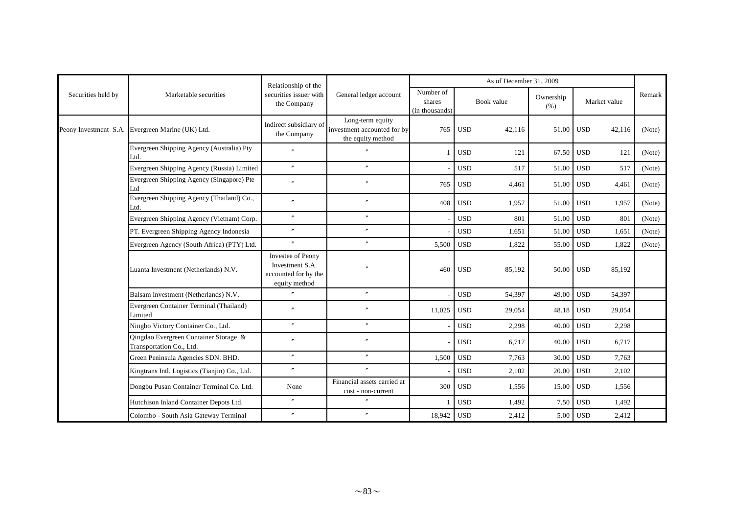|                    |                                                                                           | Relationship of the                                                                  |                                                                      |                                       |            | As of December 31, 2009 |                   |            |              |        |
|--------------------|-------------------------------------------------------------------------------------------|--------------------------------------------------------------------------------------|----------------------------------------------------------------------|---------------------------------------|------------|-------------------------|-------------------|------------|--------------|--------|
| Securities held by | Marketable securities                                                                     | securities issuer with<br>the Company                                                | General ledger account                                               | Number of<br>shares<br>(in thousands) |            | Book value              | Ownership<br>(% ) |            | Market value | Remark |
|                    | Peony Investment S.A. Evergreen Marine (UK) Ltd.                                          | Indirect subsidiary of<br>the Company                                                | Long-term equity<br>investment accounted for by<br>the equity method | 765                                   | <b>USD</b> | 42,116                  | 51.00             | <b>USD</b> | 42,116       | (Note) |
|                    | Evergreen Shipping Agency (Australia) Pty<br>Ltd.                                         | $\overline{v}$                                                                       | $\overline{v}$                                                       |                                       | <b>USD</b> | 121                     | 67.50 USD         |            | 121          | (Note) |
|                    | Evergreen Shipping Agency (Russia) Limited                                                | $\prime$                                                                             | $\overline{v}$                                                       |                                       | <b>USD</b> | 517                     | 51.00             | <b>USD</b> | 517          | (Note) |
|                    | Evergreen Shipping Agency (Singapore) Pte<br>Ltd                                          | $\overline{''}$                                                                      | $\theta$                                                             | 765                                   | <b>USD</b> | 4,461                   | 51.00             | <b>USD</b> | 4,461        | (Note) |
|                    | Evergreen Shipping Agency (Thailand) Co.,<br>Ltd.                                         | $\prime\prime$                                                                       | $^{\prime\prime}$                                                    | 408                                   | <b>USD</b> | 1,957                   | 51.00             | <b>USD</b> | 1,957        | (Note) |
|                    | Evergreen Shipping Agency (Vietnam) Corp.                                                 | $\prime\prime$                                                                       | $^{\prime\prime}$                                                    |                                       | <b>USD</b> | 801                     | 51.00             | <b>USD</b> | 801          | (Note) |
|                    | PT. Evergreen Shipping Agency Indonesia                                                   | $^{\prime\prime}$                                                                    | $^{\prime\prime}$                                                    |                                       | <b>USD</b> | 1,651                   | 51.00             | <b>USD</b> | 1,651        | (Note) |
|                    | Evergreen Agency (South Africa) (PTY) Ltd.                                                | $\prime\prime$                                                                       | $\prime\prime$                                                       | 5,500                                 | <b>USD</b> | 1,822                   | 55.00             | <b>USD</b> | 1,822        | (Note) |
|                    | Luanta Investment (Netherlands) N.V.                                                      | <b>Investee of Peony</b><br>Investment S.A.<br>accounted for by the<br>equity method |                                                                      | 460                                   | <b>USD</b> | 85,192                  | 50.00 USD         |            | 85,192       |        |
|                    | Balsam Investment (Netherlands) N.V.                                                      |                                                                                      | $\theta$                                                             |                                       | <b>USD</b> | 54,397                  | 49.00             | <b>USD</b> | 54,397       |        |
|                    | Evergreen Container Terminal (Thailand)<br>Limited                                        |                                                                                      | $\theta$                                                             | 11,025                                | <b>USD</b> | 29,054                  | 48.18             | <b>USD</b> | 29,054       |        |
|                    | Ningbo Victory Container Co., Ltd.                                                        | $^{\prime\prime}$                                                                    | $^{\prime\prime}$                                                    |                                       | <b>USD</b> | 2,298                   | 40.00             | <b>USD</b> | 2,298        |        |
|                    | Qingdao Evergreen Container Storage &<br>Transportation Co., Ltd.                         |                                                                                      |                                                                      |                                       | <b>USD</b> | 6,717                   | 40.00             | <b>USD</b> | 6,717        |        |
|                    | Green Peninsula Agencies SDN. BHD.                                                        | $\prime$                                                                             | $^{\prime}$                                                          | 1,500                                 | <b>USD</b> | 7,763                   | 30.00             | <b>USD</b> | 7,763        |        |
|                    | Kingtrans Intl. Logistics (Tianjin) Co., Ltd.<br>Dongbu Pusan Container Terminal Co. Ltd. | $\prime\prime$                                                                       | $\prime\prime$                                                       |                                       | <b>USD</b> | 2,102                   | 20.00             | <b>USD</b> | 2,102        |        |
|                    |                                                                                           | None                                                                                 | Financial assets carried at<br>cost - non-current                    | 300                                   | <b>USD</b> | 1,556                   | 15.00             | <b>USD</b> | 1,556        |        |
|                    | Hutchison Inland Container Depots Ltd.                                                    | $\prime\prime$                                                                       | $\theta$                                                             |                                       | <b>USD</b> | 1,492                   | 7.50              | <b>USD</b> | 1,492        |        |
|                    | Colombo - South Asia Gateway Terminal                                                     | $^{\prime\prime}$                                                                    | $^{\prime\prime}$                                                    | 18,942                                | <b>USD</b> | 2,412                   | 5.00              | <b>USD</b> | 2,412        |        |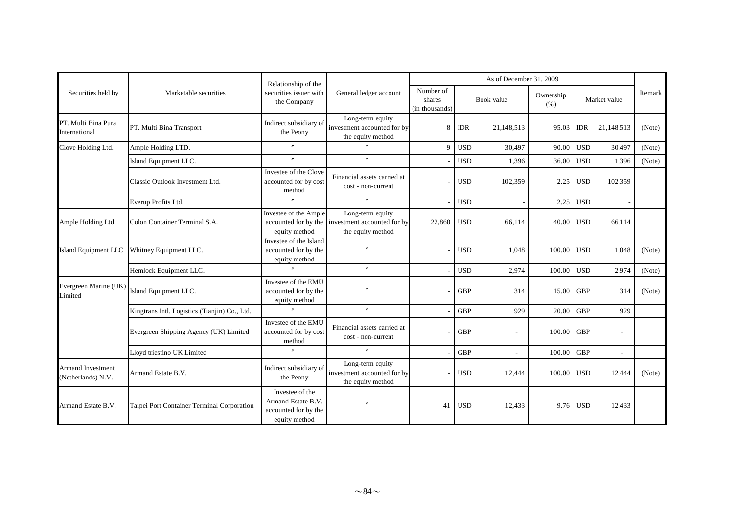|                                                |                                               | Relationship of the                                                            |                                                                                           |                                       |            | As of December 31, 2009  |                   |            |                          |        |
|------------------------------------------------|-----------------------------------------------|--------------------------------------------------------------------------------|-------------------------------------------------------------------------------------------|---------------------------------------|------------|--------------------------|-------------------|------------|--------------------------|--------|
| Securities held by                             | Marketable securities                         | securities issuer with<br>the Company                                          | General ledger account                                                                    | Number of<br>shares<br>(in thousands) |            | Book value               | Ownership<br>(% ) |            | Market value             | Remark |
| PT. Multi Bina Pura<br>International           | PT. Multi Bina Transport                      | Indirect subsidiary of<br>the Peony                                            | Long-term equity<br>investment accounted for by<br>the equity method                      | 8                                     | <b>IDR</b> | 21,148,513               | 95.03             | <b>IDR</b> | 21,148,513               | (Note) |
| Clove Holding Ltd.                             | Ample Holding LTD.                            | $\prime\prime$                                                                 | $\overline{r}$                                                                            | 9                                     | <b>USD</b> | 30,497                   | 90.00             | <b>USD</b> | 30,497                   | (Note) |
|                                                | Island Equipment LLC.                         | $^{\prime\prime}$                                                              | $^{\prime\prime}$                                                                         |                                       | <b>USD</b> | 1,396                    | 36.00             | <b>USD</b> | 1,396                    | (Note) |
|                                                | Classic Outlook Investment Ltd.               | Investee of the Clove<br>accounted for by cost<br>method                       | Financial assets carried at<br>cost - non-current                                         |                                       | <b>USD</b> | 102,359                  | 2.25              | <b>USD</b> | 102,359                  |        |
|                                                | Everup Profits Ltd.                           | $\prime$                                                                       | $^{\prime\prime}$                                                                         |                                       | <b>USD</b> |                          | 2.25              | <b>USD</b> |                          |        |
| Ample Holding Ltd.                             | Colon Container Terminal S.A.                 | Investee of the Ample<br>equity method                                         | Long-term equity<br>accounted for by the investment accounted for by<br>the equity method | 22,860                                | <b>USD</b> | 66,114                   | 40.00             | <b>USD</b> | 66,114                   |        |
| Island Equipment LLC                           | Whitney Equipment LLC.                        | Investee of the Island<br>accounted for by the<br>equity method                |                                                                                           |                                       | <b>USD</b> | 1,048                    | 100.00            | <b>USD</b> | 1,048                    | (Note) |
|                                                | Hemlock Equipment LLC.                        | $\prime$                                                                       | $^{\prime\prime}$                                                                         |                                       | <b>USD</b> | 2,974                    | 100.00            | <b>USD</b> | 2,974                    | (Note) |
| Evergreen Marine (UK)<br>Limited               | Island Equipment LLC.                         | Investee of the EMU<br>accounted for by the<br>equity method                   |                                                                                           |                                       | <b>GBP</b> | 314                      | 15.00             | <b>GBP</b> | 314                      | (Note) |
|                                                | Kingtrans Intl. Logistics (Tianjin) Co., Ltd. | $\overline{r}$                                                                 | $\overline{''}$                                                                           |                                       | <b>GBP</b> | 929                      | 20.00             | <b>GBP</b> | 929                      |        |
|                                                | Evergreen Shipping Agency (UK) Limited        | Investee of the EMU<br>accounted for by cost<br>method                         | Financial assets carried at<br>cost - non-current                                         |                                       | <b>GBP</b> | $\overline{\phantom{a}}$ | 100.00            | <b>GBP</b> | $\overline{\phantom{a}}$ |        |
|                                                | Lloyd triestino UK Limited                    | $\theta$                                                                       | $^{\prime\prime}$                                                                         |                                       | <b>GBP</b> | $\sim$                   | 100.00            | <b>GBP</b> | $\sim$                   |        |
| <b>Armand Investment</b><br>(Netherlands) N.V. | Armand Estate B.V.                            | Indirect subsidiary of<br>the Peony                                            | Long-term equity<br>investment accounted for by<br>the equity method                      |                                       | <b>USD</b> | 12,444                   | 100.00            | <b>USD</b> | 12,444                   | (Note) |
| Armand Estate B.V.                             | Taipei Port Container Terminal Corporation    | Investee of the<br>Armand Estate B.V.<br>accounted for by the<br>equity method | $\theta$                                                                                  | 41                                    | <b>USD</b> | 12,433                   |                   | 9.76 USD   | 12,433                   |        |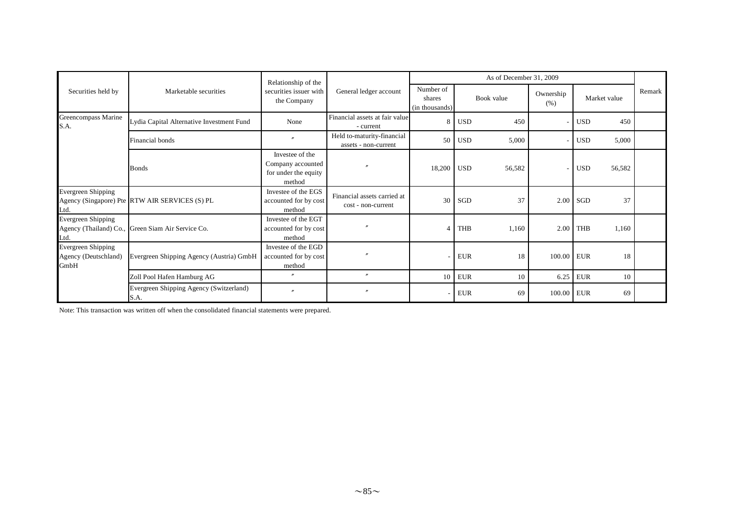|                                                    |                                                   | Relationship of the                                                    |                                                    |                                       |            | As of December 31, 2009 |                   |            |              |  |
|----------------------------------------------------|---------------------------------------------------|------------------------------------------------------------------------|----------------------------------------------------|---------------------------------------|------------|-------------------------|-------------------|------------|--------------|--|
| Securities held by                                 | Marketable securities                             | securities issuer with<br>the Company                                  | General ledger account                             | Number of<br>shares<br>(in thousands) | Book value |                         | Ownership<br>(% ) |            | Market value |  |
| Greencompass Marine<br>S.A.                        | Lydia Capital Alternative Investment Fund         | None                                                                   | Financial assets at fair value<br>- current        | 8                                     | <b>USD</b> | 450                     |                   | <b>USD</b> | 450          |  |
|                                                    | Financial bonds                                   | $\theta$                                                               | Held to-maturity-financial<br>assets - non-current | 50                                    | <b>USD</b> | 5,000                   |                   | <b>USD</b> | 5,000        |  |
|                                                    | <b>B</b> onds                                     | Investee of the<br>Company accounted<br>for under the equity<br>method |                                                    | 18,200                                | <b>USD</b> | 56,582                  |                   | <b>USD</b> | 56,582       |  |
| <b>Evergreen Shipping</b><br>Ltd.                  | Agency (Singapore) Pte RTW AIR SERVICES (S) PL    | Investee of the EGS<br>accounted for by cost<br>method                 | Financial assets carried at<br>cost - non-current  | 30                                    | SGD        | 37                      |                   | $2.00$ SGD | 37           |  |
| <b>Evergreen Shipping</b><br>Ltd.                  | Agency (Thailand) Co., Green Siam Air Service Co. | Investee of the EGT<br>accounted for by cost<br>method                 |                                                    | 4                                     | <b>THB</b> | 1,160                   | 2.00              | THB        | 1,160        |  |
| Evergreen Shipping<br>Agency (Deutschland)<br>GmbH | Evergreen Shipping Agency (Austria) GmbH          | Investee of the EGD<br>accounted for by cost<br>method                 |                                                    |                                       | <b>EUR</b> | 18                      | 100.00 EUR        |            | 18           |  |
|                                                    | Zoll Pool Hafen Hamburg AG                        | $\mathbf{v}$                                                           | $\prime\prime$                                     | 10                                    | <b>EUR</b> | 10                      | 6.25              | EUR        | 10           |  |
|                                                    | Evergreen Shipping Agency (Switzerland)<br>S.A.   | $\overline{v}$                                                         | $\mathbf{v}$                                       |                                       | <b>EUR</b> | 69                      | 100.00            | <b>EUR</b> | 69           |  |

Note: This transaction was written off when the consolidated financial statements were prepared.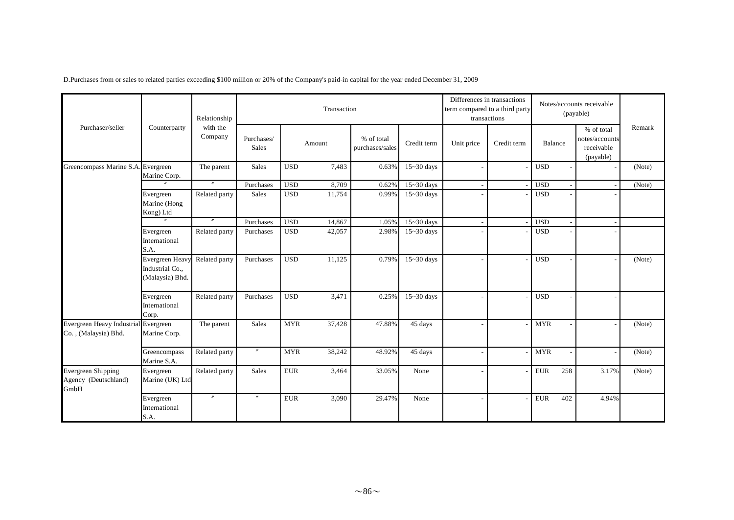|                                                              |                                                              | Relationship        |                            |            | Transaction |                               |                | Differences in transactions | term compared to a third party<br>transactions |            | Notes/accounts receivable<br>(payable)                  |        |
|--------------------------------------------------------------|--------------------------------------------------------------|---------------------|----------------------------|------------|-------------|-------------------------------|----------------|-----------------------------|------------------------------------------------|------------|---------------------------------------------------------|--------|
| Purchaser/seller                                             | Counterparty                                                 | with the<br>Company | Purchases/<br><b>Sales</b> |            | Amount      | % of total<br>purchases/sales | Credit term    | Unit price                  | Credit term                                    | Balance    | % of total<br>notes/accounts<br>receivable<br>(payable) | Remark |
| Greencompass Marine S.A. Evergreen                           | Marine Corp.                                                 | The parent          | <b>Sales</b>               | <b>USD</b> | 7.483       | 0.63%                         | $15 - 30$ days |                             |                                                | <b>USD</b> |                                                         | (Note) |
|                                                              |                                                              | $^{\prime\prime}$   | Purchases                  | <b>USD</b> | 8,709       | 0.62%                         | $15 - 30$ days |                             |                                                | <b>USD</b> |                                                         | (Note) |
|                                                              | Evergreen<br>Marine (Hong<br>Kong) Ltd                       | Related party       | <b>Sales</b>               | <b>USD</b> | 11,754      | 0.99%                         | $15 - 30$ days |                             |                                                | <b>USD</b> |                                                         |        |
|                                                              |                                                              | $^{\prime\prime}$   | Purchases                  | <b>USD</b> | 14,867      | 1.05%                         | $15 - 30$ days |                             |                                                | <b>USD</b> |                                                         |        |
|                                                              | Evergreen<br>International<br>S.A.                           | Related party       | Purchases                  | <b>USD</b> | 42,057      | 2.98%                         | $15 - 30$ days |                             |                                                | <b>USD</b> |                                                         |        |
|                                                              | <b>Evergreen Heavy</b><br>Industrial Co.,<br>(Malaysia) Bhd. | Related party       | Purchases                  | <b>USD</b> | 11,125      | 0.79%                         | $15 - 30$ days |                             |                                                | <b>USD</b> |                                                         | (Note) |
|                                                              | Evergreen<br>International<br>Corp.                          | Related party       | Purchases                  | <b>USD</b> | 3,471       | 0.25%                         | $15 - 30$ days |                             |                                                | <b>USD</b> |                                                         |        |
| Evergreen Heavy Industrial Evergreen<br>Co., (Malaysia) Bhd. | Marine Corp.                                                 | The parent          | <b>Sales</b>               | <b>MYR</b> | 37,428      | 47.88%                        | 45 days        |                             |                                                | <b>MYR</b> |                                                         | (Note) |
|                                                              | Greencompass<br>Marine S.A.                                  | Related party       | $^{\prime\prime}$          | <b>MYR</b> | 38,242      | 48.92%                        | 45 days        |                             |                                                | <b>MYR</b> |                                                         | (Note) |
| <b>Evergreen Shipping</b><br>Agency (Deutschland)<br>GmbH    | Evergreen<br>Marine (UK) Ltd                                 | Related party       | <b>Sales</b>               | <b>EUR</b> | 3,464       | 33.05%                        | None           |                             |                                                | <b>EUR</b> | 258<br>3.17%                                            | (Note) |
|                                                              | Evergreen<br>International<br>S.A.                           | $^{\prime\prime}$   | $\prime$                   | <b>EUR</b> | 3,090       | 29.47%                        | None           |                             |                                                | <b>EUR</b> | 402<br>4.94%                                            |        |

D.Purchases from or sales to related parties exceeding \$100 million or 20% of the Company's paid-in capital for the year ended December 31, 2009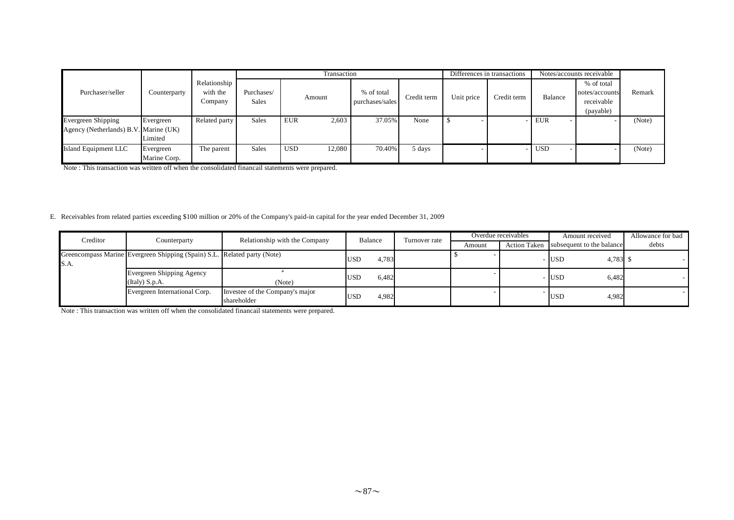|                                                                    |                           |                                     |                     |            | Transaction |                               |             |            | Differences in transactions |            | Notes/accounts receivable                               |        |
|--------------------------------------------------------------------|---------------------------|-------------------------------------|---------------------|------------|-------------|-------------------------------|-------------|------------|-----------------------------|------------|---------------------------------------------------------|--------|
| Purchaser/seller                                                   | Counterparty              | Relationship<br>with the<br>Company | Purchases/<br>Sales |            | Amount      | % of total<br>purchases/sales | Credit term | Unit price | Credit term                 | Balance    | % of total<br>notes/accounts<br>receivable<br>(payable) | Remark |
| <b>Evergreen Shipping</b><br>Agency (Netherlands) B.V. Marine (UK) | Evergreen<br>Limited      | Related party                       | Sales               | <b>EUR</b> | 2,603       | 37.05%                        | None        |            |                             | <b>EUR</b> |                                                         | (Note) |
| Island Equipment LLC                                               | Evergreen<br>Marine Corp. | The parent                          | Sales               | <b>USD</b> | 12,080      | 70.40%                        | 5 days      |            |                             | <b>USD</b> |                                                         | (Note) |

Note : This transaction was written off when the consolidated financail statements were prepared.

## E. Receivables from related parties exceeding \$100 million or 20% of the Company's paid-in capital for the year ended December 31, 2009

| Creditor | Counterparty                                                             | Relationship with the Company                  | Balance             | Turnover rate | Overdue receivables |                     | Amount received           | Allowance for bad |
|----------|--------------------------------------------------------------------------|------------------------------------------------|---------------------|---------------|---------------------|---------------------|---------------------------|-------------------|
|          |                                                                          |                                                |                     |               | Amount              | <b>Action Taken</b> | subsequent to the balance | debts             |
| S.A.     | Greencompass Marine Evergreen Shipping (Spain) S.L. Related party (Note) |                                                | 4,783<br><b>USD</b> |               |                     |                     | 4,783 \$<br><b>USD</b>    |                   |
|          | Evergreen Shipping Agency<br>(Italy) S.p.A.                              | (Note)                                         | 6,482<br><b>USD</b> |               |                     |                     | 6,482<br><b>USD</b>       |                   |
|          | Evergreen International Corp.                                            | Investee of the Company's major<br>shareholder | 4,982<br><b>USD</b> |               |                     |                     | 4,982<br><b>USD</b>       |                   |

Note : This transaction was written off when the consolidated financail statements were prepared.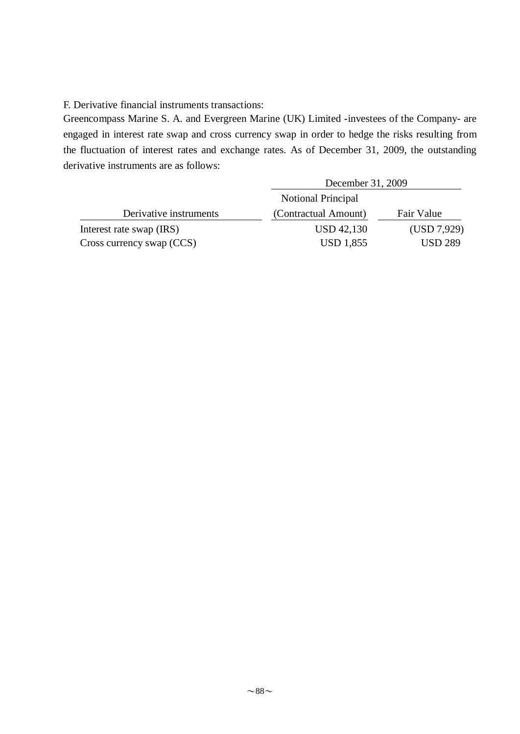F. Derivative financial instruments transactions:

Greencompass Marine S. A. and Evergreen Marine (UK) Limited -investees of the Company- are engaged in interest rate swap and cross currency swap in order to hedge the risks resulting from the fluctuation of interest rates and exchange rates. As of December 31, 2009, the outstanding derivative instruments are as follows:

|                           | December 31, 2009         |                |
|---------------------------|---------------------------|----------------|
|                           | <b>Notional Principal</b> |                |
| Derivative instruments    | (Contractual Amount)      | Fair Value     |
| Interest rate swap (IRS)  | <b>USD 42,130</b>         | (USD 7,929)    |
| Cross currency swap (CCS) | <b>USD 1,855</b>          | <b>USD 289</b> |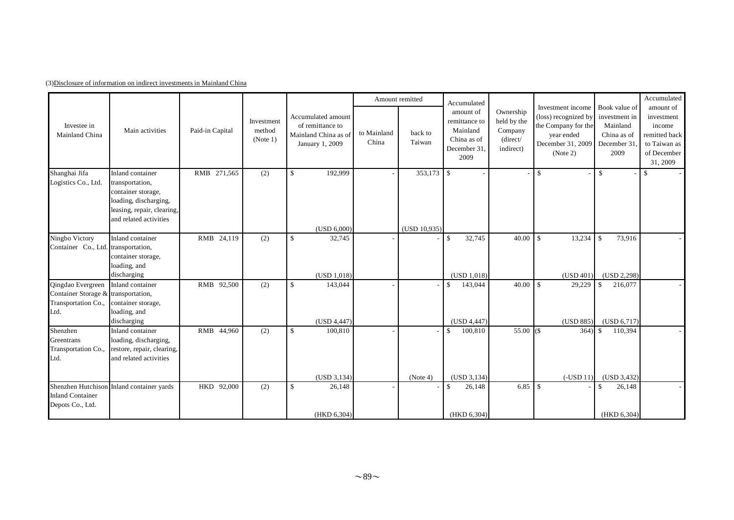|                                                                                         |                                                                                                                                            |                 |                                  |                                                                                   |                      | Amount remitted              | Accumulated                                                                   |                                                              |                                                                                                                 |                                                                                  | Accumulated                                                                                   |
|-----------------------------------------------------------------------------------------|--------------------------------------------------------------------------------------------------------------------------------------------|-----------------|----------------------------------|-----------------------------------------------------------------------------------|----------------------|------------------------------|-------------------------------------------------------------------------------|--------------------------------------------------------------|-----------------------------------------------------------------------------------------------------------------|----------------------------------------------------------------------------------|-----------------------------------------------------------------------------------------------|
| Investee in<br>Mainland China                                                           | Main activities                                                                                                                            | Paid-in Capital | Investment<br>method<br>(Note 1) | Accumulated amount<br>of remittance to<br>Mainland China as of<br>January 1, 2009 | to Mainland<br>China | back to<br>Taiwan            | amount of<br>remittance to<br>Mainland<br>China as of<br>December 31.<br>2009 | Ownership<br>held by the<br>Company<br>(direct/<br>indirect) | Investment income<br>(loss) recognized by<br>the Company for the<br>year ended<br>December 31, 2009<br>(Note 2) | Book value of<br>investment in<br>Mainland<br>China as of<br>December 31<br>2009 | amount of<br>investment<br>income<br>remitted back<br>to Taiwan as<br>of December<br>31, 2009 |
| Shanghai Jifa<br>Logistics Co., Ltd.                                                    | Inland container<br>transportation,<br>container storage,<br>loading, discharging,<br>leasing, repair, clearing,<br>and related activities | RMB 271,565     | (2)                              | 192,999<br>$\mathbb{S}$<br>(USD 6,000)                                            |                      | $353,173$ \$<br>(USD 10,935) |                                                                               |                                                              | $\mathbb{S}$                                                                                                    | $\mathbb{S}$                                                                     | $\mathbf{s}$                                                                                  |
| Ningbo Victory<br>Container Co., Ltd. transportation,                                   | Inland container<br>container storage,<br>loading, and<br>discharging                                                                      | RMB 24,119      | (2)                              | $\mathbb{S}$<br>32,745<br>(USD 1,018)                                             |                      |                              | $\mathbb{S}$<br>32,745<br>(USD 1,018)                                         | 40.00                                                        | 13,234<br>$\mathcal{S}$<br>(USD 401)                                                                            | \$<br>73,916<br>(USD 2, 298)                                                     |                                                                                               |
| Qingdao Evergreen<br>Container Storage & transportation,<br>Transportation Co.,<br>Ltd. | Inland container<br>container storage,<br>loading, and<br>discharging                                                                      | RMB 92,500      | (2)                              | $\mathbb{S}$<br>143,044<br>(USD 4,447)                                            |                      |                              | 143,044<br><sup>\$</sup><br>(USD 4,447)                                       | 40.00                                                        | 29,229<br>l \$<br>(USD 885)                                                                                     | \$<br>216,077<br>(USD 6,717)                                                     |                                                                                               |
| Shenzhen<br>Greentrans<br>Transportation Co.,<br>Ltd.                                   | Inland container<br>loading, discharging,<br>restore, repair, clearing,<br>and related activities                                          | RMB 44,960      | (2)                              | $\mathbb{S}$<br>100,810<br>(USD 3, 134)                                           |                      | (Note 4)                     | $\mathbb{S}$<br>100,810<br>(USD 3, 134)                                       | 55.00 $(S$                                                   | 364)<br>$(-USD11)$                                                                                              | $\mathbb{S}$<br>110,394<br>(USD 3,432)                                           |                                                                                               |
| <b>Inland Container</b><br>Depots Co., Ltd.                                             | Shenzhen Hutchison Inland container yards                                                                                                  | HKD 92,000      | (2)                              | $\mathbb{S}$<br>26,148<br>(HKD 6,304)                                             |                      |                              | $\mathbb{S}$<br>26,148<br>(HKD 6,304)                                         | 6.85                                                         | $\mathbf{s}$                                                                                                    | \$<br>26,148<br>(HKD 6, 304)                                                     |                                                                                               |

## (3)Disclosure of information on indirect investments in Mainland China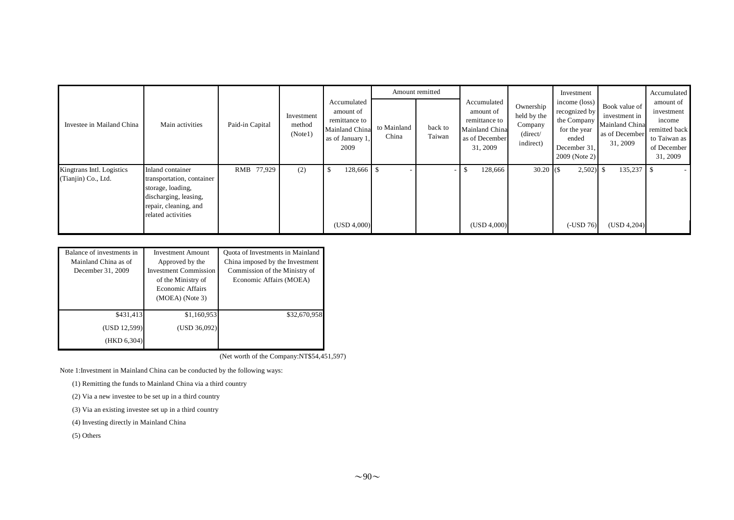|                                                  |                                                                                                                                            |                 |                                 |                                                                                         |                      | Amount remitted   |                                                                                           |                                                              | Investment                                                                               |                                                                                              | Accumulated                                                                                   |
|--------------------------------------------------|--------------------------------------------------------------------------------------------------------------------------------------------|-----------------|---------------------------------|-----------------------------------------------------------------------------------------|----------------------|-------------------|-------------------------------------------------------------------------------------------|--------------------------------------------------------------|------------------------------------------------------------------------------------------|----------------------------------------------------------------------------------------------|-----------------------------------------------------------------------------------------------|
| Investee in Mailand China                        | Main activities                                                                                                                            | Paid-in Capital | Investment<br>method<br>(Note1) | Accumulated<br>amount of<br>remittance to<br>Mainland China<br>as of January 1,<br>2009 | to Mainland<br>China | back to<br>Taiwan | Accumulated<br>amount of<br>remittance to<br>Mainland China<br>as of December<br>31, 2009 | Ownership<br>held by the<br>Company<br>(direct/<br>indirect) | income (loss)<br>recognized by<br>for the year<br>ended<br>December 31,<br>2009 (Note 2) | Book value of<br>investment in<br>I the Company Mainland China<br>as of December<br>31, 2009 | amount of<br>investment<br>income<br>remitted back<br>to Taiwan as<br>of December<br>31, 2009 |
| Kingtrans Intl. Logistics<br>(Tianjin) Co., Ltd. | Inland container<br>transportation, container<br>storage, loading,<br>discharging, leasing,<br>repair, cleaning, and<br>related activities | RMB 77,929      | (2)                             | 128,666 \$<br>- 75<br>(USD 4,000)                                                       |                      |                   | 128,666<br>\$.<br>(USD 4,000)                                                             | $30.20$ (\$)                                                 | $2,502$ \$<br>$(-USD 76)$                                                                | 135,237<br>(USD 4,204)                                                                       |                                                                                               |

| Balance of investments in<br>Mainland China as of<br>December 31, 2009 | <b>Investment Amount</b><br>Approved by the<br><b>Investment Commission</b><br>of the Ministry of<br><b>Economic Affairs</b><br>$(MOEA)$ (Note 3) | Quota of Investments in Mainland<br>China imposed by the Investment<br>Commission of the Ministry of<br>Economic Affairs (MOEA) |  |  |
|------------------------------------------------------------------------|---------------------------------------------------------------------------------------------------------------------------------------------------|---------------------------------------------------------------------------------------------------------------------------------|--|--|
| \$431,413<br>(USD 12,599)<br>(HKD 6,304)                               | \$1,160,953<br>(USD 36,092)                                                                                                                       | \$32,670,958                                                                                                                    |  |  |

(Net worth of the Company:NT\$54,451,597)

Note 1:Investment in Mainland China can be conducted by the following ways:

(1) Remitting the funds to Mainland China via a third country

(2) Via a new investee to be set up in a third country

(3) Via an existing investee set up in a third country

(4) Investing directly in Mainland China

(5) Others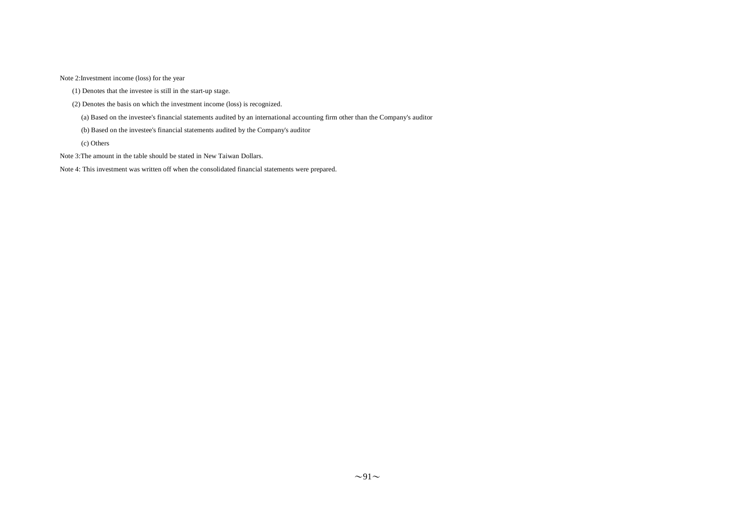Note 2:Investment income (loss) for the year

(1) Denotes that the investee is still in the start-up stage.

(2) Denotes the basis on which the investment income (loss) is recognized.

(a) Based on the investee's financial statements audited by an international accounting firm other than the Company's auditor

(b) Based on the investee's financial statements audited by the Company's auditor

(c) Others

Note 3:The amount in the table should be stated in New Taiwan Dollars.

Note 4: This investment was written off when the consolidated financial statements were prepared.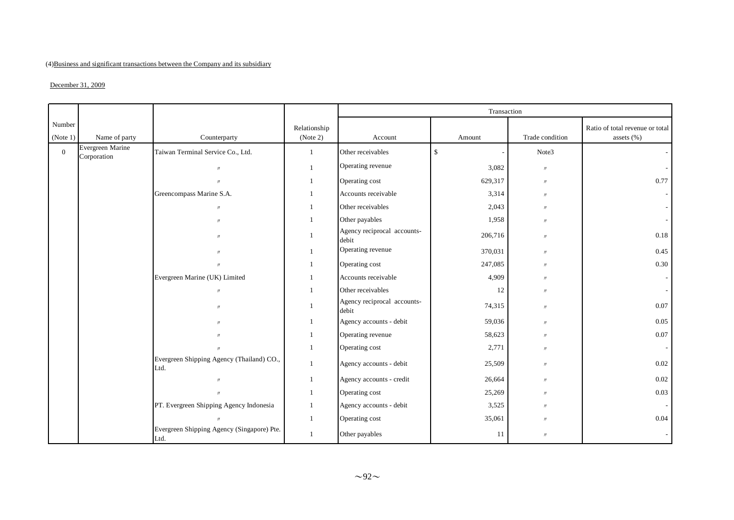## (4)Business and significant transactions between the Company and its subsidiary

### $December 31, 2009$

|                    |                                 |                                                    |                          |                                      | Transaction  |                   |                                               |
|--------------------|---------------------------------|----------------------------------------------------|--------------------------|--------------------------------------|--------------|-------------------|-----------------------------------------------|
| Number<br>(Note 1) | Name of party                   | Counterparty                                       | Relationship<br>(Note 2) | Account                              | Amount       | Trade condition   | Ratio of total revenue or total<br>assets (%) |
| $\overline{0}$     | Evergreen Marine<br>Corporation | Taiwan Terminal Service Co., Ltd.                  | $\mathbf{1}$             | Other receivables                    | $\mathbb{S}$ | Note3             |                                               |
|                    |                                 | $\prime$                                           | $\overline{1}$           | Operating revenue                    | 3,082        | $\prime\prime$    |                                               |
|                    |                                 | $\mathbf{u}$                                       | $\overline{1}$           | Operating cost                       | 629,317      | $\prime$          | 0.77                                          |
|                    |                                 | Greencompass Marine S.A.                           | $\overline{1}$           | Accounts receivable                  | 3,314        | $^{\prime\prime}$ |                                               |
|                    |                                 | $\mathcal{U}$                                      | $\overline{1}$           | Other receivables                    | 2,043        | $^{\prime\prime}$ |                                               |
|                    |                                 | $^{\prime\prime}$                                  | $\overline{1}$           | Other payables                       | 1,958        | $\prime$          | $\sim$                                        |
|                    |                                 | $^{\prime\prime}$                                  | $\overline{1}$           | Agency reciprocal accounts-<br>debit | 206,716      | $^{\prime\prime}$ | 0.18                                          |
|                    |                                 | $^{\prime\prime}$                                  | $\overline{1}$           | Operating revenue                    | 370,031      | $\prime$          | 0.45                                          |
|                    |                                 |                                                    |                          | Operating cost                       | 247,085      | $\prime$          | 0.30                                          |
|                    |                                 | Evergreen Marine (UK) Limited                      | $\mathbf{1}$             | Accounts receivable                  | 4,909        | $\prime$          | $\sim$                                        |
|                    |                                 | $\mathcal{U}$                                      | $\overline{1}$           | Other receivables                    | 12           | $^{\prime\prime}$ | $\sim$                                        |
|                    |                                 | $\mathbf{u}$                                       | $\overline{1}$           | Agency reciprocal accounts-<br>debit | 74,315       | $^{\prime\prime}$ | 0.07                                          |
|                    |                                 |                                                    | $\overline{1}$           | Agency accounts - debit              | 59,036       | $\prime$          | 0.05                                          |
|                    |                                 |                                                    | $\mathbf{1}$             | Operating revenue                    | 58,623       | $^{\prime\prime}$ | 0.07                                          |
|                    |                                 |                                                    | $\overline{1}$           | Operating cost                       | 2,771        | $^{\prime\prime}$ | $\sim$                                        |
|                    |                                 | Evergreen Shipping Agency (Thailand) CO.,<br>Ltd.  | $\mathbf{1}$             | Agency accounts - debit              | 25,509       | $^{\prime\prime}$ | 0.02                                          |
|                    |                                 | $\prime$                                           | $\overline{1}$           | Agency accounts - credit             | 26,664       | $^{\prime\prime}$ | 0.02                                          |
|                    |                                 |                                                    | $\overline{1}$           | Operating cost                       | 25,269       | $^{\prime\prime}$ | 0.03                                          |
|                    |                                 | PT. Evergreen Shipping Agency Indonesia            | $\overline{1}$           | Agency accounts - debit              | 3,525        | $^{\prime\prime}$ | $\sim$                                        |
|                    |                                 |                                                    | $\overline{1}$           | Operating cost                       | 35,061       | $\prime$          | 0.04                                          |
|                    |                                 | Evergreen Shipping Agency (Singapore) Pte.<br>Ltd. | $\overline{1}$           | Other payables                       | 11           | $\prime$          |                                               |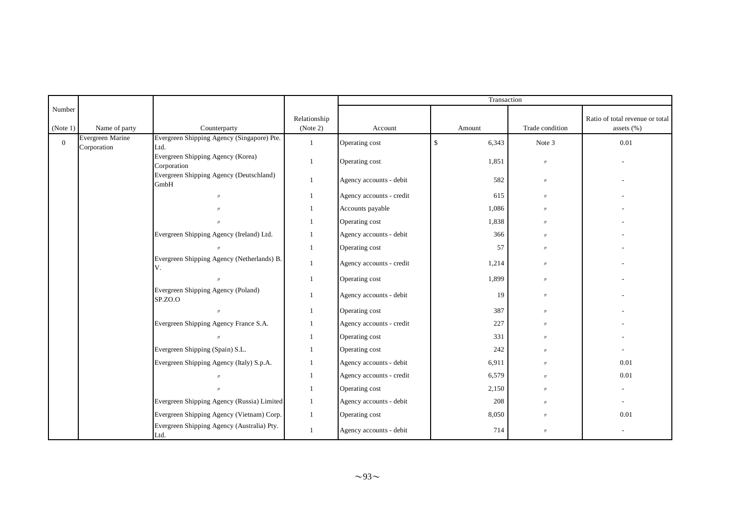|                    |                                 |                                                    |                          |                          | Transaction           |                   |                                               |
|--------------------|---------------------------------|----------------------------------------------------|--------------------------|--------------------------|-----------------------|-------------------|-----------------------------------------------|
| Number<br>(Note 1) | Name of party                   | Counterparty                                       | Relationship<br>(Note 2) | Account                  | Amount                | Trade condition   | Ratio of total revenue or total<br>assets (%) |
| $\mathbf{0}$       | Evergreen Marine<br>Corporation | Evergreen Shipping Agency (Singapore) Pte.<br>Ltd. | $\mathbf{1}$             | Operating cost           | $\mathbb{S}$<br>6,343 | Note 3            | 0.01                                          |
|                    |                                 | Evergreen Shipping Agency (Korea)<br>Corporation   | 1                        | Operating cost           | 1,851                 | $\prime\prime$    |                                               |
|                    |                                 | Evergreen Shipping Agency (Deutschland)<br>GmbH    | $\mathbf{1}$             | Agency accounts - debit  | 582                   | $\prime\prime$    |                                               |
|                    |                                 | $^{\prime\prime}$                                  | $\mathbf{1}$             | Agency accounts - credit | 615                   | $^{\prime\prime}$ |                                               |
|                    |                                 |                                                    | $\mathbf{1}$             | Accounts payable         | 1,086                 | $^{\prime\prime}$ |                                               |
|                    |                                 |                                                    | -1                       | Operating cost           | 1,838                 | $^{\prime\prime}$ |                                               |
|                    |                                 | Evergreen Shipping Agency (Ireland) Ltd.           | 1                        | Agency accounts - debit  | 366                   | $\prime\prime$    |                                               |
|                    |                                 |                                                    | $\mathbf{1}$             | Operating cost           | 57                    | $\prime\prime$    |                                               |
|                    |                                 | Evergreen Shipping Agency (Netherlands) B.<br>V.   | 1                        | Agency accounts - credit | 1,214                 | $\prime\prime$    |                                               |
|                    |                                 | $^{\prime\prime}$                                  | $\mathbf{1}$             | Operating cost           | 1,899                 | $^{\prime\prime}$ |                                               |
|                    |                                 | Evergreen Shipping Agency (Poland)<br>SP.ZO.O      | $\mathbf{1}$             | Agency accounts - debit  | 19                    | $^{\prime\prime}$ |                                               |
|                    |                                 | $\prime$                                           | $\mathbf{1}$             | Operating cost           | 387                   | $^{\prime\prime}$ |                                               |
|                    |                                 | Evergreen Shipping Agency France S.A.              | 1                        | Agency accounts - credit | 227                   | $^{\prime\prime}$ |                                               |
|                    |                                 |                                                    | -1                       | Operating cost           | 331                   | $^{\prime\prime}$ |                                               |
|                    |                                 | Evergreen Shipping (Spain) S.L.                    | -1                       | Operating cost           | 242                   | $\prime\prime$    |                                               |
|                    |                                 | Evergreen Shipping Agency (Italy) S.p.A.           | $\mathbf{1}$             | Agency accounts - debit  | 6,911                 | $^{\prime\prime}$ | 0.01                                          |
|                    |                                 | $^{\prime\prime}$                                  | -1                       | Agency accounts - credit | 6,579                 | $^{\prime\prime}$ | 0.01                                          |
|                    |                                 |                                                    |                          | Operating cost           | 2,150                 | $\prime$          |                                               |
|                    |                                 | Evergreen Shipping Agency (Russia) Limited         | $\mathbf{1}$             | Agency accounts - debit  | 208                   | $\prime\prime$    |                                               |
|                    |                                 | Evergreen Shipping Agency (Vietnam) Corp.          | $\mathbf{1}$             | Operating cost           | 8,050                 | $^{\prime\prime}$ | 0.01                                          |
|                    |                                 | Evergreen Shipping Agency (Australia) Pty.<br>Ltd. | -1                       | Agency accounts - debit  | 714                   | $\prime\prime$    |                                               |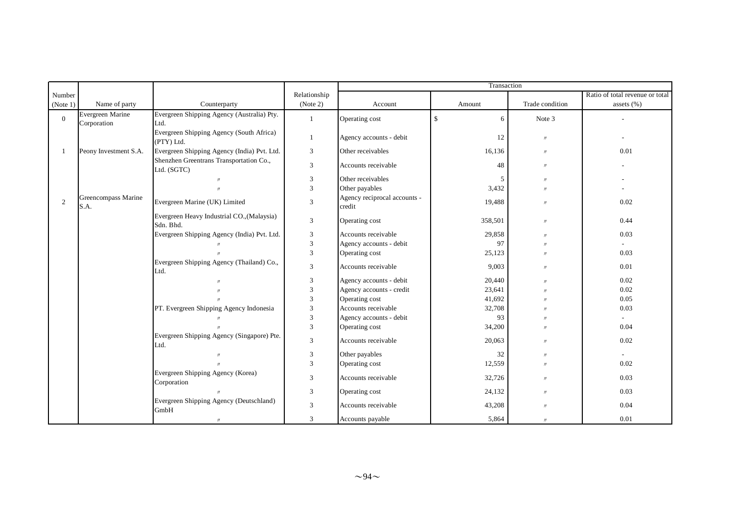|                |                                 |                                                         |                |                                        | Transaction       |                   |                                 |
|----------------|---------------------------------|---------------------------------------------------------|----------------|----------------------------------------|-------------------|-------------------|---------------------------------|
| Number         |                                 |                                                         | Relationship   |                                        |                   |                   | Ratio of total revenue or total |
| (Note 1)       | Name of party                   | Counterparty                                            | (Note 2)       | Account                                | Amount            | Trade condition   | assets $(\% )$                  |
| $\overline{0}$ | Evergreen Marine<br>Corporation | Evergreen Shipping Agency (Australia) Pty.<br>Ltd.      | $\mathbf{1}$   | Operating cost                         | $\mathbb{S}$<br>6 | Note 3            |                                 |
|                |                                 | Evergreen Shipping Agency (South Africa)<br>(PTY) Ltd.  | $\mathbf{1}$   | Agency accounts - debit                | 12                | $\prime\prime$    |                                 |
|                | Peony Investment S.A.           | Evergreen Shipping Agency (India) Pvt. Ltd.             | 3              | Other receivables                      | 16,136            | $\prime\prime$    | 0.01                            |
|                |                                 | Shenzhen Greentrans Transportation Co.,<br>Ltd. (SGTC)  | $\overline{3}$ | Accounts receivable                    | 48                | $^{\prime\prime}$ |                                 |
|                |                                 |                                                         | 3              | Other receivables                      | 5                 | $\prime$          |                                 |
|                |                                 |                                                         | 3              | Other payables                         | 3,432             | $\prime$          |                                 |
| 2              | Greencompass Marine<br>S.A.     | Evergreen Marine (UK) Limited                           | $\mathfrak{Z}$ | Agency reciprocal accounts -<br>credit | 19,488            | $\prime\prime$    | 0.02                            |
|                |                                 | Evergreen Heavy Industrial CO., (Malaysia)<br>Sdn. Bhd. | 3              | Operating cost                         | 358,501           | $^{\prime\prime}$ | 0.44                            |
|                |                                 | Evergreen Shipping Agency (India) Pvt. Ltd.             | 3              | Accounts receivable                    | 29,858            | $^{\prime\prime}$ | 0.03                            |
|                |                                 |                                                         | 3              | Agency accounts - debit                | 97                | $^{\prime\prime}$ |                                 |
|                |                                 |                                                         | $\overline{3}$ | Operating cost                         | 25,123            | $\prime$          | 0.03                            |
|                |                                 | Evergreen Shipping Agency (Thailand) Co.,<br>Ltd.       | 3              | Accounts receivable                    | 9,003             | $\prime\prime$    | 0.01                            |
|                |                                 |                                                         | 3              | Agency accounts - debit                | 20,440            | $\prime$          | 0.02                            |
|                |                                 |                                                         | 3              | Agency accounts - credit               | 23,641            | $^{\prime\prime}$ | 0.02                            |
|                |                                 |                                                         | 3              | Operating cost                         | 41,692            | $^{\prime\prime}$ | 0.05                            |
|                |                                 | PT. Evergreen Shipping Agency Indonesia                 | 3              | Accounts receivable                    | 32,708            | $^{\prime\prime}$ | 0.03                            |
|                |                                 |                                                         | 3              | Agency accounts - debit                | 93                | $\prime$          | $\sim$                          |
|                |                                 |                                                         | 3              | Operating cost                         | 34,200            | $\prime$          | 0.04                            |
|                |                                 | Evergreen Shipping Agency (Singapore) Pte.<br>Ltd.      | 3              | Accounts receivable                    | 20,063            | $^{\prime\prime}$ | 0.02                            |
|                |                                 |                                                         | 3              | Other payables                         | 32                | $^{\prime\prime}$ | $\overline{\phantom{a}}$        |
|                |                                 |                                                         | 3              | Operating cost                         | 12,559            | $\prime$          | 0.02                            |
|                |                                 | Evergreen Shipping Agency (Korea)<br>Corporation        | 3              | Accounts receivable                    | 32,726            | $\prime$          | 0.03                            |
|                |                                 |                                                         | 3              | Operating cost                         | 24,132            | $\prime\prime$    | 0.03                            |
|                |                                 | Evergreen Shipping Agency (Deutschland)<br>GmbH         | $\overline{3}$ | Accounts receivable                    | 43,208            | $^{\prime\prime}$ | 0.04                            |
|                |                                 | $^{\prime\prime}$                                       | 3              | Accounts payable                       | 5,864             | $\prime$          | 0.01                            |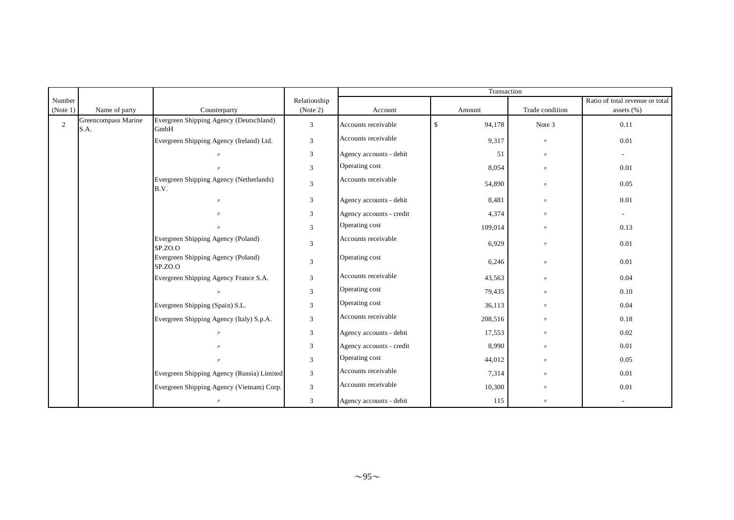|                |                             |                                                 |                             |                          | Transaction  |                 |                                 |
|----------------|-----------------------------|-------------------------------------------------|-----------------------------|--------------------------|--------------|-----------------|---------------------------------|
| Number         |                             |                                                 | Relationship                |                          |              |                 | Ratio of total revenue or total |
| (Note 1)       | Name of party               | Counterparty                                    | (Note 2)                    | Account                  | Amount       | Trade condition | assets $(\% )$                  |
| $\overline{2}$ | Greencompass Marine<br>S.A. | Evergreen Shipping Agency (Deutschland)<br>GmbH | $\boldsymbol{\mathfrak{Z}}$ | Accounts receivable      | \$<br>94,178 | Note 3          | 0.11                            |
|                |                             | Evergreen Shipping Agency (Ireland) Ltd.        | $\mathfrak{Z}$              | Accounts receivable      | 9,317        | $\prime\prime$  | 0.01                            |
|                |                             | $^{\prime\prime}$                               | $\boldsymbol{\mathfrak{Z}}$ | Agency accounts - debit  | 51           | $\prime\prime$  | ٠                               |
|                |                             |                                                 | 3                           | Operating cost           | 8,054        | $\prime\prime$  | 0.01                            |
|                |                             | Evergreen Shipping Agency (Netherlands)<br>B.V. | $\mathfrak{Z}$              | Accounts receivable      | 54,890       | $\prime\prime$  | 0.05                            |
|                |                             | $\prime\prime$                                  | 3                           | Agency accounts - debit  | 8,481        | $\prime\prime$  | 0.01                            |
|                |                             | $\prime$                                        | 3                           | Agency accounts - credit | 4,374        | $\prime\prime$  | $\overline{\phantom{a}}$        |
|                |                             | $^{\prime\prime}$                               | 3                           | Operating cost           | 109,014      | $\prime\prime$  | 0.13                            |
|                |                             | Evergreen Shipping Agency (Poland)<br>SP.ZO.O   | 3                           | Accounts receivable      | 6,929        | $\prime\prime$  | 0.01                            |
|                |                             | Evergreen Shipping Agency (Poland)<br>SP.ZO.O   | 3                           | Operating cost           | 6,246        | $\prime\prime$  | 0.01                            |
|                |                             | Evergreen Shipping Agency France S.A.           | $\boldsymbol{\mathfrak{Z}}$ | Accounts receivable      | 43,563       | $\prime\prime$  | 0.04                            |
|                |                             | $\prime$                                        | $\boldsymbol{\mathfrak{Z}}$ | Operating cost           | 79,435       | $\prime\prime$  | 0.10                            |
|                |                             | Evergreen Shipping (Spain) S.L.                 | 3                           | Operating cost           | 36,113       | $\prime\prime$  | 0.04                            |
|                |                             | Evergreen Shipping Agency (Italy) S.p.A.        | 3                           | Accounts receivable      | 208,516      | $\prime\prime$  | 0.18                            |
|                |                             | $\prime\prime$                                  | 3                           | Agency accounts - debit  | 17,553       | $\prime\prime$  | 0.02                            |
|                |                             |                                                 | 3                           | Agency accounts - credit | 8,990        | $\prime\prime$  | 0.01                            |
|                |                             | $^{\prime\prime}$                               | 3                           | Operating cost           | 44,012       | $\prime\prime$  | 0.05                            |
|                |                             | Evergreen Shipping Agency (Russia) Limited      | 3                           | Accounts receivable      | 7,314        | $\prime\prime$  | 0.01                            |
|                |                             | Evergreen Shipping Agency (Vietnam) Corp.       | $\mathfrak{Z}$              | Accounts receivable      | 10,300       | $\prime$        | 0.01                            |
|                |                             | $\prime\prime$                                  | 3                           | Agency accounts - debit  | 115          | $\prime$        |                                 |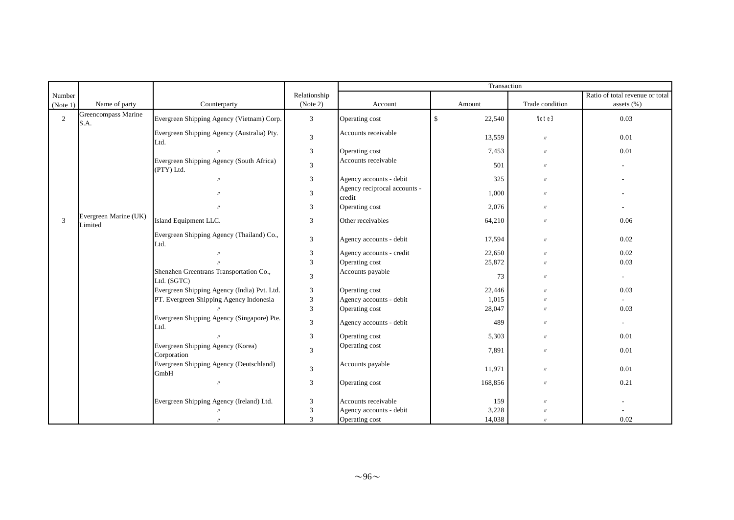|          |                                  |                                                        |                         |                                        | Transaction  |                     |                                 |
|----------|----------------------------------|--------------------------------------------------------|-------------------------|----------------------------------------|--------------|---------------------|---------------------------------|
| Number   |                                  |                                                        | Relationship            |                                        |              |                     | Ratio of total revenue or total |
| (Note 1) | Name of party                    | Counterparty                                           | (Note 2)                | Account                                | Amount       | Trade condition     | assets $(\% )$                  |
| 2        | Greencompass Marine<br>S.A.      | Evergreen Shipping Agency (Vietnam) Corp.              | 3                       | Operating cost                         | 22,540<br>\$ | Note3               | 0.03                            |
|          |                                  | Evergreen Shipping Agency (Australia) Pty.<br>Ltd.     | $\mathfrak{Z}$          | Accounts receivable                    | 13,559       | $\prime\prime$      | 0.01                            |
|          |                                  |                                                        | 3                       | Operating cost                         | 7,453        | $\prime\prime$      | 0.01                            |
|          |                                  | Evergreen Shipping Agency (South Africa)<br>(PTY) Ltd. | $\mathfrak{Z}$          | Accounts receivable                    | 501          | $^{\prime\prime}$   |                                 |
|          |                                  | $\mathcal{U}$                                          | 3                       | Agency accounts - debit                | 325          | $^{\prime\prime}$   |                                 |
|          |                                  |                                                        | 3                       | Agency reciprocal accounts -<br>credit | 1,000        | $\prime\prime$      |                                 |
|          |                                  |                                                        | 3                       | Operating cost                         | 2,076        | $^{\prime\prime}$   |                                 |
| 3        | Evergreen Marine (UK)<br>Limited | Island Equipment LLC.                                  | 3                       | Other receivables                      | 64,210       | $\prime$            | 0.06                            |
|          |                                  | Evergreen Shipping Agency (Thailand) Co.,<br>Ltd.      | 3                       | Agency accounts - debit                | 17,594       | $^{\prime\prime}$   | 0.02                            |
|          |                                  |                                                        | 3                       | Agency accounts - credit               | 22,650       | $\prime$            | 0.02                            |
|          |                                  |                                                        | 3                       | Operating cost                         | 25,872       | $\boldsymbol{\eta}$ | 0.03                            |
|          |                                  | Shenzhen Greentrans Transportation Co.,<br>Ltd. (SGTC) | 3                       | Accounts payable                       | 73           | $^{\prime\prime}$   | $\overline{\phantom{0}}$        |
|          |                                  | Evergreen Shipping Agency (India) Pvt. Ltd.            | 3                       | Operating cost                         | 22,446       | $\boldsymbol{\eta}$ | 0.03                            |
|          |                                  | PT. Evergreen Shipping Agency Indonesia                | $\overline{\mathbf{3}}$ | Agency accounts - debit                | 1,015        | $\boldsymbol{\eta}$ |                                 |
|          |                                  |                                                        | $\overline{3}$          | Operating cost                         | 28,047       | $^{\prime\prime}$   | 0.03                            |
|          |                                  | Evergreen Shipping Agency (Singapore) Pte.<br>Ltd.     | 3                       | Agency accounts - debit                | 489          | $\prime$            | $\overline{a}$                  |
|          |                                  |                                                        | $\overline{3}$          | Operating cost                         | 5,303        | $^{\prime\prime}$   | 0.01                            |
|          |                                  | Evergreen Shipping Agency (Korea)<br>Corporation       | 3                       | Operating cost                         | 7,891        | $\prime$            | 0.01                            |
|          |                                  | Evergreen Shipping Agency (Deutschland)<br>GmbH        | $\overline{3}$          | Accounts payable                       | 11,971       | $\prime\prime$      | 0.01                            |
|          |                                  | $\mathcal{U}$                                          | 3                       | Operating cost                         | 168,856      | $^{\prime\prime}$   | 0.21                            |
|          |                                  | Evergreen Shipping Agency (Ireland) Ltd.               | 3                       | Accounts receivable                    | 159          | $\prime$            |                                 |
|          |                                  |                                                        | $\mathfrak{Z}$          | Agency accounts - debit                | 3,228        |                     |                                 |
|          |                                  | $^{\prime\prime}$                                      | 3                       | Operating cost                         | 14,038       | $\boldsymbol{\eta}$ | 0.02                            |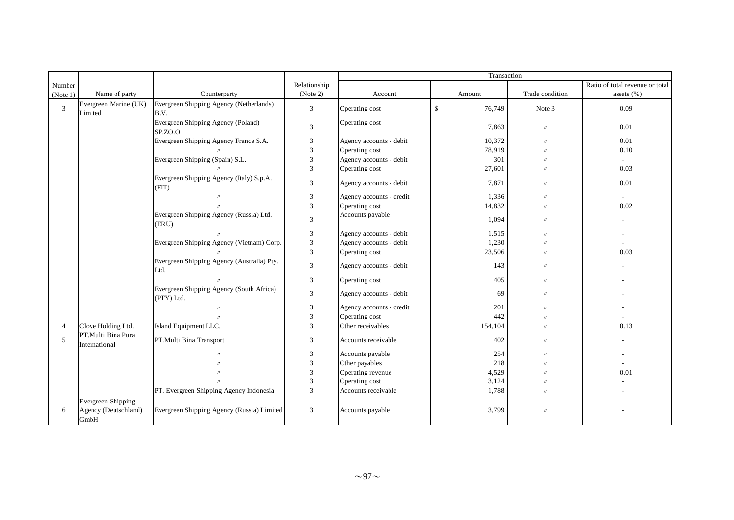|                |                                                           |                                                        |                             | Transaction              |              |                   |                                 |
|----------------|-----------------------------------------------------------|--------------------------------------------------------|-----------------------------|--------------------------|--------------|-------------------|---------------------------------|
| Number         |                                                           |                                                        | Relationship                |                          |              |                   | Ratio of total revenue or total |
| (Note 1)       | Name of party                                             | Counterparty                                           | (Note 2)                    | Account                  | Amount       | Trade condition   | assets $(\%)$                   |
| 3              | Evergreen Marine (UK)<br>Limited                          | Evergreen Shipping Agency (Netherlands)<br>B.V.        | 3                           | Operating cost           | \$<br>76,749 | Note 3            | 0.09                            |
|                |                                                           | Evergreen Shipping Agency (Poland)<br>SP.ZO.O          | $\overline{3}$              | Operating cost           | 7,863        | $\prime\prime$    | 0.01                            |
|                |                                                           | Evergreen Shipping Agency France S.A.                  | $\mathfrak{Z}$              | Agency accounts - debit  | 10,372       | $\prime\prime$    | 0.01                            |
|                |                                                           |                                                        | $\mathfrak{Z}$              | Operating cost           | 78,919       | $\prime$          | 0.10                            |
|                |                                                           | Evergreen Shipping (Spain) S.L.                        | $\mathfrak{Z}$              | Agency accounts - debit  | 301          | $\prime$          |                                 |
|                |                                                           |                                                        | $\overline{3}$              | Operating cost           | 27,601       | $\prime$          | 0.03                            |
|                |                                                           | Evergreen Shipping Agency (Italy) S.p.A.<br>(EIT)      | $\overline{3}$              | Agency accounts - debit  | 7,871        | $\prime\prime$    | 0.01                            |
|                |                                                           | $\mathcal{U}$                                          | $\mathfrak{Z}$              | Agency accounts - credit | 1,336        | $\prime\prime$    | $\sim$                          |
|                |                                                           |                                                        | $\overline{3}$              | Operating cost           | 14,832       | $\prime$          | 0.02                            |
|                |                                                           | Evergreen Shipping Agency (Russia) Ltd.<br>(ERU)       | $\mathfrak{Z}$              | Accounts payable         | 1,094        | $\prime\prime$    |                                 |
|                |                                                           |                                                        | $\mathfrak{Z}$              | Agency accounts - debit  | 1,515        | $\prime\prime$    |                                 |
|                |                                                           | Evergreen Shipping Agency (Vietnam) Corp.              | $\sqrt{3}$                  | Agency accounts - debit  | 1,230        | $\prime$          |                                 |
|                |                                                           |                                                        | $\mathfrak{Z}$              | Operating cost           | 23,506       | $\prime\prime$    | 0.03                            |
|                |                                                           | Evergreen Shipping Agency (Australia) Pty.<br>Ltd.     | $\overline{3}$              | Agency accounts - debit  | 143          | $\prime\prime$    |                                 |
|                |                                                           |                                                        | $\overline{3}$              | Operating cost           | 405          | $\prime\prime$    |                                 |
|                |                                                           | Evergreen Shipping Agency (South Africa)<br>(PTY) Ltd. | $\overline{3}$              | Agency accounts - debit  | 69           | $\prime\prime$    |                                 |
|                |                                                           |                                                        | $\ensuremath{\mathfrak{Z}}$ | Agency accounts - credit | 201          | $\prime$          |                                 |
|                |                                                           |                                                        | $\mathfrak{Z}$              | Operating cost           | 442          | $\prime$          |                                 |
| $\overline{4}$ | Clove Holding Ltd.                                        | Island Equipment LLC.                                  | 3                           | Other receivables        | 154,104      | $\prime$          | 0.13                            |
| 5              | PT.Multi Bina Pura<br>International                       | PT.Multi Bina Transport                                | 3                           | Accounts receivable      | 402          | $\prime\prime$    |                                 |
|                |                                                           |                                                        | 3                           | Accounts payable         | 254          | $\prime$          |                                 |
|                |                                                           |                                                        | $\mathfrak{Z}$              | Other payables           | 218          | $^{\prime\prime}$ |                                 |
|                |                                                           |                                                        | $\ensuremath{\mathfrak{Z}}$ | Operating revenue        | 4,529        | $^{\prime\prime}$ | 0.01                            |
|                |                                                           |                                                        | $\overline{3}$              | Operating cost           | 3,124        | $\prime$          |                                 |
|                |                                                           | PT. Evergreen Shipping Agency Indonesia                | $\overline{3}$              | Accounts receivable      | 1,788        | $^{\prime\prime}$ |                                 |
| 6              | <b>Evergreen Shipping</b><br>Agency (Deutschland)<br>GmbH | Evergreen Shipping Agency (Russia) Limited             | $\overline{3}$              | Accounts payable         | 3,799        | $\prime\prime$    |                                 |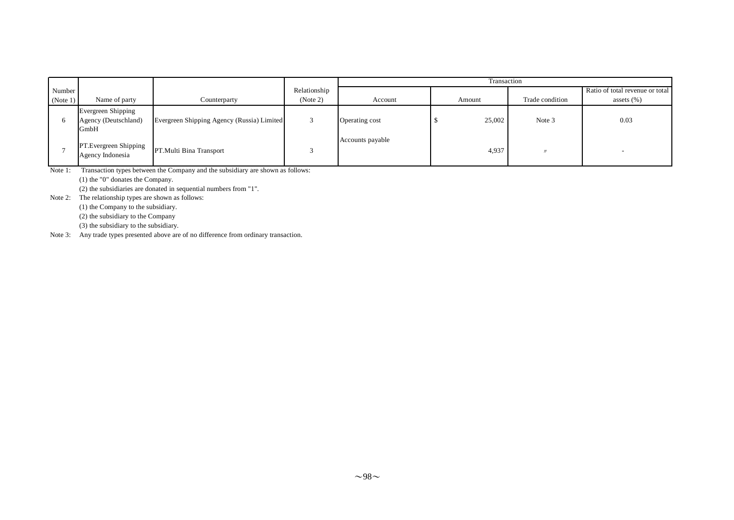|          |                                                           |                                            |              | Transaction      |        |                 |                                 |  |
|----------|-----------------------------------------------------------|--------------------------------------------|--------------|------------------|--------|-----------------|---------------------------------|--|
| Number   |                                                           |                                            | Relationship |                  |        |                 | Ratio of total revenue or total |  |
| (Note 1) | Name of party                                             | Counterparty                               | (Note 2)     | Account          | Amount | Trade condition | assets $(\%)$                   |  |
|          | Evergreen Shipping<br>Agency (Deutschland)<br><b>GmbH</b> | Evergreen Shipping Agency (Russia) Limited |              | Operating cost   | 25,002 | Note 3          | 0.03                            |  |
|          | PT.Evergreen Shipping<br>Agency Indonesia                 | PT. Multi Bina Transport                   |              | Accounts payable | 4,937  |                 |                                 |  |

Note 1: Transaction types between the Company and the subsidiary are shown as follows:

(1) the "0" donates the Company.

(2) the subsidiaries are donated in sequential numbers from "1".

Note 2: The relationship types are shown as follows:

(1) the Company to the subsidiary.

(2) the subsidiary to the Company

(3) the subsidiary to the subsidiary.

Note 3: Any trade types presented above are of no difference from ordinary transaction.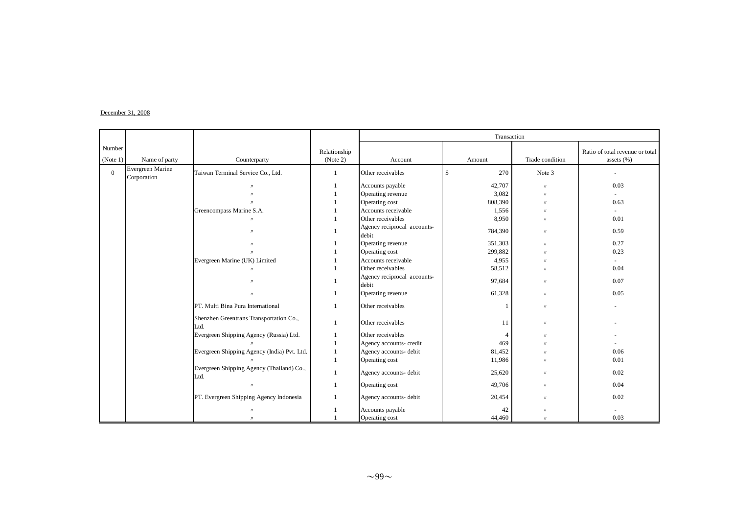#### $December 31, 2008$

|                    |                                 |                                                   |                          |                                      | Transaction        |                     |                                                   |
|--------------------|---------------------------------|---------------------------------------------------|--------------------------|--------------------------------------|--------------------|---------------------|---------------------------------------------------|
| Number<br>(Note 1) | Name of party                   | Counterparty                                      | Relationship<br>(Note 2) | Account                              | Amount             | Trade condition     | Ratio of total revenue or total<br>assets $(\% )$ |
| $\overline{0}$     | Evergreen Marine<br>Corporation | Taiwan Terminal Service Co., Ltd.                 | $\mathbf{1}$             | Other receivables                    | $\mathbf S$<br>270 | Note 3              |                                                   |
|                    |                                 |                                                   | $\mathbf{1}$             | Accounts payable                     | 42,707             | $\boldsymbol{\eta}$ | 0.03                                              |
|                    |                                 |                                                   |                          | Operating revenue                    | 3,082              | $^{\prime\prime}$   |                                                   |
|                    |                                 | $\mathbf{u}$                                      |                          | Operating cost                       | 808,390            | $^{\prime\prime}$   | 0.63                                              |
|                    |                                 | Greencompass Marine S.A.                          |                          | Accounts receivable                  | 1,556              | $^{\prime\prime}$   |                                                   |
|                    |                                 |                                                   |                          | Other receivables                    | 8,950              | $^{\prime\prime}$   | 0.01                                              |
|                    |                                 | $\overline{u}$                                    |                          | Agency reciprocal accounts-<br>debit | 784,390            | $\prime\prime$      | 0.59                                              |
|                    |                                 |                                                   |                          | Operating revenue                    | 351,303            | $\prime$            | 0.27                                              |
|                    |                                 |                                                   |                          | Operating cost                       | 299,882            | $\prime$            | 0.23                                              |
|                    |                                 | Evergreen Marine (UK) Limited                     |                          | Accounts receivable                  | 4,955              | $^{\prime\prime}$   |                                                   |
|                    |                                 | $\mathcal{U}$                                     |                          | Other receivables                    | 58,512             | $^{\prime\prime}$   | 0.04                                              |
|                    |                                 | $\overline{u}$                                    |                          | Agency reciprocal accounts-<br>debit | 97,684             | $^{\prime\prime}$   | 0.07                                              |
|                    |                                 | $^{\prime\prime}$                                 |                          | Operating revenue                    | 61,328             | $^{\prime\prime}$   | 0.05                                              |
|                    |                                 | PT. Multi Bina Pura International                 |                          | Other receivables                    |                    | $\prime$            |                                                   |
|                    |                                 | Shenzhen Greentrans Transportation Co.,<br>Ltd.   |                          | Other receivables                    | 11                 | $\prime$            |                                                   |
|                    |                                 | Evergreen Shipping Agency (Russia) Ltd.           |                          | Other receivables                    | 4                  | $\prime$            |                                                   |
|                    |                                 |                                                   |                          | Agency accounts- credit              | 469                |                     |                                                   |
|                    |                                 | Evergreen Shipping Agency (India) Pvt. Ltd.       |                          | Agency accounts- debit               | 81,452             | $^{\prime\prime}$   | 0.06                                              |
|                    |                                 |                                                   | $\mathbf{1}$             | Operating cost                       | 11,986             | $^{\prime\prime}$   | 0.01                                              |
|                    |                                 | Evergreen Shipping Agency (Thailand) Co.,<br>Ltd. | $\mathbf{1}$             | Agency accounts- debit               | 25,620             | $^{\prime\prime}$   | 0.02                                              |
|                    |                                 | $\overline{u}$                                    | $\mathbf{1}$             | Operating cost                       | 49,706             | $^{\prime\prime}$   | 0.04                                              |
|                    |                                 | PT. Evergreen Shipping Agency Indonesia           | $\mathbf{1}$             | Agency accounts- debit               | 20,454             | $\prime$            | 0.02                                              |
|                    |                                 | $^{\prime\prime}$                                 |                          | Accounts payable                     | 42                 | $^{\prime\prime}$   |                                                   |
|                    |                                 | $\overline{u}$                                    |                          | Operating cost                       | 44,460             | $^{\prime\prime}$   | 0.03                                              |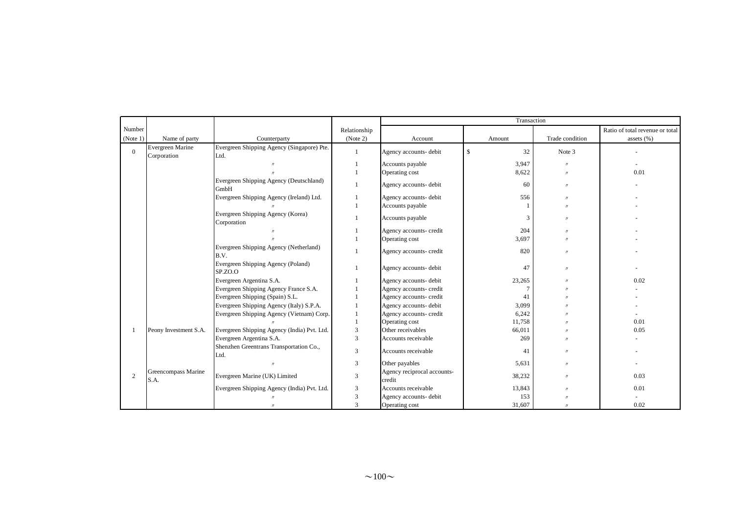|                |                                 |                                                    |                         |                                       | Transaction |                   |                                 |
|----------------|---------------------------------|----------------------------------------------------|-------------------------|---------------------------------------|-------------|-------------------|---------------------------------|
| Number         |                                 |                                                    | Relationship            |                                       |             |                   | Ratio of total revenue or total |
| (Note 1)       | Name of party                   | Counterparty                                       | (Note 2)                | Account                               | Amount      | Trade condition   | assets $(\% )$                  |
| $\overline{0}$ | Evergreen Marine<br>Corporation | Evergreen Shipping Agency (Singapore) Pte.<br>Ltd. | $\overline{1}$          | Agency accounts- debit                | \$<br>32    | Note 3            |                                 |
|                |                                 | $^{\prime\prime}$                                  |                         | Accounts payable                      | 3,947       | $\prime$          | $\sim$                          |
|                |                                 |                                                    |                         | Operating cost                        | 8,622       | $\mathbf{u}$      | 0.01                            |
|                |                                 | Evergreen Shipping Agency (Deutschland)<br>GmbH    |                         | Agency accounts- debit                | 60          | $\prime$          |                                 |
|                |                                 | Evergreen Shipping Agency (Ireland) Ltd.           |                         | Agency accounts- debit                | 556         | $\mathbf{u}$      |                                 |
|                |                                 |                                                    | $\overline{1}$          | Accounts payable                      |             |                   |                                 |
|                |                                 | Evergreen Shipping Agency (Korea)<br>Corporation   |                         | Accounts payable                      | 3           | $^{\prime\prime}$ |                                 |
|                |                                 |                                                    |                         | Agency accounts- credit               | 204         | $^{\prime\prime}$ |                                 |
|                |                                 |                                                    |                         | Operating cost                        | 3,697       | $^{\prime\prime}$ |                                 |
|                |                                 | Evergreen Shipping Agency (Netherland)<br>B.V.     |                         | Agency accounts- credit               | 820         | $^{\prime\prime}$ |                                 |
|                |                                 | Evergreen Shipping Agency (Poland)<br>SP.ZO.O      |                         | Agency accounts- debit                | 47          | $^{\prime\prime}$ |                                 |
|                |                                 | Evergreen Argentina S.A.                           |                         | Agency accounts- debit                | 23,265      | $^{\prime\prime}$ | 0.02                            |
|                |                                 | Evergreen Shipping Agency France S.A.              |                         | Agency accounts- credit               | $\tau$      |                   |                                 |
|                |                                 | Evergreen Shipping (Spain) S.L.                    |                         | Agency accounts- credit               | 41          |                   |                                 |
|                |                                 | Evergreen Shipping Agency (Italy) S.P.A.           |                         | Agency accounts- debit                | 3,099       |                   |                                 |
|                |                                 | Evergreen Shipping Agency (Vietnam) Corp.          |                         | Agency accounts- credit               | 6,242       |                   |                                 |
|                |                                 |                                                    |                         | Operating cost                        | 11,758      |                   | 0.01                            |
|                | Peony Investment S.A.           | Evergreen Shipping Agency (India) Pvt. Ltd.        | 3                       | Other receivables                     | 66,011      |                   | 0.05                            |
|                |                                 | Evergreen Argentina S.A.                           | $\overline{3}$          | Accounts receivable                   | 269         | $\mathbf{u}$      |                                 |
|                |                                 | Shenzhen Greentrans Transportation Co.,<br>Ltd.    | 3                       | Accounts receivable                   | 41          | $\mathbf{u}$      |                                 |
|                |                                 |                                                    | $\overline{3}$          | Other payables                        | 5,631       | $^{\prime\prime}$ |                                 |
| $\overline{c}$ | Greencompass Marine<br>S.A.     | Evergreen Marine (UK) Limited                      | 3                       | Agency reciprocal accounts-<br>credit | 38,232      | $\mathbf{u}$      | 0.03                            |
|                |                                 | Evergreen Shipping Agency (India) Pvt. Ltd.        | 3                       | Accounts receivable                   | 13,843      | $^{\prime\prime}$ | 0.01                            |
|                |                                 |                                                    | $\overline{3}$          | Agency accounts- debit                | 153         |                   |                                 |
|                |                                 | $^{\prime\prime}$                                  | $\overline{\mathbf{3}}$ | Operating cost                        | 31,607      | $\mathbf{u}$      | 0.02                            |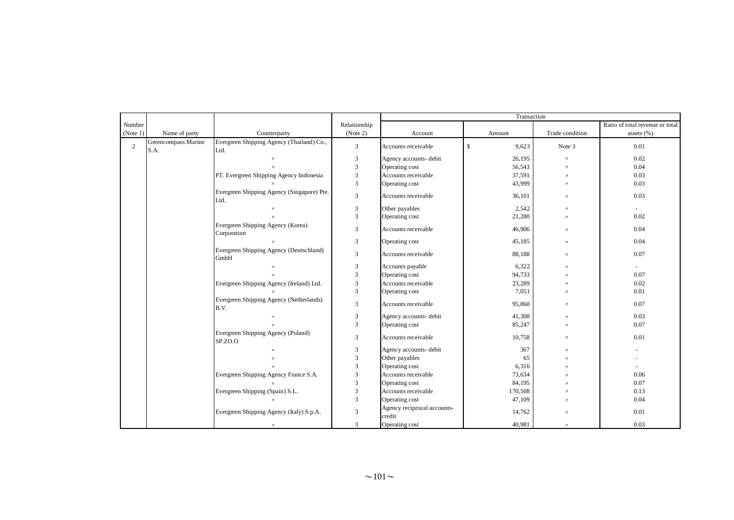|              |                             |                                                    |                             | Transaction                           |             |                   |                                 |
|--------------|-----------------------------|----------------------------------------------------|-----------------------------|---------------------------------------|-------------|-------------------|---------------------------------|
| Number       |                             |                                                    | Relationship                |                                       |             |                   | Ratio of total revenue or total |
| (Note 1)     | Name of party               | Counterparty                                       | (Note 2)                    | Account                               | Amount      | Trade condition   | assets $(\% )$                  |
| $\mathbf{2}$ | Greencompass Marine<br>S.A. | Evergreen Shipping Agency (Thailand) Co.,<br>Ltd.  | 3                           | Accounts receivable                   | \$<br>9,623 | Note 3            | 0.01                            |
|              |                             | $\prime$                                           | $\mathfrak{Z}$              | Agency accounts- debit                | 26,195      | $\prime\prime$    | 0.02                            |
|              |                             |                                                    | $\mathfrak{Z}$              | Operating cost                        | 56,543      | $\prime\prime$    | 0.04                            |
|              |                             | PT. Evergreen Shipping Agency Indonesia            | 3                           | Accounts receivable                   | 37,591      | $\prime\prime$    | 0.03                            |
|              |                             |                                                    | 3                           | Operating cost                        | 43,999      | $^{\prime\prime}$ | 0.03                            |
|              |                             | Evergreen Shipping Agency (Singapore) Pte.<br>Ltd. | 3                           | Accounts receivable                   | 36,101      | $\prime\prime$    | 0.03                            |
|              |                             | $^{\prime\prime}$                                  | $\mathfrak{Z}$              | Other payables                        | 2,542       | $\prime\prime$    | $\sim$                          |
|              |                             |                                                    | 3                           | Operating cost                        | 21,280      | $\prime\prime$    | 0.02                            |
|              |                             | Evergreen Shipping Agency (Korea)<br>Corporation   | 3                           | Accounts receivable                   | 46,906      | $\prime\prime$    | 0.04                            |
|              |                             |                                                    | 3                           | Operating cost                        | 45,185      | $\prime\prime$    | 0.04                            |
|              |                             | Evergreen Shipping Agency (Deutschland)<br>GmbH    | 3                           | Accounts receivable                   | 88,188      | $\prime\prime$    | 0.07                            |
|              |                             | $\prime$                                           | $\mathfrak{Z}$              | Accounts payable                      | 6,322       | $\prime\prime$    | $\sim$                          |
|              |                             |                                                    | 3                           | Operating cost                        | 94,733      | $\prime$          | 0.07                            |
|              |                             | Evergreen Shipping Agency (Ireland) Ltd.           | $\overline{3}$              | Accounts receivable                   | 23,289      | $\prime$          | 0.02                            |
|              |                             |                                                    | $\overline{3}$              | Operating cost                        | 7,051       | $\prime$          | 0.01                            |
|              |                             | Evergreen Shipping Agency (Netherlands)<br>B.V.    | 3                           | Accounts receivable                   | 95,860      | $\prime$          | 0.07                            |
|              |                             | $^{\prime\prime}$                                  | 3                           | Agency accounts- debit                | 41,308      | $\prime\prime$    | 0.03                            |
|              |                             |                                                    | 3                           | Operating cost                        | 85,247      | $\prime\prime$    | 0.07                            |
|              |                             | Evergreen Shipping Agency (Poland)<br>SP.ZO.O      | 3                           | Accounts receivable                   | 10,758      | $\prime\prime$    | 0.01                            |
|              |                             |                                                    | $\mathfrak{Z}$              | Agency accounts- debit                | 367         | $\prime$          |                                 |
|              |                             |                                                    | $\sqrt{3}$                  | Other payables                        | 65          | $\prime\prime$    |                                 |
|              |                             |                                                    | $\mathfrak{Z}$              | Operating cost                        | 6,316       | $\prime$          |                                 |
|              |                             | Evergreen Shipping Agency France S.A.              | $\mathfrak{Z}$              | Accounts receivable                   | 73,634      | $\prime$          | 0.06                            |
|              |                             |                                                    | $\ensuremath{\mathfrak{Z}}$ | Operating cost                        | 84,195      | $^{\prime\prime}$ | 0.07                            |
|              |                             | Evergreen Shipping (Spain) S.L.                    | $\sqrt{3}$                  | Accounts receivable                   | 170,508     | $\prime\prime$    | 0.13                            |
|              |                             | $\prime$                                           | $\overline{3}$              | Operating cost                        | 47,109      | $\prime$          | 0.04                            |
|              |                             | Evergreen Shipping Agency (Italy) S.p.A.           | 3                           | Agency reciprocal accounts-<br>credit | 14,762      | $\prime\prime$    | 0.01                            |
|              |                             | $\prime\prime$                                     | 3                           | Operating cost                        | 40,981      | $\prime\prime$    | 0.03                            |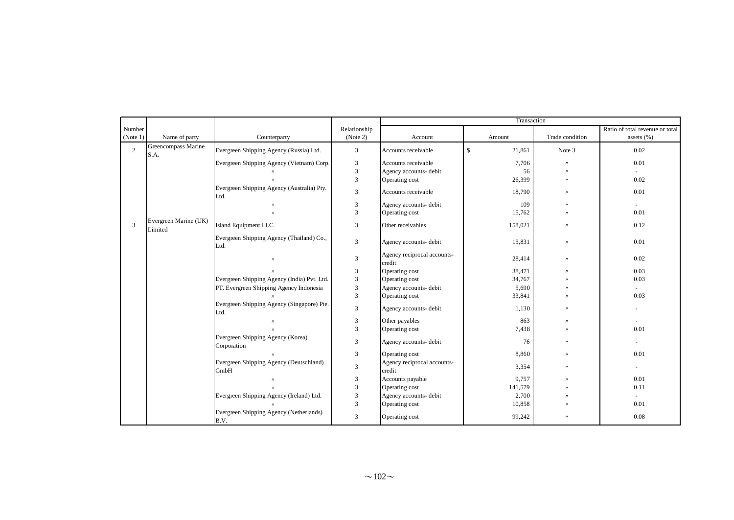|                |                                  |                                                    |                | Transaction                           |                        |                     |                                 |
|----------------|----------------------------------|----------------------------------------------------|----------------|---------------------------------------|------------------------|---------------------|---------------------------------|
| Number         |                                  |                                                    | Relationship   |                                       |                        |                     | Ratio of total revenue or total |
| (Note 1)       | Name of party                    | Counterparty                                       | (Note 2)       | Account                               | Amount                 | Trade condition     | assets $(\% )$                  |
| $\overline{2}$ | Greencompass Marine<br>S.A.      | Evergreen Shipping Agency (Russia) Ltd.            | 3              | Accounts receivable                   | $\mathbb{S}$<br>21,861 | Note 3              | 0.02                            |
|                |                                  | Evergreen Shipping Agency (Vietnam) Corp.          | 3              | Accounts receivable                   | 7,706                  | $\prime$            | 0.01                            |
|                |                                  |                                                    | $\overline{3}$ | Agency accounts- debit                | 56                     | $^{\prime\prime}$   |                                 |
|                |                                  |                                                    | $\overline{3}$ | Operating cost                        | 26,399                 | $\mathbf{u}$        | 0.02                            |
|                |                                  | Evergreen Shipping Agency (Australia) Pty.<br>Ltd. | 3              | Accounts receivable                   | 18,790                 | $\prime$            | 0.01                            |
|                |                                  | $^{\prime\prime}$                                  | $\mathfrak{Z}$ | Agency accounts- debit                | 109                    | $\prime$            | $\sim$                          |
|                |                                  |                                                    | 3              | Operating cost                        | 15,762                 | $\boldsymbol{\eta}$ | 0.01                            |
| 3              | Evergreen Marine (UK)<br>Limited | Island Equipment LLC.                              | 3              | Other receivables                     | 158,021                | $\prime$            | 0.12                            |
|                |                                  | Evergreen Shipping Agency (Thailand) Co.,<br>Ltd.  | 3              | Agency accounts- debit                | 15,831                 | $\prime$            | 0.01                            |
|                |                                  | $^{\prime\prime}$                                  | 3              | Agency reciprocal accounts-<br>credit | 28,414                 | $\prime$            | 0.02                            |
|                |                                  |                                                    | $\mathfrak{Z}$ | Operating cost                        | 38,471                 | $\prime$            | 0.03                            |
|                |                                  | Evergreen Shipping Agency (India) Pvt. Ltd.        | $\overline{3}$ | Operating cost                        | 34,767                 |                     | 0.03                            |
|                |                                  | PT. Evergreen Shipping Agency Indonesia            | $\overline{3}$ | Agency accounts- debit                | 5,690                  |                     |                                 |
|                |                                  |                                                    | $\overline{3}$ | Operating cost                        | 33,841                 |                     | 0.03                            |
|                |                                  | Evergreen Shipping Agency (Singapore) Pte.<br>Ltd. | $\overline{3}$ | Agency accounts- debit                | 1,130                  | $\prime$            |                                 |
|                |                                  | $^{\prime\prime}$                                  | 3              | Other payables                        | 863                    | $^{\prime\prime}$   | $\sim$                          |
|                |                                  |                                                    | $\overline{3}$ | Operating cost                        | 7,438                  | $^{\prime\prime}$   | 0.01                            |
|                |                                  | Evergreen Shipping Agency (Korea)<br>Corporation   | 3              | Agency accounts- debit                | 76                     | $\prime$            | $\blacksquare$                  |
|                |                                  |                                                    | 3              | Operating cost                        | 8,860                  | $\mathbf{u}$        | 0.01                            |
|                |                                  | Evergreen Shipping Agency (Deutschland)<br>GmbH    | 3              | Agency reciprocal accounts-<br>credit | 3,354                  | $\prime$            | $\overline{\phantom{a}}$        |
|                |                                  | $^{\prime\prime}$                                  | $\mathfrak{Z}$ | Accounts payable                      | 9,757                  | $^{\prime\prime}$   | 0.01                            |
|                |                                  |                                                    | $\overline{3}$ | Operating cost                        | 141,579                |                     | 0.11                            |
|                |                                  | Evergreen Shipping Agency (Ireland) Ltd.           | $\overline{3}$ | Agency accounts- debit                | 2,700                  |                     | $\sim$                          |
|                |                                  |                                                    | $\overline{3}$ | Operating cost                        | 10,858                 | $^{\prime\prime}$   | 0.01                            |
|                |                                  | Evergreen Shipping Agency (Netherlands)<br>B.V.    | 3              | Operating cost                        | 99,242                 | $\prime$            | 0.08                            |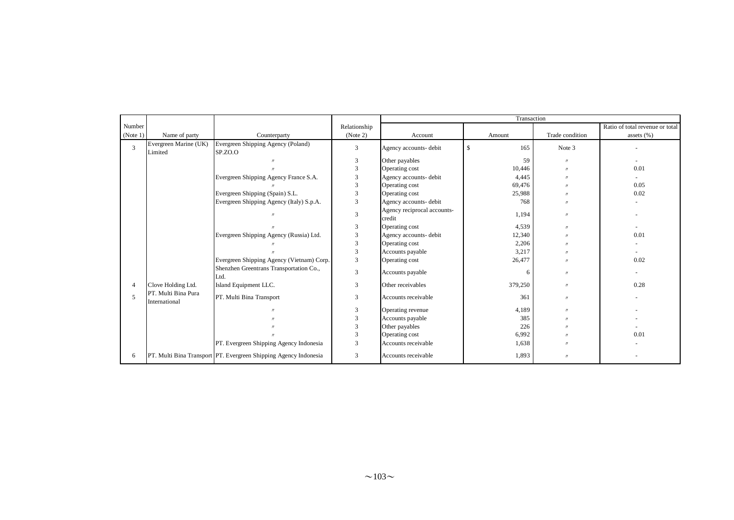|          |                                      |                                                                  |                |                                       | Transaction          |                   |                                 |
|----------|--------------------------------------|------------------------------------------------------------------|----------------|---------------------------------------|----------------------|-------------------|---------------------------------|
| Number   |                                      |                                                                  | Relationship   |                                       |                      |                   | Ratio of total revenue or total |
| (Note 1) | Name of party                        | Counterparty                                                     | (Note 2)       | Account                               | Amount               | Trade condition   | assets $(\% )$                  |
| 3        | Evergreen Marine (UK)<br>Limited     | Evergreen Shipping Agency (Poland)<br>SP.ZO.O                    | 3              | Agency accounts- debit                | $\mathcal{S}$<br>165 | Note 3            |                                 |
|          |                                      | $\eta$                                                           | 3              | Other payables                        | 59                   | $^{\prime\prime}$ | $\overline{\phantom{a}}$        |
|          |                                      |                                                                  | 3              | Operating cost                        | 10,446               | $^{\prime}$       | 0.01                            |
|          |                                      | Evergreen Shipping Agency France S.A.                            | 3              | Agency accounts- debit                | 4.445                |                   |                                 |
|          |                                      |                                                                  | 3              | Operating cost                        | 69,476               |                   | 0.05                            |
|          |                                      | Evergreen Shipping (Spain) S.L.                                  | 3              | Operating cost                        | 25,988               |                   | 0.02                            |
|          |                                      | Evergreen Shipping Agency (Italy) S.p.A.                         | $\overline{3}$ | Agency accounts- debit                | 768                  | $^{\prime}$       |                                 |
|          |                                      | $\eta$                                                           | $\overline{3}$ | Agency reciprocal accounts-<br>credit | 1,194                | $^{\prime\prime}$ |                                 |
|          |                                      |                                                                  | 3              | Operating cost                        | 4,539                | $^{\prime\prime}$ | $\overline{\phantom{0}}$        |
|          |                                      | Evergreen Shipping Agency (Russia) Ltd.                          | $\overline{3}$ | Agency accounts- debit                | 12,340               | $^{\prime}$       | 0.01                            |
|          |                                      |                                                                  | $\mathfrak{Z}$ | Operating cost                        | 2,206                |                   |                                 |
|          |                                      |                                                                  | 3              | Accounts payable                      | 3,217                |                   | $\overline{\phantom{a}}$        |
|          |                                      | Evergreen Shipping Agency (Vietnam) Corp.                        | 3              | Operating cost                        | 26,477               |                   | 0.02                            |
|          |                                      | Shenzhen Greentrans Transportation Co.,<br>Ltd.                  | 3              | Accounts payable                      | 6                    | $^{\prime\prime}$ |                                 |
|          | Clove Holding Ltd.                   | Island Equipment LLC.                                            | $\overline{3}$ | Other receivables                     | 379,250              | $^{\prime\prime}$ | 0.28                            |
| 5        | PT. Multi Bina Pura<br>International | PT. Multi Bina Transport                                         | 3              | Accounts receivable                   | 361                  | $^{\prime\prime}$ |                                 |
|          |                                      |                                                                  | 3              | Operating revenue                     | 4,189                | $^{\prime\prime}$ |                                 |
|          |                                      |                                                                  | 3              | Accounts payable                      | 385                  |                   |                                 |
|          |                                      |                                                                  | 3              | Other payables                        | 226                  |                   |                                 |
|          |                                      |                                                                  | 3              | Operating cost                        | 6,992                | $^{\prime}$       | 0.01                            |
|          |                                      | PT. Evergreen Shipping Agency Indonesia                          | 3              | Accounts receivable                   | 1,638                |                   |                                 |
| 6        |                                      | PT. Multi Bina Transport PT. Evergreen Shipping Agency Indonesia | 3              | Accounts receivable                   | 1,893                | $^{\prime\prime}$ |                                 |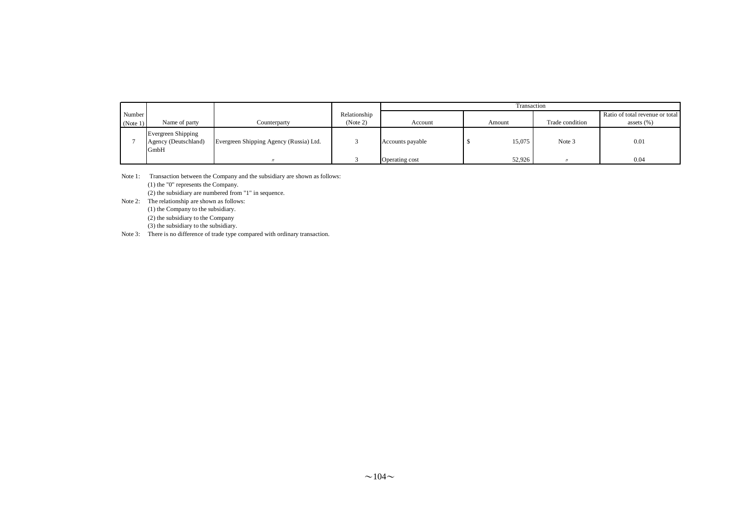|          |                                                    |                                         |              |                  | Transaction |                 |                                 |  |  |
|----------|----------------------------------------------------|-----------------------------------------|--------------|------------------|-------------|-----------------|---------------------------------|--|--|
| Number   |                                                    |                                         | Relationship |                  |             |                 | Ratio of total revenue or total |  |  |
| (Note 1) | Name of party                                      | Counterparty                            | (Note 2)     | Account          | Amount      | Trade condition | assets $(\% )$                  |  |  |
|          | Evergreen Shipping<br>Agency (Deutschland)<br>GmbH | Evergreen Shipping Agency (Russia) Ltd. |              | Accounts payable | 15,075      | Note 3          | 0.01                            |  |  |
|          |                                                    |                                         |              | Operating cost   | 52.926      |                 | 0.04                            |  |  |

Note 1: Transaction between the Company and the subsidiary are shown as follows: (1) the "0" represents the Company.

(2) the subsidiary are numbered from "1" in sequence.

- Note 2: The relationship are shown as follows: (1) the Company to the subsidiary. (2) the subsidiary to the Company (3) the subsidiary to the subsidiary.
- Note 3: There is no difference of trade type compared with ordinary transaction.